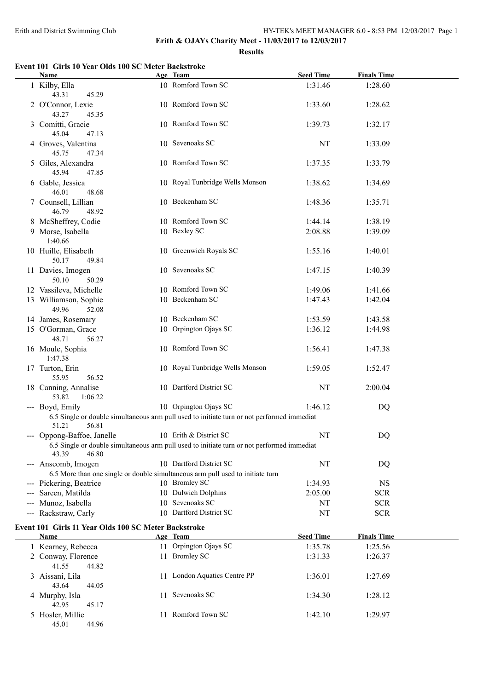**Erith & OJAYs Charity Meet - 11/03/2017 to 12/03/2017**

**Results**

### **Event 101 Girls 10 Year Olds 100 SC Meter Backstroke**

| Name                                                 | Age Team                                                                                   | <b>Seed Time</b> | <b>Finals Time</b> |  |
|------------------------------------------------------|--------------------------------------------------------------------------------------------|------------------|--------------------|--|
| 1 Kilby, Ella<br>43.31<br>45.29                      | 10 Romford Town SC                                                                         | 1:31.46          | 1:28.60            |  |
| 2 O'Connor, Lexie<br>43.27<br>45.35                  | 10 Romford Town SC                                                                         | 1:33.60          | 1:28.62            |  |
| 3 Comitti, Gracie<br>45.04<br>47.13                  | 10 Romford Town SC                                                                         | 1:39.73          | 1:32.17            |  |
| 4 Groves, Valentina<br>45.75<br>47.34                | 10 Sevenoaks SC                                                                            | NT               | 1:33.09            |  |
| 5 Giles, Alexandra<br>45.94<br>47.85                 | 10 Romford Town SC                                                                         | 1:37.35          | 1:33.79            |  |
| 6 Gable, Jessica<br>46.01<br>48.68                   | 10 Royal Tunbridge Wells Monson                                                            | 1:38.62          | 1:34.69            |  |
| 7 Counsell, Lillian<br>46.79<br>48.92                | 10 Beckenham SC                                                                            | 1:48.36          | 1:35.71            |  |
| 8 McSheffrey, Codie                                  | 10 Romford Town SC                                                                         | 1:44.14          | 1:38.19            |  |
| 9 Morse, Isabella<br>1:40.66                         | 10 Bexley SC                                                                               | 2:08.88          | 1:39.09            |  |
| 10 Huille, Elisabeth<br>50.17<br>49.84               | 10 Greenwich Royals SC                                                                     | 1:55.16          | 1:40.01            |  |
| 11 Davies, Imogen<br>50.10<br>50.29                  | 10 Sevenoaks SC                                                                            | 1:47.15          | 1:40.39            |  |
| 12 Vassileva, Michelle                               | 10 Romford Town SC                                                                         | 1:49.06          | 1:41.66            |  |
| 13 Williamson, Sophie<br>49.96<br>52.08              | 10 Beckenham SC                                                                            | 1:47.43          | 1:42.04            |  |
| 14 James, Rosemary                                   | 10 Beckenham SC                                                                            | 1:53.59          | 1:43.58            |  |
| 15 O'Gorman, Grace<br>48.71<br>56.27                 | 10 Orpington Ojays SC                                                                      | 1:36.12          | 1:44.98            |  |
| 16 Moule, Sophia<br>1:47.38                          | 10 Romford Town SC                                                                         | 1:56.41          | 1:47.38            |  |
| 17 Turton, Erin<br>55.95<br>56.52                    | 10 Royal Tunbridge Wells Monson                                                            | 1:59.05          | 1:52.47            |  |
| 18 Canning, Annalise<br>53.82<br>1:06.22             | 10 Dartford District SC                                                                    | NT               | 2:00.04            |  |
| --- Boyd, Emily                                      | 10 Orpington Ojays SC                                                                      | 1:46.12          | DQ                 |  |
| 51.21<br>56.81                                       | 6.5 Single or double simultaneous arm pull used to initiate turn or not performed immediat |                  |                    |  |
| --- Oppong-Baffoe, Janelle                           | 10 Erith & District SC                                                                     | NT               | DQ                 |  |
| 43.39<br>46.80                                       | 6.5 Single or double simultaneous arm pull used to initiate turn or not performed immediat |                  |                    |  |
| --- Anscomb, Imogen                                  | 10 Dartford District SC                                                                    | NT               | DQ                 |  |
|                                                      | 6.5 More than one single or double simultaneous arm pull used to initiate turn             |                  |                    |  |
| --- Pickering, Beatrice                              | 10 Bromley SC                                                                              | 1:34.93          | <b>NS</b>          |  |
| --- Sareen, Matilda                                  | 10 Dulwich Dolphins                                                                        | 2:05.00          | <b>SCR</b>         |  |
| --- Munoz, Isabella                                  | 10 Sevenoaks SC                                                                            | NT               | <b>SCR</b>         |  |
| --- Rackstraw, Carly                                 | 10 Dartford District SC                                                                    | NT               | <b>SCR</b>         |  |
| Event 101 Girls 11 Year Olds 100 SC Meter Backstroke |                                                                                            |                  |                    |  |
| <b>Name</b>                                          | Age Team                                                                                   | <b>Seed Time</b> | <b>Finals Time</b> |  |
| 1 Kearney, Rebecca                                   | 11 Orpington Ojays SC                                                                      | 1:35.78          | 1:25.56            |  |
| 2 Conway, Florence<br>41.55<br>44.82                 | 11 Bromley SC                                                                              | 1:31.33          | 1:26.37            |  |
| 3 Aissani, Lila<br>43.64<br>44.05                    | 11 London Aquatics Centre PP                                                               | 1:36.01          | 1:27.69            |  |
| 4 Murphy, Isla<br>42.95<br>45.17                     | 11 Sevenoaks SC                                                                            | 1:34.30          | 1:28.12            |  |
| 5 Hosler, Millie<br>45.01<br>44.96                   | 11 Romford Town SC                                                                         | 1:42.10          | 1:29.97            |  |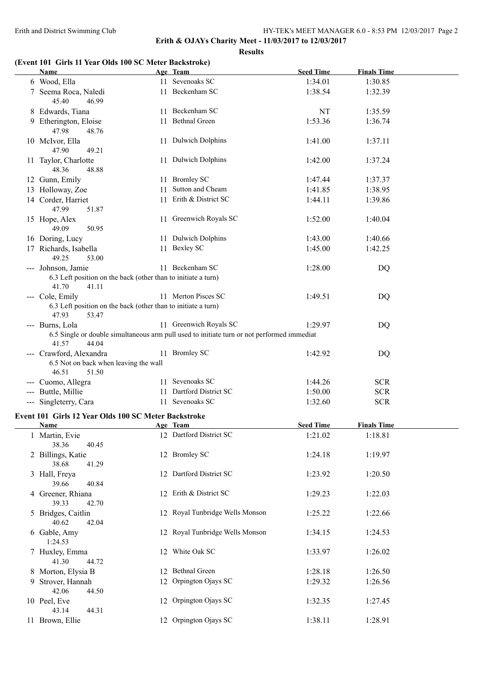**Results**

### **(Event 101 Girls 11 Year Olds 100 SC Meter Backstroke)**

| Name                                                                                                  | Age Team                                                                                                             | <b>Seed Time</b> | <b>Finals Time</b> |
|-------------------------------------------------------------------------------------------------------|----------------------------------------------------------------------------------------------------------------------|------------------|--------------------|
| 6 Wood, Ella                                                                                          | 11 Sevenoaks SC                                                                                                      | 1:34.01          | 1:30.85            |
| 7 Seema Roca, Naledi<br>45.40<br>46.99                                                                | 11 Beckenham SC                                                                                                      | 1:38.54          | 1:32.39            |
| 8 Edwards, Tiana                                                                                      | 11 Beckenham SC                                                                                                      | NT               | 1:35.59            |
| 9 Etherington, Eloise<br>47.98<br>48.76                                                               | 11 Bethnal Green                                                                                                     | 1:53.36          | 1:36.74            |
| 10 McIvor, Ella<br>47.90<br>49.21                                                                     | 11 Dulwich Dolphins                                                                                                  | 1:41.00          | 1:37.11            |
| 11 Taylor, Charlotte<br>48.36<br>48.88                                                                | 11 Dulwich Dolphins                                                                                                  | 1:42.00          | 1:37.24            |
| 12 Gunn, Emily                                                                                        | 11 Bromley SC                                                                                                        | 1:47.44          | 1:37.37            |
| 13 Holloway, Zoe                                                                                      | 11 Sutton and Cheam                                                                                                  | 1:41.85          | 1:38.95            |
| 14 Corder, Harriet<br>47.99<br>51.87                                                                  | 11 Erith & District SC                                                                                               | 1:44.11          | 1:39.86            |
| 15 Hope, Alex<br>49.09<br>50.95                                                                       | 11 Greenwich Royals SC                                                                                               | 1:52.00          | 1:40.04            |
| 16 Doring, Lucy                                                                                       | 11 Dulwich Dolphins                                                                                                  | 1:43.00          | 1:40.66            |
| 17 Richards, Isabella<br>49.25<br>53.00                                                               | 11 Bexley SC                                                                                                         | 1:45.00          | 1:42.25            |
| --- Johnson, Jamie<br>6.3 Left position on the back (other than to initiate a turn)<br>41.70<br>41.11 | 11 Beckenham SC                                                                                                      | 1:28.00          | DQ                 |
| --- Cole, Emily                                                                                       | 11 Merton Pisces SC                                                                                                  | 1:49.51          | DQ                 |
| 6.3 Left position on the back (other than to initiate a turn)<br>47.93<br>53.47                       |                                                                                                                      |                  |                    |
| --- Burns, Lola<br>41.57<br>44.04                                                                     | 11 Greenwich Royals SC<br>6.5 Single or double simultaneous arm pull used to initiate turn or not performed immediat | 1:29.97          | <b>DQ</b>          |
| --- Crawford, Alexandra<br>6.5 Not on back when leaving the wall<br>46.51<br>51.50                    | 11 Bromley SC                                                                                                        | 1:42.92          | DQ                 |
| --- Cuomo, Allegra                                                                                    | 11 Sevenoaks SC                                                                                                      | 1:44.26          | <b>SCR</b>         |
| --- Buttle, Millie                                                                                    | 11 Dartford District SC                                                                                              | 1:50.00          | <b>SCR</b>         |
| --- Singleterry, Cara                                                                                 | 11 Sevenoaks SC                                                                                                      | 1:32.60          | <b>SCR</b>         |
| Event 101 Girls 12 Year Olds 100 SC Meter Backstroke                                                  |                                                                                                                      |                  |                    |
| Name                                                                                                  | Age Team                                                                                                             | <b>Seed Time</b> | <b>Finals Time</b> |
| 1 Martin, Evie<br>38.36<br>40.45                                                                      | 12 Dartford District SC                                                                                              | 1:21.02          | 1:18.81            |
| 2 Billings, Katie<br>38.68<br>41.29                                                                   | 12 Bromley SC                                                                                                        | 1:24.18          | 1:19.97            |
| 3 Hall, Freya<br>39.66<br>40.84                                                                       | 12 Dartford District SC                                                                                              | 1:23.92          | 1:20.50            |
| 4 Greener, Rhiana<br>39.33<br>42.70                                                                   | 12 Erith & District SC                                                                                               | 1:29.23          | 1:22.03            |
| 5 Bridges, Caitlin<br>40.62<br>42.04                                                                  | 12 Royal Tunbridge Wells Monson                                                                                      | 1:25.22          | 1:22.66            |
| 6 Gable, Amy<br>1:24.53                                                                               | 12 Royal Tunbridge Wells Monson                                                                                      | 1:34.15          | 1:24.53            |
| 7 Huxley, Emma<br>41.30<br>44.72                                                                      | 12 White Oak SC                                                                                                      | 1:33.97          | 1:26.02            |
| 8 Morton, Elysia B                                                                                    | 12 Bethnal Green                                                                                                     | 1:28.18          | 1:26.50            |
| 9 Strover, Hannah<br>42.06<br>44.50                                                                   | 12 Orpington Ojays SC                                                                                                | 1:29.32          | 1:26.56            |
| 10 Peel, Eve<br>43.14<br>44.31                                                                        | 12 Orpington Ojays SC                                                                                                | 1:32.35          | 1:27.45            |
| 11 Brown, Ellie                                                                                       | 12 Orpington Ojays SC                                                                                                | 1:38.11          | 1:28.91            |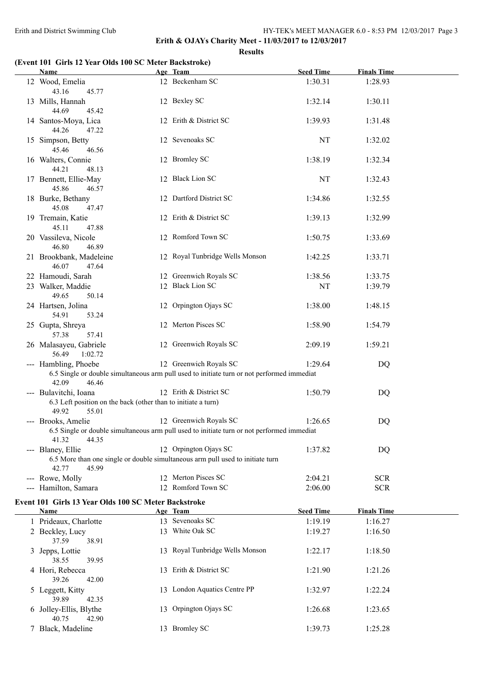**Erith & OJAYs Charity Meet - 11/03/2017 to 12/03/2017 Results**

## **(Event 101 Girls 12 Year Olds 100 SC Meter Backstroke)**

| <b>Name</b>                                                                            | Age Team                                                                                                             | <b>Seed Time</b>   | <b>Finals Time</b>       |  |
|----------------------------------------------------------------------------------------|----------------------------------------------------------------------------------------------------------------------|--------------------|--------------------------|--|
| 12 Wood, Emelia<br>43.16<br>45.77                                                      | 12 Beckenham SC                                                                                                      | 1:30.31            | 1:28.93                  |  |
| 13 Mills, Hannah<br>44.69<br>45.42                                                     | 12 Bexley SC                                                                                                         | 1:32.14            | 1:30.11                  |  |
| 14 Santos-Moya, Lica<br>44.26<br>47.22                                                 | 12 Erith & District SC                                                                                               | 1:39.93            | 1:31.48                  |  |
| 15 Simpson, Betty                                                                      | 12 Sevenoaks SC                                                                                                      | NT                 | 1:32.02                  |  |
| 45.46<br>46.56<br>16 Walters, Connie<br>44.21<br>48.13                                 | 12 Bromley SC                                                                                                        | 1:38.19            | 1:32.34                  |  |
| 17 Bennett, Ellie-May<br>45.86<br>46.57                                                | 12 Black Lion SC                                                                                                     | NT                 | 1:32.43                  |  |
| 18 Burke, Bethany<br>45.08<br>47.47                                                    | 12 Dartford District SC                                                                                              | 1:34.86            | 1:32.55                  |  |
| 19 Tremain, Katie<br>45.11<br>47.88                                                    | 12 Erith & District SC                                                                                               | 1:39.13            | 1:32.99                  |  |
| 20 Vassileva, Nicole<br>46.80<br>46.89                                                 | 12 Romford Town SC                                                                                                   | 1:50.75            | 1:33.69                  |  |
| 21 Brookbank, Madeleine<br>46.07<br>47.64                                              | 12 Royal Tunbridge Wells Monson                                                                                      | 1:42.25            | 1:33.71                  |  |
| 22 Hamoudi, Sarah                                                                      | 12 Greenwich Royals SC                                                                                               | 1:38.56            | 1:33.75                  |  |
| 23 Walker, Maddie                                                                      | 12 Black Lion SC                                                                                                     | NT                 | 1:39.79                  |  |
| 49.65<br>50.14                                                                         |                                                                                                                      |                    |                          |  |
| 24 Hartsen, Jolina<br>54.91<br>53.24                                                   | 12 Orpington Ojays SC                                                                                                | 1:38.00            | 1:48.15                  |  |
| 25 Gupta, Shreya<br>57.38<br>57.41                                                     | 12 Merton Pisces SC                                                                                                  | 1:58.90            | 1:54.79                  |  |
| 26 Malasayeu, Gabriele<br>56.49<br>1:02.72                                             | 12 Greenwich Royals SC                                                                                               | 2:09.19            | 1:59.21                  |  |
| --- Hambling, Phoebe<br>42.09<br>46.46                                                 | 12 Greenwich Royals SC<br>6.5 Single or double simultaneous arm pull used to initiate turn or not performed immediat | 1:29.64            | DQ                       |  |
| --- Bulavitchi, Ioana<br>6.3 Left position on the back (other than to initiate a turn) | 12 Erith & District SC                                                                                               | 1:50.79            | DQ                       |  |
| 49.92<br>55.01                                                                         |                                                                                                                      |                    |                          |  |
| --- Brooks, Amelie                                                                     | 12 Greenwich Royals SC                                                                                               | 1:26.65            | DQ                       |  |
| 41.32<br>44.35                                                                         | 6.5 Single or double simultaneous arm pull used to initiate turn or not performed immediat                           |                    |                          |  |
| --- Blaney, Ellie                                                                      | 12 Orpington Ojays SC<br>6.5 More than one single or double simultaneous arm pull used to initiate turn              | 1:37.82            | DQ                       |  |
| 42.77<br>45.99                                                                         | 12 Merton Pisces SC                                                                                                  |                    |                          |  |
| --- Rowe, Molly<br>--- Hamilton, Samara                                                | 12 Romford Town SC                                                                                                   | 2:04.21<br>2:06.00 | <b>SCR</b><br><b>SCR</b> |  |
|                                                                                        |                                                                                                                      |                    |                          |  |
| Event 101 Girls 13 Year Olds 100 SC Meter Backstroke<br>Name                           | Age Team                                                                                                             | <b>Seed Time</b>   | <b>Finals Time</b>       |  |
| 1 Prideaux, Charlotte                                                                  | 13 Sevenoaks SC                                                                                                      | 1:19.19            | 1:16.27                  |  |
| 2 Beckley, Lucy                                                                        | 13 White Oak SC                                                                                                      | 1:19.27            | 1:16.50                  |  |
| 37.59<br>38.91                                                                         |                                                                                                                      |                    |                          |  |
| 3 Jepps, Lottie<br>38.55<br>39.95                                                      | 13 Royal Tunbridge Wells Monson                                                                                      | 1:22.17            | 1:18.50                  |  |
| 4 Hori, Rebecca<br>39.26<br>42.00                                                      | 13 Erith & District SC                                                                                               | 1:21.90            | 1:21.26                  |  |
| 5 Leggett, Kitty<br>39.89<br>42.35                                                     | 13 London Aquatics Centre PP                                                                                         | 1:32.97            | 1:22.24                  |  |
| 6 Jolley-Ellis, Blythe<br>40.75<br>42.90                                               | 13 Orpington Ojays SC                                                                                                | 1:26.68            | 1:23.65                  |  |
| 7 Black, Madeline                                                                      | 13 Bromley SC                                                                                                        | 1:39.73            | 1:25.28                  |  |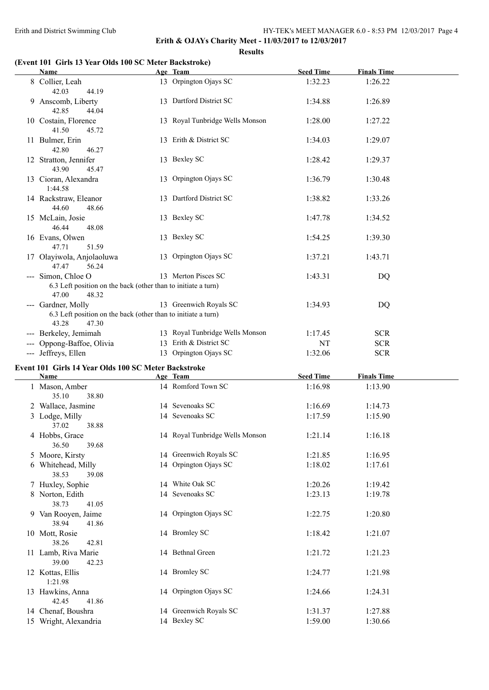**Erith & OJAYs Charity Meet - 11/03/2017 to 12/03/2017 Results**

#### **(Event 101 Girls 13 Year Olds 100 SC Meter Backstroke)**

| Name                                                                                                  | Age Team                        | <b>Seed Time</b> | <b>Finals Time</b> |  |
|-------------------------------------------------------------------------------------------------------|---------------------------------|------------------|--------------------|--|
| 8 Collier, Leah<br>42.03<br>44.19                                                                     | 13 Orpington Ojays SC           | 1:32.23          | 1:26.22            |  |
| 9 Anscomb, Liberty<br>42.85<br>44.04                                                                  | 13 Dartford District SC         | 1:34.88          | 1:26.89            |  |
| 10 Costain, Florence<br>41.50<br>45.72                                                                | 13 Royal Tunbridge Wells Monson | 1:28.00          | 1:27.22            |  |
| 11 Bulmer, Erin<br>42.80<br>46.27                                                                     | 13 Erith & District SC          | 1:34.03          | 1:29.07            |  |
| 12 Stratton, Jennifer<br>43.90<br>45.47                                                               | 13 Bexley SC                    | 1:28.42          | 1:29.37            |  |
| 13 Cioran, Alexandra<br>1:44.58                                                                       | 13 Orpington Ojays SC           | 1:36.79          | 1:30.48            |  |
| 14 Rackstraw, Eleanor<br>44.60<br>48.66                                                               | 13 Dartford District SC         | 1:38.82          | 1:33.26            |  |
| 15 McLain, Josie<br>46.44<br>48.08                                                                    | 13 Bexley SC                    | 1:47.78          | 1:34.52            |  |
| 16 Evans, Olwen<br>47.71<br>51.59                                                                     | 13 Bexley SC                    | 1:54.25          | 1:39.30            |  |
| 17 Olayiwola, Anjolaoluwa<br>47.47<br>56.24                                                           | 13 Orpington Ojays SC           | 1:37.21          | 1:43.71            |  |
| --- Simon, Chloe O<br>6.3 Left position on the back (other than to initiate a turn)<br>47.00<br>48.32 | 13 Merton Pisces SC             | 1:43.31          | <b>DQ</b>          |  |
| --- Gardner, Molly<br>6.3 Left position on the back (other than to initiate a turn)<br>43.28<br>47.30 | 13 Greenwich Royals SC          | 1:34.93          | DQ                 |  |
| --- Berkeley, Jemimah                                                                                 | 13 Royal Tunbridge Wells Monson | 1:17.45          | <b>SCR</b>         |  |
| --- Oppong-Baffoe, Olivia                                                                             | 13 Erith & District SC          | <b>NT</b>        | <b>SCR</b>         |  |
| --- Jeffreys, Ellen                                                                                   | 13 Orpington Ojays SC           | 1:32.06          | <b>SCR</b>         |  |
| Event 101 Girls 14 Year Olds 100 SC Meter Backstroke                                                  |                                 |                  |                    |  |
| Name                                                                                                  | Age Team                        | <b>Seed Time</b> | <b>Finals Time</b> |  |
| 1 Mason, Amber<br>35.10<br>38.80                                                                      | 14 Romford Town SC              | 1:16.98          | 1:13.90            |  |
| 2 Wallace, Jasmine                                                                                    | 14 Sevenoaks SC                 | 1:16.69          | 1:14.73            |  |
| 3 Lodge, Milly<br>37.02<br>38.88                                                                      | 14 Sevenoaks SC                 | 1:17.59          | 1:15.90            |  |
| 4 Hobbs, Grace<br>36.50<br>39.68                                                                      | 14 Royal Tunbridge Wells Monson | 1:21.14          | 1:16.18            |  |
| 5 Moore, Kirsty                                                                                       | 14 Greenwich Royals SC          | 1:21.85          | 1:16.95            |  |
| 6 Whitehead, Milly<br>38.53<br>39.08                                                                  | 14 Orpington Ojays SC           | 1:18.02          | 1:17.61            |  |
| 7 Huxley, Sophie                                                                                      | 14 White Oak SC                 | 1:20.26          |                    |  |
|                                                                                                       |                                 |                  | 1:19.42            |  |
| 8 Norton, Edith<br>38.73<br>41.05                                                                     | 14 Sevenoaks SC                 | 1:23.13          | 1:19.78            |  |
| 9 Van Rooyen, Jaime<br>38.94<br>41.86                                                                 | 14 Orpington Ojays SC           | 1:22.75          | 1:20.80            |  |
| 10 Mott, Rosie<br>38.26<br>42.81                                                                      | 14 Bromley SC                   | 1:18.42          | 1:21.07            |  |
| 11 Lamb, Riva Marie<br>39.00<br>42.23                                                                 | 14 Bethnal Green                | 1:21.72          | 1:21.23            |  |
| 12 Kottas, Ellis<br>1:21.98                                                                           | 14 Bromley SC                   | 1:24.77          | 1:21.98            |  |
| 13 Hawkins, Anna<br>42.45<br>41.86                                                                    | 14 Orpington Ojays SC           | 1:24.66          | 1:24.31            |  |
| 14 Chenaf, Boushra<br>15 Wright, Alexandria                                                           | 14 Greenwich Royals SC          | 1:31.37          | 1:27.88            |  |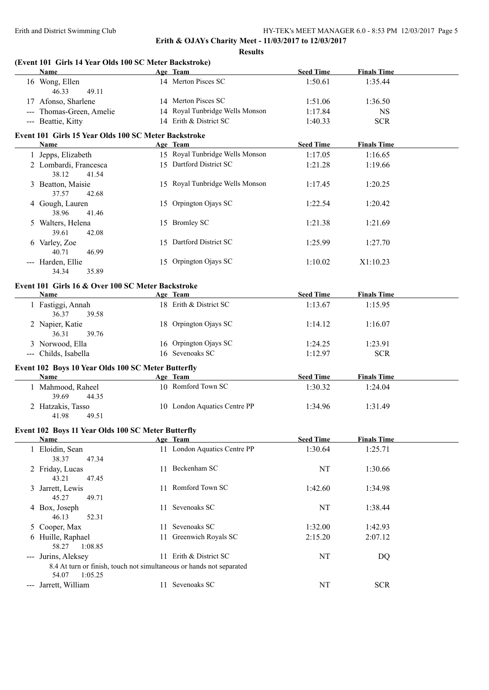**Erith & OJAYs Charity Meet - 11/03/2017 to 12/03/2017**

| (Event 101 Girls 14 Year Olds 100 SC Meter Backstroke)                                   |    |                                 |                  |                    |  |
|------------------------------------------------------------------------------------------|----|---------------------------------|------------------|--------------------|--|
| Name                                                                                     |    | Age Team                        | <b>Seed Time</b> | <b>Finals Time</b> |  |
| 16 Wong, Ellen<br>46.33<br>49.11                                                         |    | 14 Merton Pisces SC             | 1:50.61          | 1:35.44            |  |
| 17 Afonso, Sharlene                                                                      |    | 14 Merton Pisces SC             | 1:51.06          | 1:36.50            |  |
| --- Thomas-Green, Amelie                                                                 |    | 14 Royal Tunbridge Wells Monson | 1:17.84          | <b>NS</b>          |  |
| --- Beattie, Kitty                                                                       |    | 14 Erith & District SC          | 1:40.33          | <b>SCR</b>         |  |
| Event 101 Girls 15 Year Olds 100 SC Meter Backstroke                                     |    |                                 |                  | <b>Finals Time</b> |  |
| Name                                                                                     |    | Age Team                        | <b>Seed Time</b> |                    |  |
| 1 Jepps, Elizabeth                                                                       |    | 15 Royal Tunbridge Wells Monson | 1:17.05          | 1:16.65            |  |
| 2 Lombardi, Francesca<br>38.12<br>41.54                                                  |    | 15 Dartford District SC         | 1:21.28          | 1:19.66            |  |
| 3 Beatton, Maisie<br>37.57<br>42.68                                                      |    | 15 Royal Tunbridge Wells Monson | 1:17.45          | 1:20.25            |  |
| 4 Gough, Lauren<br>38.96<br>41.46                                                        |    | 15 Orpington Ojays SC           | 1:22.54          | 1:20.42            |  |
| 5 Walters, Helena<br>39.61<br>42.08                                                      |    | 15 Bromley SC                   | 1:21.38          | 1:21.69            |  |
| 6 Varley, Zoe<br>40.71<br>46.99                                                          |    | 15 Dartford District SC         | 1:25.99          | 1:27.70            |  |
| --- Harden, Ellie<br>34.34<br>35.89                                                      |    | 15 Orpington Ojays SC           | 1:10.02          | X1:10.23           |  |
| Event 101 Girls 16 & Over 100 SC Meter Backstroke<br>Name                                |    | Age Team                        | <b>Seed Time</b> | <b>Finals Time</b> |  |
|                                                                                          |    |                                 |                  |                    |  |
| 1 Fastiggi, Annah<br>39.58<br>36.37                                                      |    | 18 Erith & District SC          | 1:13.67          | 1:15.95            |  |
| 2 Napier, Katie<br>36.31<br>39.76                                                        |    | 18 Orpington Ojays SC           | 1:14.12          | 1:16.07            |  |
| 3 Norwood, Ella                                                                          |    | 16 Orpington Ojays SC           | 1:24.25          | 1:23.91            |  |
| --- Childs, Isabella                                                                     |    | 16 Sevenoaks SC                 | 1:12.97          | <b>SCR</b>         |  |
| Event 102 Boys 10 Year Olds 100 SC Meter Butterfly                                       |    |                                 |                  |                    |  |
| Name                                                                                     |    | Age Team                        | <b>Seed Time</b> | <b>Finals Time</b> |  |
| 1 Mahmood, Raheel<br>39.69<br>44.35                                                      |    | 10 Romford Town SC              | 1:30.32          | 1:24.04            |  |
| 2 Hatzakis, Tasso                                                                        |    | 10 London Aquatics Centre PP    | 1:34.96          | 1:31.49            |  |
| 41.98<br>49.51                                                                           |    |                                 |                  |                    |  |
| Event 102 Boys 11 Year Olds 100 SC Meter Butterfly                                       |    |                                 |                  |                    |  |
| <b>Name</b>                                                                              |    | Age Team                        | <b>Seed Time</b> | <b>Finals Time</b> |  |
| 1 Eloidin, Sean<br>38.37<br>47.34                                                        |    | 11 London Aquatics Centre PP    | 1:30.64          | 1:25.71            |  |
| 2 Friday, Lucas<br>43.21<br>47.45                                                        |    | 11 Beckenham SC                 | NT               | 1:30.66            |  |
| 3 Jarrett, Lewis<br>45.27<br>49.71                                                       |    | 11 Romford Town SC              | 1:42.60          | 1:34.98            |  |
| 4 Box, Joseph                                                                            |    | 11 Sevenoaks SC                 | NT               | 1:38.44            |  |
| 46.13<br>52.31<br>5 Cooper, Max                                                          | 11 | Sevenoaks SC                    | 1:32.00          | 1:42.93            |  |
| 6 Huille, Raphael                                                                        | 11 | Greenwich Royals SC             | 2:15.20          | 2:07.12            |  |
| 58.27<br>1:08.85                                                                         |    |                                 |                  |                    |  |
| --- Jurins, Aleksey                                                                      |    | 11 Erith & District SC          | NT               | DQ                 |  |
| 8.4 At turn or finish, touch not simultaneous or hands not separated<br>54.07<br>1:05.25 |    |                                 |                  |                    |  |
| --- Jarrett, William                                                                     |    | 11 Sevenoaks SC                 | NT               | <b>SCR</b>         |  |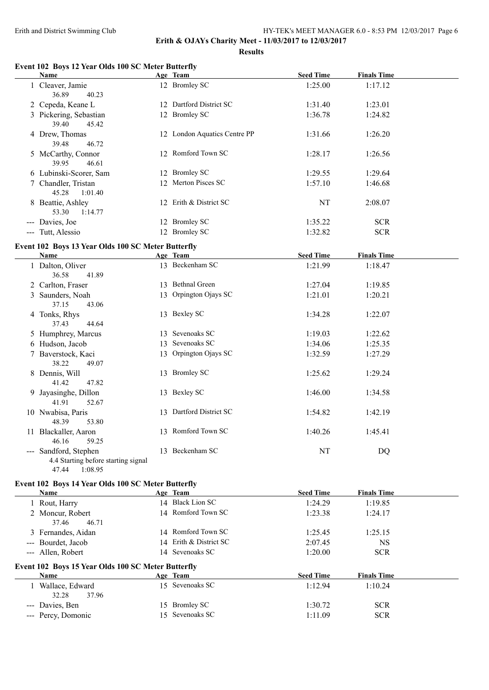### Erith and District Swimming Club HY-TEK's MEET MANAGER 6.0 - 8:53 PM 12/03/2017 Page 6 **Erith & OJAYs Charity Meet - 11/03/2017 to 12/03/2017**

**Results**

### **Event 102 Boys 12 Year Olds 100 SC Meter Butterfly**

|                      | Name                                               | Age Team                     | <b>Seed Time</b> | <b>Finals Time</b> |  |
|----------------------|----------------------------------------------------|------------------------------|------------------|--------------------|--|
|                      | 1 Cleaver, Jamie                                   | 12 Bromley SC                | 1:25.00          | 1:17.12            |  |
|                      | 36.89<br>40.23                                     |                              |                  |                    |  |
|                      | 2 Cepeda, Keane L                                  | 12 Dartford District SC      | 1:31.40          | 1:23.01            |  |
|                      | 3 Pickering, Sebastian                             | 12 Bromley SC                | 1:36.78          | 1:24.82            |  |
|                      | 39.40<br>45.42                                     |                              |                  |                    |  |
|                      | 4 Drew, Thomas                                     | 12 London Aquatics Centre PP | 1:31.66          | 1:26.20            |  |
|                      | 39.48<br>46.72                                     |                              |                  |                    |  |
|                      | 5 McCarthy, Connor                                 | 12 Romford Town SC           | 1:28.17          | 1:26.56            |  |
|                      | 39.95<br>46.61                                     |                              |                  |                    |  |
|                      | 6 Lubinski-Scorer, Sam                             | 12 Bromley SC                | 1:29.55          | 1:29.64            |  |
|                      | 7 Chandler, Tristan                                | 12 Merton Pisces SC          | 1:57.10          | 1:46.68            |  |
|                      | 1:01.40<br>45.28                                   |                              |                  |                    |  |
|                      | 8 Beattie, Ashley                                  | 12 Erith & District SC       | NT               | 2:08.07            |  |
|                      | 53.30<br>1:14.77                                   |                              |                  |                    |  |
| $\sim$ $\sim$ $\sim$ | Davies, Joe                                        | 12 Bromley SC                | 1:35.22          | <b>SCR</b>         |  |
|                      | --- Tutt, Alessio                                  | 12 Bromley SC                | 1:32.82          | <b>SCR</b>         |  |
|                      |                                                    |                              |                  |                    |  |
|                      | Event 102 Boys 13 Year Olds 100 SC Meter Butterfly |                              |                  |                    |  |
|                      | Name                                               | Age Team                     | <b>Seed Time</b> | <b>Finals Time</b> |  |
|                      |                                                    |                              |                  |                    |  |

|               | 1 Dalton, Oliver<br>41.89<br>36.58  |    | 13 Beckenham SC         | 1:21.99 | 1:18.47 |  |
|---------------|-------------------------------------|----|-------------------------|---------|---------|--|
|               | 2 Carlton, Fraser                   |    | 13 Bethnal Green        | 1:27.04 | 1:19.85 |  |
| 3             | Saunders, Noah                      |    | 13 Orpington Ojays SC   | 1:21.01 | 1:20.21 |  |
|               | 37.15<br>43.06                      |    |                         |         |         |  |
|               | 4 Tonks, Rhys                       |    | 13 Bexley SC            | 1:34.28 | 1:22.07 |  |
|               | 37.43<br>44.64                      |    |                         |         |         |  |
|               | 5 Humphrey, Marcus                  | 13 | Sevenoaks SC            | 1:19.03 | 1:22.62 |  |
|               | 6 Hudson, Jacob                     | 13 | Sevenoaks SC            | 1:34.06 | 1:25.35 |  |
|               | 7 Baverstock, Kaci                  | 13 | Orpington Ojays SC      | 1:32.59 | 1:27.29 |  |
|               | 38.22<br>49.07                      |    |                         |         |         |  |
| 8             | Dennis, Will                        |    | 13 Bromley SC           | 1:25.62 | 1:29.24 |  |
|               | 41.42<br>47.82                      |    |                         |         |         |  |
| 9             | Jayasinghe, Dillon                  |    | 13 Bexley SC            | 1:46.00 | 1:34.58 |  |
|               | 41.91<br>52.67                      |    |                         |         |         |  |
|               | 10 Nwabisa, Paris                   |    | 13 Dartford District SC | 1:54.82 | 1:42.19 |  |
|               | 48.39<br>53.80                      |    |                         |         |         |  |
| 11            | Blackaller, Aaron                   |    | 13 Romford Town SC      | 1:40.26 | 1:45.41 |  |
|               | 46.16<br>59.25                      |    |                         |         |         |  |
| $\frac{1}{2}$ | Sandford, Stephen                   |    | 13 Beckenham SC         | NT      | DQ      |  |
|               | 4.4 Starting before starting signal |    |                         |         |         |  |
|               | 47.44<br>1:08.95                    |    |                         |         |         |  |

# **Event 102 Boys 14 Year Olds 100 SC Meter Butterfly**

| Name                                               | Age Team               | <b>Seed Time</b> | <b>Finals Time</b> |
|----------------------------------------------------|------------------------|------------------|--------------------|
| 1 Rout, Harry                                      | 14 Black Lion SC       | 1:24.29          | 1:19.85            |
| 2 Moncur, Robert                                   | 14 Romford Town SC     | 1:23.38          | 1:24.17            |
| 37.46<br>46.71                                     |                        |                  |                    |
| 3 Fernandes, Aidan                                 | 14 Romford Town SC     | 1:25.45          | 1:25.15            |
| --- Bourdet, Jacob                                 | 14 Erith & District SC | 2:07.45          | <b>NS</b>          |
| --- Allen, Robert                                  | 14 Sevenoaks SC        | 1:20.00          | <b>SCR</b>         |
| Event 102 Boys 15 Year Olds 100 SC Meter Butterfly |                        |                  |                    |
| Name                                               | Age Team               | <b>Seed Time</b> | <b>Finals Time</b> |
| 1 Wallace, Edward                                  | 15 Sevenoaks SC        | 1:12.94          | 1:10.24            |
| 37.96<br>32.28                                     |                        |                  |                    |
| --- Davies, Ben                                    | 15 Bromley SC          | 1:30.72          | <b>SCR</b>         |
| --- Percy, Domonic                                 | 15 Sevenoaks SC        | 1:11.09          | <b>SCR</b>         |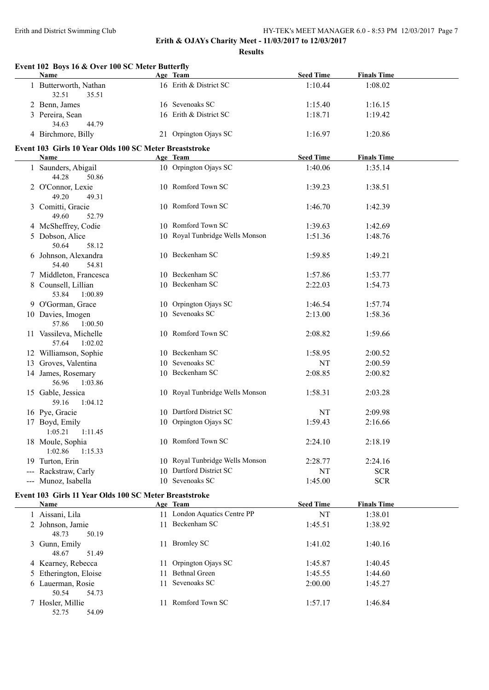**Erith & OJAYs Charity Meet - 11/03/2017 to 12/03/2017**

|   | Event 102 Boys 16 & Over 100 SC Meter Butterfly<br>Name        | Age Team                                        | <b>Seed Time</b>     | <b>Finals Time</b>       |
|---|----------------------------------------------------------------|-------------------------------------------------|----------------------|--------------------------|
|   | 1 Butterworth, Nathan<br>32.51<br>35.51                        | 16 Erith & District SC                          | 1:10.44              | 1:08.02                  |
|   | 2 Benn, James                                                  | 16 Sevenoaks SC                                 | 1:15.40              | 1:16.15                  |
|   | 3 Pereira, Sean<br>34.63<br>44.79                              | 16 Erith & District SC                          | 1:18.71              | 1:19.42                  |
|   | 4 Birchmore, Billy                                             | 21 Orpington Ojays SC                           | 1:16.97              | 1:20.86                  |
|   | Event 103 Girls 10 Year Olds 100 SC Meter Breaststroke<br>Name | Age Team                                        | <b>Seed Time</b>     | <b>Finals Time</b>       |
|   | 1 Saunders, Abigail<br>44.28<br>50.86                          | 10 Orpington Ojays SC                           | 1:40.06              | 1:35.14                  |
|   | 2 O'Connor, Lexie<br>49.20<br>49.31                            | 10 Romford Town SC                              | 1:39.23              | 1:38.51                  |
|   | 3 Comitti, Gracie<br>49.60<br>52.79                            | 10 Romford Town SC                              | 1:46.70              | 1:42.39                  |
|   | 4 McSheffrey, Codie                                            | 10 Romford Town SC                              | 1:39.63              | 1:42.69                  |
|   | 5 Dobson, Alice<br>50.64<br>58.12                              | 10 Royal Tunbridge Wells Monson                 | 1:51.36              | 1:48.76                  |
|   | 6 Johnson, Alexandra<br>54.40<br>54.81                         | 10 Beckenham SC                                 | 1:59.85              | 1:49.21                  |
|   | 7 Middleton, Francesca                                         | 10 Beckenham SC                                 | 1:57.86              | 1:53.77                  |
|   | 8 Counsell, Lillian<br>53.84<br>1:00.89                        | 10 Beckenham SC                                 | 2:22.03              | 1:54.73                  |
|   | 9 O'Gorman, Grace                                              | 10 Orpington Ojays SC                           | 1:46.54              | 1:57.74                  |
|   | 10 Davies, Imogen<br>57.86<br>1:00.50                          | 10 Sevenoaks SC                                 | 2:13.00              | 1:58.36                  |
|   | 11 Vassileva, Michelle<br>57.64<br>1:02.02                     | 10 Romford Town SC                              | 2:08.82              | 1:59.66                  |
|   | 12 Williamson, Sophie                                          | 10 Beckenham SC                                 | 1:58.95              | 2:00.52                  |
|   | 13 Groves, Valentina                                           | 10 Sevenoaks SC                                 | NT                   | 2:00.59                  |
|   | 14 James, Rosemary<br>56.96<br>1:03.86                         | 10 Beckenham SC                                 | 2:08.85              | 2:00.82                  |
|   | 15 Gable, Jessica<br>59.16<br>1:04.12                          | 10 Royal Tunbridge Wells Monson                 | 1:58.31              | 2:03.28                  |
|   | 16 Pye, Gracie                                                 | 10 Dartford District SC                         | NT                   | 2:09.98                  |
|   | 17 Boyd, Emily<br>$1:05.21$ $1:11.45$                          | 10 Orpington Ojays SC                           | 1:59.43              | 2:16.66                  |
|   | 18 Moule, Sophia<br>1:02.86<br>1:15.33                         | 10 Romford Town SC                              | 2:24.10              | 2:18.19                  |
|   | 19 Turton, Erin                                                | 10 Royal Tunbridge Wells Monson                 | 2:28.77              | 2:24.16                  |
|   | --- Rackstraw, Carly<br>--- Munoz, Isabella                    | 10 Dartford District SC<br>10 Sevenoaks SC      | NT<br>1:45.00        | <b>SCR</b><br><b>SCR</b> |
|   | Event 103 Girls 11 Year Olds 100 SC Meter Breaststroke         |                                                 |                      |                          |
|   | Name                                                           | Age Team                                        | <b>Seed Time</b>     | <b>Finals Time</b>       |
|   | 1 Aissani, Lila<br>2 Johnson, Jamie<br>48.73<br>50.19          | 11 London Aquatics Centre PP<br>11 Beckenham SC | $\rm{NT}$<br>1:45.51 | 1:38.01<br>1:38.92       |
|   | 3 Gunn, Emily<br>48.67<br>51.49                                | 11 Bromley SC                                   | 1:41.02              | 1:40.16                  |
|   | 4 Kearney, Rebecca                                             | 11 Orpington Ojays SC                           | 1:45.87              | 1:40.45                  |
| 5 | Etherington, Eloise                                            | 11 Bethnal Green                                | 1:45.55              | 1:44.60                  |
|   | 6 Lauerman, Rosie<br>50.54<br>54.73                            | 11 Sevenoaks SC                                 | 2:00.00              | 1:45.27                  |
|   | 7 Hosler, Millie<br>54.09<br>52.75                             | 11 Romford Town SC                              | 1:57.17              | 1:46.84                  |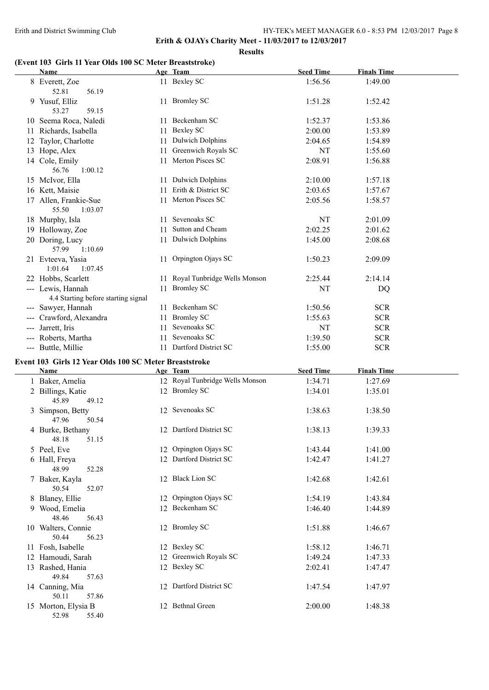**Results**

### **(Event 103 Girls 11 Year Olds 100 SC Meter Breaststroke)**

| (EVENT TVJ ANIS II IEAI ORIS TVV SC METER DIEASISTIVKE) |    |                                                  |                    |                    |  |
|---------------------------------------------------------|----|--------------------------------------------------|--------------------|--------------------|--|
| Name                                                    |    | Age Team                                         | <b>Seed Time</b>   | <b>Finals Time</b> |  |
| 8 Everett, Zoe<br>56.19<br>52.81                        |    | 11 Bexley SC                                     | 1:56.56            | 1:49.00            |  |
| 9 Yusuf, Elliz<br>53.27<br>59.15                        |    | 11 Bromley SC                                    | 1:51.28            | 1:52.42            |  |
| 10 Seema Roca, Naledi                                   |    | 11 Beckenham SC                                  | 1:52.37            | 1:53.86            |  |
| 11 Richards, Isabella                                   | 11 | <b>Bexley SC</b>                                 | 2:00.00            | 1:53.89            |  |
| 12 Taylor, Charlotte                                    | 11 | <b>Dulwich Dolphins</b>                          | 2:04.65            | 1:54.89            |  |
| 13 Hope, Alex                                           |    | 11 Greenwich Royals SC                           | NT                 | 1:55.60            |  |
| 14 Cole, Emily<br>56.76<br>1:00.12                      |    | 11 Merton Pisces SC                              | 2:08.91            | 1:56.88            |  |
| 15 McIvor, Ella                                         |    | 11 Dulwich Dolphins                              | 2:10.00            | 1:57.18            |  |
| 16 Kett, Maisie                                         |    | 11 Erith & District SC                           | 2:03.65            | 1:57.67            |  |
| 17 Allen, Frankie-Sue                                   |    | 11 Merton Pisces SC                              | 2:05.56            | 1:58.57            |  |
| 55.50<br>1:03.07                                        |    |                                                  |                    |                    |  |
| 18 Murphy, Isla                                         |    | 11 Sevenoaks SC                                  | NT                 | 2:01.09            |  |
| 19 Holloway, Zoe                                        |    | 11 Sutton and Cheam                              | 2:02.25            | 2:01.62            |  |
| 20 Doring, Lucy<br>57.99<br>1:10.69                     |    | 11 Dulwich Dolphins                              | 1:45.00            | 2:08.68            |  |
| 21 Evteeva, Yasia<br>1:01.64<br>1:07.45                 |    | 11 Orpington Ojays SC                            | 1:50.23            | 2:09.09            |  |
| 22 Hobbs, Scarlett                                      |    | 11 Royal Tunbridge Wells Monson                  | 2:25.44            | 2:14.14            |  |
| --- Lewis, Hannah                                       |    | 11 Bromley SC                                    | NT                 | DQ                 |  |
| 4.4 Starting before starting signal                     |    |                                                  |                    |                    |  |
| --- Sawyer, Hannah                                      |    | 11 Beckenham SC                                  | 1:50.56            | <b>SCR</b>         |  |
| --- Crawford, Alexandra                                 |    | 11 Bromley SC                                    | 1:55.63            | <b>SCR</b>         |  |
| --- Jarrett, Iris                                       |    | 11 Sevenoaks SC                                  | NT                 | <b>SCR</b>         |  |
| --- Roberts, Martha                                     |    | 11 Sevenoaks SC                                  | 1:39.50            | <b>SCR</b>         |  |
| --- Buttle, Millie                                      |    | 11 Dartford District SC                          | 1:55.00            | <b>SCR</b>         |  |
| Event 103 Girls 12 Year Olds 100 SC Meter Breaststroke  |    |                                                  |                    |                    |  |
| Name                                                    |    | Age Team                                         | <b>Seed Time</b>   | <b>Finals Time</b> |  |
| 1 Baker, Amelia<br>2 Billings, Katie                    |    | 12 Royal Tunbridge Wells Monson<br>12 Bromley SC | 1:34.71<br>1:34.01 | 1:27.69<br>1:35.01 |  |
| 45.89<br>49.12                                          |    |                                                  |                    |                    |  |
| 3 Simpson, Betty<br>47.96<br>50.54                      |    | 12 Sevenoaks SC                                  | 1:38.63            | 1:38.50            |  |
| 4 Burke, Bethany<br>48.18<br>51.15                      |    | 12 Dartford District SC                          | 1:38.13            | 1:39.33            |  |
| 5 Peel, Eve                                             |    | 12 Orpington Ojays SC                            | 1:43.44            | 1:41.00            |  |
| 6 Hall, Freya<br>48.99<br>52.28                         |    | 12 Dartford District SC                          | 1:42.47            | 1:41.27            |  |
| 7 Baker, Kayla<br>50.54<br>52.07                        |    | 12 Black Lion SC                                 | 1:42.68            | 1:42.61            |  |
| 8 Blaney, Ellie                                         |    | 12 Orpington Ojays SC                            | 1:54.19            | 1:43.84            |  |
| 9 Wood, Emelia                                          |    | 12 Beckenham SC                                  | 1:46.40            | 1:44.89            |  |
| 48.46<br>56.43                                          |    |                                                  |                    |                    |  |
| 10 Walters, Connie<br>50.44<br>56.23                    |    | 12 Bromley SC                                    | 1:51.88            | 1:46.67            |  |
| 11 Fosh, Isabelle                                       |    | 12 Bexley SC                                     | 1:58.12            | 1:46.71            |  |
| 12 Hamoudi, Sarah                                       |    | 12 Greenwich Royals SC                           | 1:49.24            | 1:47.33            |  |
| 13 Rashed, Hania                                        |    | 12 Bexley SC                                     | 2:02.41            | 1:47.47            |  |
| 49.84<br>57.63<br>14 Canning, Mia                       |    | 12 Dartford District SC                          | 1:47.54            | 1:47.97            |  |
| 50.11<br>57.86                                          |    |                                                  |                    |                    |  |
| 15 Morton, Elysia B<br>52.98 55.40                      |    | 12 Bethnal Green                                 | 2:00.00            | 1:48.38            |  |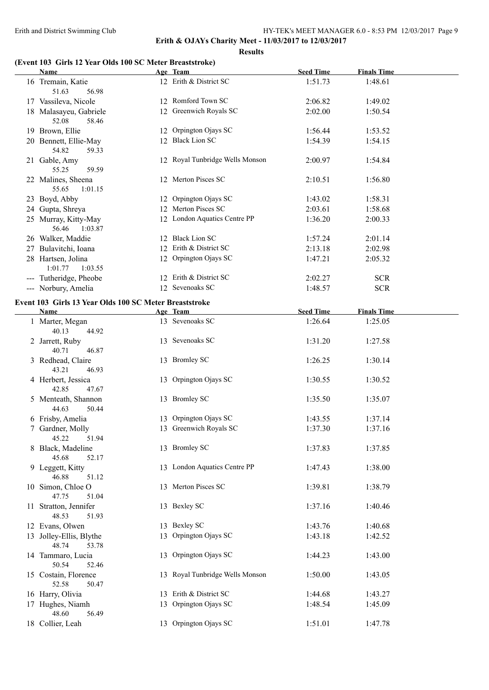**Erith & OJAYs Charity Meet - 11/03/2017 to 12/03/2017**

**Results**

#### **(Event 103 Girls 12 Year Olds 100 SC Meter Breaststroke)**

| Name                                                           | Age Team                        | <b>Seed Time</b> | <b>Finals Time</b> |  |
|----------------------------------------------------------------|---------------------------------|------------------|--------------------|--|
| 16 Tremain, Katie<br>51.63<br>56.98                            | 12 Erith & District SC          | 1:51.73          | 1:48.61            |  |
| 17 Vassileva, Nicole                                           | 12 Romford Town SC              | 2:06.82          | 1:49.02            |  |
| 18 Malasayeu, Gabriele<br>52.08<br>58.46                       | 12 Greenwich Royals SC          | 2:02.00          | 1:50.54            |  |
| 19 Brown, Ellie                                                | 12 Orpington Ojays SC           | 1:56.44          | 1:53.52            |  |
| 20 Bennett, Ellie-May<br>54.82<br>59.33                        | 12 Black Lion SC                | 1:54.39          | 1:54.15            |  |
| 21 Gable, Amy<br>55.25<br>59.59                                | 12 Royal Tunbridge Wells Monson | 2:00.97          | 1:54.84            |  |
| 22 Malines, Sheena<br>55.65<br>1:01.15                         | 12 Merton Pisces SC             | 2:10.51          | 1:56.80            |  |
| 23 Boyd, Abby                                                  | 12 Orpington Ojays SC           | 1:43.02          | 1:58.31            |  |
| 24 Gupta, Shreya                                               | 12 Merton Pisces SC             | 2:03.61          | 1:58.68            |  |
| 25 Murray, Kitty-May<br>56.46<br>1:03.87                       | 12 London Aquatics Centre PP    | 1:36.20          | 2:00.33            |  |
| 26 Walker, Maddie                                              | 12 Black Lion SC                | 1:57.24          | 2:01.14            |  |
| 27 Bulavitchi, Ioana                                           | 12 Erith & District SC          | 2:13.18          | 2:02.98            |  |
| 28 Hartsen, Jolina<br>1:01.77<br>1:03.55                       | 12 Orpington Ojays SC           | 1:47.21          | 2:05.32            |  |
| --- Tutheridge, Pheobe                                         | 12 Erith & District SC          | 2:02.27          | <b>SCR</b>         |  |
| --- Norbury, Amelia                                            | 12 Sevenoaks SC                 | 1:48.57          | <b>SCR</b>         |  |
| Event 103 Girls 13 Year Olds 100 SC Meter Breaststroke<br>Name | Age Team                        | <b>Seed Time</b> | <b>Finals Time</b> |  |
| 1 Marter, Megan                                                | 13 Sevenoaks SC                 | 1:26.64          | 1:25.05            |  |
| 40.13<br>44.92                                                 |                                 |                  |                    |  |
| 2 Jarrett, Ruby<br>40.71<br>46.87                              | 13 Sevenoaks SC                 | 1:31.20          | 1:27.58            |  |
| 3 Redhead, Claire<br>43.21<br>46.93                            | 13 Bromley SC                   | 1:26.25          | 1:30.14            |  |
| 4 Herbert, Jessica<br>42.85<br>47.67                           | 13 Orpington Ojays SC           | 1:30.55          | 1:30.52            |  |
| 5 Menteath, Shannon<br>44.63<br>50.44                          | 13 Bromley SC                   | 1:35.50          | 1:35.07            |  |
| 6 Frisby, Amelia                                               | 13 Orpington Ojays SC           | 1:43.55          | 1:37.14            |  |
| 7 Gardner, Molly<br>45.22<br>51.94                             | 13 Greenwich Royals SC          | 1:37.30          | 1:37.16            |  |
| 8 Black, Madeline<br>45.68<br>52.17                            | 13 Bromley SC                   | 1:37.83          | 1:37.85            |  |
| 9 Leggett, Kitty<br>46.88<br>51.12                             | 13 London Aquatics Centre PP    | 1:47.43          | 1:38.00            |  |
| 10 Simon, Chloe O<br>47.75<br>51.04                            | 13 Merton Pisces SC             | 1:39.81          | 1:38.79            |  |
| 11 Stratton, Jennifer<br>48.53<br>51.93                        | 13 Bexley SC                    | 1:37.16          | 1:40.46            |  |
| 12 Evans, Olwen                                                | 13 Bexley SC                    | 1:43.76          | 1:40.68            |  |
| 13 Jolley-Ellis, Blythe<br>13<br>48.74<br>53.78                | Orpington Ojays SC              | 1:43.18          | 1:42.52            |  |
| 14 Tammaro, Lucia<br>50.54<br>52.46                            | 13 Orpington Ojays SC           | 1:44.23          | 1:43.00            |  |
| 15 Costain, Florence<br>52.58<br>50.47                         | 13 Royal Tunbridge Wells Monson | 1:50.00          | 1:43.05            |  |
| 16 Harry, Olivia                                               | 13 Erith & District SC          | 1:44.68          | 1:43.27            |  |
| 17 Hughes, Niamh<br>48.60<br>56.49                             | 13 Orpington Ojays SC           | 1:48.54          | 1:45.09            |  |
| 18 Collier, Leah                                               | 13 Orpington Ojays SC           | 1:51.01          | 1:47.78            |  |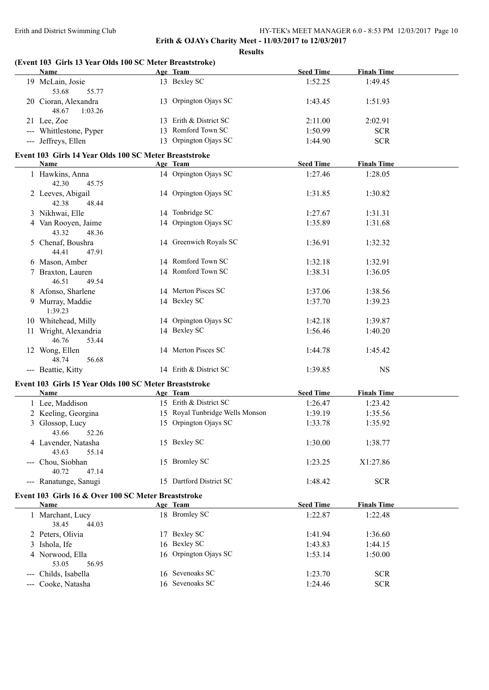**Erith & OJAYs Charity Meet - 11/03/2017 to 12/03/2017**

| (Event 103 Girls 13 Year Olds 100 SC Meter Breaststroke)<br>Name |                                 |                  | <b>Finals Time</b> |  |
|------------------------------------------------------------------|---------------------------------|------------------|--------------------|--|
|                                                                  | Age Team                        | <b>Seed Time</b> |                    |  |
| 19 McLain, Josie<br>53.68<br>55.77                               | 13 Bexley SC                    | 1:52.25          | 1:49.45            |  |
| 20 Cioran, Alexandra<br>48.67<br>1:03.26                         | 13 Orpington Ojays SC           | 1:43.45          | 1:51.93            |  |
| 21 Lee, Zoe                                                      | 13 Erith & District SC          | 2:11.00          | 2:02.91            |  |
| --- Whittlestone, Pyper                                          | 13 Romford Town SC              | 1:50.99          | <b>SCR</b>         |  |
| --- Jeffreys, Ellen                                              | 13 Orpington Ojays SC           | 1:44.90          | <b>SCR</b>         |  |
| Event 103 Girls 14 Year Olds 100 SC Meter Breaststroke           |                                 |                  |                    |  |
| Name                                                             | Age Team                        | <b>Seed Time</b> | <b>Finals Time</b> |  |
| 1 Hawkins, Anna<br>42.30<br>45.75                                | 14 Orpington Ojays SC           | 1:27.46          | 1:28.05            |  |
| 2 Leeves, Abigail<br>42.38<br>48.44                              | 14 Orpington Ojays SC           | 1:31.85          | 1:30.82            |  |
| 3 Nikhwai, Elle                                                  | 14 Tonbridge SC                 | 1:27.67          | 1:31.31            |  |
| 4 Van Rooyen, Jaime                                              | 14 Orpington Ojays SC           | 1:35.89          | 1:31.68            |  |
| 43.32<br>48.36                                                   |                                 |                  |                    |  |
| 5 Chenaf, Boushra<br>44.41<br>47.91                              | 14 Greenwich Royals SC          | 1:36.91          | 1:32.32            |  |
| 6 Mason, Amber                                                   | 14 Romford Town SC              | 1:32.18          | 1:32.91            |  |
| 7 Braxton, Lauren<br>46.51<br>49.54                              | 14 Romford Town SC              | 1:38.31          | 1:36.05            |  |
| 8 Afonso, Sharlene                                               | 14 Merton Pisces SC             | 1:37.06          | 1:38.56            |  |
| 9 Murray, Maddie<br>1:39.23                                      | 14 Bexley SC                    | 1:37.70          | 1:39.23            |  |
| 10 Whitehead, Milly                                              | 14 Orpington Ojays SC           | 1:42.18          | 1:39.87            |  |
| 11 Wright, Alexandria<br>46.76<br>53.44                          | 14 Bexley SC                    | 1:56.46          | 1:40.20            |  |
| 12 Wong, Ellen<br>48.74<br>56.68                                 | 14 Merton Pisces SC             | 1:44.78          | 1:45.42            |  |
| --- Beattie, Kitty                                               | 14 Erith & District SC          | 1:39.85          | <b>NS</b>          |  |
| Event 103 Girls 15 Year Olds 100 SC Meter Breaststroke           |                                 |                  |                    |  |
| Name                                                             | Age Team                        | <b>Seed Time</b> | <b>Finals Time</b> |  |
| 1 Lee, Maddison                                                  | 15 Erith & District SC          | 1:26.47          | 1:23.42            |  |
| 2 Keeling, Georgina                                              | 15 Royal Tunbridge Wells Monson | 1:39.19          | 1:35.56            |  |
| 3 Glossop, Lucy<br>52.26<br>43.66                                | 15 Orpington Ojays SC           | 1:33.78          | 1:35.92            |  |
| 4 Lavender, Natasha<br>43.63<br>55.14                            | 15 Bexley SC                    | 1:30.00          | 1:38.77            |  |
| --- Chou, Siobhan<br>40.72<br>47.14                              | 15 Bromley SC                   | 1:23.25          | X1:27.86           |  |
| --- Ranatunge, Sanugi                                            | 15 Dartford District SC         | 1:48.42          | <b>SCR</b>         |  |
| Event 103 Girls 16 & Over 100 SC Meter Breaststroke              |                                 |                  |                    |  |
| <b>Name</b>                                                      | Age Team                        | <b>Seed Time</b> | <b>Finals Time</b> |  |
| 1 Marchant, Lucy<br>38.45<br>44.03                               | 18 Bromley SC                   | 1:22.87          | 1:22.48            |  |
| 2 Peters, Olivia                                                 | 17 Bexley SC                    | 1:41.94          | 1:36.60            |  |
| 3 Ishola, Ife                                                    | 16 Bexley SC                    | 1:43.83          | 1:44.15            |  |
| 4 Norwood, Ella<br>53.05<br>56.95                                | 16 Orpington Ojays SC           | 1:53.14          | 1:50.00            |  |
| --- Childs, Isabella                                             | 16 Sevenoaks SC                 | 1:23.70          | <b>SCR</b>         |  |
| --- Cooke, Natasha                                               | 16 Sevenoaks SC                 | 1:24.46          | <b>SCR</b>         |  |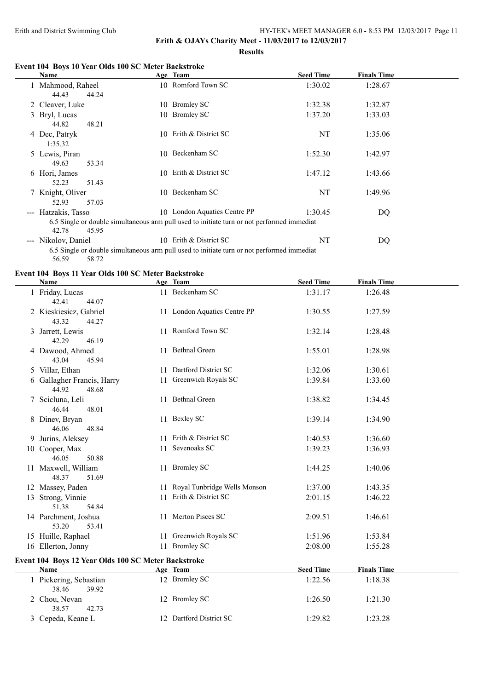**Erith & OJAYs Charity Meet - 11/03/2017 to 12/03/2017**

**Results**

## **Event 104 Boys 10 Year Olds 100 SC Meter Backstroke**

|   | <u>Name</u>         |       | Age Team                                                                                   | <b>Seed Time</b> | <b>Finals Time</b> |  |
|---|---------------------|-------|--------------------------------------------------------------------------------------------|------------------|--------------------|--|
|   | 1 Mahmood, Raheel   |       | 10 Romford Town SC                                                                         | 1:30.02          | 1:28.67            |  |
|   | 44.43               | 44.24 |                                                                                            |                  |                    |  |
|   | 2 Cleaver, Luke     |       | 10 Bromley SC                                                                              | 1:32.38          | 1:32.87            |  |
|   | 3 Bryl, Lucas       |       | 10 Bromley SC                                                                              | 1:37.20          | 1:33.03            |  |
|   | 44.82               | 48.21 |                                                                                            |                  |                    |  |
|   | 4 Dec, Patryk       |       | 10 Erith & District SC                                                                     | NT               | 1:35.06            |  |
|   | 1:35.32             |       |                                                                                            |                  |                    |  |
|   | 5 Lewis, Piran      |       | 10 Beckenham SC                                                                            | 1:52.30          | 1:42.97            |  |
|   | 49.63               | 53.34 |                                                                                            |                  |                    |  |
| 6 | Hori, James         |       | 10 Erith & District SC                                                                     | 1:47.12          | 1:43.66            |  |
|   | 52.23               | 51.43 |                                                                                            |                  |                    |  |
|   | Knight, Oliver      |       | 10 Beckenham SC                                                                            | NT               | 1:49.96            |  |
|   | 52.93               | 57.03 |                                                                                            |                  |                    |  |
|   | --- Hatzakis, Tasso |       | 10 London Aquatics Centre PP                                                               | 1:30.45          | DQ                 |  |
|   |                     |       | 6.5 Single or double simultaneous arm pull used to initiate turn or not performed immediat |                  |                    |  |
|   | 42.78               | 45.95 |                                                                                            |                  |                    |  |
|   | --- Nikolov, Daniel |       | 10 Erith & District SC                                                                     | NT               | DQ                 |  |
|   |                     |       | 6.5 Single or double simultaneous arm pull used to initiate turn or not performed immediat |                  |                    |  |
|   | 56.59               | 58.72 |                                                                                            |                  |                    |  |

#### **Event 104 Boys 11 Year Olds 100 SC Meter Backstroke**

| <b>Name</b>                                         | Age Team                        | <b>Seed Time</b> | <b>Finals Time</b> |  |
|-----------------------------------------------------|---------------------------------|------------------|--------------------|--|
| 1 Friday, Lucas<br>42.41<br>44.07                   | 11 Beckenham SC                 | 1:31.17          | 1:26.48            |  |
| 2 Kieskiesicz, Gabriel<br>43.32<br>44.27            | 11 London Aquatics Centre PP    | 1:30.55          | 1:27.59            |  |
| 3 Jarrett, Lewis<br>42.29<br>46.19                  | 11 Romford Town SC              | 1:32.14          | 1:28.48            |  |
| 4 Dawood, Ahmed<br>43.04<br>45.94                   | 11 Bethnal Green                | 1:55.01          | 1:28.98            |  |
| 5 Villar, Ethan                                     | 11 Dartford District SC         | 1:32.06          | 1:30.61            |  |
| 6 Gallagher Francis, Harry<br>44.92<br>48.68        | 11 Greenwich Royals SC          | 1:39.84          | 1:33.60            |  |
| 7 Scicluna, Leli<br>46.44<br>48.01                  | 11 Bethnal Green                | 1:38.82          | 1:34.45            |  |
| 8 Dinev, Bryan<br>46.06<br>48.84                    | 11 Bexley SC                    | 1:39.14          | 1:34.90            |  |
| 9 Jurins, Aleksey                                   | 11 Erith & District SC          | 1:40.53          | 1:36.60            |  |
| 10 Cooper, Max<br>46.05<br>50.88                    | 11 Sevenoaks SC                 | 1:39.23          | 1:36.93            |  |
| 11 Maxwell, William<br>48.37<br>51.69               | 11 Bromley SC                   | 1:44.25          | 1:40.06            |  |
| 12 Massey, Paden                                    | 11 Royal Tunbridge Wells Monson | 1:37.00          | 1:43.35            |  |
| 13 Strong, Vinnie<br>51.38<br>54.84                 | 11 Erith & District SC          | 2:01.15          | 1:46.22            |  |
| 14 Parchment, Joshua<br>53.20<br>53.41              | 11 Merton Pisces SC             | 2:09.51          | 1:46.61            |  |
| 15 Huille, Raphael                                  | 11 Greenwich Royals SC          | 1:51.96          | 1:53.84            |  |
| 16 Ellerton, Jonny                                  | 11 Bromley SC                   | 2:08.00          | 1:55.28            |  |
| Event 104 Boys 12 Year Olds 100 SC Meter Backstroke |                                 |                  |                    |  |
| <b>Name</b>                                         | Age Team                        | <b>Seed Time</b> | <b>Finals Time</b> |  |
| 1 Pickering, Sebastian<br>38.46<br>39.92            | 12 Bromley SC                   | 1:22.56          | 1:18.38            |  |
| 2 Chou, Nevan<br>38.57<br>42.73                     | 12 Bromley SC                   | 1:26.50          | 1:21.30            |  |
| 3 Cepeda, Keane L                                   | 12 Dartford District SC         | 1:29.82          | 1:23.28            |  |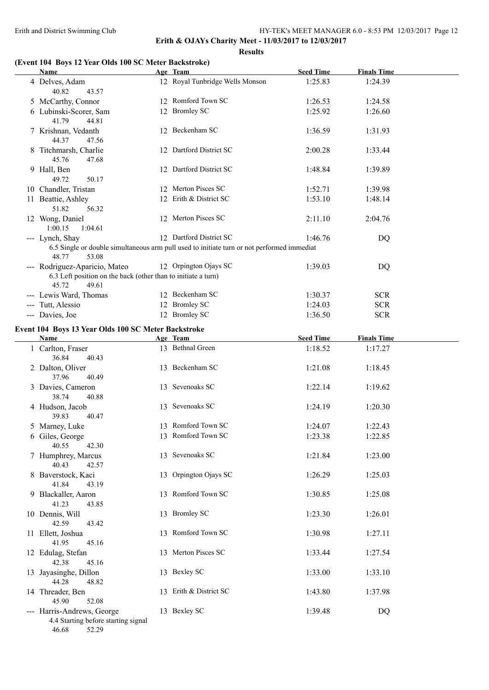#### **Results**

### **(Event 104 Boys 12 Year Olds 100 SC Meter Backstroke)**

| Name                                                                                | Age Team                                                                                   | <b>Seed Time</b> | <b>Finals Time</b> |  |
|-------------------------------------------------------------------------------------|--------------------------------------------------------------------------------------------|------------------|--------------------|--|
| 4 Delves, Adam<br>40.82<br>43.57                                                    | 12 Royal Tunbridge Wells Monson                                                            | 1:25.83          | 1:24.39            |  |
| 5 McCarthy, Connor                                                                  | 12 Romford Town SC                                                                         | 1:26.53          | 1:24.58            |  |
| 6 Lubinski-Scorer, Sam<br>41.79<br>44.81                                            | 12 Bromley SC                                                                              | 1:25.92          | 1:26.60            |  |
| 7 Krishnan, Vedanth<br>44.37<br>47.56                                               | 12 Beckenham SC                                                                            | 1:36.59          | 1:31.93            |  |
| 8 Titchmarsh, Charlie<br>45.76<br>47.68                                             | 12 Dartford District SC                                                                    | 2:00.28          | 1:33.44            |  |
| 9 Hall, Ben<br>49.72<br>50.17                                                       | 12 Dartford District SC                                                                    | 1:48.84          | 1:39.89            |  |
| 10 Chandler, Tristan                                                                | 12 Merton Pisces SC                                                                        | 1:52.71          | 1:39.98            |  |
| 11 Beattie, Ashley<br>51.82<br>56.32                                                | 12 Erith & District SC                                                                     | 1:53.10          | 1:48.14            |  |
| 12 Wong, Daniel<br>1:00.15<br>1:04.61                                               | 12 Merton Pisces SC                                                                        | 2:11.10          | 2:04.76            |  |
| --- Lynch, Shay                                                                     | 12 Dartford District SC                                                                    | 1:46.76          | DQ                 |  |
| 48.77<br>53.08                                                                      | 6.5 Single or double simultaneous arm pull used to initiate turn or not performed immediat |                  |                    |  |
| --- Rodriguez-Aparicio, Mateo                                                       | 12 Orpington Ojays SC                                                                      | 1:39.03          | DQ                 |  |
| 6.3 Left position on the back (other than to initiate a turn)<br>45.72<br>49.61     |                                                                                            |                  |                    |  |
| --- Lewis Ward, Thomas                                                              | 12 Beckenham SC                                                                            | 1:30.37          | <b>SCR</b>         |  |
| --- Tutt, Alessio                                                                   | 12 Bromley SC                                                                              | 1:24.03          | <b>SCR</b>         |  |
| --- Davies, Joe                                                                     | 12 Bromley SC                                                                              | 1:36.50          | <b>SCR</b>         |  |
| Event 104 Boys 13 Year Olds 100 SC Meter Backstroke                                 |                                                                                            |                  |                    |  |
| Name                                                                                | Age Team                                                                                   | <b>Seed Time</b> | <b>Finals Time</b> |  |
| 1 Carlton, Fraser                                                                   | 13 Bethnal Green                                                                           | 1:18.52          | 1:17.27            |  |
| 36.84<br>40.43<br>2 Dalton, Oliver                                                  | 13 Beckenham SC                                                                            | 1:21.08          | 1:18.45            |  |
| 37.96<br>40.49<br>3 Davies, Cameron                                                 | 13 Sevenoaks SC                                                                            | 1:22.14          | 1:19.62            |  |
| 38.74<br>40.88                                                                      |                                                                                            |                  |                    |  |
| 4 Hudson, Jacob<br>39.83<br>40.47                                                   | 13 Sevenoaks SC                                                                            | 1:24.19          | 1:20.30            |  |
| 5 Marney, Luke                                                                      | 13 Romford Town SC                                                                         | 1:24.07          | 1:22.43            |  |
| 6 Giles, George<br>40.55<br>42.30                                                   | 13 Romford Town SC                                                                         | 1:23.38          | 1:22.85            |  |
| 7 Humphrey, Marcus<br>40.43<br>42.57                                                | 13 Sevenoaks SC                                                                            | 1:21.84          | 1:23.00            |  |
| 8 Baverstock, Kaci<br>41.84<br>43.19                                                | 13 Orpington Ojays SC                                                                      | 1:26.29          | 1:25.03            |  |
| 9 Blackaller, Aaron<br>41.23<br>43.85                                               | 13 Romford Town SC                                                                         | 1:30.85          | 1:25.08            |  |
| 10 Dennis, Will<br>42.59<br>43.42                                                   | 13 Bromley SC                                                                              | 1:23.30          | 1:26.01            |  |
| 11 Ellett, Joshua<br>41.95<br>45.16                                                 | 13 Romford Town SC                                                                         | 1:30.98          | 1:27.11            |  |
| 12 Edulag, Stefan<br>42.38<br>45.16                                                 | 13 Merton Pisces SC                                                                        | 1:33.44          | 1:27.54            |  |
| 13 Jayasinghe, Dillon<br>44.28<br>48.82                                             | 13 Bexley SC                                                                               | 1:33.00          | 1:33.10            |  |
| 14 Threader, Ben<br>45.90<br>52.08                                                  | 13 Erith & District SC                                                                     | 1:43.80          | 1:37.98            |  |
| --- Harris-Andrews, George<br>4.4 Starting before starting signal<br>46.68<br>52.29 | 13 Bexley SC                                                                               | 1:39.48          | DQ                 |  |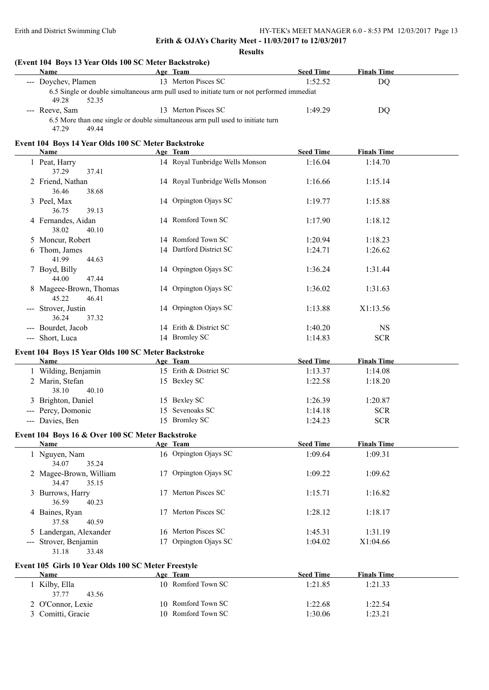| (Event 104 Boys 13 Year Olds 100 SC Meter Backstroke)<br>Name | Age Team                                                                                   | <b>Seed Time</b> | <b>Finals Time</b> |
|---------------------------------------------------------------|--------------------------------------------------------------------------------------------|------------------|--------------------|
| --- Doychev, Plamen                                           | 13 Merton Pisces SC                                                                        | 1:52.52          | <b>DQ</b>          |
| 49.28<br>52.35                                                | 6.5 Single or double simultaneous arm pull used to initiate turn or not performed immediat |                  |                    |
| --- Reeve, Sam                                                | 13 Merton Pisces SC                                                                        | 1:49.29          | DQ                 |
| 47.29<br>49.44                                                | 6.5 More than one single or double simultaneous arm pull used to initiate turn             |                  |                    |
| Event 104 Boys 14 Year Olds 100 SC Meter Backstroke<br>Name   | Age Team                                                                                   | <b>Seed Time</b> | <b>Finals Time</b> |
| 1 Peat, Harry                                                 | 14 Royal Tunbridge Wells Monson                                                            | 1:16.04          | 1:14.70            |
| 37.29<br>37.41                                                |                                                                                            |                  |                    |
| 2 Friend, Nathan<br>36.46<br>38.68                            | 14 Royal Tunbridge Wells Monson                                                            | 1:16.66          | 1:15.14            |
| 3 Peel, Max<br>39.13<br>36.75                                 | 14 Orpington Ojays SC                                                                      | 1:19.77          | 1:15.88            |
| 4 Fernandes, Aidan<br>38.02<br>40.10                          | 14 Romford Town SC                                                                         | 1:17.90          | 1:18.12            |
| 5 Moncur, Robert                                              | 14 Romford Town SC                                                                         | 1:20.94          | 1:18.23            |
| 6 Thom, James<br>41.99<br>44.63                               | 14 Dartford District SC                                                                    | 1:24.71          | 1:26.62            |
| 7 Boyd, Billy<br>44.00<br>47.44                               | 14 Orpington Ojays SC                                                                      | 1:36.24          | 1:31.44            |
| 8 Mageee-Brown, Thomas<br>45.22<br>46.41                      | 14 Orpington Ojays SC                                                                      | 1:36.02          | 1:31.63            |
| --- Strover, Justin<br>36.24<br>37.32                         | 14 Orpington Ojays SC                                                                      | 1:13.88          | X1:13.56           |
| --- Bourdet, Jacob                                            | 14 Erith & District SC                                                                     | 1:40.20          | <b>NS</b>          |
| --- Short, Luca                                               | 14 Bromley SC                                                                              | 1:14.83          | <b>SCR</b>         |
| Event 104 Boys 15 Year Olds 100 SC Meter Backstroke           |                                                                                            |                  |                    |
| Name                                                          | Age Team                                                                                   | <b>Seed Time</b> | <b>Finals Time</b> |
| 1 Wilding, Benjamin                                           | 15 Erith & District SC                                                                     | 1:13.37          | 1:14.08            |
| 2 Marin, Stefan<br>40.10<br>38.10                             | 15 Bexley SC                                                                               | 1:22.58          | 1:18.20            |
| 3 Brighton, Daniel                                            | 15 Bexley SC                                                                               | 1:26.39          | 1:20.87            |
| --- Percy, Domonic                                            | 15 Sevenoaks SC                                                                            | 1:14.18          | <b>SCR</b>         |
| -- Davies, Ben                                                | 15 Bromley SC                                                                              | 1:24.23          | <b>SCR</b>         |
| Event 104 Boys 16 & Over 100 SC Meter Backstroke<br>Name      | Age Team                                                                                   | <b>Seed Time</b> | <b>Finals Time</b> |
| 1 Nguyen, Nam                                                 | 16 Orpington Ojays SC                                                                      | 1:09.64          | 1:09.31            |
| 34.07<br>35.24                                                |                                                                                            |                  |                    |
| 2 Magee-Brown, William<br>34.47<br>35.15                      | 17 Orpington Ojays SC                                                                      | 1:09.22          | 1:09.62            |
| 3 Burrows, Harry<br>36.59<br>40.23                            | 17 Merton Pisces SC                                                                        | 1:15.71          | 1:16.82            |
| 4 Baines, Ryan<br>37.58<br>40.59                              | 17 Merton Pisces SC                                                                        | 1:28.12          | 1:18.17            |
| 5 Landergan, Alexander                                        | 16 Merton Pisces SC                                                                        | 1:45.31          | 1:31.19            |
| --- Strover, Benjamin<br>31.18<br>33.48                       | 17 Orpington Ojays SC                                                                      | 1:04.02          | X1:04.66           |
| Event 105 Girls 10 Year Olds 100 SC Meter Freestyle           |                                                                                            |                  |                    |
| <b>Name</b>                                                   | Age Team                                                                                   | <b>Seed Time</b> | <b>Finals Time</b> |
| 1 Kilby, Ella<br>37.77<br>43.56                               | 10 Romford Town SC                                                                         | 1:21.85          | 1:21.33            |
| 2 O'Connor, Lexie                                             | 10 Romford Town SC                                                                         | 1:22.68          | 1:22.54            |
| 3 Comitti, Gracie                                             | 10 Romford Town SC                                                                         | 1:30.06          | 1:23.21            |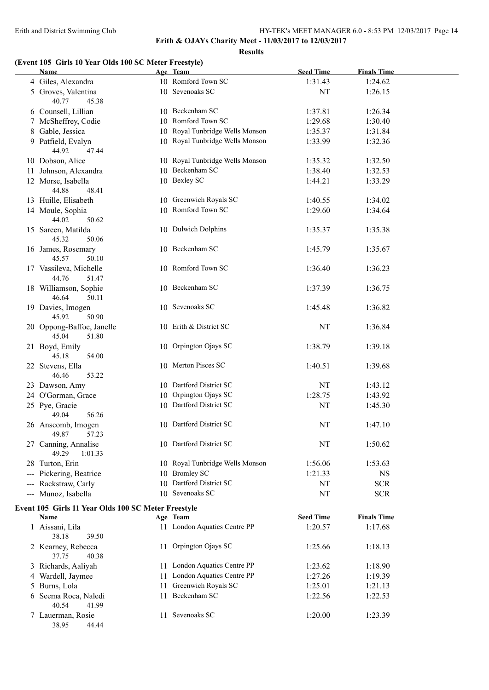38.95 44.44

#### Erith and District Swimming Club HY-TEK's MEET MANAGER 6.0 - 8:53 PM 12/03/2017 Page 14

**Erith & OJAYs Charity Meet - 11/03/2017 to 12/03/2017**

**Results**

## **(Event 105 Girls 10 Year Olds 100 SC Meter Freestyle)**

|                        | Name                                                        |    | Age Team                        | <b>Seed Time</b> | <b>Finals Time</b> |  |
|------------------------|-------------------------------------------------------------|----|---------------------------------|------------------|--------------------|--|
|                        | 4 Giles, Alexandra                                          |    | 10 Romford Town SC              | 1:31.43          | 1:24.62            |  |
|                        | 5 Groves, Valentina<br>40.77<br>45.38                       |    | 10 Sevenoaks SC                 | NT               | 1:26.15            |  |
|                        | 6 Counsell, Lillian                                         |    | 10 Beckenham SC                 | 1:37.81          | 1:26.34            |  |
| 7                      | McSheffrey, Codie                                           |    | 10 Romford Town SC              | 1:29.68          | 1:30.40            |  |
| 8                      | Gable, Jessica                                              |    | 10 Royal Tunbridge Wells Monson | 1:35.37          | 1:31.84            |  |
|                        | 9 Patfield, Evalyn                                          |    | 10 Royal Tunbridge Wells Monson | 1:33.99          | 1:32.36            |  |
|                        | 44.92<br>47.44                                              |    |                                 |                  |                    |  |
|                        | 10 Dobson, Alice                                            |    | 10 Royal Tunbridge Wells Monson | 1:35.32          | 1:32.50            |  |
|                        | 11 Johnson, Alexandra                                       |    | 10 Beckenham SC                 | 1:38.40          | 1:32.53            |  |
|                        | 12 Morse, Isabella                                          |    | 10 Bexley SC                    | 1:44.21          | 1:33.29            |  |
|                        | 44.88<br>48.41                                              |    |                                 |                  |                    |  |
|                        | 13 Huille, Elisabeth                                        |    | 10 Greenwich Royals SC          | 1:40.55          | 1:34.02            |  |
|                        | 14 Moule, Sophia                                            |    | 10 Romford Town SC              | 1:29.60          | 1:34.64            |  |
|                        | 44.02<br>50.62                                              |    |                                 |                  |                    |  |
|                        | 15 Sareen, Matilda<br>45.32<br>50.06                        |    | 10 Dulwich Dolphins             | 1:35.37          | 1:35.38            |  |
|                        | 16 James, Rosemary<br>45.57<br>50.10                        |    | 10 Beckenham SC                 | 1:45.79          | 1:35.67            |  |
|                        | 17 Vassileva, Michelle<br>44.76<br>51.47                    |    | 10 Romford Town SC              | 1:36.40          | 1:36.23            |  |
|                        | 18 Williamson, Sophie<br>46.64<br>50.11                     |    | 10 Beckenham SC                 | 1:37.39          | 1:36.75            |  |
|                        | 19 Davies, Imogen<br>45.92<br>50.90                         |    | 10 Sevenoaks SC                 | 1:45.48          | 1:36.82            |  |
|                        | 20 Oppong-Baffoe, Janelle<br>45.04<br>51.80                 |    | 10 Erith & District SC          | NT               | 1:36.84            |  |
|                        | 21 Boyd, Emily<br>45.18<br>54.00                            |    | 10 Orpington Ojays SC           | 1:38.79          | 1:39.18            |  |
|                        | 22 Stevens, Ella<br>46.46<br>53.22                          |    | 10 Merton Pisces SC             | 1:40.51          | 1:39.68            |  |
|                        | 23 Dawson, Amy                                              |    | 10 Dartford District SC         | NT               | 1:43.12            |  |
|                        | 24 O'Gorman, Grace                                          |    | 10 Orpington Ojays SC           | 1:28.75          | 1:43.92            |  |
|                        | 25 Pye, Gracie                                              |    | 10 Dartford District SC         | NT               | 1:45.30            |  |
|                        | 56.26<br>49.04                                              |    |                                 |                  |                    |  |
|                        | 26 Anscomb, Imogen<br>49.87<br>57.23                        |    | 10 Dartford District SC         | NT               | 1:47.10            |  |
|                        | 27 Canning, Annalise<br>49.29<br>1:01.33                    |    | 10 Dartford District SC         | NT               | 1:50.62            |  |
|                        | 28 Turton, Erin                                             |    | 10 Royal Tunbridge Wells Monson | 1:56.06          | 1:53.63            |  |
| $\qquad \qquad - -$    | Pickering, Beatrice                                         |    | 10 Bromley SC                   | 1:21.33          | <b>NS</b>          |  |
| $\qquad \qquad \cdots$ | Rackstraw, Carly                                            |    | 10 Dartford District SC         | NT               | <b>SCR</b>         |  |
| $\qquad \qquad - -$    | Munoz, Isabella                                             |    | 10 Sevenoaks SC                 | NT               | <b>SCR</b>         |  |
|                        | Event 105 Girls 11 Year Olds 100 SC Meter Freestyle<br>Name |    | Age Team                        | <b>Seed Time</b> | <b>Finals Time</b> |  |
|                        | 1 Aissani, Lila                                             |    | 11 London Aquatics Centre PP    | 1:20.57          | 1:17.68            |  |
|                        | 38.18<br>39.50                                              |    |                                 |                  |                    |  |
|                        | 2 Kearney, Rebecca<br>37.75<br>40.38                        | 11 | Orpington Ojays SC              | 1:25.66          | 1:18.13            |  |
|                        | 3 Richards, Aaliyah                                         |    | 11 London Aquatics Centre PP    | 1:23.62          | 1:18.90            |  |
|                        | 4 Wardell, Jaymee                                           | 11 | London Aquatics Centre PP       | 1:27.26          | 1:19.39            |  |
| 5                      | Burns, Lola                                                 | 11 | Greenwich Royals SC             | 1:25.01          | 1:21.13            |  |
|                        | 6 Seema Roca, Naledi<br>40.54<br>41.99                      | 11 | Beckenham SC                    | 1:22.56          | 1:22.53            |  |

7 Lauerman, Rosie 11 Sevenoaks SC 1:20.00 1:23.39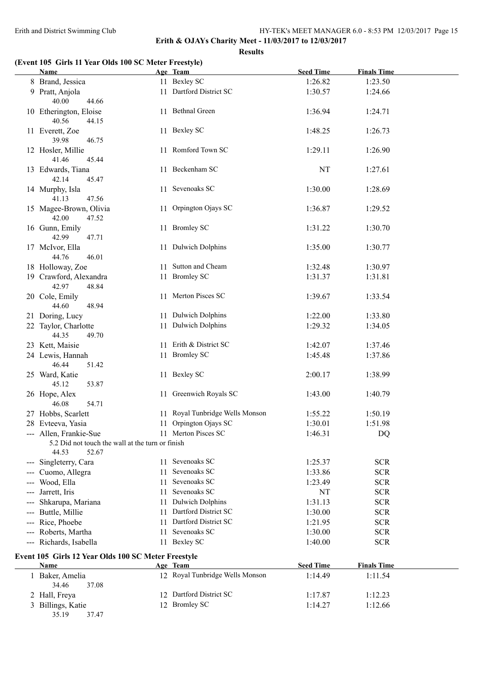**Erith & OJAYs Charity Meet - 11/03/2017 to 12/03/2017 Results**

## **(Event 105 Girls 11 Year Olds 100 SC Meter Freestyle)**

|                                                                                                                                                                                                                                                                                                                                                                                                                                                                            | Name                                                                                         |     | Age Team                        | <b>Seed Time</b>   | <b>Finals Time</b> |  |
|----------------------------------------------------------------------------------------------------------------------------------------------------------------------------------------------------------------------------------------------------------------------------------------------------------------------------------------------------------------------------------------------------------------------------------------------------------------------------|----------------------------------------------------------------------------------------------|-----|---------------------------------|--------------------|--------------------|--|
|                                                                                                                                                                                                                                                                                                                                                                                                                                                                            | 8 Brand, Jessica                                                                             |     | 11 Bexley SC                    | 1:26.82            | 1:23.50            |  |
|                                                                                                                                                                                                                                                                                                                                                                                                                                                                            | 9 Pratt, Anjola<br>40.00<br>44.66                                                            |     | 11 Dartford District SC         | 1:30.57            | 1:24.66            |  |
|                                                                                                                                                                                                                                                                                                                                                                                                                                                                            | 10 Etherington, Eloise<br>40.56<br>44.15                                                     |     | 11 Bethnal Green                | 1:36.94            | 1:24.71            |  |
|                                                                                                                                                                                                                                                                                                                                                                                                                                                                            | 11 Everett, Zoe<br>39.98<br>46.75                                                            |     | 11 Bexley SC                    | 1:48.25            | 1:26.73            |  |
|                                                                                                                                                                                                                                                                                                                                                                                                                                                                            | 12 Hosler, Millie<br>41.46<br>45.44                                                          |     | 11 Romford Town SC              | 1:29.11            | 1:26.90            |  |
|                                                                                                                                                                                                                                                                                                                                                                                                                                                                            | 13 Edwards, Tiana<br>42.14<br>45.47                                                          |     | 11 Beckenham SC                 | NT                 | 1:27.61            |  |
|                                                                                                                                                                                                                                                                                                                                                                                                                                                                            | 14 Murphy, Isla<br>47.56<br>41.13                                                            | 11  | Sevenoaks SC                    | 1:30.00            | 1:28.69            |  |
|                                                                                                                                                                                                                                                                                                                                                                                                                                                                            | 15 Magee-Brown, Olivia<br>42.00<br>47.52                                                     | 11. | Orpington Ojays SC              | 1:36.87            | 1:29.52            |  |
|                                                                                                                                                                                                                                                                                                                                                                                                                                                                            | 16 Gunn, Emily<br>42.99<br>47.71                                                             |     | 11 Bromley SC                   | 1:31.22            | 1:30.70            |  |
|                                                                                                                                                                                                                                                                                                                                                                                                                                                                            | 17 McIvor, Ella<br>44.76<br>46.01                                                            |     | 11 Dulwich Dolphins             | 1:35.00            | 1:30.77            |  |
|                                                                                                                                                                                                                                                                                                                                                                                                                                                                            | 18 Holloway, Zoe                                                                             |     | 11 Sutton and Cheam             | 1:32.48            | 1:30.97            |  |
|                                                                                                                                                                                                                                                                                                                                                                                                                                                                            | 19 Crawford, Alexandra<br>42.97<br>48.84                                                     |     | 11 Bromley SC                   | 1:31.37            | 1:31.81            |  |
|                                                                                                                                                                                                                                                                                                                                                                                                                                                                            | 20 Cole, Emily<br>44.60<br>48.94                                                             |     | 11 Merton Pisces SC             | 1:39.67            | 1:33.54            |  |
|                                                                                                                                                                                                                                                                                                                                                                                                                                                                            | 21 Doring, Lucy                                                                              |     | 11 Dulwich Dolphins             | 1:22.00            | 1:33.80            |  |
|                                                                                                                                                                                                                                                                                                                                                                                                                                                                            | 22 Taylor, Charlotte<br>44.35<br>49.70                                                       | 11  | <b>Dulwich Dolphins</b>         | 1:29.32            | 1:34.05            |  |
|                                                                                                                                                                                                                                                                                                                                                                                                                                                                            | 23 Kett, Maisie                                                                              |     | 11 Erith & District SC          | 1:42.07            | 1:37.46            |  |
|                                                                                                                                                                                                                                                                                                                                                                                                                                                                            | 24 Lewis, Hannah<br>46.44<br>51.42                                                           |     | 11 Bromley SC                   | 1:45.48            | 1:37.86            |  |
|                                                                                                                                                                                                                                                                                                                                                                                                                                                                            | 25 Ward, Katie<br>45.12<br>53.87                                                             |     | 11 Bexley SC                    | 2:00.17            | 1:38.99            |  |
|                                                                                                                                                                                                                                                                                                                                                                                                                                                                            | 26 Hope, Alex<br>46.08<br>54.71                                                              |     | 11 Greenwich Royals SC          | 1:43.00            | 1:40.79            |  |
|                                                                                                                                                                                                                                                                                                                                                                                                                                                                            | 27 Hobbs, Scarlett                                                                           |     | 11 Royal Tunbridge Wells Monson | 1:55.22            | 1:50.19            |  |
|                                                                                                                                                                                                                                                                                                                                                                                                                                                                            | 28 Evteeva, Yasia                                                                            | 11  | Orpington Ojays SC              | 1:30.01            | 1:51.98            |  |
|                                                                                                                                                                                                                                                                                                                                                                                                                                                                            | --- Allen, Frankie-Sue<br>5.2 Did not touch the wall at the turn or finish<br>44.53<br>52.67 |     | 11 Merton Pisces SC             | 1:46.31            | DQ                 |  |
| $\frac{1}{2} \left( \frac{1}{2} \right) \left( \frac{1}{2} \right) \left( \frac{1}{2} \right) \left( \frac{1}{2} \right) \left( \frac{1}{2} \right) \left( \frac{1}{2} \right) \left( \frac{1}{2} \right) \left( \frac{1}{2} \right) \left( \frac{1}{2} \right) \left( \frac{1}{2} \right) \left( \frac{1}{2} \right) \left( \frac{1}{2} \right) \left( \frac{1}{2} \right) \left( \frac{1}{2} \right) \left( \frac{1}{2} \right) \left( \frac{1}{2} \right) \left( \frac$ | Singleterry, Cara                                                                            |     | 11 Sevenoaks SC                 | 1:25.37            | <b>SCR</b>         |  |
|                                                                                                                                                                                                                                                                                                                                                                                                                                                                            | Cuomo, Allegra                                                                               | 11  | Sevenoaks SC                    | 1:33.86            | <b>SCR</b>         |  |
|                                                                                                                                                                                                                                                                                                                                                                                                                                                                            | Wood, Ella                                                                                   | 11  | Sevenoaks SC                    | 1:23.49            | <b>SCR</b>         |  |
|                                                                                                                                                                                                                                                                                                                                                                                                                                                                            | Jarrett, Iris                                                                                | 11  | Sevenoaks SC                    | NT                 | <b>SCR</b>         |  |
|                                                                                                                                                                                                                                                                                                                                                                                                                                                                            | Shkarupa, Mariana                                                                            | 11  | <b>Dulwich Dolphins</b>         | 1:31.13            | <b>SCR</b>         |  |
|                                                                                                                                                                                                                                                                                                                                                                                                                                                                            | Buttle, Millie                                                                               | 11  | Dartford District SC            | 1:30.00            | <b>SCR</b>         |  |
| $\qquad \qquad -$                                                                                                                                                                                                                                                                                                                                                                                                                                                          | Rice, Phoebe                                                                                 | 11  | Dartford District SC            | 1:21.95            | <b>SCR</b>         |  |
| $\qquad \qquad - \qquad -$                                                                                                                                                                                                                                                                                                                                                                                                                                                 | Roberts, Martha                                                                              | 11  | Sevenoaks SC                    | 1:30.00            | <b>SCR</b>         |  |
| $\qquad \qquad - -$                                                                                                                                                                                                                                                                                                                                                                                                                                                        | Richards, Isabella                                                                           | 11  | <b>Bexley SC</b>                | 1:40.00            | <b>SCR</b>         |  |
|                                                                                                                                                                                                                                                                                                                                                                                                                                                                            | Event 105 Girls 12 Year Olds 100 SC Meter Freestyle<br>Name                                  |     | Age Team                        | <b>Seed Time</b>   | <b>Finals Time</b> |  |
|                                                                                                                                                                                                                                                                                                                                                                                                                                                                            | 1 Baker, Amelia                                                                              |     | 12 Royal Tunbridge Wells Monson | 1:14.49            | 1:11.54            |  |
|                                                                                                                                                                                                                                                                                                                                                                                                                                                                            | 34.46<br>37.08                                                                               |     | 12 Dartford District SC         |                    |                    |  |
|                                                                                                                                                                                                                                                                                                                                                                                                                                                                            | 2 Hall, Freya<br>3 Billings, Katie                                                           |     | 12 Bromley SC                   | 1:17.87<br>1:14.27 | 1:12.23<br>1:12.66 |  |
|                                                                                                                                                                                                                                                                                                                                                                                                                                                                            |                                                                                              |     |                                 |                    |                    |  |

35.19 37.47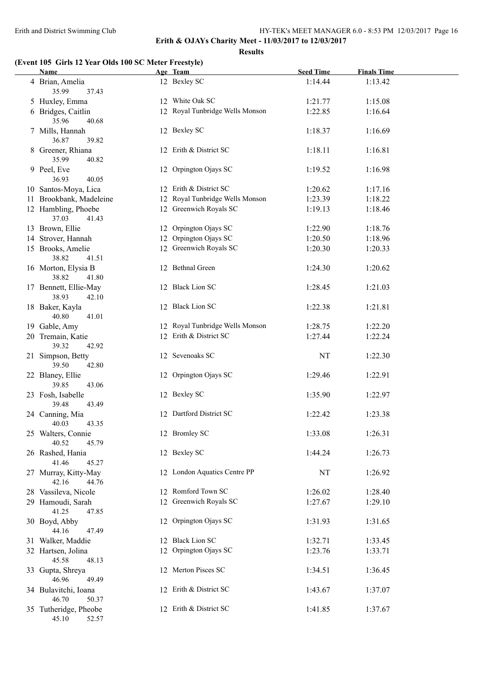**Results**

## **(Event 105 Girls 12 Year Olds 100 SC Meter Freestyle)**

| <b>Name</b>                             | Age Team                        | <b>Seed Time</b> | <b>Finals Time</b> |  |
|-----------------------------------------|---------------------------------|------------------|--------------------|--|
| 4 Brian, Amelia<br>35.99<br>37.43       | 12 Bexley SC                    | 1:14.44          | 1:13.42            |  |
| 5 Huxley, Emma                          | 12 White Oak SC                 | 1:21.77          | 1:15.08            |  |
| 6 Bridges, Caitlin<br>35.96<br>40.68    | 12 Royal Tunbridge Wells Monson | 1:22.85          | 1:16.64            |  |
| 7 Mills, Hannah<br>36.87<br>39.82       | 12 Bexley SC                    | 1:18.37          | 1:16.69            |  |
| 8 Greener, Rhiana<br>35.99<br>40.82     | 12 Erith & District SC          | 1:18.11          | 1:16.81            |  |
| 9 Peel, Eve<br>36.93<br>40.05           | 12 Orpington Ojays SC           | 1:19.52          | 1:16.98            |  |
| 10 Santos-Moya, Lica                    | 12 Erith & District SC          | 1:20.62          | 1:17.16            |  |
| 11 Brookbank, Madeleine                 | 12 Royal Tunbridge Wells Monson | 1:23.39          | 1:18.22            |  |
| 12 Hambling, Phoebe<br>37.03<br>41.43   | 12 Greenwich Royals SC          | 1:19.13          | 1:18.46            |  |
| 13 Brown, Ellie                         | 12 Orpington Ojays SC           | 1:22.90          | 1:18.76            |  |
| 14 Strover, Hannah                      | 12 Orpington Ojays SC           | 1:20.50          | 1:18.96            |  |
| 15 Brooks, Amelie<br>38.82<br>41.51     | 12 Greenwich Royals SC          | 1:20.30          | 1:20.33            |  |
| 16 Morton, Elysia B<br>38.82<br>41.80   | 12 Bethnal Green                | 1:24.30          | 1:20.62            |  |
| 17 Bennett, Ellie-May<br>38.93<br>42.10 | 12 Black Lion SC                | 1:28.45          | 1:21.03            |  |
| 18 Baker, Kayla<br>40.80<br>41.01       | 12 Black Lion SC                | 1:22.38          | 1:21.81            |  |
| 19 Gable, Amy                           | 12 Royal Tunbridge Wells Monson | 1:28.75          | 1:22.20            |  |
| 20 Tremain, Katie<br>39.32<br>42.92     | 12 Erith & District SC          | 1:27.44          | 1:22.24            |  |
| 21 Simpson, Betty<br>39.50<br>42.80     | 12 Sevenoaks SC                 | NT               | 1:22.30            |  |
| 22 Blaney, Ellie<br>39.85<br>43.06      | 12 Orpington Ojays SC           | 1:29.46          | 1:22.91            |  |
| 23 Fosh, Isabelle<br>39.48<br>43.49     | 12 Bexley SC                    | 1:35.90          | 1:22.97            |  |
| 24 Canning, Mia<br>40.03<br>43.35       | 12 Dartford District SC         | 1:22.42          | 1:23.38            |  |
| 25 Walters, Connie<br>40.52<br>45.79    | 12 Bromley SC                   | 1:33.08          | 1:26.31            |  |
| 26 Rashed, Hania<br>41.46<br>45.27      | 12 Bexley SC                    | 1:44.24          | 1:26.73            |  |
| 27 Murray, Kitty-May<br>42.16<br>44.76  | 12 London Aquatics Centre PP    | NT               | 1:26.92            |  |
| 28 Vassileva, Nicole                    | 12 Romford Town SC              | 1:26.02          | 1:28.40            |  |
| 29 Hamoudi, Sarah<br>41.25<br>47.85     | 12 Greenwich Royals SC          | 1:27.67          | 1:29.10            |  |
| 30 Boyd, Abby<br>44.16<br>47.49         | 12 Orpington Ojays SC           | 1:31.93          | 1:31.65            |  |
| 31 Walker, Maddie                       | 12 Black Lion SC                | 1:32.71          | 1:33.45            |  |
| 32 Hartsen, Jolina<br>45.58<br>48.13    | 12 Orpington Ojays SC           | 1:23.76          | 1:33.71            |  |
| 33 Gupta, Shreya<br>46.96<br>49.49      | 12 Merton Pisces SC             | 1:34.51          | 1:36.45            |  |
| 34 Bulavitchi, Ioana<br>46.70<br>50.37  | 12 Erith & District SC          | 1:43.67          | 1:37.07            |  |
| 35 Tutheridge, Pheobe<br>45.10<br>52.57 | 12 Erith & District SC          | 1:41.85          | 1:37.67            |  |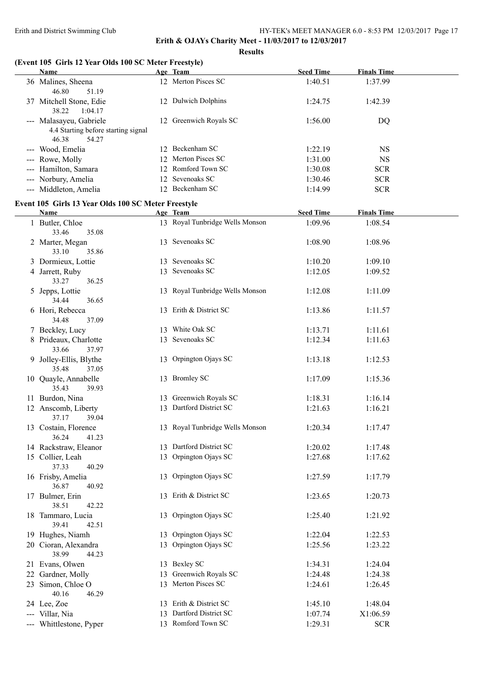**Results**

## **(Event 105 Girls 12 Year Olds 100 SC Meter Freestyle)**

| Name                                                  |    | Age Team                        | <b>Seed Time</b> | <b>Finals Time</b> |
|-------------------------------------------------------|----|---------------------------------|------------------|--------------------|
| 36 Malines, Sheena<br>46.80<br>51.19                  |    | 12 Merton Pisces SC             | 1:40.51          | 1:37.99            |
| 37 Mitchell Stone, Edie<br>38.22<br>1:04.17           |    | 12 Dulwich Dolphins             | 1:24.75          | 1:42.39            |
| --- Malasayeu, Gabriele                               |    | 12 Greenwich Royals SC          | 1:56.00          | DQ                 |
| 4.4 Starting before starting signal<br>46.38<br>54.27 |    |                                 |                  |                    |
| --- Wood, Emelia                                      |    | 12 Beckenham SC                 | 1:22.19          | <b>NS</b>          |
| --- Rowe, Molly                                       |    | 12 Merton Pisces SC             | 1:31.00          | <b>NS</b>          |
| --- Hamilton, Samara                                  |    | 12 Romford Town SC              | 1:30.08          | <b>SCR</b>         |
| --- Norbury, Amelia                                   |    | 12 Sevenoaks SC                 | 1:30.46          | <b>SCR</b>         |
| --- Middleton, Amelia                                 |    | 12 Beckenham SC                 | 1:14.99          | <b>SCR</b>         |
| Event 105 Girls 13 Year Olds 100 SC Meter Freestyle   |    |                                 |                  |                    |
| Name                                                  |    | Age Team                        | <b>Seed Time</b> | <b>Finals Time</b> |
| 1 Butler, Chloe<br>33.46<br>35.08                     |    | 13 Royal Tunbridge Wells Monson | 1:09.96          | 1:08.54            |
| 2 Marter, Megan<br>33.10<br>35.86                     |    | 13 Sevenoaks SC                 | 1:08.90          | 1:08.96            |
| 3 Dormieux, Lottie                                    |    | 13 Sevenoaks SC                 | 1:10.20          | 1:09.10            |
| 4 Jarrett, Ruby<br>33.27<br>36.25                     |    | 13 Sevenoaks SC                 | 1:12.05          | 1:09.52            |
| 5 Jepps, Lottie<br>34.44<br>36.65                     |    | 13 Royal Tunbridge Wells Monson | 1:12.08          | 1:11.09            |
| 6 Hori, Rebecca<br>34.48<br>37.09                     |    | 13 Erith & District SC          | 1:13.86          | 1:11.57            |
| 7 Beckley, Lucy                                       |    | 13 White Oak SC                 | 1:13.71          | 1:11.61            |
| 8 Prideaux, Charlotte<br>33.66<br>37.97               |    | 13 Sevenoaks SC                 | 1:12.34          | 1:11.63            |
| 9 Jolley-Ellis, Blythe<br>35.48<br>37.05              |    | 13 Orpington Ojays SC           | 1:13.18          | 1:12.53            |
| 10 Quayle, Annabelle<br>35.43<br>39.93                |    | 13 Bromley SC                   | 1:17.09          | 1:15.36            |
| 11 Burdon, Nina                                       |    | 13 Greenwich Royals SC          | 1:18.31          | 1:16.14            |
| 12 Anscomb, Liberty<br>37.17<br>39.04                 |    | 13 Dartford District SC         | 1:21.63          | 1:16.21            |
| 13 Costain, Florence<br>41.23<br>36.24                |    | 13 Royal Tunbridge Wells Monson | 1:20.34          | 1:17.47            |
| 14 Rackstraw, Eleanor                                 |    | 13 Dartford District SC         | 1:20.02          | 1:17.48            |
| 15 Collier, Leah<br>40.29<br>37.33                    | 13 | Orpington Ojays SC              | 1:27.68          | 1:17.62            |
| 16 Frisby, Amelia<br>36.87<br>40.92                   | 13 | Orpington Ojays SC              | 1:27.59          | 1:17.79            |
| 17 Bulmer, Erin<br>38.51<br>42.22                     |    | 13 Erith & District SC          | 1:23.65          | 1:20.73            |
| 18 Tammaro, Lucia<br>39.41<br>42.51                   | 13 | Orpington Ojays SC              | 1:25.40          | 1:21.92            |
| 19 Hughes, Niamh                                      |    | 13 Orpington Ojays SC           | 1:22.04          | 1:22.53            |
| 20 Cioran, Alexandra<br>38.99<br>44.23                | 13 | Orpington Ojays SC              | 1:25.56          | 1:23.22            |
| 21 Evans, Olwen                                       |    | 13 Bexley SC                    | 1:34.31          | 1:24.04            |
| 22 Gardner, Molly                                     | 13 | Greenwich Royals SC             | 1:24.48          | 1:24.38            |
| 23 Simon, Chloe O<br>40.16<br>46.29                   |    | 13 Merton Pisces SC             | 1:24.61          | 1:26.45            |
| 24 Lee, Zoe                                           |    | 13 Erith & District SC          | 1:45.10          | 1:48.04            |
| --- Villar, Nia                                       |    | 13 Dartford District SC         | 1:07.74          | X1:06.59           |
| --- Whittlestone, Pyper                               |    | 13 Romford Town SC              | 1:29.31          | <b>SCR</b>         |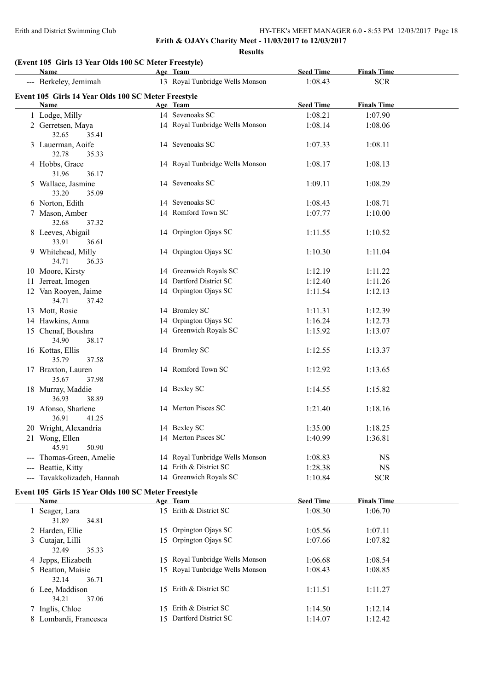**Results**

## **(Event 105 Girls 13 Year Olds 100 SC Meter Freestyle)**

|   | Name                                                        | Age Team                        | <b>Seed Time</b> | <b>Finals Time</b> |  |
|---|-------------------------------------------------------------|---------------------------------|------------------|--------------------|--|
|   | --- Berkeley, Jemimah                                       | 13 Royal Tunbridge Wells Monson | 1:08.43          | <b>SCR</b>         |  |
|   | Event 105 Girls 14 Year Olds 100 SC Meter Freestyle         |                                 |                  |                    |  |
|   | Name                                                        | Age Team                        | <b>Seed Time</b> | <b>Finals Time</b> |  |
|   | 1 Lodge, Milly                                              | 14 Sevenoaks SC                 | 1:08.21          | 1:07.90            |  |
|   | 2 Gerretsen, Maya<br>32.65<br>35.41                         | 14 Royal Tunbridge Wells Monson | 1:08.14          | 1:08.06            |  |
|   | 3 Lauerman, Aoife<br>32.78<br>35.33                         | 14 Sevenoaks SC                 | 1:07.33          | 1:08.11            |  |
|   | 4 Hobbs, Grace<br>31.96<br>36.17                            | 14 Royal Tunbridge Wells Monson | 1:08.17          | 1:08.13            |  |
|   | 5 Wallace, Jasmine<br>33.20<br>35.09                        | 14 Sevenoaks SC                 | 1:09.11          | 1:08.29            |  |
|   | 6 Norton, Edith                                             | 14 Sevenoaks SC                 | 1:08.43          | 1:08.71            |  |
|   | 7 Mason, Amber                                              | 14 Romford Town SC              | 1:07.77          | 1:10.00            |  |
|   | 32.68<br>37.32                                              |                                 |                  |                    |  |
|   | 8 Leeves, Abigail<br>33.91<br>36.61                         | 14 Orpington Ojays SC           | 1:11.55          | 1:10.52            |  |
|   | 9 Whitehead, Milly<br>34.71<br>36.33                        | 14 Orpington Ojays SC           | 1:10.30          | 1:11.04            |  |
|   | 10 Moore, Kirsty                                            | 14 Greenwich Royals SC          | 1:12.19          | 1:11.22            |  |
|   | 11 Jerreat, Imogen                                          | 14 Dartford District SC         | 1:12.40          | 1:11.26            |  |
|   | 12 Van Rooyen, Jaime<br>34.71<br>37.42                      | 14 Orpington Ojays SC           | 1:11.54          | 1:12.13            |  |
|   | 13 Mott, Rosie                                              | 14 Bromley SC                   | 1:11.31          | 1:12.39            |  |
|   | 14 Hawkins, Anna                                            | 14 Orpington Ojays SC           | 1:16.24          | 1:12.73            |  |
|   | 15 Chenaf, Boushra<br>34.90<br>38.17                        | 14 Greenwich Royals SC          | 1:15.92          | 1:13.07            |  |
|   | 16 Kottas, Ellis<br>35.79<br>37.58                          | 14 Bromley SC                   | 1:12.55          | 1:13.37            |  |
|   | 17 Braxton, Lauren<br>35.67<br>37.98                        | 14 Romford Town SC              | 1:12.92          | 1:13.65            |  |
|   | 18 Murray, Maddie<br>36.93<br>38.89                         | 14 Bexley SC                    | 1:14.55          | 1:15.82            |  |
|   | 19 Afonso, Sharlene<br>36.91<br>41.25                       | 14 Merton Pisces SC             | 1:21.40          | 1:18.16            |  |
|   | 20 Wright, Alexandria                                       | 14 Bexley SC                    | 1:35.00          | 1:18.25            |  |
|   | 21 Wong, Ellen<br>45.91<br>50.90                            | 14 Merton Pisces SC             | 1:40.99          | 1:36.81            |  |
|   | Thomas-Green, Amelie                                        | 14 Royal Tunbridge Wells Monson | 1:08.83          | <b>NS</b>          |  |
|   | --- Beattie, Kitty                                          | 14 Erith & District SC          | 1:28.38          | $_{\rm NS}$        |  |
|   | --- Tavakkolizadeh, Hannah                                  | 14 Greenwich Royals SC          | 1:10.84          | <b>SCR</b>         |  |
|   | Event 105 Girls 15 Year Olds 100 SC Meter Freestyle<br>Name | Age Team                        | <b>Seed Time</b> | <b>Finals Time</b> |  |
|   | 1 Seager, Lara                                              | 15 Erith & District SC          | 1:08.30          |                    |  |
|   | 31.89<br>34.81                                              |                                 |                  | 1:06.70            |  |
|   | 2 Harden, Ellie                                             | 15 Orpington Ojays SC           | 1:05.56          | 1:07.11            |  |
|   | 3 Cutajar, Lilli<br>32.49<br>35.33                          | 15 Orpington Ojays SC           | 1:07.66          | 1:07.82            |  |
| 4 | Jepps, Elizabeth                                            | 15 Royal Tunbridge Wells Monson | 1:06.68          | 1:08.54            |  |
|   | 5 Beatton, Maisie<br>32.14<br>36.71                         | 15 Royal Tunbridge Wells Monson | 1:08.43          | 1:08.85            |  |
|   | 6 Lee, Maddison<br>34.21<br>37.06                           | 15 Erith & District SC          | 1:11.51          | 1:11.27            |  |
|   | 7 Inglis, Chloe                                             | 15 Erith & District SC          | 1:14.50          | 1:12.14            |  |
|   | 8 Lombardi, Francesca                                       | 15 Dartford District SC         | 1:14.07          | 1:12.42            |  |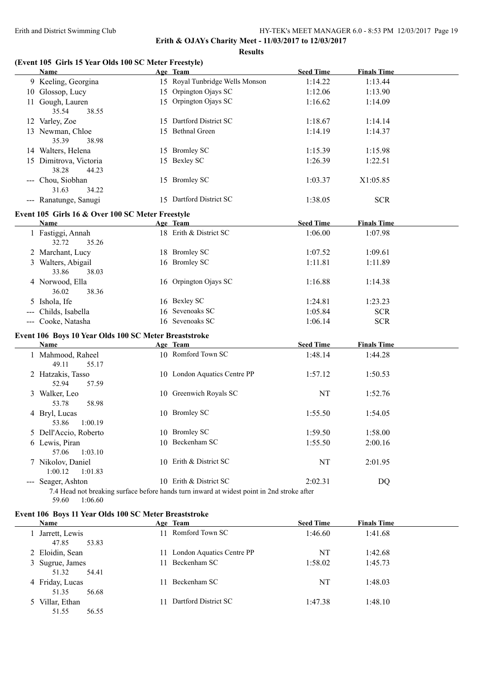**Erith & OJAYs Charity Meet - 11/03/2017 to 12/03/2017**

**Results**

## **(Event 105 Girls 15 Year Olds 100 SC Meter Freestyle)**

| Name                                                  | Age Team                                                                                   | <b>Seed Time</b> | <b>Finals Time</b> |  |
|-------------------------------------------------------|--------------------------------------------------------------------------------------------|------------------|--------------------|--|
| 9 Keeling, Georgina                                   | 15 Royal Tunbridge Wells Monson                                                            | 1:14.22          | 1:13.44            |  |
| 10 Glossop, Lucy                                      | 15 Orpington Ojays SC                                                                      | 1:12.06          | 1:13.90            |  |
| 11 Gough, Lauren<br>35.54<br>38.55                    | 15 Orpington Ojays SC                                                                      | 1:16.62          | 1:14.09            |  |
| 12 Varley, Zoe                                        | 15 Dartford District SC                                                                    | 1:18.67          | 1:14.14            |  |
| 13 Newman, Chloe<br>35.39<br>38.98                    | 15 Bethnal Green                                                                           | 1:14.19          | 1:14.37            |  |
| 14 Walters, Helena                                    | 15 Bromley SC                                                                              | 1:15.39          | 1:15.98            |  |
| 15 Dimitrova, Victoria<br>38.28<br>44.23              | 15 Bexley SC                                                                               | 1:26.39          | 1:22.51            |  |
| --- Chou, Siobhan<br>31.63<br>34.22                   | 15 Bromley SC                                                                              | 1:03.37          | X1:05.85           |  |
| --- Ranatunge, Sanugi                                 | 15 Dartford District SC                                                                    | 1:38.05          | <b>SCR</b>         |  |
| Event 105 Girls 16 & Over 100 SC Meter Freestyle      |                                                                                            |                  |                    |  |
| Name                                                  | Age Team                                                                                   | <b>Seed Time</b> | <b>Finals Time</b> |  |
| 1 Fastiggi, Annah<br>32.72<br>35.26                   | 18 Erith & District SC                                                                     | 1:06.00          | 1:07.98            |  |
| 2 Marchant, Lucy                                      | 18 Bromley SC                                                                              | 1:07.52          | 1:09.61            |  |
| 3 Walters, Abigail<br>33.86<br>38.03                  | 16 Bromley SC                                                                              | 1:11.81          | 1:11.89            |  |
| 4 Norwood, Ella<br>36.02<br>38.36                     | 16 Orpington Ojays SC                                                                      | 1:16.88          | 1:14.38            |  |
| 5 Ishola, Ife                                         | 16 Bexley SC                                                                               | 1:24.81          | 1:23.23            |  |
| --- Childs, Isabella                                  | 16 Sevenoaks SC                                                                            | 1:05.84          | <b>SCR</b>         |  |
| --- Cooke, Natasha                                    | 16 Sevenoaks SC                                                                            | 1:06.14          | <b>SCR</b>         |  |
| Event 106 Boys 10 Year Olds 100 SC Meter Breaststroke |                                                                                            |                  |                    |  |
| <b>Name</b>                                           | Age Team                                                                                   | <b>Seed Time</b> | <b>Finals Time</b> |  |
| 1 Mahmood, Raheel<br>49.11<br>55.17                   | 10 Romford Town SC                                                                         | 1:48.14          | 1:44.28            |  |
| 2 Hatzakis, Tasso<br>52.94<br>57.59                   | 10 London Aquatics Centre PP                                                               | 1:57.12          | 1:50.53            |  |
| 3 Walker, Leo<br>53.78<br>58.98                       | 10 Greenwich Royals SC                                                                     | NT               | 1:52.76            |  |
| 4 Bryl, Lucas<br>53.86<br>1:00.19                     | 10 Bromley SC                                                                              | 1:55.50          | 1:54.05            |  |
| 5 Dell'Accio, Roberto                                 | 10 Bromley SC                                                                              | 1:59.50          | 1:58.00            |  |
| 6 Lewis, Piran<br>57.06<br>1:03.10                    | 10 Beckenham SC                                                                            | 1:55.50          | 2:00.16            |  |
| 7 Nikolov, Daniel<br>1:00.12<br>1:01.83               | 10 Erith & District SC                                                                     | NT               | 2:01.95            |  |
| --- Seager, Ashton                                    | 10 Erith & District SC                                                                     | 2:02.31          | DQ                 |  |
| 59.60<br>1:06.60                                      | 7.4 Head not breaking surface before hands turn inward at widest point in 2nd stroke after |                  |                    |  |
| Event 106 Boys 11 Year Olds 100 SC Meter Breaststroke |                                                                                            |                  |                    |  |

| <b>Name</b>                       | Age Team                     | <b>Seed Time</b> | <b>Finals Time</b> |  |
|-----------------------------------|------------------------------|------------------|--------------------|--|
| Jarrett, Lewis<br>53.83<br>47.85  | 11 Romford Town SC           | 1:46.60          | 1:41.68            |  |
| 2 Eloidin, Sean                   | 11 London Aquatics Centre PP | NT               | 1:42.68            |  |
| 3 Sugrue, James<br>51.32<br>54.41 | 11 Beckenham SC              | 1:58.02          | 1:45.73            |  |
| 4 Friday, Lucas<br>56.68<br>51.35 | 11 Beckenham SC              | NT               | 1:48.03            |  |
| 5 Villar, Ethan<br>51.55<br>56.55 | 11 Dartford District SC      | 1:47.38          | 1:48.10            |  |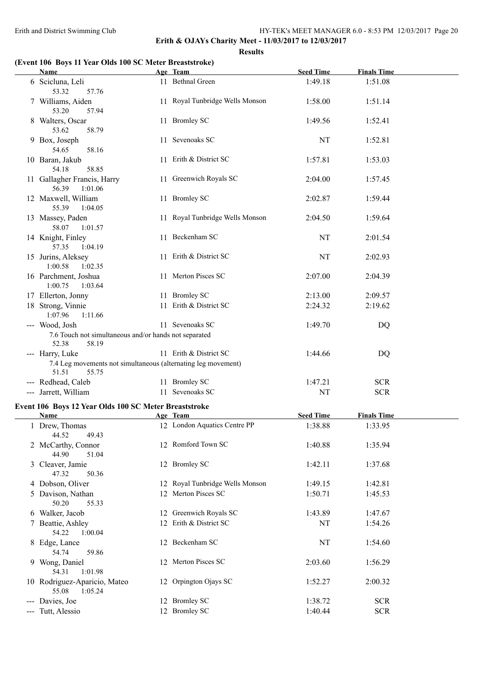**Results**

## **(Event 106 Boys 11 Year Olds 100 SC Meter Breaststroke)**

| <b>Name</b>                                                                               | Age Team                        | <b>Seed Time</b> | <b>Finals Time</b> |  |
|-------------------------------------------------------------------------------------------|---------------------------------|------------------|--------------------|--|
| 6 Scicluna, Leli<br>53.32<br>57.76                                                        | 11 Bethnal Green                | 1:49.18          | 1:51.08            |  |
| 7 Williams, Aiden<br>53.20<br>57.94                                                       | 11 Royal Tunbridge Wells Monson | 1:58.00          | 1:51.14            |  |
| 8 Walters, Oscar<br>53.62<br>58.79                                                        | 11 Bromley SC                   | 1:49.56          | 1:52.41            |  |
| 9 Box, Joseph<br>54.65<br>58.16                                                           | 11 Sevenoaks SC                 | NT               | 1:52.81            |  |
| 10 Baran, Jakub<br>58.85<br>54.18                                                         | 11 Erith & District SC          | 1:57.81          | 1:53.03            |  |
| 11 Gallagher Francis, Harry<br>56.39<br>1:01.06                                           | 11 Greenwich Royals SC          | 2:04.00          | 1:57.45            |  |
| 12 Maxwell, William<br>55.39<br>1:04.05                                                   | 11 Bromley SC                   | 2:02.87          | 1:59.44            |  |
| 13 Massey, Paden<br>58.07<br>1:01.57                                                      | 11 Royal Tunbridge Wells Monson | 2:04.50          | 1:59.64            |  |
| 14 Knight, Finley<br>1:04.19<br>57.35                                                     | 11 Beckenham SC                 | NT               | 2:01.54            |  |
| 15 Jurins, Aleksey<br>1:00.58<br>1:02.35                                                  | 11 Erith & District SC          | NT               | 2:02.93            |  |
| 16 Parchment, Joshua<br>1:00.75<br>1:03.64                                                | 11 Merton Pisces SC             | 2:07.00          | 2:04.39            |  |
| 17 Ellerton, Jonny                                                                        | 11 Bromley SC                   | 2:13.00          | 2:09.57            |  |
| 18 Strong, Vinnie<br>1:07.96<br>1:11.66                                                   | 11 Erith & District SC          | 2:24.32          | 2:19.62            |  |
| --- Wood, Josh<br>7.6 Touch not simultaneous and/or hands not separated<br>58.19<br>52.38 | 11 Sevenoaks SC                 | 1:49.70          | DQ                 |  |
| --- Harry, Luke                                                                           | 11 Erith & District SC          | 1:44.66          | DQ                 |  |
| 7.4 Leg movements not simultaneous (alternating leg movement)                             |                                 |                  |                    |  |
| 51.51<br>55.75                                                                            |                                 |                  |                    |  |
| --- Redhead, Caleb                                                                        | 11 Bromley SC                   | 1:47.21          | <b>SCR</b>         |  |
| --- Jarrett, William                                                                      | 11 Sevenoaks SC                 | NT               | <b>SCR</b>         |  |
|                                                                                           |                                 |                  |                    |  |
| Event 106 Boys 12 Year Olds 100 SC Meter Breaststroke<br><b>Name</b>                      | Age Team                        | <b>Seed Time</b> | <b>Finals Time</b> |  |
| 1 Drew, Thomas                                                                            | 12 London Aquatics Centre PP    | 1:38.88          | 1:33.95            |  |
| 44.52<br>49.43                                                                            |                                 |                  |                    |  |
| 2 McCarthy, Connor<br>44.90<br>51.04                                                      | 12 Romford Town SC              | 1:40.88          | 1:35.94            |  |
| 3 Cleaver, Jamie<br>47.32<br>50.36                                                        | 12 Bromley SC                   | 1:42.11          | 1:37.68            |  |
| 4 Dobson, Oliver                                                                          | 12 Royal Tunbridge Wells Monson | 1:49.15          | 1:42.81            |  |
| 5 Davison, Nathan<br>50.20<br>55.33                                                       | 12 Merton Pisces SC             | 1:50.71          | 1:45.53            |  |
| 6 Walker, Jacob                                                                           | 12 Greenwich Royals SC          | 1:43.89          | 1:47.67            |  |
| 7 Beattie, Ashley<br>54.22<br>1:00.04                                                     | 12 Erith & District SC          | NT               | 1:54.26            |  |
| 8 Edge, Lance<br>54.74<br>59.86                                                           | 12 Beckenham SC                 | NT               | 1:54.60            |  |
| 9 Wong, Daniel<br>54.31<br>1:01.98                                                        | 12 Merton Pisces SC             | 2:03.60          | 1:56.29            |  |
| 10 Rodriguez-Aparicio, Mateo<br>55.08<br>1:05.24                                          | 12 Orpington Ojays SC           | 1:52.27          | 2:00.32            |  |
| --- Davies, Joe                                                                           | 12 Bromley SC                   | 1:38.72          | <b>SCR</b>         |  |
| --- Tutt, Alessio                                                                         | 12 Bromley SC                   | 1:40.44          | <b>SCR</b>         |  |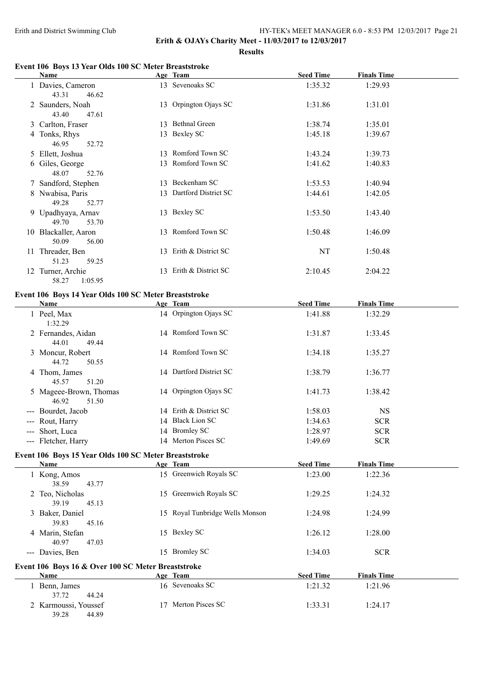**Erith & OJAYs Charity Meet - 11/03/2017 to 12/03/2017**

**Results**

## **Event 106 Boys 13 Year Olds 100 SC Meter Breaststroke**

| Name                                                  | Age Team                | <b>Seed Time</b> | <b>Finals Time</b> |  |
|-------------------------------------------------------|-------------------------|------------------|--------------------|--|
| 1 Davies, Cameron<br>43.31<br>46.62                   | 13 Sevenoaks SC         | 1:35.32          | 1:29.93            |  |
| 2 Saunders, Noah<br>43.40<br>47.61                    | 13 Orpington Ojays SC   | 1:31.86          | 1:31.01            |  |
| 3 Carlton, Fraser                                     | 13 Bethnal Green        | 1:38.74          | 1:35.01            |  |
| 4 Tonks, Rhys<br>46.95<br>52.72                       | 13 Bexley SC            | 1:45.18          | 1:39.67            |  |
| 5 Ellett, Joshua                                      | 13 Romford Town SC      | 1:43.24          | 1:39.73            |  |
| 6 Giles, George<br>48.07<br>52.76                     | 13 Romford Town SC      | 1:41.62          | 1:40.83            |  |
| 7 Sandford, Stephen                                   | 13 Beckenham SC         | 1:53.53          | 1:40.94            |  |
| 8 Nwabisa, Paris<br>49.28<br>52.77                    | 13 Dartford District SC | 1:44.61          | 1:42.05            |  |
| 9 Upadhyaya, Arnav<br>49.70<br>53.70                  | 13 Bexley SC            | 1:53.50          | 1:43.40            |  |
| 10 Blackaller, Aaron<br>50.09<br>56.00                | 13 Romford Town SC      | 1:50.48          | 1:46.09            |  |
| 11 Threader, Ben<br>51.23<br>59.25                    | 13 Erith & District SC  | NT               | 1:50.48            |  |
| 12 Turner, Archie<br>58.27<br>1:05.95                 | 13 Erith & District SC  | 2:10.45          | 2:04.22            |  |
| Event 106 Boys 14 Year Olds 100 SC Meter Breaststroke |                         |                  |                    |  |
| Name                                                  | Age Team                | <b>Seed Time</b> | <b>Finals Time</b> |  |
| 1 Peel, Max<br>1:32.29                                | 14 Orpington Ojays SC   | 1:41.88          | 1:32.29            |  |
| 2 Fernandes, Aidan<br>44.01<br>49.44                  | 14 Romford Town SC      | 1:31.87          | 1:33.45            |  |
| 3 Moncur, Robert<br>44.72<br>50.55                    | 14 Romford Town SC      | 1:34.18          | 1:35.27            |  |
| 4 Thom, James<br>45.57<br>51.20                       | 14 Dartford District SC | 1:38.79          | 1:36.77            |  |
| 5 Mageee-Brown, Thomas<br>46.92<br>51.50              | 14 Orpington Ojays SC   | 1:41.73          | 1:38.42            |  |
| --- Bourdet, Jacob                                    | 14 Erith & District SC  | 1:58.03          | <b>NS</b>          |  |
| --- Rout, Harry                                       | 14 Black Lion SC        | 1:34.63          | $SCR$              |  |
| --- Short, Luca                                       | 14 Bromley SC           | 1:28.97          | $SCR$              |  |
| --- Fletcher, Harry                                   | 14 Merton Pisces SC     | 1:49.69          | <b>SCR</b>         |  |
| Event 106 Boys 15 Year Olds 100 SC Meter Breaststroke |                         |                  |                    |  |

| Name                 |                                                    | Age Team                        | <b>Seed Time</b> | <b>Finals Time</b> |
|----------------------|----------------------------------------------------|---------------------------------|------------------|--------------------|
| 1 Kong, Amos         |                                                    | 15 Greenwich Royals SC          | 1:23.00          | 1:22.36            |
| 38.59                | 43.77                                              |                                 |                  |                    |
| 2 Teo, Nicholas      | 15.                                                | Greenwich Royals SC             | 1:29.25          | 1:24.32            |
| 39.19                | 45.13                                              |                                 |                  |                    |
| 3 Baker, Daniel      |                                                    | 15 Royal Tunbridge Wells Monson | 1:24.98          | 1:24.99            |
| 39.83                | 45.16                                              |                                 |                  |                    |
| 4 Marin, Stefan      |                                                    | 15 Bexley SC                    | 1:26.12          | 1:28.00            |
| 40.97                | 47.03                                              |                                 |                  |                    |
| -- Davies, Ben       | 15.                                                | <b>Bromley SC</b>               | 1:34.03          | <b>SCR</b>         |
|                      | Event 106 Boys 16 & Over 100 SC Meter Breaststroke |                                 |                  |                    |
| <b>Name</b>          |                                                    | Age Team                        | <b>Seed Time</b> | <b>Finals Time</b> |
| 1 Benn, James        |                                                    | 16 Sevenoaks SC                 | 1:21.32          | 1:21.96            |
| 37.72                | 44.24                                              |                                 |                  |                    |
| 2 Karmoussi, Youssef | $\overline{17}$                                    | Merton Pisces SC                | 1:33.31          | 1:24.17            |
| 39.28                | 44.89                                              |                                 |                  |                    |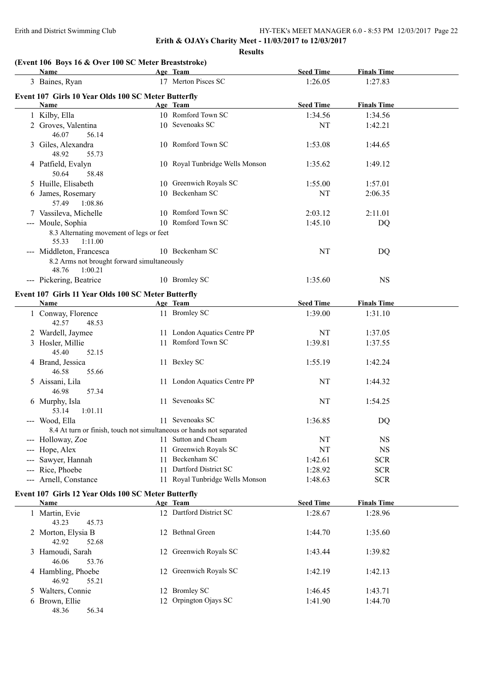**Erith & OJAYs Charity Meet - 11/03/2017 to 12/03/2017 Results**

## **(Event 106 Boys 16 & Over 100 SC Meter Breaststroke)**

| <b>Name</b>                                                                                 |    | Age Team                        | <b>Seed Time</b> | <b>Finals Time</b> |  |
|---------------------------------------------------------------------------------------------|----|---------------------------------|------------------|--------------------|--|
| 3 Baines, Ryan                                                                              |    | 17 Merton Pisces SC             | 1:26.05          | 1:27.83            |  |
| Event 107 Girls 10 Year Olds 100 SC Meter Butterfly                                         |    |                                 |                  |                    |  |
| Name                                                                                        |    | Age Team                        | <b>Seed Time</b> | <b>Finals Time</b> |  |
| 1 Kilby, Ella                                                                               |    | 10 Romford Town SC              | 1:34.56          | 1:34.56            |  |
| 2 Groves, Valentina<br>46.07<br>56.14                                                       |    | 10 Sevenoaks SC                 | NT               | 1:42.21            |  |
| 3 Giles, Alexandra<br>48.92<br>55.73                                                        |    | 10 Romford Town SC              | 1:53.08          | 1:44.65            |  |
| 4 Patfield, Evalyn<br>50.64<br>58.48                                                        |    | 10 Royal Tunbridge Wells Monson | 1:35.62          | 1:49.12            |  |
| 5 Huille, Elisabeth                                                                         |    | 10 Greenwich Royals SC          | 1:55.00          | 1:57.01            |  |
| 6 James, Rosemary<br>57.49<br>1:08.86                                                       |    | 10 Beckenham SC                 | <b>NT</b>        | 2:06.35            |  |
| 7 Vassileva, Michelle                                                                       |    | 10 Romford Town SC              | 2:03.12          | 2:11.01            |  |
| --- Moule, Sophia                                                                           |    | 10 Romford Town SC              | 1:45.10          | DQ                 |  |
| 8.3 Alternating movement of legs or feet<br>55.33<br>1:11.00                                |    |                                 |                  |                    |  |
| --- Middleton, Francesca<br>8.2 Arms not brought forward simultaneously<br>48.76<br>1:00.21 |    | 10 Beckenham SC                 | <b>NT</b>        | DQ                 |  |
| --- Pickering, Beatrice                                                                     |    | 10 Bromley SC                   | 1:35.60          | <b>NS</b>          |  |
| Event 107 Girls 11 Year Olds 100 SC Meter Butterfly<br>Name                                 |    | Age Team                        | <b>Seed Time</b> | <b>Finals Time</b> |  |
| 1 Conway, Florence                                                                          |    | 11 Bromley SC                   | 1:39.00          | 1:31.10            |  |
| 42.57<br>48.53                                                                              |    |                                 |                  |                    |  |
| 2 Wardell, Jaymee                                                                           |    | 11 London Aquatics Centre PP    | <b>NT</b>        | 1:37.05            |  |
| 3 Hosler, Millie<br>45.40<br>52.15                                                          |    | 11 Romford Town SC              | 1:39.81          | 1:37.55            |  |
| 4 Brand, Jessica<br>46.58<br>55.66                                                          |    | 11 Bexley SC                    | 1:55.19          | 1:42.24            |  |
| 5 Aissani, Lila<br>57.34<br>46.98                                                           |    | 11 London Aquatics Centre PP    | <b>NT</b>        | 1:44.32            |  |
| 6 Murphy, Isla<br>1:01.11<br>53.14                                                          |    | 11 Sevenoaks SC                 | <b>NT</b>        | 1:54.25            |  |
| --- Wood, Ella                                                                              |    | 11 Sevenoaks SC                 | 1:36.85          | DQ                 |  |
| 8.4 At turn or finish, touch not simultaneous or hands not separated                        |    |                                 |                  |                    |  |
| --- Holloway, Zoe                                                                           |    | 11 Sutton and Cheam             | NT               | <b>NS</b>          |  |
| --- Hope, Alex                                                                              | 11 | Greenwich Royals SC             | NT               | $_{\rm NS}$        |  |
| --- Sawyer, Hannah                                                                          | 11 | Beckenham SC                    | 1:42.61          | <b>SCR</b>         |  |
| --- Rice, Phoebe                                                                            | 11 | Dartford District SC            | 1:28.92          | <b>SCR</b>         |  |
| --- Arnell, Constance                                                                       |    | 11 Royal Tunbridge Wells Monson | 1:48.63          | <b>SCR</b>         |  |
| Event 107 Girls 12 Year Olds 100 SC Meter Butterfly                                         |    |                                 |                  |                    |  |
| Name                                                                                        |    | Age Team                        | <b>Seed Time</b> | <b>Finals Time</b> |  |
| 1 Martin, Evie<br>43.23<br>45.73                                                            |    | 12 Dartford District SC         | 1:28.67          | 1:28.96            |  |
| 2 Morton, Elysia B<br>42.92<br>52.68                                                        |    | 12 Bethnal Green                | 1:44.70          | 1:35.60            |  |
| 3 Hamoudi, Sarah<br>46.06<br>53.76                                                          |    | 12 Greenwich Royals SC          | 1:43.44          | 1:39.82            |  |
| 4 Hambling, Phoebe<br>46.92<br>55.21                                                        |    | 12 Greenwich Royals SC          | 1:42.19          | 1:42.13            |  |
| 5 Walters, Connie                                                                           |    | 12 Bromley SC                   | 1:46.45          | 1:43.71            |  |
| 6 Brown, Ellie<br>48.36<br>56.34                                                            |    | 12 Orpington Ojays SC           | 1:41.90          | 1:44.70            |  |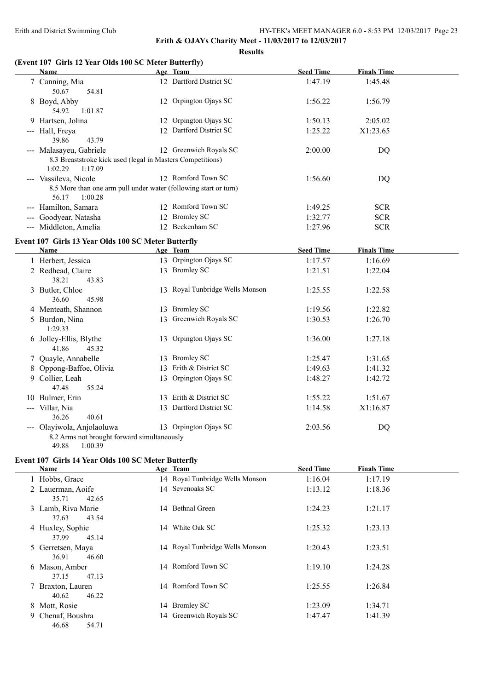**Results**

## **(Event 107 Girls 12 Year Olds 100 SC Meter Butterfly)**

| Name                                                                                   | Age Team                        | <b>Seed Time</b> | <b>Finals Time</b> |
|----------------------------------------------------------------------------------------|---------------------------------|------------------|--------------------|
| 7 Canning, Mia<br>50.67<br>54.81                                                       | 12 Dartford District SC         | 1:47.19          | 1:45.48            |
| 8 Boyd, Abby<br>54.92<br>1:01.87                                                       | 12 Orpington Ojays SC           | 1:56.22          | 1:56.79            |
| 9 Hartsen, Jolina                                                                      | 12 Orpington Ojays SC           | 1:50.13          | 2:05.02            |
| --- Hall, Freya<br>39.86<br>43.79                                                      | 12 Dartford District SC         | 1:25.22          | X1:23.65           |
| --- Malasayeu, Gabriele                                                                | 12 Greenwich Royals SC          | 2:00.00          | <b>DQ</b>          |
| 8.3 Breaststroke kick used (legal in Masters Competitions)<br>1:02.29<br>1:17.09       |                                 |                  |                    |
| --- Vassileva, Nicole                                                                  | 12 Romford Town SC              | 1:56.60          | DQ                 |
| 8.5 More than one arm pull under water (following start or turn)<br>56.17<br>1:00.28   |                                 |                  |                    |
| --- Hamilton, Samara                                                                   | 12 Romford Town SC              | 1:49.25          | <b>SCR</b>         |
| --- Goodyear, Natasha                                                                  | 12 Bromley SC                   | 1:32.77          | <b>SCR</b>         |
| --- Middleton, Amelia                                                                  | 12 Beckenham SC                 | 1:27.96          | <b>SCR</b>         |
| Event 107 Girls 13 Year Olds 100 SC Meter Butterfly                                    |                                 |                  |                    |
| Name                                                                                   | Age Team                        | <b>Seed Time</b> | <b>Finals Time</b> |
| 1 Herbert, Jessica                                                                     | 13 Orpington Ojays SC           | 1:17.57          | 1:16.69            |
| 2 Redhead, Claire<br>38.21<br>43.83                                                    | 13 Bromley SC                   | 1:21.51          | 1:22.04            |
| 3 Butler, Chloe<br>36.60<br>45.98                                                      | 13 Royal Tunbridge Wells Monson | 1:25.55          | 1:22.58            |
| 4 Menteath, Shannon                                                                    | 13 Bromley SC                   | 1:19.56          | 1:22.82            |
| 5 Burdon, Nina<br>1:29.33                                                              | 13 Greenwich Royals SC          | 1:30.53          | 1:26.70            |
| 6 Jolley-Ellis, Blythe<br>41.86<br>45.32                                               | 13 Orpington Ojays SC           | 1:36.00          | 1:27.18            |
| 7 Quayle, Annabelle                                                                    | 13 Bromley SC                   | 1:25.47          | 1:31.65            |
| 8 Oppong-Baffoe, Olivia                                                                | 13 Erith & District SC          | 1:49.63          | 1:41.32            |
| 9 Collier, Leah<br>47.48<br>55.24                                                      | 13 Orpington Ojays SC           | 1:48.27          | 1:42.72            |
| 10 Bulmer, Erin                                                                        | 13 Erith & District SC          | 1:55.22          | 1:51.67            |
| --- Villar, Nia<br>40.61<br>36.26                                                      | 13 Dartford District SC         | 1:14.58          | X1:16.87           |
| --- Olayiwola, Anjolaoluwa<br>8.2 Arms not brought forward simultaneously              | 13 Orpington Ojays SC           | 2:03.56          | DQ                 |
| 49.88<br>1:00.39<br>$\Gamma$ vont 107 $\Gamma$ irk 14 Voor Olds 100 SC Motor Buttorfly |                                 |                  |                    |

#### **Event 107 Girls 14 Year Olds 100 SC Meter Butterfly**

| Name             |                                      |    | Age Team                        | <b>Seed Time</b> | <b>Finals Time</b> |  |
|------------------|--------------------------------------|----|---------------------------------|------------------|--------------------|--|
| 1 Hobbs, Grace   |                                      |    | 14 Royal Tunbridge Wells Monson | 1:16.04          | 1:17.19            |  |
|                  | 2 Lauerman, Aoife<br>35.71<br>42.65  |    | 14 Sevenoaks SC                 | 1:13.12          | 1:18.36            |  |
|                  | 3 Lamb, Riva Marie<br>43.54<br>37.63 |    | 14 Bethnal Green                | 1:24.23          | 1:21.17            |  |
| 4 Huxley, Sophie | 37.99<br>45.14                       | 14 | White Oak SC                    | 1:25.32          | 1:23.13            |  |
|                  | 5 Gerretsen, Maya<br>36.91<br>46.60  |    | 14 Royal Tunbridge Wells Monson | 1:20.43          | 1:23.51            |  |
| 6 Mason, Amber   | 47.13<br>37.15                       |    | 14 Romford Town SC              | 1:19.10          | 1:24.28            |  |
|                  | 7 Braxton, Lauren<br>46.22<br>40.62  |    | 14 Romford Town SC              | 1:25.55          | 1:26.84            |  |
| 8 Mott, Rosie    |                                      |    | 14 Bromley SC                   | 1:23.09          | 1:34.71            |  |
|                  | 9 Chenaf, Boushra<br>54.71<br>46.68  |    | 14 Greenwich Royals SC          | 1:47.47          | 1:41.39            |  |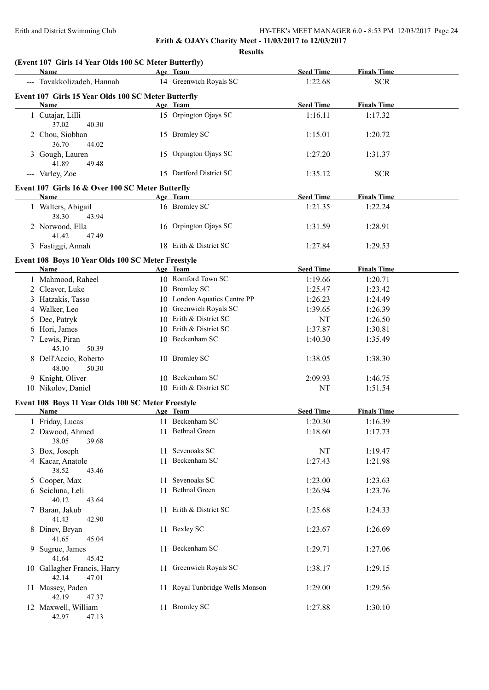| (Event 107 Girls 14 Year Olds 100 SC Meter Butterfly)       |                                 |                  |                    |  |
|-------------------------------------------------------------|---------------------------------|------------------|--------------------|--|
| Name                                                        | Age Team                        | <b>Seed Time</b> | <b>Finals Time</b> |  |
| --- Tavakkolizadeh, Hannah                                  | 14 Greenwich Royals SC          | 1:22.68          | <b>SCR</b>         |  |
| Event 107 Girls 15 Year Olds 100 SC Meter Butterfly<br>Name | Age Team                        | <b>Seed Time</b> | <b>Finals Time</b> |  |
| 1 Cutajar, Lilli<br>37.02<br>40.30                          | 15 Orpington Ojays SC           | 1:16.11          | 1:17.32            |  |
| 2 Chou, Siobhan<br>36.70<br>44.02                           | 15 Bromley SC                   | 1:15.01          | 1:20.72            |  |
| 3 Gough, Lauren<br>41.89<br>49.48                           | 15 Orpington Ojays SC           | 1:27.20          | 1:31.37            |  |
| --- Varley, Zoe                                             | 15 Dartford District SC         | 1:35.12          | <b>SCR</b>         |  |
| Event 107 Girls 16 & Over 100 SC Meter Butterfly            |                                 |                  |                    |  |
| Name                                                        | Age Team                        | <b>Seed Time</b> | <b>Finals Time</b> |  |
| 1 Walters, Abigail<br>38.30<br>43.94                        | 16 Bromley SC                   | 1:21.35          | 1:22.24            |  |
| 2 Norwood, Ella<br>41.42<br>47.49                           | 16 Orpington Ojays SC           | 1:31.59          | 1:28.91            |  |
| 3 Fastiggi, Annah                                           | 18 Erith & District SC          | 1:27.84          | 1:29.53            |  |
| Event 108 Boys 10 Year Olds 100 SC Meter Freestyle          |                                 |                  |                    |  |
| Name                                                        | Age Team                        | <b>Seed Time</b> | <b>Finals Time</b> |  |
| 1 Mahmood, Raheel                                           | 10 Romford Town SC              | 1:19.66          | 1:20.71            |  |
| 2 Cleaver, Luke                                             | 10 Bromley SC                   | 1:25.47          | 1:23.42            |  |
| 3 Hatzakis, Tasso                                           | 10 London Aquatics Centre PP    | 1:26.23          | 1:24.49            |  |
| 4 Walker, Leo                                               | 10 Greenwich Royals SC          | 1:39.65          | 1:26.39            |  |
| 5 Dec, Patryk                                               | 10 Erith & District SC          | NT               | 1:26.50            |  |
| 6 Hori, James                                               | 10 Erith & District SC          | 1:37.87          | 1:30.81            |  |
| 7 Lewis, Piran<br>45.10<br>50.39                            | 10 Beckenham SC                 | 1:40.30          | 1:35.49            |  |
| 8 Dell'Accio, Roberto<br>48.00<br>50.30                     | 10 Bromley SC                   | 1:38.05          | 1:38.30            |  |
| 9 Knight, Oliver                                            | 10 Beckenham SC                 | 2:09.93          | 1:46.75            |  |
| 10 Nikolov, Daniel                                          | 10 Erith & District SC          | NT               | 1:51.54            |  |
| Event 108 Boys 11 Year Olds 100 SC Meter Freestyle          |                                 |                  |                    |  |
| Name                                                        | Age Team                        | <b>Seed Time</b> | <b>Finals Time</b> |  |
| 1 Friday, Lucas                                             | 11 Beckenham SC                 | 1:20.30          | 1:16.39            |  |
| 2 Dawood, Ahmed<br>38.05<br>39.68                           | 11 Bethnal Green                | 1:18.60          | 1:17.73            |  |
| 3 Box, Joseph                                               | 11 Sevenoaks SC                 | NT               | 1:19.47            |  |
| 4 Kacar, Anatole<br>38.52<br>43.46                          | 11 Beckenham SC                 | 1:27.43          | 1:21.98            |  |
| 5 Cooper, Max                                               | 11 Sevenoaks SC                 | 1:23.00          | 1:23.63            |  |
| 6 Scicluna, Leli<br>40.12<br>43.64                          | 11 Bethnal Green                | 1:26.94          | 1:23.76            |  |
| 7 Baran, Jakub<br>41.43<br>42.90                            | 11 Erith & District SC          | 1:25.68          | 1:24.33            |  |
| 8 Dinev, Bryan<br>41.65<br>45.04                            | 11 Bexley SC                    | 1:23.67          | 1:26.69            |  |
| 9 Sugrue, James<br>41.64<br>45.42                           | 11 Beckenham SC                 | 1:29.71          | 1:27.06            |  |
| 10 Gallagher Francis, Harry<br>42.14<br>47.01               | 11 Greenwich Royals SC          | 1:38.17          | 1:29.15            |  |
| 11 Massey, Paden<br>42.19<br>47.37                          | 11 Royal Tunbridge Wells Monson | 1:29.00          | 1:29.56            |  |
| 12 Maxwell, William<br>42.97<br>47.13                       | 11 Bromley SC                   | 1:27.88          | 1:30.10            |  |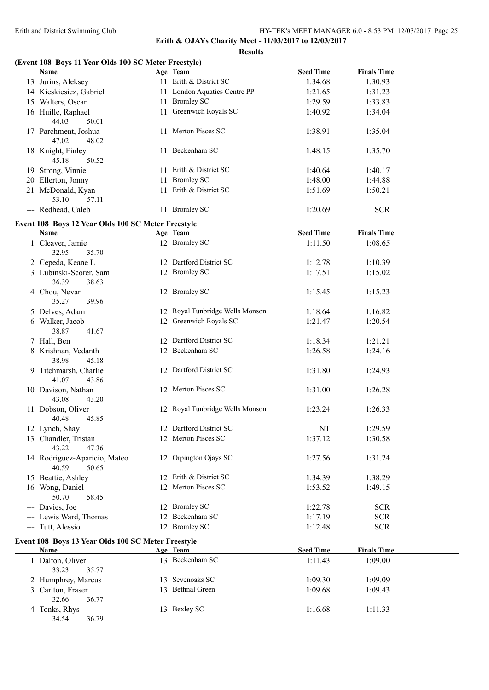**Results**

## **(Event 108 Boys 11 Year Olds 100 SC Meter Freestyle)**

| <b>Name</b>                                        | Age Team                        | <b>Seed Time</b> | <b>Finals Time</b> |  |
|----------------------------------------------------|---------------------------------|------------------|--------------------|--|
| 13 Jurins, Aleksey                                 | 11 Erith & District SC          | 1:34.68          | 1:30.93            |  |
| 14 Kieskiesicz, Gabriel                            | 11 London Aquatics Centre PP    | 1:21.65          | 1:31.23            |  |
| 15 Walters, Oscar                                  | 11 Bromley SC                   | 1:29.59          | 1:33.83            |  |
| 16 Huille, Raphael                                 | 11 Greenwich Royals SC          | 1:40.92          | 1:34.04            |  |
| 44.03<br>50.01                                     |                                 |                  |                    |  |
| 17 Parchment, Joshua<br>47.02<br>48.02             | 11 Merton Pisces SC             | 1:38.91          | 1:35.04            |  |
| 18 Knight, Finley<br>45.18<br>50.52                | 11 Beckenham SC                 | 1:48.15          | 1:35.70            |  |
| 19 Strong, Vinnie                                  | 11 Erith & District SC          | 1:40.64          | 1:40.17            |  |
| 20 Ellerton, Jonny                                 | 11 Bromley SC                   | 1:48.00          | 1:44.88            |  |
| 21 McDonald, Kyan                                  | 11 Erith & District SC          | 1:51.69          | 1:50.21            |  |
| 53.10<br>57.11                                     |                                 |                  |                    |  |
| --- Redhead, Caleb                                 | 11 Bromley SC                   | 1:20.69          | <b>SCR</b>         |  |
| Event 108 Boys 12 Year Olds 100 SC Meter Freestyle |                                 |                  |                    |  |
| Name                                               | Age Team                        | <b>Seed Time</b> | <b>Finals Time</b> |  |
| 1 Cleaver, Jamie                                   | 12 Bromley SC                   | 1:11.50          | 1:08.65            |  |
| 32.95<br>35.70                                     |                                 |                  |                    |  |
| 2 Cepeda, Keane L                                  | 12 Dartford District SC         | 1:12.78          | 1:10.39            |  |
| 3 Lubinski-Scorer, Sam                             | 12 Bromley SC                   | 1:17.51          | 1:15.02            |  |
| 36.39<br>38.63                                     |                                 |                  |                    |  |
| 4 Chou, Nevan<br>35.27<br>39.96                    | 12 Bromley SC                   | 1:15.45          | 1:15.23            |  |
| 5 Delves, Adam                                     | 12 Royal Tunbridge Wells Monson | 1:18.64          | 1:16.82            |  |
| 6 Walker, Jacob                                    | 12 Greenwich Royals SC          | 1:21.47          | 1:20.54            |  |
| 38.87<br>41.67                                     |                                 |                  |                    |  |
| 7 Hall, Ben                                        | 12 Dartford District SC         | 1:18.34          | 1:21.21            |  |
| 8 Krishnan, Vedanth<br>38.98<br>45.18              | 12 Beckenham SC                 | 1:26.58          | 1:24.16            |  |
| 9 Titchmarsh, Charlie<br>41.07<br>43.86            | 12 Dartford District SC         | 1:31.80          | 1:24.93            |  |
| 10 Davison, Nathan<br>43.08<br>43.20               | 12 Merton Pisces SC             | 1:31.00          | 1:26.28            |  |
| 11 Dobson, Oliver<br>40.48<br>45.85                | 12 Royal Tunbridge Wells Monson | 1:23.24          | 1:26.33            |  |
| 12 Lynch, Shay                                     | 12 Dartford District SC         | NT               | 1:29.59            |  |
| 13 Chandler, Tristan                               | 12 Merton Pisces SC             | 1:37.12          | 1:30.58            |  |
| 43.22<br>47.36                                     |                                 |                  |                    |  |
| 14 Rodriguez-Aparicio, Mateo<br>40.59<br>50.65     | 12 Orpington Ojays SC           | 1:27.56          | 1:31.24            |  |
| 15 Beattie, Ashley                                 | 12 Erith & District SC          | 1:34.39          | 1:38.29            |  |
| 16 Wong, Daniel                                    | 12 Merton Pisces SC             | 1:53.52          | 1:49.15            |  |
| 50.70<br>58.45                                     |                                 |                  |                    |  |
| --- Davies, Joe                                    | 12 Bromley SC                   | 1:22.78          | <b>SCR</b>         |  |
| --- Lewis Ward, Thomas                             | 12 Beckenham SC                 | 1:17.19          | <b>SCR</b>         |  |
| --- Tutt, Alessio                                  | 12 Bromley SC                   | 1:12.48          | <b>SCR</b>         |  |
|                                                    |                                 |                  |                    |  |
| Event 108 Boys 13 Year Olds 100 SC Meter Freestyle |                                 | <b>Seed Time</b> | <b>Finals Time</b> |  |
| <b>Name</b>                                        | Age Team<br>13 Beckenham SC     |                  |                    |  |
| 1 Dalton, Oliver<br>33.23<br>35.77                 |                                 | 1:11.43          | 1:09.00            |  |
| 2 Humphrey, Marcus                                 | 13 Sevenoaks SC                 | 1:09.30          | 1:09.09            |  |
| 3 Carlton, Fraser<br>32.66<br>36.77                | 13 Bethnal Green                | 1:09.68          | 1:09.43            |  |
| 4 Tonks, Rhys<br>34.54<br>36.79                    | 13 Bexley SC                    | 1:16.68          | 1:11.33            |  |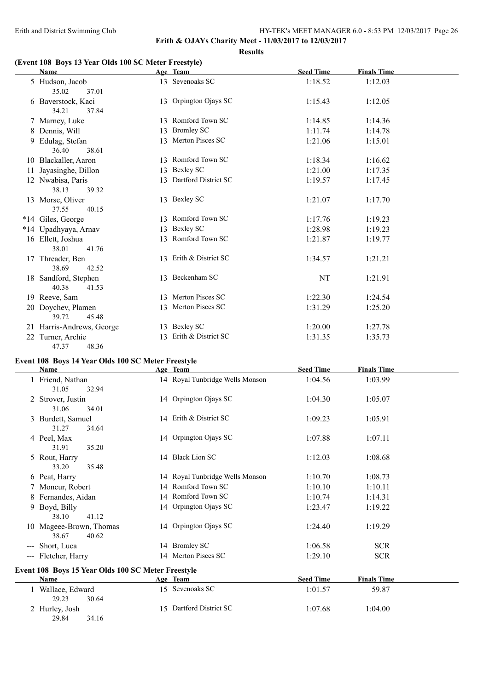#### **Erith & OJAYs Charity Meet - 11/03/2017 to 12/03/2017 Results**

#### **(Event 108 Boys 13 Year Olds 100 SC Meter Freestyle)**

|    | <b>Name</b>                            |    | Age Team               | <b>Seed Time</b> | <b>Finals Time</b> |
|----|----------------------------------------|----|------------------------|------------------|--------------------|
|    | 5 Hudson, Jacob<br>35.02<br>37.01      |    | 13 Sevenoaks SC        | 1:18.52          | 1:12.03            |
|    | 6 Baverstock, Kaci<br>34.21<br>37.84   |    | 13 Orpington Ojays SC  | 1:15.43          | 1:12.05            |
|    | 7 Marney, Luke                         |    | 13 Romford Town SC     | 1:14.85          | 1:14.36            |
|    | 8 Dennis, Will                         |    | 13 Bromley SC          | 1:11.74          | 1:14.78            |
| 9. | Edulag, Stefan<br>38.61<br>36.40       |    | 13 Merton Pisces SC    | 1:21.06          | 1:15.01            |
|    | 10 Blackaller, Aaron                   |    | 13 Romford Town SC     | 1:18.34          | 1:16.62            |
|    | 11 Jayasinghe, Dillon                  | 13 | Bexley SC              | 1:21.00          | 1:17.35            |
|    | 12 Nwabisa, Paris<br>38.13<br>39.32    | 13 | Dartford District SC   | 1:19.57          | 1:17.45            |
|    | 13 Morse, Oliver<br>37.55<br>40.15     |    | 13 Bexley SC           | 1:21.07          | 1:17.70            |
|    | *14 Giles, George                      |    | 13 Romford Town SC     | 1:17.76          | 1:19.23            |
|    | *14 Upadhyaya, Arnav                   |    | 13 Bexley SC           | 1:28.98          | 1:19.23            |
|    | 16 Ellett, Joshua<br>38.01<br>41.76    |    | 13 Romford Town SC     | 1:21.87          | 1:19.77            |
|    | 17 Threader, Ben<br>38.69<br>42.52     |    | 13 Erith & District SC | 1:34.57          | 1:21.21            |
|    | 18 Sandford, Stephen<br>40.38<br>41.53 |    | 13 Beckenham SC        | NT               | 1:21.91            |
|    | 19 Reeve, Sam                          |    | 13 Merton Pisces SC    | 1:22.30          | 1:24.54            |
|    | 20 Doychev, Plamen<br>39.72<br>45.48   |    | 13 Merton Pisces SC    | 1:31.29          | 1:25.20            |
|    | 21 Harris-Andrews, George              |    | 13 Bexley SC           | 1:20.00          | 1:27.78            |
|    | 22 Turner, Archie<br>47.37<br>48.36    | 13 | Erith & District SC    | 1:31.35          | 1:35.73            |

## **Event 108 Boys 14 Year Olds 100 SC Meter Freestyle**

29.84 34.16

|     | <b>Name</b>                   |                                                    | Age Team                        | <b>Seed Time</b> | <b>Finals Time</b> |  |
|-----|-------------------------------|----------------------------------------------------|---------------------------------|------------------|--------------------|--|
|     | 1 Friend, Nathan<br>31.05     | 32.94                                              | 14 Royal Tunbridge Wells Monson | 1:04.56          | 1:03.99            |  |
|     | Strover, Justin               |                                                    | 14 Orpington Ojays SC           | 1:04.30          | 1:05.07            |  |
|     | 31.06<br>3 Burdett, Samuel    | 34.01                                              | 14 Erith & District SC          | 1:09.23          | 1:05.91            |  |
|     | 31.27<br>4 Peel, Max          | 34.64                                              | 14 Orpington Ojays SC           | 1:07.88          | 1:07.11            |  |
|     | 31.91<br>5 Rout, Harry        | 35.20                                              | 14 Black Lion SC                | 1:12.03          | 1:08.68            |  |
|     | 33.20<br>6 Peat, Harry        | 35.48                                              | 14 Royal Tunbridge Wells Monson | 1:10.70          | 1:08.73            |  |
|     | 7 Moncur, Robert              |                                                    | 14 Romford Town SC              | 1:10.10          | 1:10.11            |  |
| 8   | Fernandes, Aidan              |                                                    | 14 Romford Town SC              | 1:10.74          | 1:14.31            |  |
|     | 9 Boyd, Billy<br>38.10        | 41.12                                              | 14 Orpington Ojays SC           | 1:23.47          | 1:19.22            |  |
| 10. | Mageee-Brown, Thomas<br>38.67 | 40.62                                              | 14 Orpington Ojays SC           | 1:24.40          | 1:19.29            |  |
|     | --- Short, Luca               |                                                    | 14 Bromley SC                   | 1:06.58          | <b>SCR</b>         |  |
|     | --- Fletcher, Harry           |                                                    | 14 Merton Pisces SC             | 1:29.10          | <b>SCR</b>         |  |
|     |                               | Event 108 Boys 15 Year Olds 100 SC Meter Freestyle |                                 |                  |                    |  |
|     | Name                          |                                                    | Age Team                        | <b>Seed Time</b> | <b>Finals Time</b> |  |
|     | 1 Wallace, Edward<br>29.23    | 30.64                                              | 15 Sevenoaks SC                 | 1:01.57          | 59.87              |  |
|     | 2 Hurley, Josh                |                                                    | 15 Dartford District SC         | 1:07.68          | 1:04.00            |  |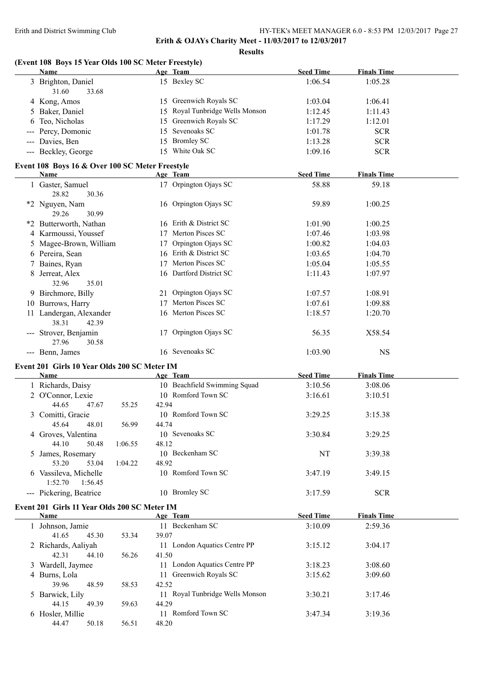| (Event 108 Boys 15 Year Olds 100 SC Meter Freestyle)<br><b>Name</b> |                | Age Team                        | <b>Seed Time</b> | <b>Finals Time</b> |  |
|---------------------------------------------------------------------|----------------|---------------------------------|------------------|--------------------|--|
| 3 Brighton, Daniel                                                  |                | 15 Bexley SC                    | 1:06.54          | 1:05.28            |  |
| 31.60<br>33.68                                                      |                |                                 |                  |                    |  |
| 4 Kong, Amos                                                        |                | 15 Greenwich Royals SC          | 1:03.04          | 1:06.41            |  |
| 5 Baker, Daniel                                                     |                | 15 Royal Tunbridge Wells Monson | 1:12.45          | 1:11.43            |  |
| Teo, Nicholas                                                       |                | 15 Greenwich Royals SC          | 1:17.29          | 1:12.01            |  |
| --- Percy, Domonic                                                  | 15             | Sevenoaks SC                    | 1:01.78          | <b>SCR</b>         |  |
| --- Davies, Ben                                                     | 15             | <b>Bromley SC</b>               | 1:13.28          | <b>SCR</b>         |  |
| --- Beckley, George                                                 |                | 15 White Oak SC                 | 1:09.16          | <b>SCR</b>         |  |
|                                                                     |                |                                 |                  |                    |  |
| Event 108 Boys 16 & Over 100 SC Meter Freestyle<br>Name             |                | Age Team                        | <b>Seed Time</b> | <b>Finals Time</b> |  |
| 1 Gaster, Samuel                                                    |                | 17 Orpington Ojays SC           | 58.88            | 59.18              |  |
| 28.82<br>30.36                                                      |                |                                 |                  |                    |  |
| *2 Nguyen, Nam                                                      |                | 16 Orpington Ojays SC           | 59.89            | 1:00.25            |  |
| 29.26<br>30.99                                                      |                |                                 |                  |                    |  |
| *2 Butterworth, Nathan                                              |                | 16 Erith & District SC          | 1:01.90          | 1:00.25            |  |
| 4 Karmoussi, Youssef                                                |                | 17 Merton Pisces SC             | 1:07.46          | 1:03.98            |  |
| 5 Magee-Brown, William                                              |                | 17 Orpington Ojays SC           | 1:00.82          | 1:04.03            |  |
| 6 Pereira, Sean                                                     |                | 16 Erith & District SC          | 1:03.65          | 1:04.70            |  |
| 7 Baines, Ryan                                                      |                | 17 Merton Pisces SC             | 1:05.04          | 1:05.55            |  |
| Jerreat, Alex                                                       |                | 16 Dartford District SC         | 1:11.43          | 1:07.97            |  |
| 32.96<br>35.01                                                      |                |                                 |                  |                    |  |
| 9 Birchmore, Billy                                                  |                | 21 Orpington Ojays SC           | 1:07.57          | 1:08.91            |  |
|                                                                     |                | 17 Merton Pisces SC             | 1:07.61          |                    |  |
| 10 Burrows, Harry                                                   |                |                                 |                  | 1:09.88            |  |
| 11 Landergan, Alexander<br>38.31<br>42.39                           |                | 16 Merton Pisces SC             | 1:18.57          | 1:20.70            |  |
| --- Strover, Benjamin                                               |                | 17 Orpington Ojays SC           | 56.35            | X58.54             |  |
| 27.96<br>30.58                                                      |                |                                 |                  |                    |  |
| --- Benn, James                                                     |                | 16 Sevenoaks SC                 | 1:03.90          | <b>NS</b>          |  |
| Event 201 Girls 10 Year Olds 200 SC Meter IM                        |                |                                 |                  |                    |  |
| <b>Name</b>                                                         |                | Age Team                        | <b>Seed Time</b> | <b>Finals Time</b> |  |
| 1 Richards, Daisy                                                   |                | 10 Beachfield Swimming Squad    | 3:10.56          | 3:08.06            |  |
| 2 O'Connor, Lexie                                                   |                | 10 Romford Town SC              | 3:16.61          | 3:10.51            |  |
| 44.65<br>47.67                                                      | 42.94<br>55.25 |                                 |                  |                    |  |
| 3 Comitti, Gracie                                                   |                | 10 Romford Town SC              | 3:29.25          | 3:15.38            |  |
| 45.64<br>48.01                                                      | 56.99<br>44.74 |                                 |                  |                    |  |
| 4 Groves, Valentina                                                 |                | 10 Sevenoaks SC                 | 3:30.84          | 3:29.25            |  |
| 44.10<br>50.48<br>1:06.55                                           | 48.12          |                                 |                  |                    |  |
| 5 James, Rosemary                                                   |                | 10 Beckenham SC                 | NT               | 3:39.38            |  |
| 53.20<br>53.04<br>1:04.22                                           | 48.92          |                                 |                  |                    |  |
| 6 Vassileva, Michelle                                               |                | 10 Romford Town SC              | 3:47.19          | 3:49.15            |  |
| 1:52.70<br>1:56.45                                                  |                | 10 Bromley SC                   |                  |                    |  |
| --- Pickering, Beatrice                                             |                |                                 | 3:17.59          | <b>SCR</b>         |  |
| Event 201 Girls 11 Year Olds 200 SC Meter IM                        |                |                                 |                  |                    |  |
| Name                                                                |                | Age Team                        | <b>Seed Time</b> | <b>Finals Time</b> |  |
| 1 Johnson, Jamie                                                    |                | 11 Beckenham SC                 | 3:10.09          | 2:59.36            |  |
| 41.65<br>45.30                                                      | 53.34<br>39.07 |                                 |                  |                    |  |
| 2 Richards, Aaliyah                                                 |                | 11 London Aquatics Centre PP    | 3:15.12          | 3:04.17            |  |
| 42.31<br>44.10                                                      | 41.50<br>56.26 |                                 |                  |                    |  |
|                                                                     |                | 11 London Aquatics Centre PP    | 3:18.23          | 3:08.60            |  |
| 3 Wardell, Jaymee                                                   |                |                                 |                  |                    |  |
| 4 Burns, Lola                                                       |                | 11 Greenwich Royals SC          | 3:15.62          | 3:09.60            |  |
| 39.96<br>48.59                                                      | 58.53<br>42.52 |                                 |                  |                    |  |
| 5 Barwick, Lily                                                     |                | 11 Royal Tunbridge Wells Monson | 3:30.21          | 3:17.46            |  |
| 44.15<br>49.39                                                      | 59.63<br>44.29 |                                 |                  |                    |  |
| 6 Hosler, Millie                                                    |                | 11 Romford Town SC              | 3:47.34          | 3:19.36            |  |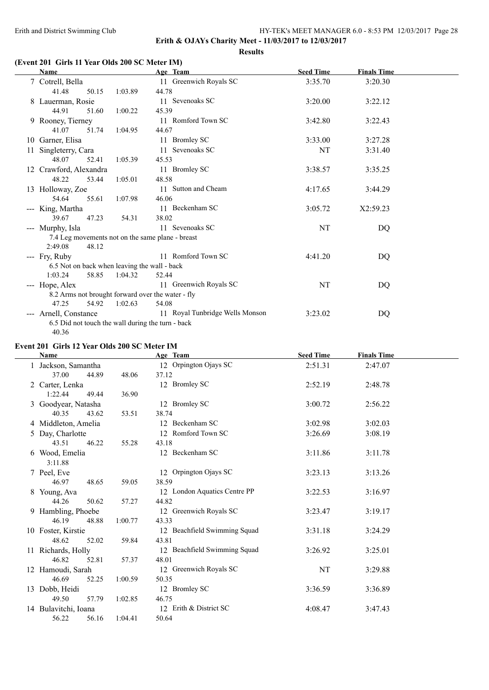$\overline{\phantom{a}}$ 

 $\frac{1}{2}$ 

#### Erith and District Swimming Club HY-TEK's MEET MANAGER 6.0 - 8:53 PM 12/03/2017 Page 28

**Erith & OJAYs Charity Meet - 11/03/2017 to 12/03/2017**

**Results**

## **(Event 201 Girls 11 Year Olds 200 SC Meter IM)**

|     | Name                                              |         | Age Team                        | <b>Seed Time</b> | <b>Finals Time</b> |  |
|-----|---------------------------------------------------|---------|---------------------------------|------------------|--------------------|--|
|     | 7 Cotrell, Bella                                  |         | 11 Greenwich Royals SC          | 3:35.70          | 3:20.30            |  |
|     | 41.48<br>50.15                                    | 1:03.89 | 44.78                           |                  |                    |  |
|     | 8 Lauerman, Rosie                                 |         | 11 Sevenoaks SC                 | 3:20.00          | 3:22.12            |  |
|     | 44.91<br>51.60                                    | 1:00.22 | 45.39                           |                  |                    |  |
|     | 9 Rooney, Tierney                                 |         | 11 Romford Town SC              | 3:42.80          | 3:22.43            |  |
|     | 41.07<br>51.74                                    | 1:04.95 | 44.67                           |                  |                    |  |
|     | 10 Garner, Elisa                                  |         | 11 Bromley SC                   | 3:33.00          | 3:27.28            |  |
| 11- | Singleterry, Cara                                 |         | 11 Sevenoaks SC                 | <b>NT</b>        | 3:31.40            |  |
|     | 48.07<br>52.41                                    | 1:05.39 | 45.53                           |                  |                    |  |
|     | 12 Crawford, Alexandra                            |         | 11 Bromley SC                   | 3:38.57          | 3:35.25            |  |
|     | 48.22<br>53.44                                    | 1:05.01 | 48.58                           |                  |                    |  |
|     | 13 Holloway, Zoe                                  |         | 11 Sutton and Cheam             | 4:17.65          | 3:44.29            |  |
|     | 54.64<br>55.61                                    | 1:07.98 | 46.06                           |                  |                    |  |
|     | --- King, Martha                                  |         | 11 Beckenham SC                 | 3:05.72          | X2:59.23           |  |
|     | 39.67<br>47.23                                    | 54.31   | 38.02                           |                  |                    |  |
|     | --- Murphy, Isla                                  |         | 11 Sevenoaks SC                 | NT               | DQ                 |  |
|     | 7.4 Leg movements not on the same plane - breast  |         |                                 |                  |                    |  |
|     | 2:49.08<br>48.12                                  |         |                                 |                  |                    |  |
|     | --- Fry, Ruby                                     |         | 11 Romford Town SC              | 4:41.20          | DQ                 |  |
|     | 6.5 Not on back when leaving the wall - back      |         |                                 |                  |                    |  |
|     | 1:03.24<br>58.85                                  | 1:04.32 | 52.44                           |                  |                    |  |
|     | --- Hope, Alex                                    |         | 11 Greenwich Royals SC          | NT               | DQ                 |  |
|     | 8.2 Arms not brought forward over the water - fly |         |                                 |                  |                    |  |
|     | 47.25<br>54.92                                    | 1:02.63 | 54.08                           |                  |                    |  |
|     | --- Arnell, Constance                             |         | 11 Royal Tunbridge Wells Monson | 3:23.02          | DQ                 |  |
|     | 6.5 Did not touch the wall during the turn - back |         |                                 |                  |                    |  |
|     | 40.36                                             |         |                                 |                  |                    |  |

### **Event 201 Girls 12 Year Olds 200 SC Meter IM**

|    | Name                 |         | Age Team                     | <b>Seed Time</b> | <b>Finals Time</b> |  |
|----|----------------------|---------|------------------------------|------------------|--------------------|--|
|    | 1 Jackson, Samantha  |         | 12 Orpington Ojays SC        | 2:51.31          | 2:47.07            |  |
|    | 37.00<br>44.89       | 48.06   | 37.12                        |                  |                    |  |
|    | 2 Carter, Lenka      |         | 12 Bromley SC                | 2:52.19          | 2:48.78            |  |
|    | 1:22.44<br>49.44     | 36.90   |                              |                  |                    |  |
|    | 3 Goodyear, Natasha  |         | 12 Bromley SC                | 3:00.72          | 2:56.22            |  |
|    | 40.35<br>43.62       | 53.51   | 38.74                        |                  |                    |  |
|    | 4 Middleton, Amelia  |         | 12 Beckenham SC              | 3:02.98          | 3:02.03            |  |
|    | Day, Charlotte       |         | 12 Romford Town SC           | 3:26.69          | 3:08.19            |  |
|    | 43.51<br>46.22       | 55.28   | 43.18                        |                  |                    |  |
|    | 6 Wood, Emelia       |         | 12 Beckenham SC              | 3:11.86          | 3:11.78            |  |
|    | 3:11.88              |         |                              |                  |                    |  |
|    | 7 Peel, Eve          |         | 12 Orpington Ojays SC        | 3:23.13          | 3:13.26            |  |
|    | 46.97<br>48.65       | 59.05   | 38.59                        |                  |                    |  |
|    | 8 Young, Ava         |         | 12 London Aquatics Centre PP | 3:22.53          | 3:16.97            |  |
|    | 44.26<br>50.62       | 57.27   | 44.82                        |                  |                    |  |
|    | 9 Hambling, Phoebe   |         | 12 Greenwich Royals SC       | 3:23.47          | 3:19.17            |  |
|    | 46.19<br>48.88       | 1:00.77 | 43.33                        |                  |                    |  |
|    | 10 Foster, Kirstie   |         | 12 Beachfield Swimming Squad | 3:31.18          | 3:24.29            |  |
|    | 48.62<br>52.02       | 59.84   | 43.81                        |                  |                    |  |
|    | 11 Richards, Holly   |         | 12 Beachfield Swimming Squad | 3:26.92          | 3:25.01            |  |
|    | 46.82<br>52.81       | 57.37   | 48.01                        |                  |                    |  |
|    | 12 Hamoudi, Sarah    |         | 12 Greenwich Royals SC       | NT               | 3:29.88            |  |
|    | 46.69<br>52.25       | 1:00.59 | 50.35                        |                  |                    |  |
| 13 | Dobb, Heidi          |         | 12 Bromley SC                | 3:36.59          | 3:36.89            |  |
|    | 49.50<br>57.79       | 1:02.85 | 46.75                        |                  |                    |  |
|    | 14 Bulavitchi, Ioana |         | 12 Erith & District SC       | 4:08.47          | 3:47.43            |  |
|    | 56.22<br>56.16       | 1:04.41 | 50.64                        |                  |                    |  |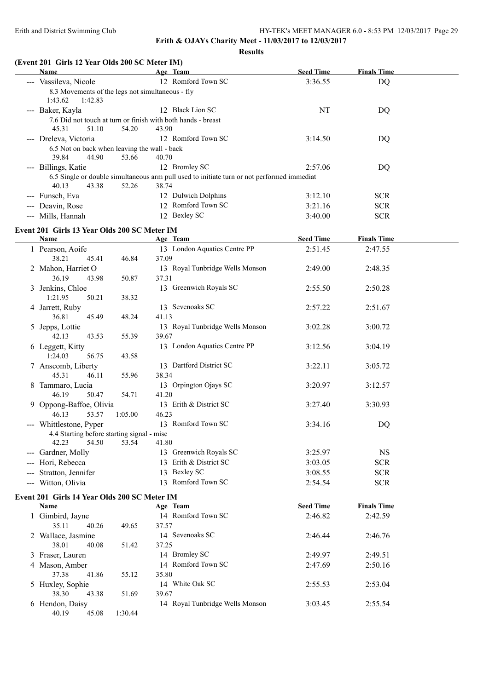**Results**

## **(Event 201 Girls 12 Year Olds 200 SC Meter IM)**

| Name                                             |         | Age Team                                                                                   | <b>Seed Time</b> | <b>Finals Time</b> |  |
|--------------------------------------------------|---------|--------------------------------------------------------------------------------------------|------------------|--------------------|--|
| --- Vassileva, Nicole                            |         | 12 Romford Town SC                                                                         | 3:36.55          | <b>DQ</b>          |  |
| 8.3 Movements of the legs not simultaneous - fly |         |                                                                                            |                  |                    |  |
| 1:42.83<br>1:43.62                               |         |                                                                                            |                  |                    |  |
| --- Baker, Kayla                                 |         | 12 Black Lion SC                                                                           | NT               | <b>DQ</b>          |  |
|                                                  |         | 7.6 Did not touch at turn or finish with both hands - breast                               |                  |                    |  |
| 45.31<br>51.10                                   | 54.20   | 43.90                                                                                      |                  |                    |  |
| --- Dreleva, Victoria                            |         | 12 Romford Town SC                                                                         | 3:14.50          | <b>DQ</b>          |  |
| 6.5 Not on back when leaving the wall - back     |         |                                                                                            |                  |                    |  |
| 39.84<br>44.90                                   | 53.66   | 40.70                                                                                      |                  |                    |  |
| --- Billings, Katie                              |         | 12 Bromley SC                                                                              | 2:57.06          | DQ                 |  |
|                                                  |         | 6.5 Single or double simultaneous arm pull used to initiate turn or not performed immediat |                  |                    |  |
| 40.13<br>43.38                                   | 52.26   | 38.74                                                                                      |                  |                    |  |
| --- Funsch, Eva                                  |         | 12 Dulwich Dolphins                                                                        | 3:12.10          | <b>SCR</b>         |  |
| --- Deavin, Rose                                 |         | 12 Romford Town SC                                                                         | 3:21.16          | <b>SCR</b>         |  |
| --- Mills, Hannah                                |         | 12 Bexley SC                                                                               | 3:40.00          | <b>SCR</b>         |  |
| Event 201 Girls 13 Year Olds 200 SC Meter IM     |         |                                                                                            |                  |                    |  |
| Name                                             |         | Age Team                                                                                   | <b>Seed Time</b> | <b>Finals Time</b> |  |
| 1 Pearson, Aoife                                 |         | 13 London Aquatics Centre PP                                                               | 2:51.45          | 2:47.55            |  |
| 38.21<br>45.41                                   | 46.84   | 37.09                                                                                      |                  |                    |  |
| 2 Mahon, Harriet O                               |         | 13 Royal Tunbridge Wells Monson                                                            | 2:49.00          | 2:48.35            |  |
| 36.19<br>43.98                                   | 50.87   | 37.31                                                                                      |                  |                    |  |
| 3 Jenkins, Chloe                                 |         | 13 Greenwich Royals SC                                                                     | 2:55.50          | 2:50.28            |  |
| 1:21.95<br>50.21                                 | 38.32   |                                                                                            |                  |                    |  |
| 4 Jarrett, Ruby                                  |         | 13 Sevenoaks SC                                                                            | 2:57.22          | 2:51.67            |  |
| 36.81<br>45.49                                   | 48.24   | 41.13                                                                                      |                  |                    |  |
| 5 Jepps, Lottie                                  |         | 13 Royal Tunbridge Wells Monson                                                            | 3:02.28          | 3:00.72            |  |
| 42.13<br>43.53                                   | 55.39   | 39.67                                                                                      |                  |                    |  |
| 6 Leggett, Kitty                                 |         | 13 London Aquatics Centre PP                                                               | 3:12.56          | 3:04.19            |  |
| 1:24.03<br>56.75                                 | 43.58   |                                                                                            |                  |                    |  |
| 7 Anscomb, Liberty                               |         | 13 Dartford District SC                                                                    | 3:22.11          | 3:05.72            |  |
| 45.31<br>46.11                                   | 55.96   | 38.34                                                                                      |                  |                    |  |
|                                                  |         | 13 Orpington Ojays SC                                                                      |                  |                    |  |
| 8 Tammaro, Lucia                                 |         |                                                                                            | 3:20.97          | 3:12.57            |  |
| 46.19<br>50.47                                   | 54.71   | 41.20                                                                                      |                  |                    |  |
| 9 Oppong-Baffoe, Olivia                          |         | 13 Erith & District SC                                                                     | 3:27.40          | 3:30.93            |  |
| 46.13<br>53.57                                   | 1:05.00 | 46.23                                                                                      |                  |                    |  |
| --- Whittlestone, Pyper                          |         | 13 Romford Town SC                                                                         | 3:34.16          | DQ                 |  |
| 4.4 Starting before starting signal - misc       |         |                                                                                            |                  |                    |  |
| 42.23<br>54.50                                   | 53.54   | 41.80                                                                                      |                  |                    |  |

### --- Hori, Rebecca 13 Erith & District SC 3:03.05 SCR --- Stratton, Jennifer 13 Bexley SC 3:08.55 SCR --- Witton, Olivia 13 Romford Town SC 2:54.54 SCR

## **Event 201 Girls 14 Year Olds 200 SC Meter IM**

 $\overline{a}$ 

| Name               |         | Age Team                        | <b>Seed Time</b> | <b>Finals Time</b> |  |
|--------------------|---------|---------------------------------|------------------|--------------------|--|
| 1 Gimbird, Jayne   |         | 14 Romford Town SC              | 2:46.82          | 2:42.59            |  |
| 35.11<br>40.26     | 49.65   | 37.57                           |                  |                    |  |
| 2 Wallace, Jasmine |         | 14 Sevenoaks SC                 | 2:46.44          | 2:46.76            |  |
| 38.01<br>40.08     | 51.42   | 37.25                           |                  |                    |  |
| 3 Fraser, Lauren   |         | 14 Bromley SC                   | 2:49.97          | 2:49.51            |  |
| 4 Mason, Amber     |         | 14 Romford Town SC              | 2:47.69          | 2:50.16            |  |
| 37.38<br>41.86     | 55.12   | 35.80                           |                  |                    |  |
| 5 Huxley, Sophie   |         | 14 White Oak SC                 | 2:55.53          | 2:53.04            |  |
| 43.38<br>38.30     | 51.69   | 39.67                           |                  |                    |  |
| 6 Hendon, Daisy    |         | 14 Royal Tunbridge Wells Monson | 3:03.45          | 2:55.54            |  |
| 45.08<br>40.19     | 1:30.44 |                                 |                  |                    |  |

--- Gardner, Molly 13 Greenwich Royals SC 3:25.97 NS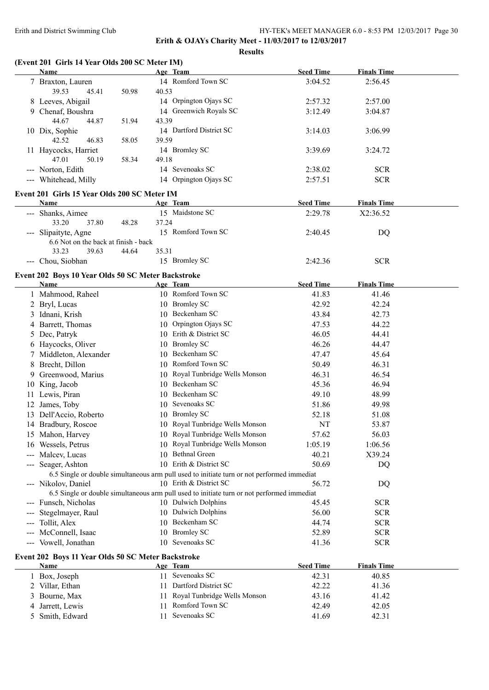**Erith & OJAYs Charity Meet - 11/03/2017 to 12/03/2017**

**Results**

## **(Event 201 Girls 14 Year Olds 200 SC Meter IM)**

|     | <b>Name</b>                                                       |       | Age Team                                                                                                          | <b>Seed Time</b> | <b>Finals Time</b> |  |
|-----|-------------------------------------------------------------------|-------|-------------------------------------------------------------------------------------------------------------------|------------------|--------------------|--|
|     | 7 Braxton, Lauren<br>39.53<br>45.41<br>50.98                      | 40.53 | 14 Romford Town SC                                                                                                | 3:04.52          | 2:56.45            |  |
|     | 8 Leeves, Abigail                                                 |       | 14 Orpington Ojays SC                                                                                             | 2:57.32          | 2:57.00            |  |
|     | 9 Chenaf, Boushra                                                 |       | 14 Greenwich Royals SC                                                                                            | 3:12.49          | 3:04.87            |  |
|     | 44.67<br>44.87<br>51.94                                           | 43.39 |                                                                                                                   |                  |                    |  |
|     | 10 Dix, Sophie                                                    |       | 14 Dartford District SC                                                                                           | 3:14.03          | 3:06.99            |  |
|     | 42.52<br>46.83<br>58.05                                           | 39.59 |                                                                                                                   |                  |                    |  |
|     | 11 Haycocks, Harriet                                              |       | 14 Bromley SC                                                                                                     | 3:39.69          | 3:24.72            |  |
|     | 47.01<br>50.19<br>58.34                                           | 49.18 |                                                                                                                   |                  |                    |  |
|     | --- Norton, Edith                                                 |       | 14 Sevenoaks SC                                                                                                   | 2:38.02          | <b>SCR</b>         |  |
|     | --- Whitehead, Milly                                              |       | 14 Orpington Ojays SC                                                                                             | 2:57.51          | <b>SCR</b>         |  |
|     | Event 201 Girls 15 Year Olds 200 SC Meter IM                      |       |                                                                                                                   |                  |                    |  |
|     | Name                                                              |       | Age Team                                                                                                          | <b>Seed Time</b> | <b>Finals Time</b> |  |
|     | --- Shanks, Aimee                                                 |       | 15 Maidstone SC                                                                                                   | 2:29.78          | X2:36.52           |  |
|     | 33.20<br>37.80<br>48.28                                           | 37.24 |                                                                                                                   |                  |                    |  |
|     | --- Slipaityte, Agne                                              |       | 15 Romford Town SC                                                                                                | 2:40.45          | DQ                 |  |
|     | 6.6 Not on the back at finish - back<br>33.23<br>39.63<br>44.64   | 35.31 |                                                                                                                   |                  |                    |  |
|     | --- Chou, Siobhan                                                 |       | 15 Bromley SC                                                                                                     | 2:42.36          | <b>SCR</b>         |  |
|     | Event 202 Boys 10 Year Olds 50 SC Meter Backstroke                |       |                                                                                                                   |                  |                    |  |
|     | <b>Name</b>                                                       |       | Age Team                                                                                                          | <b>Seed Time</b> | <b>Finals Time</b> |  |
|     | 1 Mahmood, Raheel                                                 |       | 10 Romford Town SC                                                                                                | 41.83            | 41.46              |  |
|     | 2 Bryl, Lucas                                                     |       | 10 Bromley SC                                                                                                     | 42.92            | 42.24              |  |
|     | 3 Idnani, Krish                                                   |       | 10 Beckenham SC                                                                                                   | 43.84            | 42.73              |  |
|     | 4 Barrett, Thomas                                                 |       | 10 Orpington Ojays SC                                                                                             | 47.53            | 44.22              |  |
|     | 5 Dec, Patryk                                                     |       | 10 Erith & District SC                                                                                            | 46.05            | 44.41              |  |
|     | 6 Haycocks, Oliver                                                |       | 10 Bromley SC                                                                                                     | 46.26            | 44.47              |  |
|     | 7 Middleton, Alexander                                            |       | 10 Beckenham SC                                                                                                   | 47.47            | 45.64              |  |
|     | 8 Brecht, Dillon                                                  |       | 10 Romford Town SC                                                                                                | 50.49            | 46.31              |  |
|     | 9 Greenwood, Marius                                               |       | 10 Royal Tunbridge Wells Monson                                                                                   | 46.31            | 46.54              |  |
|     | 10 King, Jacob                                                    |       | 10 Beckenham SC                                                                                                   | 45.36            | 46.94              |  |
|     | 11 Lewis, Piran                                                   |       | 10 Beckenham SC                                                                                                   | 49.10            | 48.99              |  |
|     | 12 James, Toby                                                    |       | 10 Sevenoaks SC                                                                                                   | 51.86            | 49.98              |  |
|     | 13 Dell'Accio, Roberto                                            |       | 10 Bromley SC                                                                                                     | 52.18            | 51.08              |  |
|     | 14 Bradbury, Roscoe                                               |       | 10 Royal Tunbridge Wells Monson                                                                                   | <b>NT</b>        | 53.87              |  |
|     | 15 Mahon, Harvey                                                  |       | 10 Royal Tunbridge Wells Monson                                                                                   | 57.62            | 56.03              |  |
|     | 16 Wessels, Petrus                                                |       | 10 Royal Tunbridge Wells Monson                                                                                   | 1:05.19          | 1:06.56            |  |
|     | --- Malcev, Lucas                                                 |       | 10 Bethnal Green                                                                                                  | 40.21            | X39.24             |  |
| --- | Seager, Ashton                                                    |       | 10 Erith & District SC                                                                                            | 50.69            | DQ                 |  |
|     |                                                                   |       | 6.5 Single or double simultaneous arm pull used to initiate turn or not performed immediat                        |                  |                    |  |
|     | --- Nikolov, Daniel                                               |       | 10 Erith & District SC                                                                                            | 56.72            | DQ                 |  |
|     |                                                                   |       | 6.5 Single or double simultaneous arm pull used to initiate turn or not performed immediat<br>10 Dulwich Dolphins | 45.45            | <b>SCR</b>         |  |
|     | --- Funsch, Nicholas<br>Stegelmayer, Raul                         |       | 10 Dulwich Dolphins                                                                                               | 56.00            | <b>SCR</b>         |  |
|     | Tollit, Alex                                                      |       | 10 Beckenham SC                                                                                                   | 44.74            | <b>SCR</b>         |  |
|     | McConnell, Isaac                                                  |       | 10 Bromley SC                                                                                                     | 52.89            | <b>SCR</b>         |  |
| --- | --- Vowell, Jonathan                                              |       | 10 Sevenoaks SC                                                                                                   | 41.36            | <b>SCR</b>         |  |
|     |                                                                   |       |                                                                                                                   |                  |                    |  |
|     | Event 202 Boys 11 Year Olds 50 SC Meter Backstroke<br><b>Name</b> |       | <u>Age Team</u>                                                                                                   | <b>Seed Time</b> | <b>Finals Time</b> |  |
|     | 1 Box, Joseph                                                     |       | 11 Sevenoaks SC                                                                                                   | 42.31            | 40.85              |  |
|     | 2 Villar, Ethan                                                   | 11    | Dartford District SC                                                                                              | 42.22            | 41.36              |  |
|     | 3 Bourne, Max                                                     | 11    | Royal Tunbridge Wells Monson                                                                                      | 43.16            | 41.42              |  |
| 4   | Jarrett, Lewis                                                    | 11    | Romford Town SC                                                                                                   | 42.49            | 42.05              |  |
|     | 5 Smith, Edward                                                   | 11    | Sevenoaks SC                                                                                                      | 41.69            | 42.31              |  |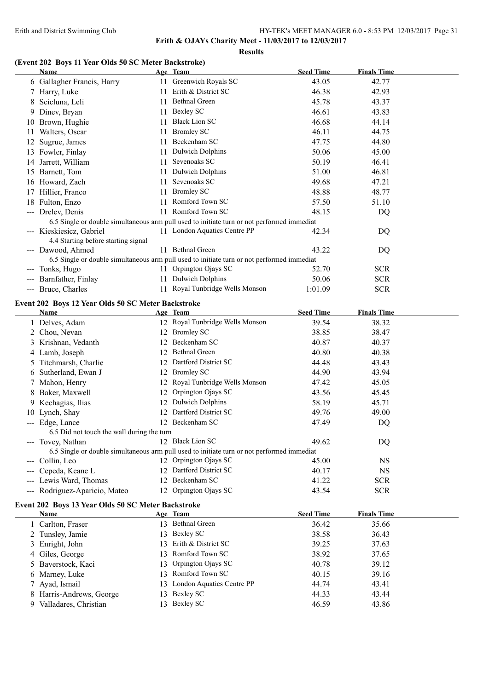**Erith & OJAYs Charity Meet - 11/03/2017 to 12/03/2017**

#### **Results**

## **(Event 202 Boys 11 Year Olds 50 SC Meter Backstroke)**

|               | <b>Name</b>                                        |    | Age Team                                                                                   | <b>Seed Time</b>          | <b>Finals Time</b>          |
|---------------|----------------------------------------------------|----|--------------------------------------------------------------------------------------------|---------------------------|-----------------------------|
|               | 6 Gallagher Francis, Harry                         |    | 11 Greenwich Royals SC                                                                     | 43.05                     | 42.77                       |
|               | 7 Harry, Luke                                      |    | 11 Erith & District SC                                                                     | 46.38                     | 42.93                       |
| 8             | Scicluna, Leli                                     |    | 11 Bethnal Green                                                                           | 45.78                     | 43.37                       |
| 9             | Dinev, Bryan                                       |    | 11 Bexley SC                                                                               | 46.61                     | 43.83                       |
| 10            | Brown, Hughie                                      | 11 | <b>Black Lion SC</b>                                                                       | 46.68                     | 44.14                       |
| 11            | Walters, Oscar                                     | 11 | <b>Bromley SC</b>                                                                          | 46.11                     | 44.75                       |
| 12            | Sugrue, James                                      | 11 | Beckenham SC                                                                               | 47.75                     | 44.80                       |
|               | 13 Fowler, Finlay                                  | 11 | <b>Dulwich Dolphins</b>                                                                    | 50.06                     | 45.00                       |
|               | 14 Jarrett, William                                | 11 | Sevenoaks SC                                                                               | 50.19                     | 46.41                       |
|               | 15 Barnett, Tom                                    |    | 11 Dulwich Dolphins                                                                        | 51.00                     | 46.81                       |
|               | 16 Howard, Zach                                    |    | 11 Sevenoaks SC                                                                            | 49.68                     | 47.21                       |
|               | 17 Hillier, Franco                                 |    | 11 Bromley SC                                                                              | 48.88                     | 48.77                       |
|               | 18 Fulton, Enzo                                    |    | 11 Romford Town SC                                                                         | 57.50                     | 51.10                       |
|               | --- Drelev, Denis                                  |    | 11 Romford Town SC                                                                         | 48.15                     | DQ                          |
|               |                                                    |    | 6.5 Single or double simultaneous arm pull used to initiate turn or not performed immediat |                           |                             |
|               | --- Kieskiesicz, Gabriel                           |    | 11 London Aquatics Centre PP                                                               | 42.34                     | DQ                          |
|               | 4.4 Starting before starting signal                |    |                                                                                            |                           |                             |
|               | --- Dawood, Ahmed                                  |    | 11 Bethnal Green                                                                           | 43.22                     | DQ                          |
|               |                                                    |    | 6.5 Single or double simultaneous arm pull used to initiate turn or not performed immediat |                           |                             |
|               | --- Tonks, Hugo                                    |    | 11 Orpington Ojays SC                                                                      | 52.70                     | <b>SCR</b>                  |
|               | --- Barnfather, Finlay                             |    | 11 Dulwich Dolphins                                                                        | 50.06                     | <b>SCR</b>                  |
|               | --- Bruce, Charles                                 |    | 11 Royal Tunbridge Wells Monson                                                            | 1:01.09                   | <b>SCR</b>                  |
|               | Event 202 Boys 12 Year Olds 50 SC Meter Backstroke |    |                                                                                            |                           |                             |
|               | Name                                               |    | Age Team                                                                                   | <b>Seed Time</b>          | <b>Finals Time</b>          |
|               | 1 Delves, Adam                                     |    | 12 Royal Tunbridge Wells Monson                                                            | 39.54                     | 38.32                       |
|               | 2 Chou, Nevan                                      |    | 12 Bromley SC                                                                              | 38.85                     | 38.47                       |
|               | 3 Krishnan, Vedanth                                |    | 12 Beckenham SC                                                                            | 40.87                     | 40.37                       |
|               | 4 Lamb, Joseph                                     |    | 12 Bethnal Green                                                                           | 40.80                     | 40.38                       |
|               | 5 Titchmarsh, Charlie                              |    | 12 Dartford District SC                                                                    | 44.48                     | 43.43                       |
| 6             | Sutherland, Ewan J                                 |    | 12 Bromley SC                                                                              | 44.90                     | 43.94                       |
| $\mathcal{L}$ | Mahon, Henry                                       |    | 12 Royal Tunbridge Wells Monson                                                            | 47.42                     | 45.05                       |
| 8             | Baker, Maxwell                                     |    | 12 Orpington Ojays SC                                                                      | 43.56                     | 45.45                       |
|               | Kechagias, Ilias                                   |    | 12 Dulwich Dolphins                                                                        | 58.19                     | 45.71                       |
| 10            | Lynch, Shay                                        |    | 12 Dartford District SC                                                                    | 49.76                     | 49.00                       |
|               | --- Edge, Lance                                    |    | 12 Beckenham SC                                                                            | 47.49                     | DQ                          |
|               | 6.5 Did not touch the wall during the turn         |    |                                                                                            |                           |                             |
|               | --- Tovey, Nathan                                  |    | 12 Black Lion SC                                                                           | 49.62                     | DQ                          |
|               |                                                    |    | 6.5 Single or double simultaneous arm pull used to initiate turn or not performed immediat |                           |                             |
|               | --- Collin, Leo                                    |    | 12 Orpington Ojays SC                                                                      | 45.00                     | <b>NS</b>                   |
|               | Cepeda, Keane L                                    |    | 12 Dartford District SC                                                                    | 40.17                     | <b>NS</b>                   |
|               | --- Lewis Ward, Thomas                             |    | 12 Beckenham SC                                                                            | 41.22                     | <b>SCR</b>                  |
|               | --- Rodriguez-Aparicio, Mateo                      |    | 12 Orpington Ojays SC                                                                      | 43.54                     | <b>SCR</b>                  |
|               |                                                    |    |                                                                                            |                           |                             |
|               | Event 202 Boys 13 Year Olds 50 SC Meter Backstroke |    |                                                                                            |                           |                             |
|               | <b>Name</b>                                        |    | Age Team<br>13 Bethnal Green                                                               | <b>Seed Time</b><br>36.42 | <b>Finals Time</b><br>35.66 |
|               | 1 Carlton, Fraser                                  |    | 13 Bexley SC                                                                               | 38.58                     | 36.43                       |
|               | 2 Tunsley, Jamie                                   |    | 13 Erith & District SC                                                                     |                           |                             |
|               | 3 Enright, John                                    |    | 13 Romford Town SC                                                                         | 39.25<br>38.92            | 37.63<br>37.65              |
|               | 4 Giles, George                                    |    | Orpington Ojays SC                                                                         |                           |                             |
| $\mathcal{L}$ | Baverstock, Kaci                                   | 13 | 13 Romford Town SC                                                                         | 40.78                     | 39.12                       |
| 6             | Marney, Luke                                       |    |                                                                                            | 40.15                     | 39.16                       |
| Τ             | Ayad, Ismail                                       |    | 13 London Aquatics Centre PP                                                               | 44.74                     | 43.41                       |
| 8             | Harris-Andrews, George                             |    | 13 Bexley SC                                                                               | 44.33                     | 43.44                       |
|               | 9 Valladares, Christian                            |    | 13 Bexley SC                                                                               | 46.59                     | 43.86                       |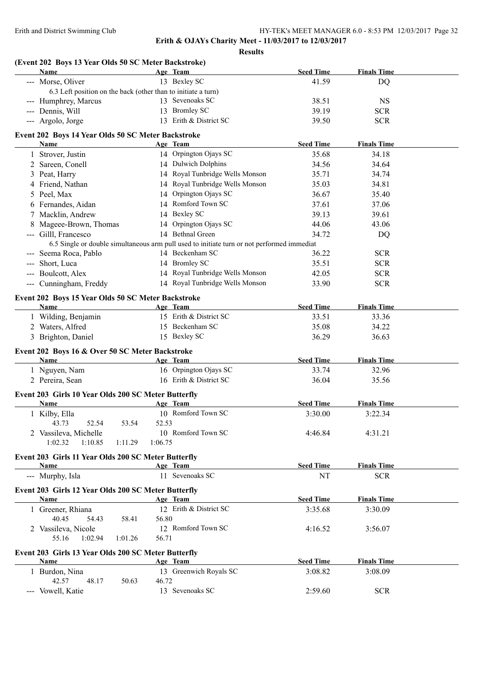| (Event 202 Boys 13 Year Olds 50 SC Meter Backstroke)<br><b>Name</b>                   |         |                                                                                            |                  |                    |  |
|---------------------------------------------------------------------------------------|---------|--------------------------------------------------------------------------------------------|------------------|--------------------|--|
|                                                                                       |         | Age Team                                                                                   | <b>Seed Time</b> | <b>Finals Time</b> |  |
| --- Morse, Oliver                                                                     |         | 13 Bexley SC                                                                               | 41.59            | DQ                 |  |
| 6.3 Left position on the back (other than to initiate a turn)<br>--- Humphrey, Marcus |         | 13 Sevenoaks SC                                                                            | 38.51            | <b>NS</b>          |  |
| --- Dennis, Will                                                                      |         | 13 Bromley SC                                                                              | 39.19            | <b>SCR</b>         |  |
| --- Argolo, Jorge                                                                     |         | 13 Erith & District SC                                                                     | 39.50            | <b>SCR</b>         |  |
|                                                                                       |         |                                                                                            |                  |                    |  |
| Event 202 Boys 14 Year Olds 50 SC Meter Backstroke                                    |         |                                                                                            |                  |                    |  |
| Name                                                                                  |         | Age Team                                                                                   | <b>Seed Time</b> | <b>Finals Time</b> |  |
| 1 Strover, Justin                                                                     |         | 14 Orpington Ojays SC                                                                      | 35.68            | 34.18              |  |
| 2 Sareen, Conell                                                                      |         | 14 Dulwich Dolphins                                                                        | 34.56            | 34.64              |  |
| 3 Peat, Harry                                                                         |         | 14 Royal Tunbridge Wells Monson                                                            | 35.71            | 34.74              |  |
| 4 Friend, Nathan                                                                      |         | 14 Royal Tunbridge Wells Monson                                                            | 35.03            | 34.81              |  |
| 5 Peel, Max                                                                           |         | 14 Orpington Ojays SC                                                                      | 36.67            | 35.40              |  |
| 6 Fernandes, Aidan                                                                    |         | 14 Romford Town SC                                                                         | 37.61            | 37.06              |  |
| 7 Macklin, Andrew                                                                     |         | 14 Bexley SC                                                                               | 39.13            | 39.61              |  |
| 8 Mageee-Brown, Thomas                                                                |         | 14 Orpington Ojays SC                                                                      | 44.06            | 43.06              |  |
| --- Gilll, Francesco                                                                  |         | 14 Bethnal Green                                                                           | 34.72            | DQ                 |  |
|                                                                                       |         | 6.5 Single or double simultaneous arm pull used to initiate turn or not performed immediat |                  |                    |  |
| --- Seema Roca, Pablo                                                                 |         | 14 Beckenham SC                                                                            | 36.22            | <b>SCR</b>         |  |
| --- Short, Luca                                                                       |         | 14 Bromley SC                                                                              | 35.51            | <b>SCR</b>         |  |
| --- Boulcott, Alex                                                                    |         | 14 Royal Tunbridge Wells Monson                                                            | 42.05            | <b>SCR</b>         |  |
| --- Cunningham, Freddy                                                                |         | 14 Royal Tunbridge Wells Monson                                                            | 33.90            | <b>SCR</b>         |  |
| Event 202 Boys 15 Year Olds 50 SC Meter Backstroke                                    |         |                                                                                            |                  |                    |  |
| <b>Name</b>                                                                           |         | Age Team                                                                                   | <b>Seed Time</b> | <b>Finals Time</b> |  |
| 1 Wilding, Benjamin                                                                   |         | 15 Erith & District SC                                                                     | 33.51            | 33.36              |  |
| 2 Waters, Alfred                                                                      |         | 15 Beckenham SC                                                                            | 35.08            | 34.22              |  |
| 3 Brighton, Daniel                                                                    |         | 15 Bexley SC                                                                               | 36.29            | 36.63              |  |
|                                                                                       |         |                                                                                            |                  |                    |  |
| Event 202 Boys 16 & Over 50 SC Meter Backstroke                                       |         |                                                                                            |                  |                    |  |
| Name                                                                                  |         | Age Team                                                                                   | <b>Seed Time</b> | <b>Finals Time</b> |  |
| 1 Nguyen, Nam                                                                         |         | 16 Orpington Ojays SC                                                                      | 33.74            | 32.96              |  |
| 2 Pereira, Sean                                                                       |         | 16 Erith & District SC                                                                     | 36.04            | 35.56              |  |
| Event 203 Girls 10 Year Olds 200 SC Meter Butterfly                                   |         |                                                                                            |                  |                    |  |
| Name                                                                                  |         | Age Team                                                                                   | <b>Seed Time</b> | <b>Finals Time</b> |  |
| 1 Kilby, Ella                                                                         |         | 10 Romford Town SC                                                                         | 3:30.00          | 3:22.34            |  |
| 52.54<br>53.54<br>43.73                                                               | 52.53   |                                                                                            |                  |                    |  |
| 2 Vassileva, Michelle                                                                 |         | 10 Romford Town SC                                                                         | 4:46.84          | 4:31.21            |  |
| 1:02.32<br>1:10.85<br>1:11.29                                                         | 1:06.75 |                                                                                            |                  |                    |  |
| Event 203 Girls 11 Year Olds 200 SC Meter Butterfly                                   |         |                                                                                            |                  |                    |  |
| Name                                                                                  |         | Age Team                                                                                   | <b>Seed Time</b> | <b>Finals Time</b> |  |
| --- Murphy, Isla                                                                      |         | 11 Sevenoaks SC                                                                            | NT               | <b>SCR</b>         |  |
|                                                                                       |         |                                                                                            |                  |                    |  |
| Event 203 Girls 12 Year Olds 200 SC Meter Butterfly                                   |         |                                                                                            |                  |                    |  |
| <b>Name</b>                                                                           |         | Age Team                                                                                   | <b>Seed Time</b> | <b>Finals Time</b> |  |
| 1 Greener, Rhiana                                                                     |         | 12 Erith & District SC                                                                     | 3:35.68          | 3:30.09            |  |
| 40.45<br>58.41<br>54.43                                                               | 56.80   |                                                                                            |                  |                    |  |
| 2 Vassileva, Nicole                                                                   |         | 12 Romford Town SC                                                                         | 4:16.52          | 3:56.07            |  |
| 55.16<br>1:01.26<br>1:02.94                                                           | 56.71   |                                                                                            |                  |                    |  |
| Event 203 Girls 13 Year Olds 200 SC Meter Butterfly                                   |         |                                                                                            |                  |                    |  |
| Name                                                                                  |         | Age Team                                                                                   | <b>Seed Time</b> | <b>Finals Time</b> |  |
| 1 Burdon, Nina                                                                        |         | 13 Greenwich Royals SC                                                                     | 3:08.82          | 3:08.09            |  |
| 42.57<br>48.17<br>50.63                                                               | 46.72   |                                                                                            |                  |                    |  |
| --- Vowell, Katie                                                                     |         | 13 Sevenoaks SC                                                                            | 2:59.60          | <b>SCR</b>         |  |
|                                                                                       |         |                                                                                            |                  |                    |  |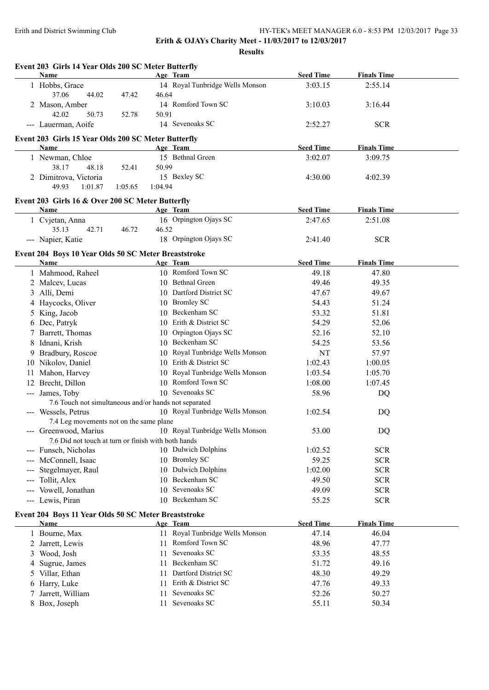|     | Event 203 Girls 14 Year Olds 200 SC Meter Butterfly<br>Name |         |         | Age Team                                              | <b>Seed Time</b> | <b>Finals Time</b> |  |
|-----|-------------------------------------------------------------|---------|---------|-------------------------------------------------------|------------------|--------------------|--|
|     | 1 Hobbs, Grace<br>37.06<br>44.02                            | 47.42   | 46.64   | 14 Royal Tunbridge Wells Monson                       | 3:03.15          | 2:55.14            |  |
|     | 2 Mason, Amber                                              |         |         | 14 Romford Town SC                                    | 3:10.03          | 3:16.44            |  |
|     | 42.02<br>50.73<br>--- Lauerman, Aoife                       | 52.78   | 50.91   | 14 Sevenoaks SC                                       | 2:52.27          | <b>SCR</b>         |  |
|     | Event 203 Girls 15 Year Olds 200 SC Meter Butterfly         |         |         |                                                       |                  |                    |  |
|     | Name                                                        |         |         | Age Team                                              | <b>Seed Time</b> | <b>Finals Time</b> |  |
|     | 1 Newman, Chloe                                             |         |         | 15 Bethnal Green                                      | 3:02.07          | 3:09.75            |  |
|     | 38.17<br>48.18                                              | 52.41   | 50.99   |                                                       |                  |                    |  |
|     | 2 Dimitrova, Victoria                                       |         |         | 15 Bexley SC                                          | 4:30.00          | 4:02.39            |  |
|     | 49.93<br>1:01.87                                            | 1:05.65 | 1:04.94 |                                                       |                  |                    |  |
|     | Event 203 Girls 16 & Over 200 SC Meter Butterfly            |         |         |                                                       |                  |                    |  |
|     | Name                                                        |         |         | Age Team                                              | <b>Seed Time</b> | <b>Finals Time</b> |  |
|     | 1 Cvjetan, Anna                                             |         |         | 16 Orpington Ojays SC                                 | 2:47.65          | 2:51.08            |  |
|     | 35.13<br>42.71                                              | 46.72   | 46.52   |                                                       |                  |                    |  |
|     | --- Napier, Katie                                           |         |         | 18 Orpington Ojays SC                                 | 2:41.40          | <b>SCR</b>         |  |
|     | Event 204 Boys 10 Year Olds 50 SC Meter Breaststroke        |         |         |                                                       |                  |                    |  |
|     | Name                                                        |         |         | Age Team                                              | <b>Seed Time</b> | <b>Finals Time</b> |  |
|     | 1 Mahmood, Raheel                                           |         |         | 10 Romford Town SC                                    | 49.18            | 47.80              |  |
|     | 2 Malcev, Lucas                                             |         |         | 10 Bethnal Green                                      | 49.46            | 49.35              |  |
|     | 3 Alli, Demi                                                |         |         | 10 Dartford District SC                               | 47.67            | 49.67              |  |
|     | 4 Haycocks, Oliver                                          |         |         | 10 Bromley SC                                         | 54.43            | 51.24              |  |
| 5   | King, Jacob                                                 |         |         | 10 Beckenham SC                                       | 53.32            | 51.81              |  |
| 6   | Dec, Patryk                                                 |         |         | 10 Erith & District SC                                | 54.29            | 52.06              |  |
|     | 7 Barrett, Thomas                                           |         |         | 10 Orpington Ojays SC                                 | 52.16            | 52.10              |  |
| 8   | Idnani, Krish                                               |         |         | 10 Beckenham SC                                       | 54.25            | 53.56              |  |
| 9.  | Bradbury, Roscoe                                            |         |         | 10 Royal Tunbridge Wells Monson                       | <b>NT</b>        | 57.97              |  |
|     | 10 Nikolov, Daniel                                          |         |         | 10 Erith & District SC                                | 1:02.43          | 1:00.05            |  |
| 11  | Mahon, Harvey                                               |         |         | 10 Royal Tunbridge Wells Monson                       | 1:03.54          | 1:05.70            |  |
|     | 12 Brecht, Dillon                                           |         |         | 10 Romford Town SC                                    | 1:08.00          | 1:07.45            |  |
|     | --- James, Toby                                             |         |         | 10 Sevenoaks SC                                       | 58.96            | DQ                 |  |
|     | 7.6 Touch not simultaneous and/or hands not separated       |         |         |                                                       |                  |                    |  |
|     | --- Wessels, Petrus                                         |         |         | 10 Royal Tunbridge Wells Monson                       | 1:02.54          | DQ                 |  |
|     | 7.4 Leg movements not on the same plane                     |         |         |                                                       |                  |                    |  |
|     |                                                             |         |         | --- Greenwood, Marius 10 Royal Tunbridge Wells Monson | 53.00            | DQ                 |  |
|     | 7.6 Did not touch at turn or finish with both hands         |         |         |                                                       |                  |                    |  |
|     | --- Funsch, Nicholas                                        |         |         | 10 Dulwich Dolphins                                   | 1:02.52          | <b>SCR</b>         |  |
|     | --- McConnell, Isaac                                        |         |         | 10 Bromley SC                                         | 59.25            | <b>SCR</b>         |  |
|     | Stegelmayer, Raul                                           |         |         | 10 Dulwich Dolphins                                   | 1:02.00          | <b>SCR</b>         |  |
| --- | Tollit, Alex                                                |         |         | 10 Beckenham SC                                       | 49.50            | <b>SCR</b>         |  |
|     | --- Vowell, Jonathan                                        |         |         | 10 Sevenoaks SC                                       | 49.09            | <b>SCR</b>         |  |
|     | --- Lewis, Piran                                            |         | 10      | Beckenham SC                                          | 55.25            | <b>SCR</b>         |  |
|     | Event 204 Boys 11 Year Olds 50 SC Meter Breaststroke        |         |         |                                                       |                  |                    |  |
|     | Name                                                        |         |         | Age Team                                              | <b>Seed Time</b> | <b>Finals Time</b> |  |
|     | 1 Bourne, Max                                               |         |         | 11 Royal Tunbridge Wells Monson                       | 47.14            | 46.04              |  |
|     | 2 Jarrett, Lewis                                            |         |         | 11 Romford Town SC                                    | 48.96            | 47.77              |  |
| 3   | Wood, Josh                                                  |         | 11      | Sevenoaks SC                                          | 53.35            | 48.55              |  |
| 4   | Sugrue, James                                               |         | 11      | Beckenham SC                                          | 51.72            | 49.16              |  |
| 5   | Villar, Ethan                                               |         | 11      | Dartford District SC                                  | 48.30            | 49.29              |  |
|     | Harry, Luke                                                 |         | 11      | Erith & District SC                                   | 47.76            | 49.33              |  |
| 6   |                                                             |         |         |                                                       |                  |                    |  |
| 7   | Jarrett, William                                            |         | 11      | Sevenoaks SC                                          | 52.26            | 50.27              |  |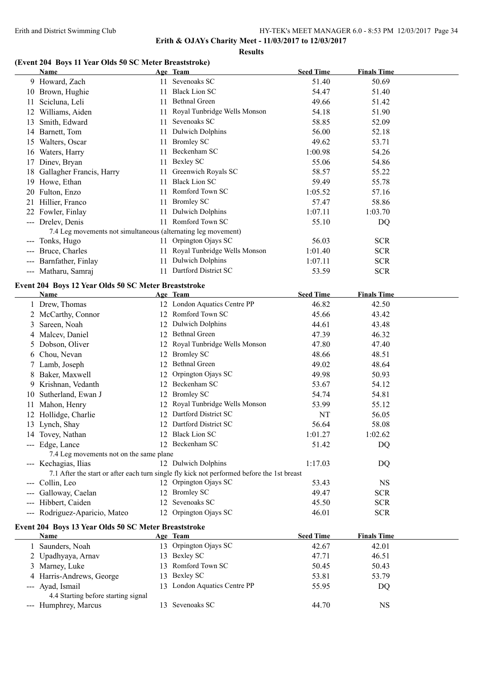**Results**

## **(Event 204 Boys 11 Year Olds 50 SC Meter Breaststroke)**

|   | <b>Name</b>                                                   |    | Age Team                                                                                   | <b>Seed Time</b> | <b>Finals Time</b> |  |
|---|---------------------------------------------------------------|----|--------------------------------------------------------------------------------------------|------------------|--------------------|--|
|   | 9 Howard, Zach                                                |    | 11 Sevenoaks SC                                                                            | 51.40            | 50.69              |  |
|   | 10 Brown, Hughie                                              |    | 11 Black Lion SC                                                                           | 54.47            | 51.40              |  |
|   | 11 Scicluna, Leli                                             |    | 11 Bethnal Green                                                                           | 49.66            | 51.42              |  |
|   | 12 Williams, Aiden                                            | 11 | Royal Tunbridge Wells Monson                                                               | 54.18            | 51.90              |  |
|   | 13 Smith, Edward                                              |    | 11 Sevenoaks SC                                                                            | 58.85            | 52.09              |  |
|   | 14 Barnett, Tom                                               |    | 11 Dulwich Dolphins                                                                        | 56.00            | 52.18              |  |
|   | 15 Walters, Oscar                                             |    | 11 Bromley SC                                                                              | 49.62            | 53.71              |  |
|   | 16 Waters, Harry                                              |    | 11 Beckenham SC                                                                            | 1:00.98          | 54.26              |  |
|   | 17 Dinev, Bryan                                               |    | 11 Bexley SC                                                                               | 55.06            | 54.86              |  |
|   | 18 Gallagher Francis, Harry                                   |    | 11 Greenwich Royals SC                                                                     | 58.57            | 55.22              |  |
|   | 19 Howe, Ethan                                                | 11 | <b>Black Lion SC</b>                                                                       | 59.49            | 55.78              |  |
|   | 20 Fulton, Enzo                                               | 11 | Romford Town SC                                                                            | 1:05.52          | 57.16              |  |
|   | 21 Hillier, Franco                                            | 11 | <b>Bromley SC</b>                                                                          | 57.47            | 58.86              |  |
|   | 22 Fowler, Finlay                                             | 11 | <b>Dulwich Dolphins</b>                                                                    | 1:07.11          | 1:03.70            |  |
|   | --- Drelev, Denis                                             |    | 11 Romford Town SC                                                                         | 55.10            | DQ                 |  |
|   | 7.4 Leg movements not simultaneous (alternating leg movement) |    |                                                                                            |                  |                    |  |
|   | --- Tonks, Hugo                                               |    | 11 Orpington Ojays SC                                                                      | 56.03            | <b>SCR</b>         |  |
|   | --- Bruce, Charles                                            |    | 11 Royal Tunbridge Wells Monson                                                            | 1:01.40          | <b>SCR</b>         |  |
|   | --- Barnfather, Finlay                                        | 11 | <b>Dulwich Dolphins</b>                                                                    | 1:07.11          | <b>SCR</b>         |  |
|   | --- Matharu, Samraj                                           |    | 11 Dartford District SC                                                                    | 53.59            | <b>SCR</b>         |  |
|   |                                                               |    |                                                                                            |                  |                    |  |
|   | Event 204 Boys 12 Year Olds 50 SC Meter Breaststroke          |    |                                                                                            |                  |                    |  |
|   | <b>Name</b>                                                   |    | Age Team                                                                                   | <b>Seed Time</b> | <b>Finals Time</b> |  |
|   | 1 Drew, Thomas                                                |    | 12 London Aquatics Centre PP<br>12 Romford Town SC                                         | 46.82            | 42.50              |  |
|   | 2 McCarthy, Connor                                            |    |                                                                                            | 45.66            | 43.42              |  |
| 3 | Sareen, Noah                                                  |    | 12 Dulwich Dolphins                                                                        | 44.61            | 43.48              |  |
|   | 4 Malcev, Daniel                                              |    | 12 Bethnal Green                                                                           | 47.39            | 46.32              |  |
| 5 | Dobson, Oliver                                                |    | 12 Royal Tunbridge Wells Monson                                                            | 47.80            | 47.40              |  |
|   | 6 Chou, Nevan                                                 |    | 12 Bromley SC                                                                              | 48.66            | 48.51              |  |
|   | 7 Lamb, Joseph                                                |    | 12 Bethnal Green                                                                           | 49.02            | 48.64              |  |
|   | 8 Baker, Maxwell                                              |    | 12 Orpington Ojays SC                                                                      | 49.98            | 50.93              |  |
|   | Krishnan, Vedanth                                             |    | 12 Beckenham SC                                                                            | 53.67            | 54.12              |  |
|   | 10 Sutherland, Ewan J                                         |    | 12 Bromley SC                                                                              | 54.74            | 54.81              |  |
|   | 11 Mahon, Henry                                               | 12 | Royal Tunbridge Wells Monson                                                               | 53.99            | 55.12              |  |
|   | 12 Hollidge, Charlie                                          |    | 12 Dartford District SC                                                                    | NT               | 56.05              |  |
|   | 13 Lynch, Shay                                                |    | 12 Dartford District SC                                                                    | 56.64            | 58.08              |  |
|   | 14 Tovey, Nathan                                              |    | 12 Black Lion SC                                                                           | 1:01.27          | 1:02.62            |  |
|   | --- Edge, Lance                                               |    | 12 Beckenham SC                                                                            | 51.42            | DQ                 |  |
|   | 7.4 Leg movements not on the same plane                       |    |                                                                                            |                  |                    |  |
|   | --- Kechagias, Ilias                                          |    | 12 Dulwich Dolphins                                                                        | 1:17.03          | DQ                 |  |
|   |                                                               |    | 7.1 After the start or after each turn single fly kick not performed before the 1st breast |                  |                    |  |
|   | --- Collin, Leo                                               |    | 12 Orpington Ojays SC                                                                      | 53.43            | <b>NS</b>          |  |
|   | --- Galloway, Caelan                                          |    | 12 Bromley SC<br>12 Sevenoaks SC                                                           | 49.47            | <b>SCR</b>         |  |
|   | --- Hibbert, Caiden                                           |    |                                                                                            | 45.50            | <b>SCR</b>         |  |
|   | --- Rodriguez-Aparicio, Mateo                                 |    | 12 Orpington Ojays SC                                                                      | 46.01            | <b>SCR</b>         |  |
|   | Event 204 Boys 13 Year Olds 50 SC Meter Breaststroke          |    |                                                                                            |                  |                    |  |
|   | Name                                                          |    | Age Team                                                                                   | <b>Seed Time</b> | <b>Finals Time</b> |  |
|   | 1 Saunders, Noah                                              |    | 13 Orpington Ojays SC                                                                      | 42.67            | 42.01              |  |
|   | 2 Upadhyaya, Arnav                                            |    | 13 Bexley SC                                                                               | 47.71            | 46.51              |  |
|   | 3 Marney, Luke                                                |    | 13 Romford Town SC                                                                         | 50.45            | 50.43              |  |
|   | 4 Harris-Andrews, George                                      |    | 13 Bexley SC                                                                               | 53.81            | 53.79              |  |
|   | --- Ayad, Ismail                                              |    | 13 London Aquatics Centre PP                                                               | 55.95            | DQ                 |  |
|   | 4.4 Starting before starting signal                           |    |                                                                                            |                  |                    |  |
|   | --- Humphrey, Marcus                                          |    | 13 Sevenoaks SC                                                                            | 44.70            | <b>NS</b>          |  |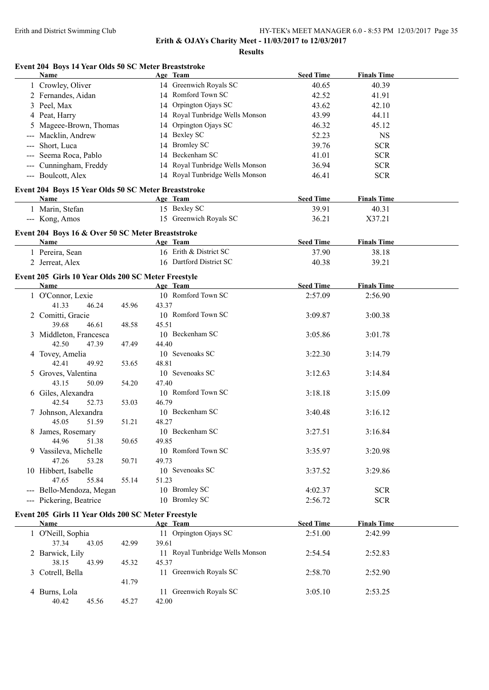**Results**

## **Event 204 Boys 14 Year Olds 50 SC Meter Breaststroke**

| Name                                                      |       |       | Age Team                        | <b>Seed Time</b> | <b>Finals Time</b> |  |
|-----------------------------------------------------------|-------|-------|---------------------------------|------------------|--------------------|--|
| 1 Crowley, Oliver                                         |       |       | 14 Greenwich Royals SC          | 40.65            | 40.39              |  |
| 2 Fernandes, Aidan                                        |       |       | 14 Romford Town SC              | 42.52            | 41.91              |  |
| 3 Peel, Max                                               |       |       | 14 Orpington Ojays SC           | 43.62            | 42.10              |  |
| 4 Peat, Harry                                             |       |       | 14 Royal Tunbridge Wells Monson | 43.99            | 44.11              |  |
| 5 Mageee-Brown, Thomas                                    |       |       | 14 Orpington Ojays SC           | 46.32            | 45.12              |  |
| Macklin, Andrew                                           |       |       | 14 Bexley SC                    | 52.23            | <b>NS</b>          |  |
| Short, Luca                                               |       |       | 14 Bromley SC                   | 39.76            | <b>SCR</b>         |  |
| Seema Roca, Pablo                                         |       |       | 14 Beckenham SC                 | 41.01            | <b>SCR</b>         |  |
| Cunningham, Freddy                                        |       |       | 14 Royal Tunbridge Wells Monson | 36.94            | <b>SCR</b>         |  |
| --- Boulcott, Alex                                        |       |       | 14 Royal Tunbridge Wells Monson |                  | <b>SCR</b>         |  |
|                                                           |       |       |                                 | 46.41            |                    |  |
| Event 204 Boys 15 Year Olds 50 SC Meter Breaststroke      |       |       |                                 |                  |                    |  |
| Name                                                      |       |       | Age Team                        | <b>Seed Time</b> | <b>Finals Time</b> |  |
| 1 Marin, Stefan                                           |       |       | 15 Bexley SC                    | 39.91            | 40.31              |  |
| --- Kong, Amos                                            |       |       | 15 Greenwich Royals SC          | 36.21            | X37.21             |  |
|                                                           |       |       |                                 |                  |                    |  |
| Event 204 Boys 16 & Over 50 SC Meter Breaststroke<br>Name |       |       | Age Team                        | <b>Seed Time</b> | <b>Finals Time</b> |  |
| 1 Pereira, Sean                                           |       |       | 16 Erith & District SC          | 37.90            | 38.18              |  |
|                                                           |       |       | 16 Dartford District SC         |                  |                    |  |
| 2 Jerreat, Alex                                           |       |       |                                 | 40.38            | 39.21              |  |
| Event 205 Girls 10 Year Olds 200 SC Meter Freestyle       |       |       |                                 |                  |                    |  |
| Name                                                      |       |       | Age Team                        | <b>Seed Time</b> | <b>Finals Time</b> |  |
| 1 O'Connor, Lexie                                         |       |       | 10 Romford Town SC              | 2:57.09          | 2:56.90            |  |
| 41.33<br>46.24                                            | 45.96 | 43.37 |                                 |                  |                    |  |
| 2 Comitti, Gracie                                         |       |       | 10 Romford Town SC              | 3:09.87          | 3:00.38            |  |
| 39.68<br>46.61                                            | 48.58 | 45.51 |                                 |                  |                    |  |
| 3 Middleton, Francesca                                    |       |       | 10 Beckenham SC                 | 3:05.86          | 3:01.78            |  |
| 42.50<br>47.39                                            | 47.49 | 44.40 |                                 |                  |                    |  |
| 4 Tovey, Amelia                                           |       |       | 10 Sevenoaks SC                 | 3:22.30          | 3:14.79            |  |
| 42.41<br>49.92                                            | 53.65 | 48.81 |                                 |                  |                    |  |
| 5 Groves, Valentina                                       |       |       | 10 Sevenoaks SC                 | 3:12.63          | 3:14.84            |  |
| 43.15<br>50.09                                            | 54.20 | 47.40 |                                 |                  |                    |  |
| 6 Giles, Alexandra                                        |       |       | 10 Romford Town SC              | 3:18.18          | 3:15.09            |  |
| 42.54<br>52.73                                            | 53.03 | 46.79 |                                 |                  |                    |  |
| 7 Johnson, Alexandra                                      |       |       | 10 Beckenham SC                 | 3:40.48          | 3:16.12            |  |
| 45.05<br>51.59                                            | 51.21 | 48.27 |                                 |                  |                    |  |
|                                                           |       |       | 10 Beckenham SC                 |                  |                    |  |
| 8 James, Rosemary                                         |       |       |                                 | 3:27.51          | 3:16.84            |  |
| 51.38<br>44.96                                            | 50.65 | 49.85 |                                 |                  |                    |  |
| 9 Vassileva, Michelle                                     |       |       | 10 Romford Town SC              | 3:35.97          | 3:20.98            |  |
| 47.26<br>53.28                                            | 50.71 | 49.73 |                                 |                  |                    |  |
| 10 Hibbert, Isabelle                                      |       |       | 10 Sevenoaks SC                 | 3:37.52          | 3:29.86            |  |
| 47.65<br>55.84                                            | 55.14 | 51.23 |                                 |                  |                    |  |
| --- Bello-Mendoza, Megan                                  |       |       | 10 Bromley SC                   | 4:02.37          | <b>SCR</b>         |  |
| --- Pickering, Beatrice                                   |       |       | 10 Bromley SC                   | 2:56.72          | <b>SCR</b>         |  |
| Event 205 Girls 11 Year Olds 200 SC Meter Freestyle       |       |       |                                 |                  |                    |  |
| <b>Name</b>                                               |       |       | Age Team                        | <b>Seed Time</b> | <b>Finals Time</b> |  |
| 1 O'Neill, Sophia                                         |       |       | 11 Orpington Ojays SC           | 2:51.00          | 2:42.99            |  |
| 37.34<br>43.05                                            | 42.99 | 39.61 |                                 |                  |                    |  |
| 2 Barwick, Lily                                           |       |       | 11 Royal Tunbridge Wells Monson | 2:54.54          | 2:52.83            |  |
| 38.15<br>43.99                                            | 45.32 | 45.37 |                                 |                  |                    |  |
| 3 Cotrell, Bella                                          |       |       | 11 Greenwich Royals SC          | 2:58.70          | 2:52.90            |  |
|                                                           | 41.79 |       |                                 |                  |                    |  |
|                                                           |       |       | 11 Greenwich Royals SC          |                  |                    |  |
| 4 Burns, Lola                                             |       |       |                                 | 3:05.10          | 2:53.25            |  |
| 40.42<br>45.56                                            | 45.27 | 42.00 |                                 |                  |                    |  |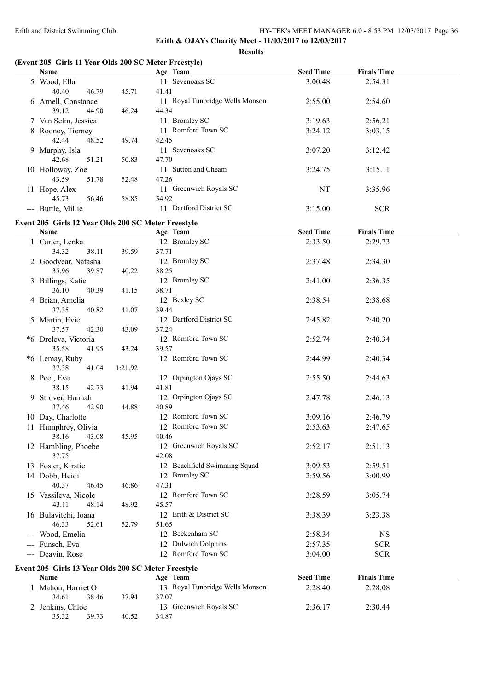#### **Results**

## **(Event 205 Girls 11 Year Olds 200 SC Meter Freestyle)**

| <b>Name</b>                                         |         | Age Team                                 | <b>Seed Time</b> | <b>Finals Time</b> |  |
|-----------------------------------------------------|---------|------------------------------------------|------------------|--------------------|--|
| 5 Wood, Ella<br>40.40<br>46.79                      | 45.71   | 11 Sevenoaks SC<br>41.41                 | 3:00.48          | 2:54.31            |  |
| 6 Arnell, Constance<br>39.12<br>44.90               | 46.24   | 11 Royal Tunbridge Wells Monson<br>44.34 | 2:55.00          | 2:54.60            |  |
| 7 Van Selm, Jessica                                 |         | 11 Bromley SC                            | 3:19.63          | 2:56.21            |  |
| 8 Rooney, Tierney                                   |         | 11 Romford Town SC                       | 3:24.12          | 3:03.15            |  |
| 42.44<br>48.52                                      | 49.74   | 42.45                                    |                  |                    |  |
| 9 Murphy, Isla                                      |         | 11 Sevenoaks SC                          | 3:07.20          | 3:12.42            |  |
| 42.68<br>51.21                                      | 50.83   | 47.70                                    |                  |                    |  |
| 10 Holloway, Zoe                                    |         | 11 Sutton and Cheam                      | 3:24.75          | 3:15.11            |  |
| 43.59<br>51.78                                      | 52.48   | 47.26                                    |                  |                    |  |
| 11 Hope, Alex                                       |         | 11 Greenwich Royals SC                   | NT               | 3:35.96            |  |
| 45.73<br>56.46                                      | 58.85   | 54.92                                    |                  |                    |  |
| --- Buttle, Millie                                  |         | 11 Dartford District SC                  | 3:15.00          | <b>SCR</b>         |  |
| Event 205 Girls 12 Year Olds 200 SC Meter Freestyle |         |                                          |                  |                    |  |
| <b>Name</b>                                         |         | Age Team                                 | <b>Seed Time</b> | <b>Finals Time</b> |  |
| 1 Carter, Lenka                                     |         | 12 Bromley SC                            | 2:33.50          | 2:29.73            |  |
| 34.32<br>38.11                                      | 39.59   | 37.71                                    |                  |                    |  |
| 2 Goodyear, Natasha                                 |         | 12 Bromley SC                            | 2:37.48          | 2:34.30            |  |
| 35.96<br>39.87                                      | 40.22   | 38.25                                    |                  |                    |  |
| 3 Billings, Katie                                   |         | 12 Bromley SC                            | 2:41.00          | 2:36.35            |  |
| 36.10<br>40.39                                      | 41.15   | 38.71                                    |                  |                    |  |
| 4 Brian, Amelia                                     |         | 12 Bexley SC                             | 2:38.54          | 2:38.68            |  |
| 37.35<br>40.82                                      | 41.07   | 39.44                                    |                  |                    |  |
| 5 Martin, Evie                                      |         | 12 Dartford District SC                  | 2:45.82          | 2:40.20            |  |
| 37.57<br>42.30                                      | 43.09   | 37.24                                    |                  |                    |  |
| *6 Dreleva, Victoria                                |         | 12 Romford Town SC                       | 2:52.74          | 2:40.34            |  |
| 35.58<br>41.95                                      | 43.24   | 39.57                                    |                  |                    |  |
| *6 Lemay, Ruby                                      |         | 12 Romford Town SC                       | 2:44.99          | 2:40.34            |  |
| 37.38<br>41.04                                      | 1:21.92 |                                          |                  |                    |  |
| 8 Peel, Eve                                         |         | 12 Orpington Ojays SC                    | 2:55.50          | 2:44.63            |  |
| 38.15<br>42.73                                      | 41.94   | 41.81                                    |                  |                    |  |
| 9 Strover, Hannah<br>37.46<br>42.90                 |         | 12 Orpington Ojays SC<br>40.89           | 2:47.78          | 2:46.13            |  |
|                                                     | 44.88   | 12 Romford Town SC                       | 3:09.16          | 2:46.79            |  |
| 10 Day, Charlotte<br>11 Humphrey, Olivia            |         | 12 Romford Town SC                       | 2:53.63          | 2:47.65            |  |
| 43.08<br>38.16                                      | 45.95   | 40.46                                    |                  |                    |  |
| 12 Hambling, Phoebe                                 |         | 12 Greenwich Royals SC                   | 2:52.17          | 2:51.13            |  |
| 37.75                                               |         | 42.08                                    |                  |                    |  |
| 13 Foster, Kirstie                                  |         | 12 Beachfield Swimming Squad             | 3:09.53          | 2:59.51            |  |
| 14 Dobb, Heidi                                      |         | 12 Bromley SC                            | 2:59.56          | 3:00.99            |  |
| 40.37<br>46.45                                      | 46.86   | 47.31                                    |                  |                    |  |
| 15 Vassileva, Nicole                                |         | 12 Romford Town SC                       | 3:28.59          | 3:05.74            |  |
| 43.11<br>48.14                                      | 48.92   | 45.57                                    |                  |                    |  |
| 16 Bulavitchi, Ioana                                |         | 12 Erith & District SC                   | 3:38.39          | 3:23.38            |  |
| 46.33<br>52.61                                      | 52.79   | 51.65                                    |                  |                    |  |
| --- Wood, Emelia                                    |         | 12 Beckenham SC                          | 2:58.34          | <b>NS</b>          |  |
| --- Funsch, Eva                                     |         | 12 Dulwich Dolphins                      | 2:57.35          | <b>SCR</b>         |  |
| --- Deavin, Rose                                    |         | 12 Romford Town SC                       | 3:04.00          | <b>SCR</b>         |  |
| Event 205 Girls 13 Year Olds 200 SC Meter Freestyle |         |                                          |                  |                    |  |
| Name                                                |         | Age Team                                 | <b>Seed Time</b> | <b>Finals Time</b> |  |
| 1 Mahon, Harriet O                                  |         | 13 Royal Tunbridge Wells Monson          | 2:28.40          | 2:28.08            |  |
| 38.46<br>34.61                                      | 37.94   | 37.07                                    |                  |                    |  |
| 2 Jenkins, Chloe                                    |         | 13 Greenwich Royals SC                   | 2:36.17          | 2:30.44            |  |
| 35.32<br>39.73                                      | 40.52   | 34.87                                    |                  |                    |  |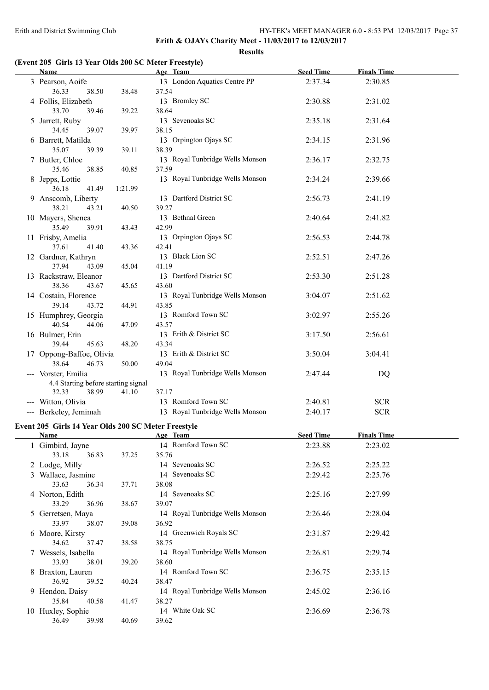$\overline{a}$ 

**Erith & OJAYs Charity Meet - 11/03/2017 to 12/03/2017 Results**

## **(Event 205 Girls 13 Year Olds 200 SC Meter Freestyle)**

36.49 39.98 40.69 39.62

| Name                                                       |                  | Age Team                                          | <b>Seed Time</b> | <b>Finals Time</b> |  |
|------------------------------------------------------------|------------------|---------------------------------------------------|------------------|--------------------|--|
| 3 Pearson, Aoife<br>36.33<br>38.50                         | 38.48            | 13 London Aquatics Centre PP<br>37.54             | 2:37.34          | 2:30.85            |  |
| 4 Follis, Elizabeth<br>33.70<br>39.46                      | 39.22            | 13 Bromley SC<br>38.64                            | 2:30.88          | 2:31.02            |  |
| 5 Jarrett, Ruby<br>34.45                                   |                  | 13 Sevenoaks SC                                   | 2:35.18          | 2:31.64            |  |
| 39.07<br>6 Barrett, Matilda                                | 39.97            | 38.15<br>13 Orpington Ojays SC                    | 2:34.15          | 2:31.96            |  |
| 35.07<br>39.39<br>7 Butler, Chloe                          | 39.11            | 38.39<br>13 Royal Tunbridge Wells Monson<br>37.59 | 2:36.17          | 2:32.75            |  |
| 35.46<br>38.85<br>8 Jepps, Lottie<br>36.18<br>41.49        | 40.85<br>1:21.99 | 13 Royal Tunbridge Wells Monson                   | 2:34.24          | 2:39.66            |  |
| 9 Anscomb, Liberty<br>38.21<br>43.21                       | 40.50            | 13 Dartford District SC<br>39.27                  | 2:56.73          | 2:41.19            |  |
| 10 Mayers, Shenea<br>35.49<br>39.91                        | 43.43            | 13 Bethnal Green<br>42.99                         | 2:40.64          | 2:41.82            |  |
| 11 Frisby, Amelia<br>37.61<br>41.40                        | 43.36            | 13 Orpington Ojays SC<br>42.41                    | 2:56.53          | 2:44.78            |  |
| 12 Gardner, Kathryn<br>37.94<br>43.09                      | 45.04            | 13 Black Lion SC<br>41.19                         | 2:52.51          | 2:47.26            |  |
| 13 Rackstraw, Eleanor<br>38.36<br>43.67                    | 45.65            | 13 Dartford District SC<br>43.60                  | 2:53.30          | 2:51.28            |  |
| 14 Costain, Florence<br>39.14<br>43.72                     | 44.91            | 13 Royal Tunbridge Wells Monson<br>43.85          | 3:04.07          | 2:51.62            |  |
| 15 Humphrey, Georgia<br>40.54<br>44.06                     | 47.09            | 13 Romford Town SC<br>43.57                       | 3:02.97          | 2:55.26            |  |
| 16 Bulmer, Erin<br>39.44<br>45.63                          | 48.20            | 13 Erith & District SC<br>43.34                   | 3:17.50          | 2:56.61            |  |
| 17 Oppong-Baffoe, Olivia<br>38.64<br>46.73                 | 50.00            | 13 Erith & District SC<br>49.04                   | 3:50.04          | 3:04.41            |  |
| --- Vorster, Emilia<br>4.4 Starting before starting signal |                  | 13 Royal Tunbridge Wells Monson                   | 2:47.44          | DQ                 |  |
| 32.33<br>38.99                                             | 41.10            | 37.17                                             |                  |                    |  |
| --- Witton, Olivia                                         |                  | 13 Romford Town SC                                | 2:40.81          | <b>SCR</b>         |  |
| --- Berkeley, Jemimah                                      |                  | 13 Royal Tunbridge Wells Monson                   | 2:40.17          | <b>SCR</b>         |  |
| Event 205 Girls 14 Year Olds 200 SC Meter Freestyle        |                  |                                                   |                  |                    |  |
| <b>Name</b><br><b>Example 2</b> Age Team                   |                  |                                                   | <b>Seed Time</b> | <b>Finals Time</b> |  |
| 1 Gimbird, Jayne                                           |                  | 14 Romford Town SC                                | 2:23.88          | 2:23.02            |  |
| 33.18<br>36.83                                             | 37.25            | 35.76                                             |                  |                    |  |
| 2 Lodge, Milly                                             |                  | 14 Sevenoaks SC                                   | 2:26.52          | 2:25.22            |  |
| 3 Wallace, Jasmine                                         |                  | 14 Sevenoaks SC                                   | 2:29.42          | 2:25.76            |  |
| 36.34<br>33.63                                             | 37.71            | 38.08                                             |                  |                    |  |
| 4 Norton, Edith<br>33.29<br>36.96                          | 38.67            | 14 Sevenoaks SC<br>39.07                          | 2:25.16          | 2:27.99            |  |
| 5 Gerretsen, Maya<br>33.97<br>38.07                        | 39.08            | 14 Royal Tunbridge Wells Monson<br>36.92          | 2:26.46          | 2:28.04            |  |
| 6 Moore, Kirsty<br>34.62<br>37.47                          | 38.58            | 14 Greenwich Royals SC<br>38.75                   | 2:31.87          | 2:29.42            |  |
| 7 Wessels, Isabella<br>33.93<br>38.01                      | 39.20            | 14 Royal Tunbridge Wells Monson<br>38.60          | 2:26.81          | 2:29.74            |  |
| 8 Braxton, Lauren<br>36.92<br>39.52                        | 40.24            | 14 Romford Town SC<br>38.47                       | 2:36.75          | 2:35.15            |  |
| 9 Hendon, Daisy<br>35.84<br>40.58                          | 41.47            | 14 Royal Tunbridge Wells Monson<br>38.27          | 2:45.02          | 2:36.16            |  |
| 10 Huxley, Sophie                                          |                  | 14 White Oak SC                                   | 2:36.69          | 2:36.78            |  |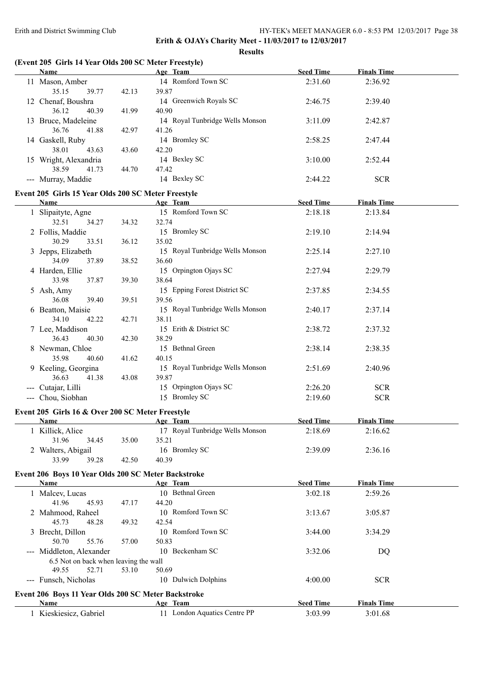**Results**

# **(Event 205 Girls 14 Year Olds 200 SC Meter Freestyle)**

| <b>Name</b>                                         |       | Age Team                                 | <b>Seed Time</b> | <b>Finals Time</b> |  |
|-----------------------------------------------------|-------|------------------------------------------|------------------|--------------------|--|
| 11 Mason, Amber<br>35.15<br>39.77                   | 42.13 | 14 Romford Town SC<br>39.87              | 2:31.60          | 2:36.92            |  |
| 12 Chenaf, Boushra<br>36.12<br>40.39                | 41.99 | 14 Greenwich Royals SC<br>40.90          | 2:46.75          | 2:39.40            |  |
| 13 Bruce, Madeleine<br>36.76<br>41.88               | 42.97 | 14 Royal Tunbridge Wells Monson<br>41.26 | 3:11.09          | 2:42.87            |  |
| 14 Gaskell, Ruby<br>38.01<br>43.63                  | 43.60 | 14 Bromley SC<br>42.20                   | 2:58.25          | 2:47.44            |  |
| 15 Wright, Alexandria<br>38.59<br>41.73             | 44.70 | 14 Bexley SC<br>47.42                    | 3:10.00          | 2:52.44            |  |
| --- Murray, Maddie                                  |       | 14 Bexley SC                             | 2:44.22          | <b>SCR</b>         |  |
| Event 205 Girls 15 Year Olds 200 SC Meter Freestyle |       |                                          |                  |                    |  |
| Name                                                |       | Age Team                                 | <b>Seed Time</b> | <b>Finals Time</b> |  |
| 1 Slipaityte, Agne                                  |       | 15 Romford Town SC                       | 2:18.18          | 2:13.84            |  |
| 32.51<br>34.27                                      | 34.32 | 32.74                                    |                  |                    |  |
| 2 Follis, Maddie                                    |       | 15 Bromley SC                            | 2:19.10          | 2:14.94            |  |
| 30.29<br>33.51                                      | 36.12 | 35.02                                    |                  |                    |  |
| 3 Jepps, Elizabeth                                  |       | 15 Royal Tunbridge Wells Monson          | 2:25.14          | 2:27.10            |  |
| 34.09<br>37.89                                      | 38.52 | 36.60                                    |                  |                    |  |
| 4 Harden, Ellie                                     |       | 15 Orpington Ojays SC                    | 2:27.94          | 2:29.79            |  |
| 33.98<br>37.87                                      | 39.30 | 38.64                                    |                  |                    |  |
| 5 Ash, Amy                                          |       | 15 Epping Forest District SC             | 2:37.85          | 2:34.55            |  |
| 36.08<br>39.40                                      | 39.51 | 39.56                                    |                  |                    |  |
| 6 Beatton, Maisie                                   |       | 15 Royal Tunbridge Wells Monson          | 2:40.17          | 2:37.14            |  |
| 34.10<br>42.22                                      | 42.71 | 38.11                                    |                  |                    |  |
| 7 Lee, Maddison                                     |       | 15 Erith & District SC                   | 2:38.72          | 2:37.32            |  |
| 36.43<br>40.30                                      | 42.30 | 38.29                                    |                  |                    |  |
| 8 Newman, Chloe                                     |       | 15 Bethnal Green                         | 2:38.14          | 2:38.35            |  |
| 35.98<br>40.60                                      | 41.62 | 40.15                                    |                  |                    |  |
| 9 Keeling, Georgina                                 |       | 15 Royal Tunbridge Wells Monson          | 2:51.69          | 2:40.96            |  |
| 36.63<br>41.38                                      | 43.08 | 39.87                                    |                  |                    |  |
| --- Cutajar, Lilli                                  |       | 15 Orpington Ojays SC                    | 2:26.20          | <b>SCR</b>         |  |
| --- Chou, Siobhan                                   |       | 15 Bromley SC                            | 2:19.60          | <b>SCR</b>         |  |
| Event 205 Girls 16 & Over 200 SC Meter Freestyle    |       |                                          |                  |                    |  |
| Name                                                |       | Age Team                                 | <b>Seed Time</b> | <b>Finals Time</b> |  |
| 1 Killick, Alice                                    |       | 17 Royal Tunbridge Wells Monson          | 2:18.69          | 2:16.62            |  |
| 31.96<br>34.45                                      | 35.00 | 35.21                                    |                  |                    |  |
| 2 Walters, Abigail                                  |       | 16 Bromley SC                            | 2:39.09          | 2:36.16            |  |
| 33.99<br>39.28                                      | 42.50 | 40.39                                    |                  |                    |  |
| Event 206 Boys 10 Year Olds 200 SC Meter Backstroke |       |                                          |                  |                    |  |
| Name                                                |       | Age Team                                 | <b>Seed Time</b> | <b>Finals Time</b> |  |
| 1 Malcev, Lucas                                     |       | 10 Bethnal Green                         | 3:02.18          | 2:59.26            |  |
| 41.96<br>45.93                                      | 47.17 | 44.20                                    |                  |                    |  |
| 2 Mahmood, Raheel                                   |       | 10 Romford Town SC                       | 3:13.67          | 3:05.87            |  |
| 45.73<br>48.28                                      | 49.32 | 42.54                                    |                  |                    |  |
| 3 Brecht, Dillon                                    |       | 10 Romford Town SC                       | 3:44.00          | 3:34.29            |  |
| 50.70<br>55.76                                      | 57.00 | 50.83                                    |                  |                    |  |
| --- Middleton, Alexander                            |       | 10 Beckenham SC                          | 3:32.06          | DQ                 |  |
| 6.5 Not on back when leaving the wall               |       |                                          |                  |                    |  |
| 49.55<br>52.71                                      | 53.10 | 50.69                                    |                  |                    |  |
| --- Funsch, Nicholas                                |       | 10 Dulwich Dolphins                      | 4:00.00          | <b>SCR</b>         |  |
|                                                     |       |                                          |                  |                    |  |
| Event 206 Boys 11 Year Olds 200 SC Meter Backstroke |       |                                          |                  |                    |  |
| Name                                                |       | Age Team                                 | <b>Seed Time</b> | <b>Finals Time</b> |  |
| 1 Kieskiesicz, Gabriel                              |       | 11 London Aquatics Centre PP             | 3:03.99          | 3:01.68            |  |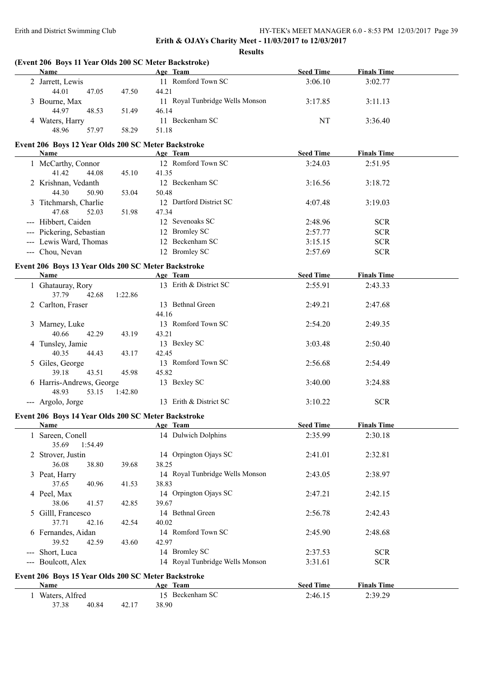**Results**

| <b>Name</b>                                         |         | Age Team                        | <b>Seed Time</b>            | <b>Finals Time</b>            |  |
|-----------------------------------------------------|---------|---------------------------------|-----------------------------|-------------------------------|--|
| 2 Jarrett, Lewis                                    |         | 11 Romford Town SC              | 3:06.10                     | 3:02.77                       |  |
| 44.01<br>47.05                                      | 47.50   | 44.21                           |                             |                               |  |
| 3 Bourne, Max                                       |         | 11 Royal Tunbridge Wells Monson | 3:17.85                     | 3:11.13                       |  |
| 44.97<br>48.53                                      | 51.49   | 46.14                           |                             |                               |  |
| 4 Waters, Harry                                     |         | 11 Beckenham SC                 | NT                          | 3:36.40                       |  |
| 48.96<br>57.97                                      | 58.29   | 51.18                           |                             |                               |  |
| Event 206 Boys 12 Year Olds 200 SC Meter Backstroke |         |                                 |                             |                               |  |
| <b>Name</b>                                         |         | Age Team                        | <b>Seed Time</b>            | <b>Finals Time</b>            |  |
| 1 McCarthy, Connor                                  |         | 12 Romford Town SC              | 3:24.03                     | 2:51.95                       |  |
| 41.42<br>44.08                                      | 45.10   | 41.35                           |                             |                               |  |
| 2 Krishnan, Vedanth                                 |         | 12 Beckenham SC                 | 3:16.56                     | 3:18.72                       |  |
| 44.30<br>50.90                                      | 53.04   | 50.48                           |                             |                               |  |
| 3 Titchmarsh, Charlie                               |         | 12 Dartford District SC         | 4:07.48                     | 3:19.03                       |  |
| 47.68<br>52.03                                      | 51.98   | 47.34                           |                             |                               |  |
| --- Hibbert, Caiden                                 |         | 12 Sevenoaks SC                 | 2:48.96                     | $SCR$                         |  |
| --- Pickering, Sebastian                            |         | 12 Bromley SC                   | 2:57.77                     | <b>SCR</b>                    |  |
| --- Lewis Ward, Thomas                              |         | 12 Beckenham SC                 | 3:15.15                     | <b>SCR</b>                    |  |
| --- Chou, Nevan                                     |         | 12 Bromley SC                   | 2:57.69                     | <b>SCR</b>                    |  |
|                                                     |         |                                 |                             |                               |  |
| Event 206 Boys 13 Year Olds 200 SC Meter Backstroke |         |                                 |                             |                               |  |
| Name                                                |         | Age Team                        | <b>Seed Time</b>            | <b>Finals Time</b>            |  |
| 1 Ghatauray, Rory<br>37.79<br>42.68                 | 1:22.86 | 13 Erith & District SC          | 2:55.91                     | 2:43.33                       |  |
| 2 Carlton, Fraser                                   |         | 13 Bethnal Green                | 2:49.21                     | 2:47.68                       |  |
|                                                     |         | 44.16                           |                             |                               |  |
| 3 Marney, Luke                                      |         | 13 Romford Town SC              | 2:54.20                     | 2:49.35                       |  |
| 40.66<br>42.29                                      | 43.19   | 43.21                           |                             |                               |  |
| 4 Tunsley, Jamie                                    |         | 13 Bexley SC                    | 3:03.48                     | 2:50.40                       |  |
| 40.35<br>44.43                                      | 43.17   | 42.45                           |                             |                               |  |
| 5 Giles, George                                     |         | 13 Romford Town SC              | 2:56.68                     | 2:54.49                       |  |
| 39.18<br>43.51                                      | 45.98   | 45.82                           |                             |                               |  |
| 6 Harris-Andrews, George                            |         | 13 Bexley SC                    | 3:40.00                     | 3:24.88                       |  |
| 48.93<br>53.15                                      | 1:42.80 |                                 |                             |                               |  |
| --- Argolo, Jorge                                   |         | 13 Erith & District SC          | 3:10.22                     | <b>SCR</b>                    |  |
| Event 206 Boys 14 Year Olds 200 SC Meter Backstroke |         |                                 |                             |                               |  |
| <b>Name</b>                                         |         | Age Team                        | <b>Seed Time</b>            | <b>Finals Time</b>            |  |
| 1 Sareen, Conell                                    |         | 14 Dulwich Dolphins             | 2:35.99                     | 2:30.18                       |  |
|                                                     |         |                                 |                             |                               |  |
| 35.69<br>1:54.49                                    |         |                                 |                             |                               |  |
| 2 Strover, Justin                                   |         | 14 Orpington Ojays SC           | 2:41.01                     | 2:32.81                       |  |
| 36.08<br>38.80                                      | 39.68   | 38.25                           |                             |                               |  |
| 3 Peat, Harry                                       |         | 14 Royal Tunbridge Wells Monson | 2:43.05                     | 2:38.97                       |  |
| 37.65<br>40.96                                      | 41.53   | 38.83                           |                             |                               |  |
| 4 Peel, Max                                         |         | 14 Orpington Ojays SC           | 2:47.21                     | 2:42.15                       |  |
| 38.06<br>41.57                                      | 42.85   | 39.67                           |                             |                               |  |
| 5 Gilll, Francesco                                  |         | 14 Bethnal Green                | 2:56.78                     | 2:42.43                       |  |
| 37.71<br>42.16                                      | 42.54   | 40.02                           |                             |                               |  |
| 6 Fernandes, Aidan                                  |         | 14 Romford Town SC              | 2:45.90                     | 2:48.68                       |  |
| 39.52<br>42.59                                      | 43.60   | 42.97                           |                             |                               |  |
| --- Short, Luca                                     |         | 14 Bromley SC                   | 2:37.53                     | <b>SCR</b>                    |  |
| --- Boulcott, Alex                                  |         | 14 Royal Tunbridge Wells Monson | 3:31.61                     | <b>SCR</b>                    |  |
|                                                     |         |                                 |                             |                               |  |
| Event 206 Boys 15 Year Olds 200 SC Meter Backstroke |         |                                 |                             |                               |  |
| <b>Name</b><br>1 Waters, Alfred                     |         | Age Team<br>15 Beckenham SC     | <b>Seed Time</b><br>2:46.15 | <b>Finals Time</b><br>2:39.29 |  |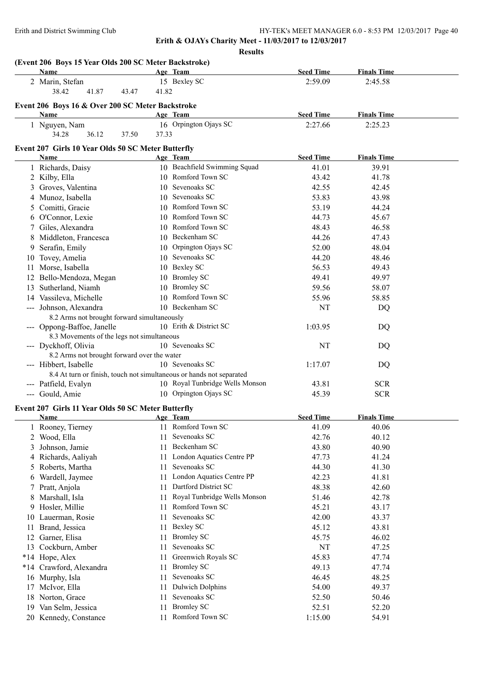**Erith & OJAYs Charity Meet - 11/03/2017 to 12/03/2017 Results**

|     | Name                                                                 |       | Age Team                        | <b>Seed Time</b> | <b>Finals Time</b> |
|-----|----------------------------------------------------------------------|-------|---------------------------------|------------------|--------------------|
|     | 2 Marin, Stefan                                                      |       | 15 Bexley SC                    | 2:59.09          | 2:45.58            |
|     | 38.42<br>41.87<br>43.47                                              | 41.82 |                                 |                  |                    |
|     | Event 206 Boys 16 & Over 200 SC Meter Backstroke                     |       |                                 |                  |                    |
|     | Name                                                                 |       | Age Team                        | <b>Seed Time</b> | <b>Finals Time</b> |
|     | 1 Nguyen, Nam                                                        |       | 16 Orpington Ojays SC           | 2:27.66          | 2:25.23            |
|     | 34.28<br>36.12<br>37.50                                              | 37.33 |                                 |                  |                    |
|     |                                                                      |       |                                 |                  |                    |
|     | Event 207 Girls 10 Year Olds 50 SC Meter Butterfly                   |       |                                 |                  |                    |
|     | Name                                                                 |       | Age Team                        | <b>Seed Time</b> | <b>Finals Time</b> |
|     | 1 Richards, Daisy                                                    |       | 10 Beachfield Swimming Squad    | 41.01            | 39.91              |
|     | 2 Kilby, Ella                                                        |       | 10 Romford Town SC              | 43.42            | 41.78              |
|     | 3 Groves, Valentina                                                  |       | 10 Sevenoaks SC                 | 42.55            | 42.45              |
|     | 4 Munoz, Isabella                                                    |       | 10 Sevenoaks SC                 | 53.83            | 43.98              |
|     | 5 Comitti, Gracie                                                    |       | 10 Romford Town SC              | 53.19            | 44.24              |
|     | 6 O'Connor, Lexie                                                    |       | 10 Romford Town SC              | 44.73            | 45.67              |
|     | 7 Giles, Alexandra                                                   |       | 10 Romford Town SC              | 48.43            | 46.58              |
|     | 8 Middleton, Francesca                                               |       | 10 Beckenham SC                 | 44.26            | 47.43              |
|     | 9 Serafin, Emily                                                     |       | 10 Orpington Ojays SC           | 52.00            | 48.04              |
|     | 10 Tovey, Amelia                                                     |       | 10 Sevenoaks SC                 | 44.20            | 48.46              |
|     | 11 Morse, Isabella                                                   |       | 10 Bexley SC                    | 56.53            | 49.43              |
|     | 12 Bello-Mendoza, Megan                                              |       | 10 Bromley SC                   | 49.41            | 49.97              |
|     | 13 Sutherland, Niamh                                                 |       | 10 Bromley SC                   | 59.56            | 58.07              |
|     | 14 Vassileva, Michelle                                               |       | 10 Romford Town SC              | 55.96            | 58.85              |
|     | --- Johnson, Alexandra                                               |       | 10 Beckenham SC                 | NT               | DQ                 |
|     | 8.2 Arms not brought forward simultaneously                          |       |                                 |                  |                    |
|     | --- Oppong-Baffoe, Janelle                                           |       | 10 Erith & District SC          | 1:03.95          | DQ                 |
|     | 8.3 Movements of the legs not simultaneous                           |       |                                 |                  |                    |
|     | --- Dyckhoff, Olivia                                                 |       | 10 Sevenoaks SC                 | NT               | DQ                 |
|     | 8.2 Arms not brought forward over the water                          |       |                                 |                  |                    |
|     | --- Hibbert, Isabelle                                                |       | 10 Sevenoaks SC                 | 1:17.07          | DQ                 |
|     | 8.4 At turn or finish, touch not simultaneous or hands not separated |       |                                 |                  |                    |
|     | --- Patfield, Evalyn                                                 |       | 10 Royal Tunbridge Wells Monson | 43.81            | <b>SCR</b>         |
|     | --- Gould, Amie                                                      |       | 10 Orpington Ojays SC           | 45.39            | <b>SCR</b>         |
|     | Event 207 Girls 11 Year Olds 50 SC Meter Butterfly                   |       |                                 |                  |                    |
|     | Name                                                                 |       | Age Team                        | <b>Seed Time</b> | <b>Finals Time</b> |
|     | 1 Rooney, Tierney                                                    |       | 11 Romford Town SC              | 41.09            | 40.06              |
|     | 2 Wood, Ella                                                         | 11.   | Sevenoaks SC                    | 42.76            | 40.12              |
|     | 3 Johnson, Jamie                                                     | 11    | Beckenham SC                    | 43.80            | 40.90              |
|     | 4 Richards, Aaliyah                                                  | 11    | London Aquatics Centre PP       | 47.73            | 41.24              |
|     | 5 Roberts, Martha                                                    | 11    | Sevenoaks SC                    | 44.30            | 41.30              |
| 6   | Wardell, Jaymee                                                      | 11    | London Aquatics Centre PP       | 42.23            | 41.81              |
|     | 7 Pratt, Anjola                                                      | 11    | Dartford District SC            | 48.38            | 42.60              |
| 8   | Marshall, Isla                                                       | 11    | Royal Tunbridge Wells Monson    | 51.46            | 42.78              |
| 9   | Hosler, Millie                                                       | 11    | Romford Town SC                 | 45.21            | 43.17              |
|     | 10 Lauerman, Rosie                                                   | 11    | Sevenoaks SC                    | 42.00            | 43.37              |
| 11. | Brand, Jessica                                                       | 11    | <b>Bexley SC</b>                | 45.12            | 43.81              |
| 12  | Garner, Elisa                                                        | 11    | <b>Bromley SC</b>               | 45.75            | 46.02              |
|     | 13 Cockburn, Amber                                                   | 11    | Sevenoaks SC                    | NT               | 47.25              |
|     | *14 Hope, Alex                                                       | 11    | Greenwich Royals SC             | 45.83            | 47.74              |
|     | *14 Crawford, Alexandra                                              | 11    | <b>Bromley SC</b>               | 49.13            | 47.74              |
|     | 16 Murphy, Isla                                                      | 11    | Sevenoaks SC                    | 46.45            | 48.25              |
|     | 17 McIvor, Ella                                                      | 11    | <b>Dulwich Dolphins</b>         | 54.00            | 49.37              |
|     | 18 Norton, Grace                                                     | 11    | Sevenoaks SC                    | 52.50            | 50.46              |
|     | 19 Van Selm, Jessica                                                 | 11    | <b>Bromley SC</b>               | 52.51            | 52.20              |
|     |                                                                      |       | 11 Romford Town SC              | 1:15.00          | 54.91              |
|     | 20 Kennedy, Constance                                                |       |                                 |                  |                    |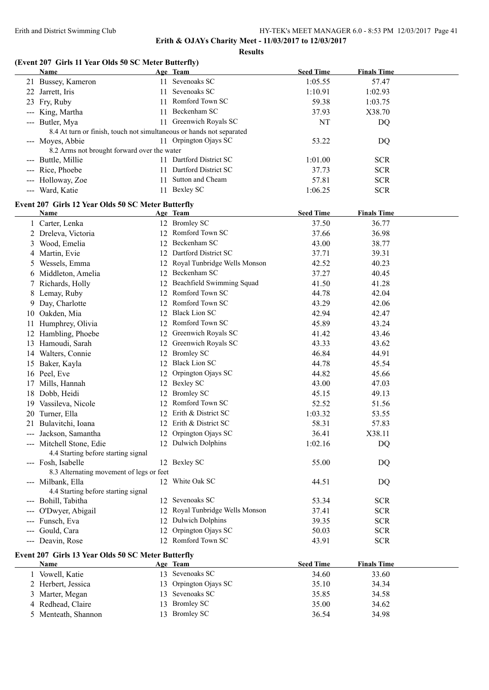**Results**

# **(Event 207 Girls 11 Year Olds 50 SC Meter Butterfly)**

|    | Name                                                                 |    | Age Team                        | <b>Seed Time</b> | <b>Finals Time</b> |
|----|----------------------------------------------------------------------|----|---------------------------------|------------------|--------------------|
|    | 21 Bussey, Kameron                                                   |    | 11 Sevenoaks SC                 | 1:05.55          | 57.47              |
|    | 22 Jarrett, Iris                                                     |    | 11 Sevenoaks SC                 | 1:10.91          | 1:02.93            |
| 23 | Fry, Ruby                                                            |    | 11 Romford Town SC              | 59.38            | 1:03.75            |
|    | --- King, Martha                                                     | 11 | Beckenham SC                    | 37.93            | X38.70             |
|    | --- Butler, Mya                                                      |    | 11 Greenwich Royals SC          | <b>NT</b>        | DQ                 |
|    | 8.4 At turn or finish, touch not simultaneous or hands not separated |    |                                 |                  |                    |
|    | --- Moyes, Abbie                                                     |    | 11 Orpington Ojays SC           | 53.22            | DQ                 |
|    | 8.2 Arms not brought forward over the water                          |    |                                 |                  |                    |
|    | --- Buttle, Millie                                                   |    | 11 Dartford District SC         | 1:01.00          | <b>SCR</b>         |
|    | --- Rice, Phoebe                                                     |    | 11 Dartford District SC         | 37.73            | <b>SCR</b>         |
|    | --- Holloway, Zoe                                                    |    | 11 Sutton and Cheam             | 57.81            | <b>SCR</b>         |
|    | --- Ward, Katie                                                      |    | 11 Bexley SC                    | 1:06.25          | <b>SCR</b>         |
|    |                                                                      |    |                                 |                  |                    |
|    | Event 207 Girls 12 Year Olds 50 SC Meter Butterfly<br>Name           |    | Age Team                        | <b>Seed Time</b> | <b>Finals Time</b> |
|    | 1 Carter, Lenka                                                      |    | 12 Bromley SC                   | 37.50            | 36.77              |
|    |                                                                      |    | 12 Romford Town SC              |                  |                    |
|    | 2 Dreleva, Victoria                                                  |    | 12 Beckenham SC                 | 37.66            | 36.98              |
|    | 3 Wood, Emelia                                                       |    | 12 Dartford District SC         | 43.00            | 38.77              |
|    | 4 Martin, Evie                                                       |    |                                 | 37.71            | 39.31              |
|    | 5 Wessels, Emma                                                      |    | 12 Royal Tunbridge Wells Monson | 42.52            | 40.23              |
|    | 6 Middleton, Amelia                                                  |    | 12 Beckenham SC                 | 37.27            | 40.45              |
|    | 7 Richards, Holly                                                    |    | 12 Beachfield Swimming Squad    | 41.50            | 41.28              |
| 8  | Lemay, Ruby                                                          |    | 12 Romford Town SC              | 44.78            | 42.04              |
| 9. | Day, Charlotte                                                       |    | 12 Romford Town SC              | 43.29            | 42.06              |
|    | 10 Oakden, Mia                                                       |    | 12 Black Lion SC                | 42.94            | 42.47              |
| 11 | Humphrey, Olivia                                                     |    | 12 Romford Town SC              | 45.89            | 43.24              |
| 12 | Hambling, Phoebe                                                     |    | 12 Greenwich Royals SC          | 41.42            | 43.46              |
|    | 13 Hamoudi, Sarah                                                    |    | 12 Greenwich Royals SC          | 43.33            | 43.62              |
|    | 14 Walters, Connie                                                   |    | 12 Bromley SC                   | 46.84            | 44.91              |
|    | 15 Baker, Kayla                                                      |    | 12 Black Lion SC                | 44.78            | 45.54              |
|    | 16 Peel, Eve                                                         | 12 | Orpington Ojays SC              | 44.82            | 45.66              |
|    | 17 Mills, Hannah                                                     |    | 12 Bexley SC                    | 43.00            | 47.03              |
|    | 18 Dobb, Heidi                                                       |    | 12 Bromley SC                   | 45.15            | 49.13              |
|    | 19 Vassileva, Nicole                                                 |    | 12 Romford Town SC              | 52.52            | 51.56              |
|    | 20 Turner, Ella                                                      |    | 12 Erith & District SC          | 1:03.32          | 53.55              |
|    | 21 Bulavitchi, Ioana                                                 |    | 12 Erith & District SC          | 58.31            | 57.83              |
|    | --- Jackson, Samantha                                                |    | 12 Orpington Ojays SC           | 36.41            | X38.11             |
|    | --- Mitchell Stone, Edie                                             |    | 12 Dulwich Dolphins             | 1:02.16          | DQ                 |
|    | 4.4 Starting before starting signal                                  |    |                                 |                  |                    |
|    | --- Fosh, Isabelle                                                   |    | 12 Bexley SC                    | 55.00            | DQ                 |
|    | 8.3 Alternating movement of legs or feet                             |    |                                 |                  |                    |
|    | --- Milbank, Ella                                                    |    | 12 White Oak SC                 | 44.51            | DQ                 |
|    | 4.4 Starting before starting signal                                  |    |                                 |                  |                    |
|    | --- Bohill, Tabitha                                                  |    | 12 Sevenoaks SC                 | 53.34            | <b>SCR</b>         |
|    | --- O'Dwyer, Abigail                                                 |    | 12 Royal Tunbridge Wells Monson | 37.41            | <b>SCR</b>         |
|    | --- Funsch, Eva                                                      |    | 12 Dulwich Dolphins             | 39.35            | <b>SCR</b>         |
|    | --- Gould, Cara                                                      |    | 12 Orpington Ojays SC           | 50.03            | <b>SCR</b>         |
|    | --- Deavin, Rose                                                     |    | 12 Romford Town SC              | 43.91            | <b>SCR</b>         |
|    | Event 207 Girls 13 Year Olds 50 SC Meter Butterfly                   |    |                                 |                  |                    |
|    | Name                                                                 |    | Age Team                        | <b>Seed Time</b> | <b>Finals Time</b> |
|    | 1 Vowell, Katie                                                      |    | 13 Sevenoaks SC                 | 34.60            | 33.60              |
|    | 2 Herbert, Jessica                                                   |    | 13 Orpington Ojays SC           | 35.10            | 34.34              |
| 3  | Marter, Megan                                                        |    | 13 Sevenoaks SC                 | 35.85            | 34.58              |
|    | 4 Redhead, Claire                                                    |    | 13 Bromley SC                   | 35.00            | 34.62              |
|    | 5 Menteath, Shannon                                                  |    | 13 Bromley SC                   | 36.54            | 34.98              |
|    |                                                                      |    |                                 |                  |                    |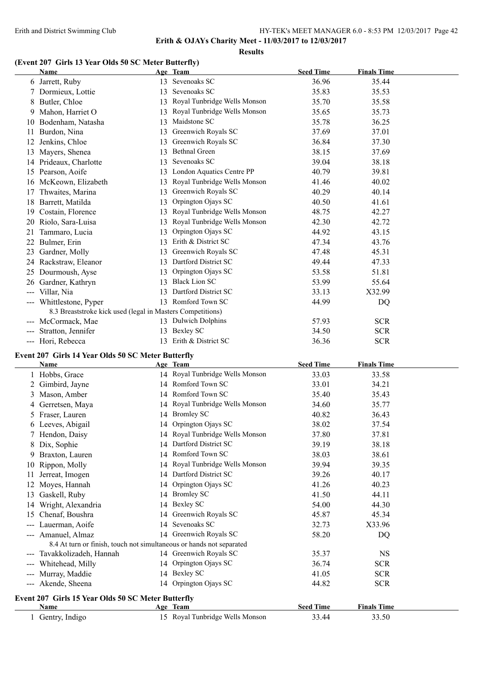**Results**

# **(Event 207 Girls 13 Year Olds 50 SC Meter Butterfly)**

|                                                                                                | <b>Name</b>                                                |                 | Age Team                     | <b>Seed Time</b> | <b>Finals Time</b> |
|------------------------------------------------------------------------------------------------|------------------------------------------------------------|-----------------|------------------------------|------------------|--------------------|
|                                                                                                | 6 Jarrett, Ruby                                            | 13              | Sevenoaks SC                 | 36.96            | 35.44              |
|                                                                                                | Dormieux, Lottie                                           | 13              | Sevenoaks SC                 | 35.83            | 35.53              |
|                                                                                                | 8 Butler, Chloe                                            | 13              | Royal Tunbridge Wells Monson | 35.70            | 35.58              |
| 9                                                                                              | Mahon, Harriet O                                           | 13              | Royal Tunbridge Wells Monson | 35.65            | 35.73              |
| 10                                                                                             | Bodenham, Natasha                                          | 13              | Maidstone SC                 | 35.78            | 36.25              |
| 11                                                                                             | Burdon, Nina                                               | 13              | Greenwich Royals SC          | 37.69            | 37.01              |
| 12                                                                                             | Jenkins, Chloe                                             | 13              | Greenwich Royals SC          | 36.84            | 37.30              |
| 13                                                                                             | Mayers, Shenea                                             | 13              | <b>Bethnal Green</b>         | 38.15            | 37.69              |
| 14                                                                                             | Prideaux, Charlotte                                        | 13              | Sevenoaks SC                 | 39.04            | 38.18              |
| 15                                                                                             | Pearson, Aoife                                             | 13              | London Aquatics Centre PP    | 40.79            | 39.81              |
| 16                                                                                             | McKeown, Elizabeth                                         | 13              | Royal Tunbridge Wells Monson | 41.46            | 40.02              |
| 17                                                                                             | Thwaites, Marina                                           | 13              | Greenwich Royals SC          | 40.29            | 40.14              |
| 18                                                                                             | Barrett, Matilda                                           | 13              | Orpington Ojays SC           | 40.50            | 41.61              |
| 19                                                                                             | Costain, Florence                                          | 13              | Royal Tunbridge Wells Monson | 48.75            | 42.27              |
| 20                                                                                             | Riolo, Sara-Luisa                                          | 13              | Royal Tunbridge Wells Monson | 42.30            | 42.72              |
| 21                                                                                             | Tammaro, Lucia                                             | 13              | Orpington Ojays SC           | 44.92            | 43.15              |
| 22                                                                                             | Bulmer, Erin                                               | 13              | Erith & District SC          | 47.34            | 43.76              |
| 23                                                                                             | Gardner, Molly                                             | 13              | Greenwich Royals SC          | 47.48            | 45.31              |
| 24                                                                                             | Rackstraw, Eleanor                                         | 13              | Dartford District SC         | 49.44            | 47.33              |
| 25                                                                                             | Dourmoush, Ayse                                            | 13              | Orpington Ojays SC           | 53.58            | 51.81              |
| 26                                                                                             | Gardner, Kathryn                                           | 13              | <b>Black Lion SC</b>         | 53.99            | 55.64              |
| $\qquad \qquad -\qquad -$                                                                      | Villar, Nia                                                | 13              | Dartford District SC         | 33.13            | X32.99             |
| $\frac{1}{2} \left( \frac{1}{2} \right) \left( \frac{1}{2} \right) \left( \frac{1}{2} \right)$ | Whittlestone, Pyper                                        |                 | 13 Romford Town SC           | 44.99            | DQ                 |
|                                                                                                | 8.3 Breaststroke kick used (legal in Masters Competitions) |                 |                              |                  |                    |
| $---$                                                                                          | McCormack, Mae                                             |                 | 13 Dulwich Dolphins          | 57.93            | <b>SCR</b>         |
|                                                                                                | Stratton, Jennifer                                         | 13              | Bexley SC                    | 34.50            | <b>SCR</b>         |
|                                                                                                | --- Hori, Rebecca                                          | 13 <sup>1</sup> | Erith & District SC          | 36.36            | <b>SCR</b>         |
|                                                                                                | $\lambda$ and $\lambda$ is a limit. All end and $\lambda$  |                 | $\mathbf{r}$ $\mathbf{r}$    |                  |                    |

# **Event 207 Girls 14 Year Olds 50 SC Meter Butterfly**

|       | <b>Name</b>                                                          |    | Age Team                        | <b>Seed Time</b> | <b>Finals Time</b> |
|-------|----------------------------------------------------------------------|----|---------------------------------|------------------|--------------------|
|       | 1 Hobbs, Grace                                                       |    | 14 Royal Tunbridge Wells Monson | 33.03            | 33.58              |
|       | Gimbird, Jayne                                                       |    | 14 Romford Town SC              | 33.01            | 34.21              |
| 3     | Mason, Amber                                                         |    | 14 Romford Town SC              | 35.40            | 35.43              |
| 4     | Gerretsen, Maya                                                      | 14 | Royal Tunbridge Wells Monson    | 34.60            | 35.77              |
| 5.    | Fraser, Lauren                                                       | 14 | <b>Bromley SC</b>               | 40.82            | 36.43              |
| 6     | Leeves, Abigail                                                      | 14 | Orpington Ojays SC              | 38.02            | 37.54              |
|       | 7 Hendon, Daisy                                                      | 14 | Royal Tunbridge Wells Monson    | 37.80            | 37.81              |
| 8     | Dix, Sophie                                                          | 14 | Dartford District SC            | 39.19            | 38.18              |
| 9     | Braxton, Lauren                                                      | 14 | Romford Town SC                 | 38.03            | 38.61              |
| 10    | Rippon, Molly                                                        |    | 14 Royal Tunbridge Wells Monson | 39.94            | 39.35              |
| 11    | Jerreat, Imogen                                                      | 14 | Dartford District SC            | 39.26            | 40.17              |
| 12    | Moyes, Hannah                                                        | 14 | Orpington Ojays SC              | 41.26            | 40.23              |
| 13    | Gaskell, Ruby                                                        | 14 | <b>Bromley SC</b>               | 41.50            | 44.11              |
| 14    | Wright, Alexandria                                                   | 14 | Bexley SC                       | 54.00            | 44.30              |
| 15    | Chenaf, Boushra                                                      | 14 | Greenwich Royals SC             | 45.87            | 45.34              |
| ---   | Lauerman, Aoife                                                      | 14 | Sevenoaks SC                    | 32.73            | X33.96             |
|       | Amanuel, Almaz                                                       |    | 14 Greenwich Royals SC          | 58.20            | DQ                 |
|       | 8.4 At turn or finish, touch not simultaneous or hands not separated |    |                                 |                  |                    |
|       | --- Tavakkolizadeh, Hannah                                           |    | 14 Greenwich Royals SC          | 35.37            | <b>NS</b>          |
| $---$ | Whitehead, Milly                                                     | 14 | Orpington Ojays SC              | 36.74            | <b>SCR</b>         |
|       | Murray, Maddie                                                       |    | 14 Bexley SC                    | 41.05            | <b>SCR</b>         |
|       | --- Akende, Sheena                                                   |    | 14 Orpington Ojays SC           | 44.82            | <b>SCR</b>         |
|       | Event 207 Girls 15 Year Olds 50 SC Meter Butterfly                   |    |                                 |                  |                    |
|       | Name                                                                 |    | Age Team                        | <b>Seed Time</b> | <b>Finals Time</b> |
|       | 1 Gentry, Indigo                                                     |    | 15 Royal Tunbridge Wells Monson | 33.44            | 33.50              |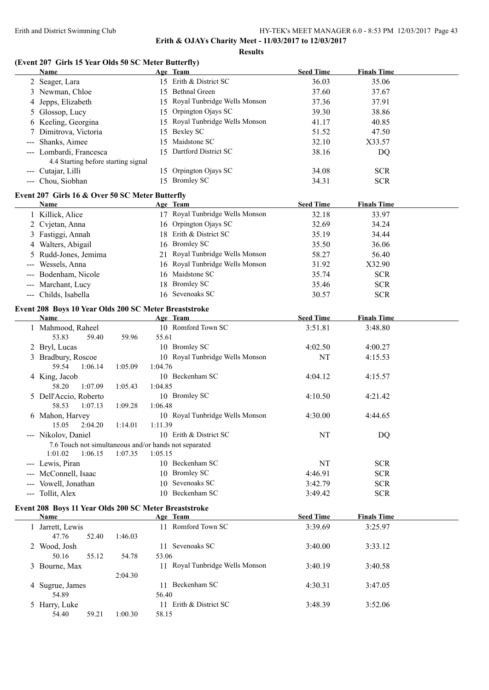**Results**

# **(Event 207 Girls 15 Year Olds 50 SC Meter Butterfly)**

| Name                                                  |         |         | Age Team                        | <b>Seed Time</b> | <b>Finals Time</b> |  |
|-------------------------------------------------------|---------|---------|---------------------------------|------------------|--------------------|--|
| 2 Seager, Lara                                        |         |         | 15 Erith & District SC          | 36.03            | 35.06              |  |
| 3 Newman, Chloe                                       |         |         | 15 Bethnal Green                | 37.60            | 37.67              |  |
| 4 Jepps, Elizabeth                                    |         |         | 15 Royal Tunbridge Wells Monson | 37.36            | 37.91              |  |
| 5 Glossop, Lucy                                       |         |         | 15 Orpington Ojays SC           | 39.30            | 38.86              |  |
| 6 Keeling, Georgina                                   |         |         | 15 Royal Tunbridge Wells Monson | 41.17            | 40.85              |  |
| 7 Dimitrova, Victoria                                 |         |         | 15 Bexley SC                    | 51.52            | 47.50              |  |
| Shanks, Aimee                                         |         |         | 15 Maidstone SC                 | 32.10            | X33.57             |  |
| --- Lombardi, Francesca                               |         |         | 15 Dartford District SC         | 38.16            |                    |  |
|                                                       |         |         |                                 |                  | DQ                 |  |
| 4.4 Starting before starting signal                   |         |         |                                 |                  |                    |  |
| --- Cutajar, Lilli                                    |         |         | 15 Orpington Ojays SC           | 34.08            | <b>SCR</b>         |  |
| --- Chou, Siobhan                                     |         |         | 15 Bromley SC                   | 34.31            | <b>SCR</b>         |  |
| Event 207 Girls 16 & Over 50 SC Meter Butterfly       |         |         |                                 |                  |                    |  |
| Name                                                  |         |         | Age Team                        | <b>Seed Time</b> | <b>Finals Time</b> |  |
| 1 Killick, Alice                                      |         |         | 17 Royal Tunbridge Wells Monson | 32.18            | 33.97              |  |
| 2 Cvjetan, Anna                                       |         |         | 16 Orpington Ojays SC           | 32.69            | 34.24              |  |
| 3 Fastiggi, Annah                                     |         |         | 18 Erith & District SC          | 35.19            | 34.44              |  |
| 4 Walters, Abigail                                    |         |         | 16 Bromley SC                   | 35.50            | 36.06              |  |
| 5 Rudd-Jones, Jemima                                  |         |         | 21 Royal Tunbridge Wells Monson | 58.27            | 56.40              |  |
|                                                       |         |         | 16 Royal Tunbridge Wells Monson |                  | X32.90             |  |
| Wessels, Anna                                         |         |         | 16 Maidstone SC                 | 31.92            |                    |  |
| --- Bodenham, Nicole                                  |         |         |                                 | 35.74            | <b>SCR</b>         |  |
| --- Marchant, Lucy                                    |         |         | 18 Bromley SC                   | 35.46            | <b>SCR</b>         |  |
| --- Childs, Isabella                                  |         |         | 16 Sevenoaks SC                 | 30.57            | <b>SCR</b>         |  |
| Event 208 Boys 10 Year Olds 200 SC Meter Breaststroke |         |         |                                 |                  |                    |  |
| <b>Name</b>                                           |         |         | Age Team                        | <b>Seed Time</b> | <b>Finals Time</b> |  |
| 1 Mahmood, Raheel                                     |         |         | 10 Romford Town SC              | 3:51.81          | 3:48.80            |  |
| 53.83<br>59.40                                        | 59.96   | 55.61   |                                 |                  |                    |  |
| 2 Bryl, Lucas                                         |         |         | 10 Bromley SC                   | 4:02.50          | 4:00.27            |  |
| 3 Bradbury, Roscoe                                    |         |         | 10 Royal Tunbridge Wells Monson | NT               | 4:15.53            |  |
| 59.54<br>1:06.14                                      | 1:05.09 | 1:04.76 |                                 |                  |                    |  |
| 4 King, Jacob                                         |         |         | 10 Beckenham SC                 | 4:04.12          | 4:15.57            |  |
| 1:07.09<br>58.20                                      | 1:05.43 | 1:04.85 |                                 |                  |                    |  |
|                                                       |         |         | 10 Bromley SC                   | 4:10.50          | 4:21.42            |  |
| 5 Dell'Accio, Roberto<br>58.53<br>1:07.13             | 1:09.28 | 1:06.48 |                                 |                  |                    |  |
|                                                       |         |         | 10 Royal Tunbridge Wells Monson |                  |                    |  |
| 6 Mahon, Harvey                                       |         |         |                                 | 4:30.00          | 4:44.65            |  |
| 15.05<br>2:04.20                                      | 1:14.01 | 1:11.39 |                                 |                  |                    |  |
| --- Nikolov, Daniel                                   |         |         | 10 Erith & District SC          | NT               | DQ                 |  |
| 7.6 Touch not simultaneous and/or hands not separated |         |         |                                 |                  |                    |  |
| 1:01.02<br>1:06.15                                    | 1:07.35 | 1:05.15 |                                 |                  |                    |  |
| --- Lewis, Piran                                      |         |         | 10 Beckenham SC                 | NT               | <b>SCR</b>         |  |
| --- McConnell, Isaac                                  |         |         | 10 Bromley SC                   | 4:46.91          | <b>SCR</b>         |  |
| --- Vowell, Jonathan                                  |         |         | 10 Sevenoaks SC                 | 3:42.79          | <b>SCR</b>         |  |
| --- Tollit, Alex                                      |         |         | 10 Beckenham SC                 | 3:49.42          | <b>SCR</b>         |  |
| Event 208 Boys 11 Year Olds 200 SC Meter Breaststroke |         |         |                                 |                  |                    |  |
| Name                                                  |         |         | Age Team                        | <b>Seed Time</b> | <b>Finals Time</b> |  |
| 1 Jarrett, Lewis                                      |         |         | 11 Romford Town SC              | 3:39.69          | 3:25.97            |  |
| 47.76<br>52.40                                        | 1:46.03 |         |                                 |                  |                    |  |
|                                                       |         |         | 11 Sevenoaks SC                 |                  |                    |  |
| 2 Wood, Josh                                          |         |         |                                 | 3:40.00          | 3:33.12            |  |
| 50.16<br>55.12                                        | 54.78   | 53.06   |                                 |                  |                    |  |
| 3 Bourne, Max                                         |         |         | 11 Royal Tunbridge Wells Monson | 3:40.19          | 3:40.58            |  |
|                                                       | 2:04.30 |         |                                 |                  |                    |  |
| 4 Sugrue, James                                       |         |         | 11 Beckenham SC                 | 4:30.31          | 3:47.05            |  |
| 54.89                                                 |         | 56.40   |                                 |                  |                    |  |
| 5 Harry, Luke                                         |         |         | 11 Erith & District SC          | 3:48.39          | 3:52.06            |  |
| 54.40<br>59.21                                        | 1:00.30 | 58.15   |                                 |                  |                    |  |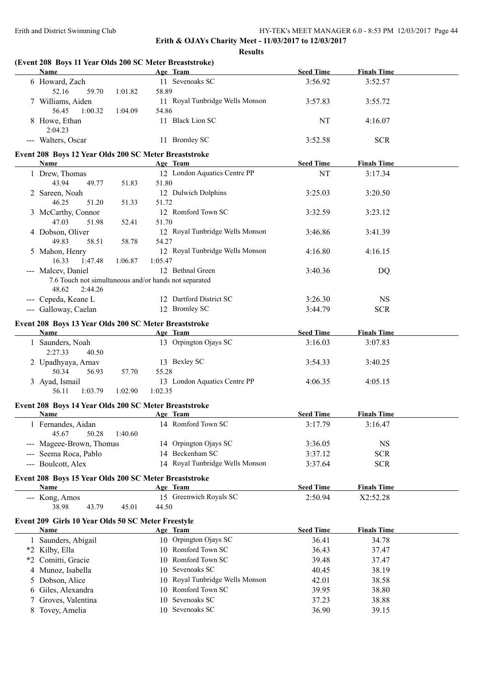**Results**

|     | (Event 208 Boys 11 Year Olds 200 SC Meter Breaststroke)<br>Name |         |         | Age Team                                 | <b>Seed Time</b> | <b>Finals Time</b> |  |
|-----|-----------------------------------------------------------------|---------|---------|------------------------------------------|------------------|--------------------|--|
|     | 6 Howard, Zach                                                  |         |         | 11 Sevenoaks SC                          | 3:56.92          | 3:52.57            |  |
|     | 52.16<br>59.70                                                  | 1:01.82 | 58.89   |                                          |                  |                    |  |
|     | 7 Williams, Aiden                                               |         |         | 11 Royal Tunbridge Wells Monson          | 3:57.83          | 3:55.72            |  |
|     | 56.45<br>1:00.32                                                | 1:04.09 | 54.86   |                                          |                  |                    |  |
|     | 8 Howe, Ethan                                                   |         |         | 11 Black Lion SC                         | NT               | 4:16.07            |  |
|     | 2:04.23                                                         |         |         |                                          |                  |                    |  |
|     | --- Walters, Oscar                                              |         |         | 11 Bromley SC                            | 3:52.58          | <b>SCR</b>         |  |
|     |                                                                 |         |         |                                          |                  |                    |  |
|     | Event 208 Boys 12 Year Olds 200 SC Meter Breaststroke<br>Name   |         |         |                                          | <b>Seed Time</b> | <b>Finals Time</b> |  |
|     |                                                                 |         |         | Age Team<br>12 London Aquatics Centre PP | NT               | 3:17.34            |  |
|     | 1 Drew, Thomas<br>43.94<br>49.77                                |         | 51.80   |                                          |                  |                    |  |
|     | 2 Sareen, Noah                                                  | 51.83   |         | 12 Dulwich Dolphins                      | 3:25.03          | 3:20.50            |  |
|     | 46.25<br>51.20                                                  | 51.33   | 51.72   |                                          |                  |                    |  |
|     | 3 McCarthy, Connor                                              |         |         | 12 Romford Town SC                       | 3:32.59          | 3:23.12            |  |
|     | 47.03<br>51.98                                                  | 52.41   | 51.70   |                                          |                  |                    |  |
|     | 4 Dobson, Oliver                                                |         |         | 12 Royal Tunbridge Wells Monson          | 3:46.86          | 3:41.39            |  |
|     | 49.83<br>58.51                                                  | 58.78   | 54.27   |                                          |                  |                    |  |
|     | 5 Mahon, Henry                                                  |         |         | 12 Royal Tunbridge Wells Monson          | 4:16.80          | 4:16.15            |  |
|     | 16.33<br>1:47.48                                                | 1:06.87 | 1:05.47 |                                          |                  |                    |  |
|     | --- Malcev, Daniel                                              |         |         | 12 Bethnal Green                         | 3:40.36          | DQ                 |  |
|     | 7.6 Touch not simultaneous and/or hands not separated           |         |         |                                          |                  |                    |  |
|     | 48.62<br>2:44.26                                                |         |         |                                          |                  |                    |  |
|     | --- Cepeda, Keane L                                             |         |         | 12 Dartford District SC                  | 3:26.30          | <b>NS</b>          |  |
|     | --- Galloway, Caelan                                            |         |         | 12 Bromley SC                            | 3:44.79          | <b>SCR</b>         |  |
|     |                                                                 |         |         |                                          |                  |                    |  |
|     | Event 208 Boys 13 Year Olds 200 SC Meter Breaststroke<br>Name   |         |         |                                          | <b>Seed Time</b> | <b>Finals Time</b> |  |
|     | 1 Saunders, Noah                                                |         |         | Age Team<br>13 Orpington Ojays SC        | 3:16.03          | 3:07.83            |  |
|     | 2:27.33<br>40.50                                                |         |         |                                          |                  |                    |  |
|     | 2 Upadhyaya, Arnav                                              |         |         | 13 Bexley SC                             | 3:54.33          | 3:40.25            |  |
|     | 50.34<br>56.93                                                  | 57.70   | 55.28   |                                          |                  |                    |  |
|     | 3 Ayad, Ismail                                                  |         |         | 13 London Aquatics Centre PP             | 4:06.35          | 4:05.15            |  |
|     | 56.11<br>1:03.79                                                | 1:02.90 | 1:02.35 |                                          |                  |                    |  |
|     |                                                                 |         |         |                                          |                  |                    |  |
|     | Event 208 Boys 14 Year Olds 200 SC Meter Breaststroke           |         |         |                                          |                  |                    |  |
|     | Name                                                            |         |         | Age Team                                 | <b>Seed Time</b> | <b>Finals Time</b> |  |
|     | 1 Fernandes, Aidan                                              |         |         | 14 Romford Town SC                       | 3:17.79          | 3:16.47            |  |
|     | 50.28<br>45.67                                                  | 1:40.60 |         |                                          |                  |                    |  |
| --- | Mageee-Brown, Thomas                                            |         |         | 14 Orpington Ojays SC                    | 3:36.05          | <b>NS</b>          |  |
|     | Seema Roca, Pablo                                               |         |         | 14 Beckenham SC                          | 3:37.12          | <b>SCR</b>         |  |
|     | --- Boulcott, Alex                                              |         |         | 14 Royal Tunbridge Wells Monson          | 3:37.64          | <b>SCR</b>         |  |
|     | Event 208 Boys 15 Year Olds 200 SC Meter Breaststroke           |         |         |                                          |                  |                    |  |
|     | Name                                                            |         |         | Age Team                                 | <b>Seed Time</b> | <b>Finals Time</b> |  |
|     | --- Kong, Amos                                                  |         |         | 15 Greenwich Royals SC                   | 2:50.94          | X2:52.28           |  |
|     | 38.98<br>43.79                                                  | 45.01   | 44.50   |                                          |                  |                    |  |
|     | Event 209 Girls 10 Year Olds 50 SC Meter Freestyle              |         |         |                                          |                  |                    |  |
|     | <b>Name</b>                                                     |         |         | Age Team                                 | <b>Seed Time</b> | <b>Finals Time</b> |  |
|     | 1 Saunders, Abigail                                             |         |         | 10 Orpington Ojays SC                    | 36.41            | 34.78              |  |
|     | *2 Kilby, Ella                                                  |         |         | 10 Romford Town SC                       | 36.43            | 37.47              |  |
|     | *2 Comitti, Gracie                                              |         |         | 10 Romford Town SC                       | 39.48            | 37.47              |  |
|     | 4 Munoz, Isabella                                               |         |         | 10 Sevenoaks SC                          | 40.45            | 38.19              |  |
|     | 5 Dobson, Alice                                                 |         |         | 10 Royal Tunbridge Wells Monson          | 42.01            | 38.58              |  |
| 6   | Giles, Alexandra                                                |         |         | 10 Romford Town SC                       | 39.95            | 38.80              |  |
|     | Groves, Valentina                                               |         |         | 10 Sevenoaks SC                          | 37.23            | 38.88              |  |
| 7   | 8 Tovey, Amelia                                                 |         |         | 10 Sevenoaks SC                          | 36.90            | 39.15              |  |
|     |                                                                 |         |         |                                          |                  |                    |  |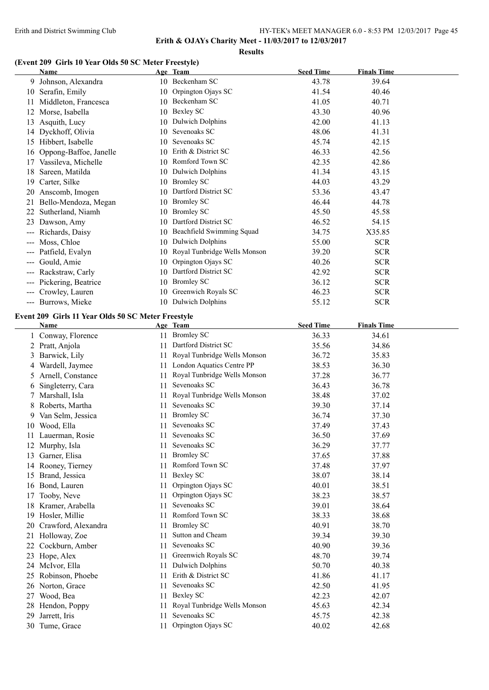**Erith & OJAYs Charity Meet - 11/03/2017 to 12/03/2017**

#### **Results**

## **(Event 209 Girls 10 Year Olds 50 SC Meter Freestyle)**

|                                                                                                                                                                                                                                                                                                                                                                                              | <b>Name</b>            |    | Age Team                     | <b>Seed Time</b> | <b>Finals Time</b> |  |
|----------------------------------------------------------------------------------------------------------------------------------------------------------------------------------------------------------------------------------------------------------------------------------------------------------------------------------------------------------------------------------------------|------------------------|----|------------------------------|------------------|--------------------|--|
| 9.                                                                                                                                                                                                                                                                                                                                                                                           | Johnson, Alexandra     |    | 10 Beckenham SC              | 43.78            | 39.64              |  |
| 10                                                                                                                                                                                                                                                                                                                                                                                           | Serafin, Emily         |    | 10 Orpington Ojays SC        | 41.54            | 40.46              |  |
| 11                                                                                                                                                                                                                                                                                                                                                                                           | Middleton, Francesca   | 10 | Beckenham SC                 | 41.05            | 40.71              |  |
| 12                                                                                                                                                                                                                                                                                                                                                                                           | Morse, Isabella        | 10 | <b>Bexley SC</b>             | 43.30            | 40.96              |  |
| 13                                                                                                                                                                                                                                                                                                                                                                                           | Asquith, Lucy          | 10 | Dulwich Dolphins             | 42.00            | 41.13              |  |
| 14                                                                                                                                                                                                                                                                                                                                                                                           | Dyckhoff, Olivia       | 10 | Sevenoaks SC                 | 48.06            | 41.31              |  |
| 15                                                                                                                                                                                                                                                                                                                                                                                           | Hibbert, Isabelle      | 10 | Sevenoaks SC                 | 45.74            | 42.15              |  |
| 16                                                                                                                                                                                                                                                                                                                                                                                           | Oppong-Baffoe, Janelle | 10 | Erith & District SC          | 46.33            | 42.56              |  |
| 17                                                                                                                                                                                                                                                                                                                                                                                           | Vassileva, Michelle    | 10 | Romford Town SC              | 42.35            | 42.86              |  |
| 18                                                                                                                                                                                                                                                                                                                                                                                           | Sareen, Matilda        | 10 | Dulwich Dolphins             | 41.34            | 43.15              |  |
| 19                                                                                                                                                                                                                                                                                                                                                                                           | Carter, Silke          | 10 | <b>Bromley SC</b>            | 44.03            | 43.29              |  |
| 20                                                                                                                                                                                                                                                                                                                                                                                           | Anscomb, Imogen        | 10 | Dartford District SC         | 53.36            | 43.47              |  |
| 21                                                                                                                                                                                                                                                                                                                                                                                           | Bello-Mendoza, Megan   | 10 | <b>Bromley SC</b>            | 46.44            | 44.78              |  |
| 22                                                                                                                                                                                                                                                                                                                                                                                           | Sutherland, Niamh      | 10 | <b>Bromley SC</b>            | 45.50            | 45.58              |  |
| 23                                                                                                                                                                                                                                                                                                                                                                                           | Dawson, Amy            | 10 | Dartford District SC         | 46.52            | 54.15              |  |
|                                                                                                                                                                                                                                                                                                                                                                                              | Richards, Daisy        | 10 | Beachfield Swimming Squad    | 34.75            | X35.85             |  |
| $---$                                                                                                                                                                                                                                                                                                                                                                                        | Moss, Chloe            | 10 | Dulwich Dolphins             | 55.00            | <b>SCR</b>         |  |
| $\qquad \qquad \cdots$                                                                                                                                                                                                                                                                                                                                                                       | Patfield, Evalyn       | 10 | Royal Tunbridge Wells Monson | 39.20            | <b>SCR</b>         |  |
| $\frac{1}{2} \frac{1}{2} \frac{1}{2} \frac{1}{2} \frac{1}{2} \frac{1}{2} \frac{1}{2} \frac{1}{2} \frac{1}{2} \frac{1}{2} \frac{1}{2} \frac{1}{2} \frac{1}{2} \frac{1}{2} \frac{1}{2} \frac{1}{2} \frac{1}{2} \frac{1}{2} \frac{1}{2} \frac{1}{2} \frac{1}{2} \frac{1}{2} \frac{1}{2} \frac{1}{2} \frac{1}{2} \frac{1}{2} \frac{1}{2} \frac{1}{2} \frac{1}{2} \frac{1}{2} \frac{1}{2} \frac{$ | Gould, Amie            | 10 | Orpington Ojays SC           | 40.26            | <b>SCR</b>         |  |
| $---$                                                                                                                                                                                                                                                                                                                                                                                        | Rackstraw, Carly       | 10 | Dartford District SC         | 42.92            | <b>SCR</b>         |  |
|                                                                                                                                                                                                                                                                                                                                                                                              | Pickering, Beatrice    | 10 | <b>Bromley SC</b>            | 36.12            | <b>SCR</b>         |  |
| ---                                                                                                                                                                                                                                                                                                                                                                                          | Crowley, Lauren        | 10 | Greenwich Royals SC          | 46.23            | <b>SCR</b>         |  |
| ---                                                                                                                                                                                                                                                                                                                                                                                          | Burrows, Mieke         | 10 | Dulwich Dolphins             | 55.12            | <b>SCR</b>         |  |

# **Event 209 Girls 11 Year Olds 50 SC Meter Freestyle**

|    | <b>Name</b>         |    | Age Team                     | <b>Seed Time</b> | <b>Finals Time</b> |
|----|---------------------|----|------------------------------|------------------|--------------------|
|    | 1 Conway, Florence  |    | 11 Bromley SC                | 36.33            | 34.61              |
| 2  | Pratt, Anjola       | 11 | Dartford District SC         | 35.56            | 34.86              |
|    | Barwick, Lily       | 11 | Royal Tunbridge Wells Monson | 36.72            | 35.83              |
| 4  | Wardell, Jaymee     | 11 | London Aquatics Centre PP    | 38.53            | 36.30              |
|    | Arnell, Constance   | 11 | Royal Tunbridge Wells Monson | 37.28            | 36.77              |
| 6  | Singleterry, Cara   | 11 | Sevenoaks SC                 | 36.43            | 36.78              |
|    | Marshall, Isla      | 11 | Royal Tunbridge Wells Monson | 38.48            | 37.02              |
|    | Roberts, Martha     | 11 | Sevenoaks SC                 | 39.30            | 37.14              |
| 9  | Van Selm, Jessica   | 11 | <b>Bromley SC</b>            | 36.74            | 37.30              |
| 10 | Wood, Ella          | 11 | Sevenoaks SC                 | 37.49            | 37.43              |
| 11 | Lauerman, Rosie     | 11 | Sevenoaks SC                 | 36.50            | 37.69              |
| 12 | Murphy, Isla        | 11 | Sevenoaks SC                 | 36.29            | 37.77              |
| 13 | Garner, Elisa       | 11 | <b>Bromley SC</b>            | 37.65            | 37.88              |
| 14 | Rooney, Tierney     |    | Romford Town SC              | 37.48            | 37.97              |
| 15 | Brand, Jessica      | 11 | <b>Bexley SC</b>             | 38.07            | 38.14              |
| 16 | Bond, Lauren        | 11 | Orpington Ojays SC           | 40.01            | 38.51              |
| 17 | Tooby, Neve         | 11 | Orpington Ojays SC           | 38.23            | 38.57              |
|    | 18 Kramer, Arabella | 11 | Sevenoaks SC                 | 39.01            | 38.64              |
| 19 | Hosler, Millie      | 11 | Romford Town SC              | 38.33            | 38.68              |
| 20 | Crawford, Alexandra | 11 | <b>Bromley SC</b>            | 40.91            | 38.70              |
| 21 | Holloway, Zoe       | 11 | Sutton and Cheam             | 39.34            | 39.30              |
| 22 | Cockburn, Amber     | 11 | Sevenoaks SC                 | 40.90            | 39.36              |
| 23 | Hope, Alex          | 11 | Greenwich Royals SC          | 48.70            | 39.74              |
| 24 | McIvor, Ella        | 11 | Dulwich Dolphins             | 50.70            | 40.38              |
| 25 | Robinson, Phoebe    | 11 | Erith & District SC          | 41.86            | 41.17              |
|    | 26 Norton, Grace    | 11 | Sevenoaks SC                 | 42.50            | 41.95              |
| 27 | Wood, Bea           | 11 | Bexley SC                    | 42.23            | 42.07              |
|    | 28 Hendon, Poppy    | 11 | Royal Tunbridge Wells Monson | 45.63            | 42.34              |
| 29 | Jarrett, Iris       |    | Sevenoaks SC                 | 45.75            | 42.38              |
|    | 30 Tume, Grace      | 11 | Orpington Ojays SC           | 40.02            | 42.68              |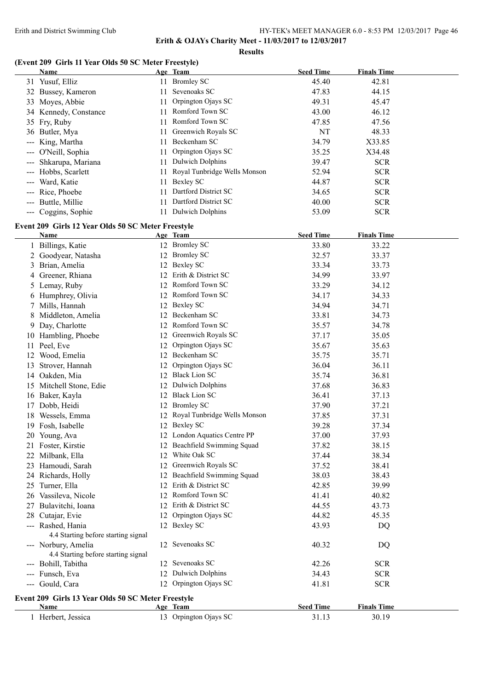**Results**

# **(Event 209 Girls 11 Year Olds 50 SC Meter Freestyle)**

|                                                                                                                                                                                                                                                                                                                                                                                              | <b>Name</b>                                                |    | Age Team                        | <b>Seed Time</b> | <b>Finals Time</b> |
|----------------------------------------------------------------------------------------------------------------------------------------------------------------------------------------------------------------------------------------------------------------------------------------------------------------------------------------------------------------------------------------------|------------------------------------------------------------|----|---------------------------------|------------------|--------------------|
|                                                                                                                                                                                                                                                                                                                                                                                              | 31 Yusuf, Elliz                                            |    | 11 Bromley SC                   | 45.40            | 42.81              |
|                                                                                                                                                                                                                                                                                                                                                                                              | 32 Bussey, Kameron                                         | 11 | Sevenoaks SC                    | 47.83            | 44.15              |
|                                                                                                                                                                                                                                                                                                                                                                                              | 33 Moyes, Abbie                                            | 11 | Orpington Ojays SC              | 49.31            | 45.47              |
|                                                                                                                                                                                                                                                                                                                                                                                              | 34 Kennedy, Constance                                      | 11 | Romford Town SC                 | 43.00            | 46.12              |
|                                                                                                                                                                                                                                                                                                                                                                                              | 35 Fry, Ruby                                               | 11 | Romford Town SC                 | 47.85            | 47.56              |
|                                                                                                                                                                                                                                                                                                                                                                                              | 36 Butler, Mya                                             | 11 | Greenwich Royals SC             | NT               | 48.33              |
|                                                                                                                                                                                                                                                                                                                                                                                              | King, Martha                                               | 11 | Beckenham SC                    | 34.79            | X33.85             |
|                                                                                                                                                                                                                                                                                                                                                                                              | O'Neill, Sophia                                            | 11 | Orpington Ojays SC              | 35.25            | X34.48             |
|                                                                                                                                                                                                                                                                                                                                                                                              | Shkarupa, Mariana                                          | 11 | <b>Dulwich Dolphins</b>         | 39.47            | <b>SCR</b>         |
|                                                                                                                                                                                                                                                                                                                                                                                              | Hobbs, Scarlett                                            | 11 | Royal Tunbridge Wells Monson    | 52.94            | <b>SCR</b>         |
|                                                                                                                                                                                                                                                                                                                                                                                              | Ward, Katie                                                | 11 | <b>Bexley SC</b>                | 44.87            | <b>SCR</b>         |
|                                                                                                                                                                                                                                                                                                                                                                                              | Rice, Phoebe                                               | 11 | Dartford District SC            | 34.65            | <b>SCR</b>         |
| $---$                                                                                                                                                                                                                                                                                                                                                                                        | Buttle, Millie                                             | 11 | Dartford District SC            | 40.00            | <b>SCR</b>         |
| $\frac{1}{2} \frac{1}{2} \frac{1}{2} \frac{1}{2} \frac{1}{2} \frac{1}{2} \frac{1}{2} \frac{1}{2} \frac{1}{2} \frac{1}{2} \frac{1}{2} \frac{1}{2} \frac{1}{2} \frac{1}{2} \frac{1}{2} \frac{1}{2} \frac{1}{2} \frac{1}{2} \frac{1}{2} \frac{1}{2} \frac{1}{2} \frac{1}{2} \frac{1}{2} \frac{1}{2} \frac{1}{2} \frac{1}{2} \frac{1}{2} \frac{1}{2} \frac{1}{2} \frac{1}{2} \frac{1}{2} \frac{$ | Coggins, Sophie                                            |    | 11 Dulwich Dolphins             | 53.09            | <b>SCR</b>         |
|                                                                                                                                                                                                                                                                                                                                                                                              |                                                            |    |                                 |                  |                    |
|                                                                                                                                                                                                                                                                                                                                                                                              | Event 209 Girls 12 Year Olds 50 SC Meter Freestyle         |    |                                 |                  |                    |
|                                                                                                                                                                                                                                                                                                                                                                                              | Name                                                       |    | Age Team                        | <b>Seed Time</b> | <b>Finals Time</b> |
|                                                                                                                                                                                                                                                                                                                                                                                              | 1 Billings, Katie                                          |    | 12 Bromley SC                   | 33.80            | 33.22              |
|                                                                                                                                                                                                                                                                                                                                                                                              | 2 Goodyear, Natasha                                        |    | 12 Bromley SC                   | 32.57            | 33.37              |
| 3                                                                                                                                                                                                                                                                                                                                                                                            | Brian, Amelia                                              |    | 12 Bexley SC                    | 33.34            | 33.73              |
| 4                                                                                                                                                                                                                                                                                                                                                                                            | Greener, Rhiana                                            |    | 12 Erith & District SC          | 34.99            | 33.97              |
| 5                                                                                                                                                                                                                                                                                                                                                                                            | Lemay, Ruby                                                |    | 12 Romford Town SC              | 33.29            | 34.12              |
|                                                                                                                                                                                                                                                                                                                                                                                              | 6 Humphrey, Olivia                                         |    | 12 Romford Town SC              | 34.17            | 34.33              |
| 7                                                                                                                                                                                                                                                                                                                                                                                            | Mills, Hannah                                              |    | 12 Bexley SC                    | 34.94            | 34.71              |
|                                                                                                                                                                                                                                                                                                                                                                                              | 8 Middleton, Amelia                                        | 12 | Beckenham SC                    | 33.81            | 34.73              |
|                                                                                                                                                                                                                                                                                                                                                                                              | 9 Day, Charlotte                                           |    | 12 Romford Town SC              | 35.57            | 34.78              |
|                                                                                                                                                                                                                                                                                                                                                                                              | 10 Hambling, Phoebe                                        |    | 12 Greenwich Royals SC          | 37.17            | 35.05              |
| 11.                                                                                                                                                                                                                                                                                                                                                                                          | Peel, Eve                                                  | 12 | Orpington Ojays SC              | 35.67            | 35.63              |
|                                                                                                                                                                                                                                                                                                                                                                                              | 12 Wood, Emelia                                            |    | 12 Beckenham SC                 | 35.75            | 35.71              |
| 13                                                                                                                                                                                                                                                                                                                                                                                           | Strover, Hannah                                            | 12 | Orpington Ojays SC              | 36.04            | 36.11              |
|                                                                                                                                                                                                                                                                                                                                                                                              | 14 Oakden, Mia                                             |    | 12 Black Lion SC                | 35.74            | 36.81              |
|                                                                                                                                                                                                                                                                                                                                                                                              | 15 Mitchell Stone, Edie                                    |    | 12 Dulwich Dolphins             | 37.68            | 36.83              |
|                                                                                                                                                                                                                                                                                                                                                                                              | 16 Baker, Kayla                                            |    | 12 Black Lion SC                | 36.41            | 37.13              |
| 17                                                                                                                                                                                                                                                                                                                                                                                           | Dobb, Heidi                                                |    | 12 Bromley SC                   | 37.90            | 37.21              |
|                                                                                                                                                                                                                                                                                                                                                                                              | 18 Wessels, Emma                                           |    | 12 Royal Tunbridge Wells Monson | 37.85            | 37.31              |
|                                                                                                                                                                                                                                                                                                                                                                                              | 19 Fosh, Isabelle                                          |    | 12 Bexley SC                    | 39.28            | 37.34              |
|                                                                                                                                                                                                                                                                                                                                                                                              | 20 Young, Ava                                              |    | 12 London Aquatics Centre PP    | 37.00            | 37.93              |
|                                                                                                                                                                                                                                                                                                                                                                                              | 21 Foster, Kirstie                                         |    | 12 Beachfield Swimming Squad    | 37.82            | 38.15              |
|                                                                                                                                                                                                                                                                                                                                                                                              | 22 Milbank, Ella                                           |    | 12 White Oak SC                 | 37.44            | 38.34              |
|                                                                                                                                                                                                                                                                                                                                                                                              | 23 Hamoudi, Sarah                                          |    | 12 Greenwich Royals SC          | 37.52            | 38.41              |
|                                                                                                                                                                                                                                                                                                                                                                                              | 24 Richards, Holly                                         |    | 12 Beachfield Swimming Squad    | 38.03            | 38.43              |
|                                                                                                                                                                                                                                                                                                                                                                                              | 25 Turner, Ella                                            |    | 12 Erith & District SC          | 42.85            | 39.99              |
|                                                                                                                                                                                                                                                                                                                                                                                              | 26 Vassileva, Nicole                                       |    | 12 Romford Town SC              | 41.41            | 40.82              |
|                                                                                                                                                                                                                                                                                                                                                                                              | 27 Bulavitchi, Ioana                                       |    | 12 Erith & District SC          | 44.55            | 43.73              |
|                                                                                                                                                                                                                                                                                                                                                                                              | 28 Cutajar, Evie                                           |    | 12 Orpington Ojays SC           | 44.82            | 45.35              |
|                                                                                                                                                                                                                                                                                                                                                                                              | --- Rashed, Hania<br>4.4 Starting before starting signal   |    | 12 Bexley SC                    | 43.93            | DQ                 |
|                                                                                                                                                                                                                                                                                                                                                                                              | --- Norbury, Amelia<br>4.4 Starting before starting signal |    | 12 Sevenoaks SC                 | 40.32            | DQ                 |
|                                                                                                                                                                                                                                                                                                                                                                                              | --- Bohill, Tabitha                                        |    | 12 Sevenoaks SC                 | 42.26            | <b>SCR</b>         |
|                                                                                                                                                                                                                                                                                                                                                                                              | --- Funsch, Eva                                            |    | 12 Dulwich Dolphins             | 34.43            | <b>SCR</b>         |
|                                                                                                                                                                                                                                                                                                                                                                                              | --- Gould, Cara                                            |    | 12 Orpington Ojays SC           | 41.81            | <b>SCR</b>         |
|                                                                                                                                                                                                                                                                                                                                                                                              |                                                            |    |                                 |                  |                    |
|                                                                                                                                                                                                                                                                                                                                                                                              | Event 209 Girls 13 Year Olds 50 SC Meter Freestyle         |    |                                 |                  |                    |
|                                                                                                                                                                                                                                                                                                                                                                                              | Name                                                       |    | Age Team                        | <b>Seed Time</b> | <b>Finals Time</b> |
|                                                                                                                                                                                                                                                                                                                                                                                              | 1 Herbert, Jessica                                         |    | 13 Orpington Ojays SC           | 31.13            | 30.19              |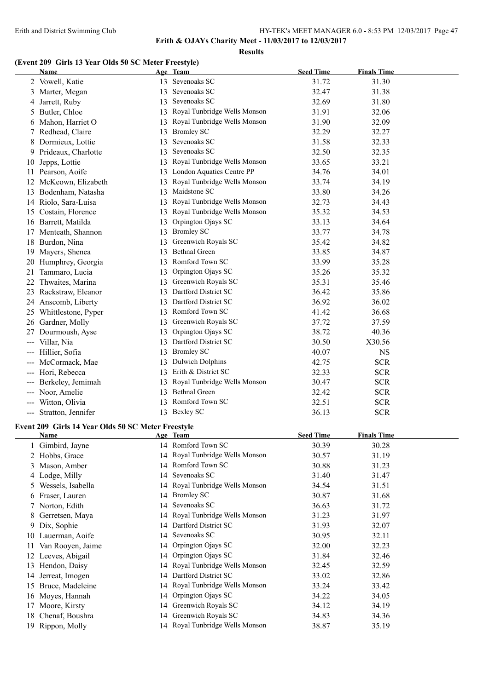**Results**

#### **(Event 209 Girls 13 Year Olds 50 SC Meter Freestyle)**

|     | Name                                               |    | Age Team                        | <b>Seed Time</b> | <b>Finals Time</b> |
|-----|----------------------------------------------------|----|---------------------------------|------------------|--------------------|
|     | 2 Vowell, Katie                                    |    | 13 Sevenoaks SC                 | 31.72            | 31.30              |
|     | 3 Marter, Megan                                    |    | 13 Sevenoaks SC                 | 32.47            | 31.38              |
|     | 4 Jarrett, Ruby                                    |    | 13 Sevenoaks SC                 | 32.69            | 31.80              |
| 5   | Butler, Chloe                                      |    | 13 Royal Tunbridge Wells Monson | 31.91            | 32.06              |
|     | 6 Mahon, Harriet O                                 |    | 13 Royal Tunbridge Wells Monson | 31.90            | 32.09              |
| 7   | Redhead, Claire                                    |    | 13 Bromley SC                   | 32.29            | 32.27              |
| 8   | Dormieux, Lottie                                   | 13 | Sevenoaks SC                    | 31.58            | 32.33              |
|     | 9 Prideaux, Charlotte                              | 13 | Sevenoaks SC                    | 32.50            | 32.35              |
| 10  | Jepps, Lottie                                      |    | 13 Royal Tunbridge Wells Monson | 33.65            | 33.21              |
|     | 11 Pearson, Aoife                                  |    | 13 London Aquatics Centre PP    | 34.76            | 34.01              |
|     | 12 McKeown, Elizabeth                              |    | 13 Royal Tunbridge Wells Monson | 33.74            | 34.19              |
|     | 13 Bodenham, Natasha                               |    | 13 Maidstone SC                 | 33.80            | 34.26              |
|     | 14 Riolo, Sara-Luisa                               |    | 13 Royal Tunbridge Wells Monson | 32.73            | 34.43              |
|     | 15 Costain, Florence                               |    | 13 Royal Tunbridge Wells Monson | 35.32            | 34.53              |
|     | 16 Barrett, Matilda                                | 13 | Orpington Ojays SC              | 33.13            | 34.64              |
|     | 17 Menteath, Shannon                               |    | 13 Bromley SC                   | 33.77            | 34.78              |
|     | 18 Burdon, Nina                                    |    | 13 Greenwich Royals SC          | 35.42            | 34.82              |
|     | 19 Mayers, Shenea                                  |    | 13 Bethnal Green                | 33.85            | 34.87              |
|     | 20 Humphrey, Georgia                               |    | 13 Romford Town SC              | 33.99            | 35.28              |
| 21  | Tammaro, Lucia                                     | 13 | Orpington Ojays SC              | 35.26            | 35.32              |
| 22  | Thwaites, Marina                                   |    | 13 Greenwich Royals SC          | 35.31            | 35.46              |
|     | 23 Rackstraw, Eleanor                              |    | 13 Dartford District SC         | 36.42            | 35.86              |
|     | 24 Anscomb, Liberty                                |    | 13 Dartford District SC         | 36.92            | 36.02              |
|     | 25 Whittlestone, Pyper                             |    | 13 Romford Town SC              | 41.42            | 36.68              |
|     | 26 Gardner, Molly                                  |    | 13 Greenwich Royals SC          | 37.72            | 37.59              |
| 27  | Dourmoush, Ayse                                    | 13 | Orpington Ojays SC              | 38.72            | 40.36              |
| --- | Villar, Nia                                        |    | 13 Dartford District SC         | 30.50            | X30.56             |
|     | Hillier, Sofia                                     |    | 13 Bromley SC                   | 40.07            | <b>NS</b>          |
|     | McCormack, Mae                                     |    | 13 Dulwich Dolphins             | 42.75            | <b>SCR</b>         |
|     | Hori, Rebecca                                      |    | 13 Erith & District SC          | 32.33            | <b>SCR</b>         |
|     | Berkeley, Jemimah                                  |    | 13 Royal Tunbridge Wells Monson | 30.47            | <b>SCR</b>         |
|     | Noor, Amelie                                       |    | 13 Bethnal Green                | 32.42            | $SCR$              |
|     | --- Witton, Olivia                                 |    | 13 Romford Town SC              | 32.51            | <b>SCR</b>         |
|     | --- Stratton, Jennifer                             |    | 13 Bexley SC                    | 36.13            | <b>SCR</b>         |
|     |                                                    |    |                                 |                  |                    |
|     | Event 209 Girls 14 Year Olds 50 SC Meter Freestyle |    |                                 |                  |                    |
|     | <u>Name</u>                                        |    | Age Team                        | <u>Seed Time</u> | <b>Finals Time</b> |
|     | 1 Gimbird, Jayne                                   |    | 14 Romford Town SC              | 30.39            | 30.28              |
|     | 2 Hobbs, Grace                                     |    | 14 Royal Tunbridge Wells Monson | 30.57            | 31.19              |
|     | 3 Mason, Amber                                     |    | 14 Romford Town SC              | 30.88            | 31.23              |
|     | 4 Lodge, Milly                                     |    | 14 Sevenoaks SC                 | 31.40            | 31.47              |
| 5   | Wessels, Isabella                                  |    | 14 Royal Tunbridge Wells Monson | 34.54            | 31.51              |
|     | 6 Fraser, Lauren                                   |    | 14 Bromley SC                   | 30.87            | 31.68              |
| 7   | Norton, Edith                                      | 14 | Sevenoaks SC                    | 36.63            | 31.72              |
| 8   | Gerretsen, Maya                                    |    | 14 Royal Tunbridge Wells Monson | 31.23            | 31.97              |
| 9   | Dix, Sophie                                        | 14 | Dartford District SC            | 31.93            | 32.07              |
| 10  | Lauerman, Aoife                                    | 14 | Sevenoaks SC                    | 30.95            | 32.11              |
| 11  | Van Rooyen, Jaime                                  | 14 | Orpington Ojays SC              | 32.00            | 32.23              |
|     | 12 Leeves, Abigail                                 | 14 | Orpington Ojays SC              | 31.84            | 32.46              |
|     | 13 Hendon, Daisy                                   |    | 14 Royal Tunbridge Wells Monson | 32.45            | 32.59              |

14 Jerreat, Imogen 14 Dartford District SC 33.02 32.86 Bruce, Madeleine 14 Royal Tunbridge Wells Monson 33.24 33.42 Moyes, Hannah 14 Orpington Ojays SC 34.22 34.05 17 Moore, Kirsty 14 Greenwich Royals SC 34.12 34.19 18 Chenaf, Boushra 14 Greenwich Royals SC 34.83 34.36 Rippon, Molly 14 Royal Tunbridge Wells Monson 38.87 35.19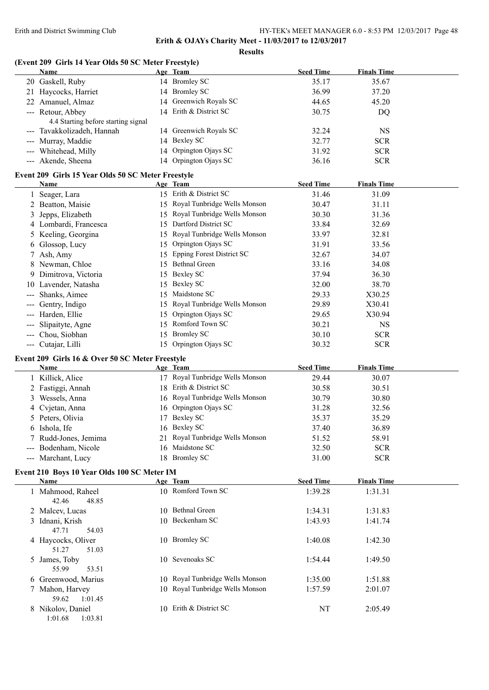**Results**

# **(Event 209 Girls 14 Year Olds 50 SC Meter Freestyle)**

|   | Name                                                       |    | Age Team                        | <b>Seed Time</b> | <b>Finals Time</b> |
|---|------------------------------------------------------------|----|---------------------------------|------------------|--------------------|
|   | 20 Gaskell, Ruby                                           |    | 14 Bromley SC                   | 35.17            | 35.67              |
|   | 21 Haycocks, Harriet                                       |    | 14 Bromley SC                   | 36.99            | 37.20              |
|   | 22 Amanuel, Almaz                                          |    | 14 Greenwich Royals SC          | 44.65            | 45.20              |
|   | --- Retour, Abbey                                          |    | 14 Erith & District SC          | 30.75            | DQ                 |
|   | 4.4 Starting before starting signal                        |    |                                 |                  |                    |
|   | --- Tavakkolizadeh, Hannah                                 |    | 14 Greenwich Royals SC          | 32.24            | <b>NS</b>          |
|   | --- Murray, Maddie                                         |    | 14 Bexley SC                    | 32.77            | <b>SCR</b>         |
|   | --- Whitehead, Milly                                       |    | 14 Orpington Ojays SC           | 31.92            | <b>SCR</b>         |
|   | --- Akende, Sheena                                         |    | 14 Orpington Ojays SC           | 36.16            | <b>SCR</b>         |
|   |                                                            |    |                                 |                  |                    |
|   | Event 209 Girls 15 Year Olds 50 SC Meter Freestyle<br>Name |    | Age Team                        | <b>Seed Time</b> | <b>Finals Time</b> |
|   | 1 Seager, Lara                                             |    | 15 Erith & District SC          | 31.46            | 31.09              |
|   | 2 Beatton, Maisie                                          |    | 15 Royal Tunbridge Wells Monson | 30.47            | 31.11              |
| 3 | Jepps, Elizabeth                                           |    | 15 Royal Tunbridge Wells Monson | 30.30            | 31.36              |
|   | 4 Lombardi, Francesca                                      |    | 15 Dartford District SC         | 33.84            | 32.69              |
|   | 5 Keeling, Georgina                                        |    | 15 Royal Tunbridge Wells Monson | 33.97            | 32.81              |
|   |                                                            |    | 15 Orpington Ojays SC           | 31.91            | 33.56              |
|   | 6 Glossop, Lucy                                            |    | 15 Epping Forest District SC    |                  |                    |
|   | 7 Ash, Amy                                                 |    | 15 Bethnal Green                | 32.67            | 34.07              |
|   | 8 Newman, Chloe                                            |    |                                 | 33.16            | 34.08              |
|   | 9 Dimitrova, Victoria                                      |    | 15 Bexley SC                    | 37.94            | 36.30              |
|   | 10 Lavender, Natasha                                       |    | 15 Bexley SC                    | 32.00            | 38.70              |
|   | --- Shanks, Aimee                                          |    | 15 Maidstone SC                 | 29.33            | X30.25             |
|   | --- Gentry, Indigo                                         |    | 15 Royal Tunbridge Wells Monson | 29.89            | X30.41             |
|   | --- Harden, Ellie                                          | 15 | Orpington Ojays SC              | 29.65            | X30.94             |
|   | Slipaityte, Agne                                           |    | 15 Romford Town SC              | 30.21            | <b>NS</b>          |
|   | --- Chou, Siobhan                                          |    | 15 Bromley SC                   | 30.10            | <b>SCR</b>         |
|   | --- Cutajar, Lilli                                         |    | 15 Orpington Ojays SC           | 30.32            | <b>SCR</b>         |
|   | Event 209 Girls 16 & Over 50 SC Meter Freestyle            |    |                                 |                  |                    |
|   | Name                                                       |    | Age Team                        | <b>Seed Time</b> | <b>Finals Time</b> |
|   | 1 Killick, Alice                                           |    | 17 Royal Tunbridge Wells Monson | 29.44            | 30.07              |
|   | 2 Fastiggi, Annah                                          |    | 18 Erith & District SC          | 30.58            | 30.51              |
|   | 3 Wessels, Anna                                            |    | 16 Royal Tunbridge Wells Monson | 30.79            | 30.80              |
|   | 4 Cvjetan, Anna                                            |    | 16 Orpington Ojays SC           | 31.28            | 32.56              |
| 5 | Peters, Olivia                                             |    | 17 Bexley SC                    | 35.37            | 35.29              |
|   | 6 Ishola, Ife                                              |    | 16 Bexley SC                    | 37.40            | 36.89              |
|   | 7 Rudd-Jones, Jemima                                       |    | 21 Royal Tunbridge Wells Monson | 51.52            | 58.91              |
|   | --- Bodenham, Nicole                                       |    | 16 Maidstone SC                 | 32.50            | <b>SCR</b>         |
|   | --- Marchant, Lucy                                         |    | 18 Bromley SC                   | 31.00            | <b>SCR</b>         |
|   | Event 210 Boys 10 Year Olds 100 SC Meter IM                |    |                                 |                  |                    |
|   | Name                                                       |    | Age Team                        | <b>Seed Time</b> | <b>Finals Time</b> |
|   | 1 Mahmood, Raheel                                          |    | 10 Romford Town SC              | 1:39.28          | 1:31.31            |
|   | 42.46<br>48.85                                             |    |                                 |                  |                    |
|   | 2 Malcev, Lucas                                            |    | 10 Bethnal Green                | 1:34.31          | 1:31.83            |
|   | 3 Idnani, Krish                                            |    | 10 Beckenham SC                 | 1:43.93          | 1:41.74            |
|   | 47.71<br>54.03                                             |    |                                 |                  |                    |
|   | 4 Haycocks, Oliver                                         |    | 10 Bromley SC                   | 1:40.08          | 1:42.30            |
|   | 51.27<br>51.03                                             |    |                                 |                  |                    |
|   | 5 James, Toby                                              |    | 10 Sevenoaks SC                 | 1:54.44          | 1:49.50            |
|   | 55.99<br>53.51                                             |    |                                 |                  |                    |
|   | 6 Greenwood, Marius                                        |    | 10 Royal Tunbridge Wells Monson | 1:35.00          | 1:51.88            |
|   | 7 Mahon, Harvey                                            |    | 10 Royal Tunbridge Wells Monson | 1:57.59          | 2:01.07            |
|   | 59.62<br>1:01.45                                           |    |                                 |                  |                    |
|   | 8 Nikolov, Daniel                                          |    | 10 Erith & District SC          | NT               | 2:05.49            |
|   | 1:01.68<br>1:03.81                                         |    |                                 |                  |                    |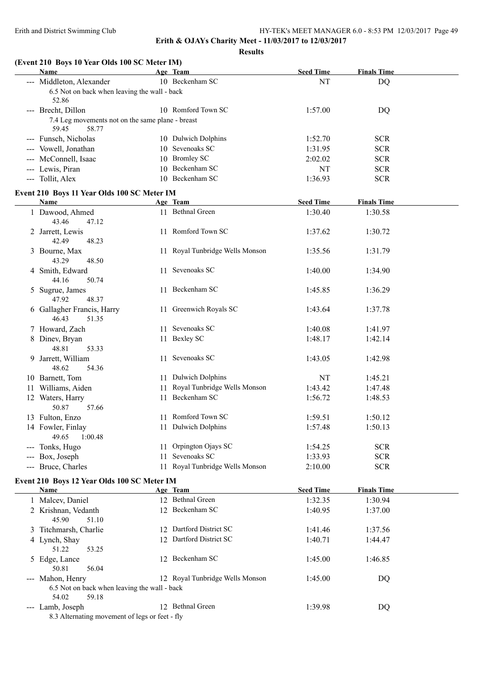# **Erith & OJAYs Charity Meet - 11/03/2017 to 12/03/2017 Results**

**(Event 210 Boys 10 Year Olds 100 SC Meter IM)**

| Name                                                               |     | Age Team                        | <b>Seed Time</b> | <b>Finals Time</b> |  |
|--------------------------------------------------------------------|-----|---------------------------------|------------------|--------------------|--|
| --- Middleton, Alexander                                           |     | 10 Beckenham SC                 | NT               | <b>DQ</b>          |  |
| 6.5 Not on back when leaving the wall - back                       |     |                                 |                  |                    |  |
| 52.86                                                              |     |                                 |                  |                    |  |
| --- Brecht, Dillon                                                 |     | 10 Romford Town SC              | 1:57.00          | DQ                 |  |
| 7.4 Leg movements not on the same plane - breast<br>59.45<br>58.77 |     |                                 |                  |                    |  |
| --- Funsch, Nicholas                                               |     | 10 Dulwich Dolphins             | 1:52.70          | <b>SCR</b>         |  |
| --- Vowell, Jonathan                                               |     | 10 Sevenoaks SC                 | 1:31.95          | <b>SCR</b>         |  |
| --- McConnell, Isaac                                               |     | 10 Bromley SC                   | 2:02.02          | <b>SCR</b>         |  |
| --- Lewis, Piran                                                   |     | 10 Beckenham SC                 | NT               | <b>SCR</b>         |  |
| --- Tollit, Alex                                                   |     | 10 Beckenham SC                 | 1:36.93          | <b>SCR</b>         |  |
| Event 210 Boys 11 Year Olds 100 SC Meter IM                        |     |                                 |                  |                    |  |
| <b>Name</b>                                                        |     | Age Team                        | <b>Seed Time</b> | <b>Finals Time</b> |  |
| 1 Dawood, Ahmed<br>43.46<br>47.12                                  |     | 11 Bethnal Green                | 1:30.40          | 1:30.58            |  |
| 2 Jarrett, Lewis<br>42.49<br>48.23                                 |     | 11 Romford Town SC              | 1:37.62          | 1:30.72            |  |
| 3 Bourne, Max<br>43.29<br>48.50                                    |     | 11 Royal Tunbridge Wells Monson | 1:35.56          | 1:31.79            |  |
| 4 Smith, Edward<br>44.16<br>50.74                                  |     | 11 Sevenoaks SC                 | 1:40.00          | 1:34.90            |  |
| 5 Sugrue, James<br>47.92<br>48.37                                  |     | 11 Beckenham SC                 | 1:45.85          | 1:36.29            |  |
| 6 Gallagher Francis, Harry<br>46.43<br>51.35                       |     | 11 Greenwich Royals SC          | 1:43.64          | 1:37.78            |  |
| 7 Howard, Zach                                                     |     | 11 Sevenoaks SC                 | 1:40.08          | 1:41.97            |  |
| 8 Dinev, Bryan<br>48.81<br>53.33                                   |     | 11 Bexley SC                    | 1:48.17          | 1:42.14            |  |
| 9 Jarrett, William<br>48.62<br>54.36                               |     | 11 Sevenoaks SC                 | 1:43.05          | 1:42.98            |  |
| 10 Barnett, Tom                                                    |     | 11 Dulwich Dolphins             | NT               | 1:45.21            |  |
| 11 Williams, Aiden                                                 | 11  | Royal Tunbridge Wells Monson    | 1:43.42          | 1:47.48            |  |
| 12 Waters, Harry<br>50.87<br>57.66                                 |     | 11 Beckenham SC                 | 1:56.72          | 1:48.53            |  |
| 13 Fulton, Enzo                                                    |     | 11 Romford Town SC              | 1:59.51          | 1:50.12            |  |
| 14 Fowler, Finlay<br>49.65<br>1:00.48                              |     | 11 Dulwich Dolphins             | 1:57.48          | 1:50.13            |  |
| --- Tonks, Hugo                                                    | 11. | Orpington Ojays SC              | 1:54.25          | <b>SCR</b>         |  |
| --- Box, Joseph                                                    | 11  | Sevenoaks SC                    | 1:33.93          | <b>SCR</b>         |  |
| --- Bruce, Charles                                                 | 11. | Royal Tunbridge Wells Monson    | 2:10.00          | <b>SCR</b>         |  |
| Event 210 Boys 12 Year Olds 100 SC Meter IM                        |     |                                 |                  |                    |  |
| Name                                                               |     | Age Team                        | <b>Seed Time</b> | <b>Finals Time</b> |  |
| 1 Malcev, Daniel                                                   |     | 12 Bethnal Green                | 1:32.35          | 1:30.94            |  |
| 2 Krishnan, Vedanth                                                |     | 12 Beckenham SC                 | 1:40.95          | 1:37.00            |  |
|                                                                    |     |                                 |                  |                    |  |

| 2 Krishnan, Vedanth                            |    | 12 Beckenham SC                 | 1:40.95 | 1:37.00 |
|------------------------------------------------|----|---------------------------------|---------|---------|
| 45.90<br>51.10                                 |    |                                 |         |         |
| 3 Titchmarsh, Charlie                          |    | Dartford District SC            | 1:41.46 | 1:37.56 |
| 4 Lynch, Shay                                  |    | 12 Dartford District SC         | 1:40.71 | 1:44.47 |
| 51.22<br>53.25                                 |    |                                 |         |         |
| 5 Edge, Lance                                  |    | 12 Beckenham SC                 | 1:45.00 | 1:46.85 |
| 50.81<br>56.04                                 |    |                                 |         |         |
| --- Mahon, Henry                               |    | 12 Royal Tunbridge Wells Monson | 1:45.00 | DQ      |
| 6.5 Not on back when leaving the wall - back   |    |                                 |         |         |
| 54.02<br>59.18                                 |    |                                 |         |         |
| --- Lamb, Joseph                               | 12 | <b>Bethnal Green</b>            | 1:39.98 | DQ      |
| 8.3 Alternating movement of legs or feet - fly |    |                                 |         |         |
|                                                |    |                                 |         |         |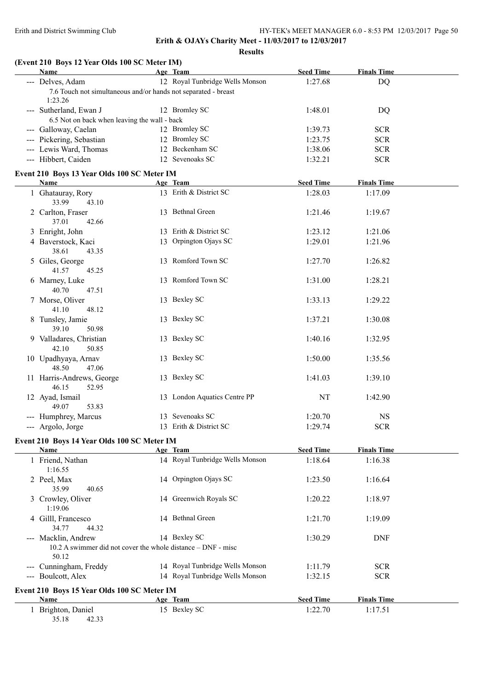**Erith & OJAYs Charity Meet - 11/03/2017 to 12/03/2017**

**Results**

# **(Event 210 Boys 12 Year Olds 100 SC Meter IM)**

| Name                                                                                         | Age Team                        | <b>Seed Time</b> | <b>Finals Time</b> |  |
|----------------------------------------------------------------------------------------------|---------------------------------|------------------|--------------------|--|
| --- Delves, Adam                                                                             | 12 Royal Tunbridge Wells Monson | 1:27.68          | <b>DQ</b>          |  |
| 7.6 Touch not simultaneous and/or hands not separated - breast<br>1:23.26                    |                                 |                  |                    |  |
| --- Sutherland, Ewan J                                                                       | 12 Bromley SC                   | 1:48.01          | DQ                 |  |
| 6.5 Not on back when leaving the wall - back                                                 | 12 Bromley SC                   |                  |                    |  |
| --- Galloway, Caelan                                                                         |                                 | 1:39.73          | <b>SCR</b>         |  |
| --- Pickering, Sebastian                                                                     | 12 Bromley SC                   | 1:23.75          | <b>SCR</b>         |  |
| --- Lewis Ward, Thomas                                                                       | 12 Beckenham SC                 | 1:38.06          | <b>SCR</b>         |  |
| --- Hibbert, Caiden                                                                          | 12 Sevenoaks SC                 | 1:32.21          | <b>SCR</b>         |  |
| Event 210 Boys 13 Year Olds 100 SC Meter IM                                                  |                                 |                  |                    |  |
| Name                                                                                         | Age Team                        | <b>Seed Time</b> | <b>Finals Time</b> |  |
| 1 Ghatauray, Rory                                                                            | 13 Erith & District SC          | 1:28.03          | 1:17.09            |  |
| 33.99<br>43.10                                                                               |                                 |                  |                    |  |
| 2 Carlton, Fraser<br>37.01<br>42.66                                                          | 13 Bethnal Green                | 1:21.46          | 1:19.67            |  |
| 3 Enright, John                                                                              | 13 Erith & District SC          | 1:23.12          | 1:21.06            |  |
| 4 Baverstock, Kaci                                                                           | 13 Orpington Ojays SC           | 1:29.01          | 1:21.96            |  |
| 38.61<br>43.35                                                                               |                                 |                  |                    |  |
| 5 Giles, George<br>41.57<br>45.25                                                            | 13 Romford Town SC              | 1:27.70          | 1:26.82            |  |
| 6 Marney, Luke<br>40.70<br>47.51                                                             | 13 Romford Town SC              | 1:31.00          | 1:28.21            |  |
| 7 Morse, Oliver                                                                              | 13 Bexley SC                    | 1:33.13          | 1:29.22            |  |
| 41.10<br>48.12<br>8 Tunsley, Jamie                                                           | 13 Bexley SC                    | 1:37.21          | 1:30.08            |  |
| 39.10<br>50.98                                                                               |                                 |                  |                    |  |
| 9 Valladares, Christian<br>42.10<br>50.85                                                    | 13 Bexley SC                    | 1:40.16          | 1:32.95            |  |
| 10 Upadhyaya, Arnav<br>48.50<br>47.06                                                        | 13 Bexley SC                    | 1:50.00          | 1:35.56            |  |
| 11 Harris-Andrews, George<br>46.15<br>52.95                                                  | 13 Bexley SC                    | 1:41.03          | 1:39.10            |  |
| 12 Ayad, Ismail<br>49.07<br>53.83                                                            | 13 London Aquatics Centre PP    | NT               | 1:42.90            |  |
| --- Humphrey, Marcus                                                                         | 13 Sevenoaks SC                 | 1:20.70          | <b>NS</b>          |  |
| --- Argolo, Jorge                                                                            | 13 Erith & District SC          | 1:29.74          | <b>SCR</b>         |  |
|                                                                                              |                                 |                  |                    |  |
| Event 210 Boys 14 Year Olds 100 SC Meter IM                                                  |                                 |                  |                    |  |
| Name                                                                                         | Age Team                        | <b>Seed Time</b> | <b>Finals Time</b> |  |
| 1 Friend, Nathan<br>1:16.55                                                                  | 14 Royal Tunbridge Wells Monson | 1:18.64          | 1:16.38            |  |
| 2 Peel, Max<br>35.99<br>40.65                                                                | 14 Orpington Ojays SC           | 1:23.50          | 1:16.64            |  |
| 3 Crowley, Oliver<br>1:19.06                                                                 | 14 Greenwich Royals SC          | 1:20.22          | 1:18.97            |  |
| 4 Gilll, Francesco                                                                           | 14 Bethnal Green                | 1:21.70          | 1:19.09            |  |
| 34.77<br>44.32                                                                               |                                 |                  |                    |  |
| --- Macklin, Andrew<br>10.2 A swimmer did not cover the whole distance – DNF - misc<br>50.12 | 14 Bexley SC                    | 1:30.29          | <b>DNF</b>         |  |
| --- Cunningham, Freddy                                                                       | 14 Royal Tunbridge Wells Monson | 1:11.79          | <b>SCR</b>         |  |
| --- Boulcott, Alex                                                                           | 14 Royal Tunbridge Wells Monson | 1:32.15          | <b>SCR</b>         |  |
|                                                                                              |                                 |                  |                    |  |
| Event 210 Boys 15 Year Olds 100 SC Meter IM                                                  |                                 |                  |                    |  |
| <b>Name</b>                                                                                  | Age Team                        | <b>Seed Time</b> | <b>Finals Time</b> |  |
| 1 Brighton, Daniel<br>35.18<br>42.33                                                         | 15 Bexley SC                    | 1:22.70          | 1:17.51            |  |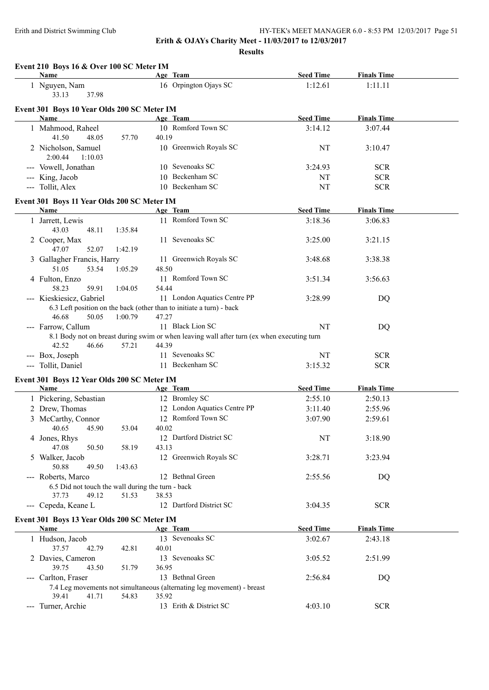**Erith & OJAYs Charity Meet - 11/03/2017 to 12/03/2017**

**Results**

| Name                                                       | Age Team                                                                                             | <b>Seed Time</b> | <b>Finals Time</b> |  |
|------------------------------------------------------------|------------------------------------------------------------------------------------------------------|------------------|--------------------|--|
| 1 Nguyen, Nam<br>33.13<br>37.98                            | 16 Orpington Ojays SC                                                                                | 1:12.61          | 1:11.11            |  |
| Event 301 Boys 10 Year Olds 200 SC Meter IM                |                                                                                                      |                  |                    |  |
| Name                                                       | Age Team                                                                                             | <b>Seed Time</b> | <b>Finals Time</b> |  |
| 1 Mahmood, Raheel<br>41.50<br>48.05<br>57.70               | 10 Romford Town SC<br>40.19                                                                          | 3:14.12          | 3:07.44            |  |
| 2 Nicholson, Samuel<br>2:00.44<br>1:10.03                  | 10 Greenwich Royals SC                                                                               | NT               | 3:10.47            |  |
| --- Vowell, Jonathan                                       | 10 Sevenoaks SC                                                                                      | 3:24.93          | <b>SCR</b>         |  |
| --- King, Jacob                                            | 10 Beckenham SC                                                                                      | NT               | <b>SCR</b>         |  |
| --- Tollit, Alex                                           | 10 Beckenham SC                                                                                      | NT               | <b>SCR</b>         |  |
| Event 301 Boys 11 Year Olds 200 SC Meter IM                |                                                                                                      |                  |                    |  |
| Name                                                       | Age Team                                                                                             | <b>Seed Time</b> | <b>Finals Time</b> |  |
| 1 Jarrett, Lewis<br>43.03<br>48.11<br>1:35.84              | 11 Romford Town SC                                                                                   | 3:18.36          | 3:06.83            |  |
| 2 Cooper, Max<br>47.07<br>52.07<br>1:42.19                 | 11 Sevenoaks SC                                                                                      | 3:25.00          | 3:21.15            |  |
| 3 Gallagher Francis, Harry                                 | 11 Greenwich Royals SC                                                                               | 3:48.68          | 3:38.38            |  |
| 51.05<br>53.54<br>1:05.29<br>4 Fulton, Enzo                | 48.50<br>11 Romford Town SC                                                                          | 3:51.34          | 3:56.63            |  |
| 58.23<br>59.91<br>1:04.05                                  | 54.44                                                                                                |                  |                    |  |
| --- Kieskiesicz, Gabriel                                   | 11 London Aquatics Centre PP<br>6.3 Left position on the back (other than to initiate a turn) - back | 3:28.99          | DQ                 |  |
| 46.68<br>50.05<br>1:00.79                                  | 47.27                                                                                                |                  |                    |  |
| --- Farrow, Callum                                         | 11 Black Lion SC                                                                                     | NT               | DQ                 |  |
|                                                            | 8.1 Body not on breast during swim or when leaving wall after turn (ex when executing turn           |                  |                    |  |
| 42.52<br>46.66<br>57.21                                    | 44.39                                                                                                |                  |                    |  |
| --- Box, Joseph                                            | 11 Sevenoaks SC                                                                                      | NT               | <b>SCR</b>         |  |
| --- Tollit, Daniel                                         | 11 Beckenham SC                                                                                      | 3:15.32          | <b>SCR</b>         |  |
| Event 301 Boys 12 Year Olds 200 SC Meter IM<br>Name        | Age Team                                                                                             | <b>Seed Time</b> | <b>Finals Time</b> |  |
| 1 Pickering, Sebastian                                     | 12 Bromley SC                                                                                        | 2:55.10          | 2:50.13            |  |
| 2 Drew, Thomas                                             | 12 London Aquatics Centre PP                                                                         | 3:11.40          | 2:55.96            |  |
| 3 McCarthy, Connor                                         | 12 Romford Town SC                                                                                   | 3:07.90          | 2:59.61            |  |
| 40.65 45.90<br>53.04                                       | 40.02                                                                                                |                  |                    |  |
| 4 Jones, Rhys<br>47.08<br>50.50<br>58.19                   | 12 Dartford District SC<br>43.13                                                                     | NT               | 3:18.90            |  |
| 5 Walker, Jacob<br>50.88<br>49.50<br>1:43.63               | 12 Greenwich Royals SC                                                                               | 3:28.71          | 3:23.94            |  |
| --- Roberts, Marco                                         | 12 Bethnal Green                                                                                     | 2:55.56          | DQ                 |  |
| 6.5 Did not touch the wall during the turn - back          |                                                                                                      |                  |                    |  |
| 51.53<br>37.73<br>49.12                                    | 38.53<br>12 Dartford District SC                                                                     |                  |                    |  |
| --- Cepeda, Keane L                                        |                                                                                                      | 3:04.35          | <b>SCR</b>         |  |
| Event 301 Boys 13 Year Olds 200 SC Meter IM<br><b>Name</b> | Age Team                                                                                             | <b>Seed Time</b> | <b>Finals Time</b> |  |
| 1 Hudson, Jacob<br>37.57<br>42.79<br>42.81                 | 13 Sevenoaks SC<br>40.01                                                                             | 3:02.67          | 2:43.18            |  |
| 2 Davies, Cameron                                          | 13 Sevenoaks SC                                                                                      | 3:05.52          | 2:51.99            |  |
| 39.75<br>43.50<br>51.79<br>--- Carlton, Fraser             | 36.95<br>13 Bethnal Green                                                                            | 2:56.84          | DQ                 |  |
|                                                            | 7.4 Leg movements not simultaneous (alternating leg movement) - breast                               |                  |                    |  |
| 39.41<br>41.71<br>54.83                                    | 35.92                                                                                                |                  |                    |  |
| --- Turner, Archie                                         | 13 Erith & District SC                                                                               | 4:03.10          | <b>SCR</b>         |  |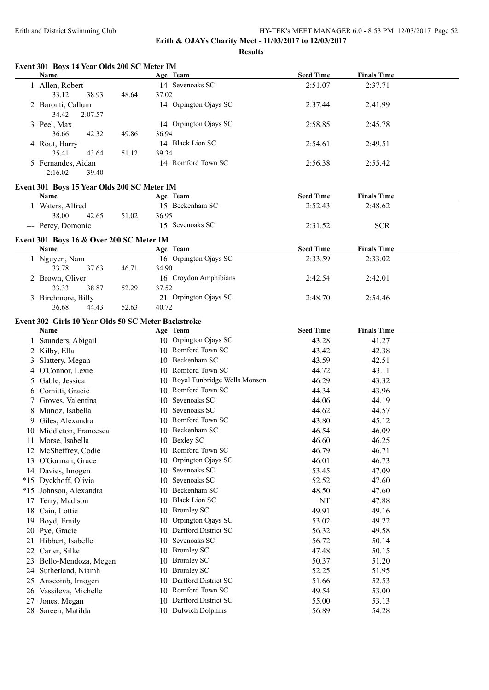**Results**

|    | Name                                                |       | Age Team                        | <b>Seed Time</b> | <b>Finals Time</b> |  |
|----|-----------------------------------------------------|-------|---------------------------------|------------------|--------------------|--|
|    | 1 Allen, Robert                                     |       | 14 Sevenoaks SC                 | 2:51.07          | 2:37.71            |  |
|    | 33.12<br>38.93                                      | 48.64 | 37.02                           |                  |                    |  |
|    | 2 Baronti, Callum                                   |       | 14 Orpington Ojays SC           | 2:37.44          | 2:41.99            |  |
|    | 34.42<br>2:07.57                                    |       |                                 |                  |                    |  |
|    | 3 Peel, Max                                         |       | 14 Orpington Ojays SC           | 2:58.85          | 2:45.78            |  |
|    | 36.66<br>42.32                                      | 49.86 | 36.94                           |                  |                    |  |
|    | 4 Rout, Harry                                       |       | 14 Black Lion SC                | 2:54.61          | 2:49.51            |  |
|    | 35.41<br>43.64                                      | 51.12 | 39.34                           |                  |                    |  |
|    | 5 Fernandes, Aidan<br>2:16.02<br>39.40              |       | 14 Romford Town SC              | 2:56.38          | 2:55.42            |  |
|    | Event 301 Boys 15 Year Olds 200 SC Meter IM         |       |                                 |                  |                    |  |
|    | <b>Name</b>                                         |       | Age Team                        | <b>Seed Time</b> | <b>Finals Time</b> |  |
|    | 1 Waters, Alfred                                    |       | 15 Beckenham SC                 | 2:52.43          | 2:48.62            |  |
|    | 38.00<br>42.65                                      | 51.02 | 36.95                           |                  |                    |  |
|    | --- Percy, Domonic                                  |       | 15 Sevenoaks SC                 | 2:31.52          | <b>SCR</b>         |  |
|    | Event 301 Boys 16 & Over 200 SC Meter IM            |       |                                 |                  |                    |  |
|    | <b>Name</b>                                         |       | Age Team                        | <b>Seed Time</b> | <b>Finals Time</b> |  |
|    | 1 Nguyen, Nam                                       |       | 16 Orpington Ojays SC           | 2:33.59          | 2:33.02            |  |
|    | 33.78<br>37.63                                      | 46.71 | 34.90                           |                  |                    |  |
|    | 2 Brown, Oliver                                     |       | 16 Croydon Amphibians           | 2:42.54          | 2:42.01            |  |
|    | 33.33<br>38.87                                      | 52.29 | 37.52                           |                  |                    |  |
|    | 3 Birchmore, Billy                                  |       | 21 Orpington Ojays SC           | 2:48.70          | 2:54.46            |  |
|    | 36.68<br>44.43                                      | 52.63 | 40.72                           |                  |                    |  |
|    | Event 302 Girls 10 Year Olds 50 SC Meter Backstroke |       |                                 |                  |                    |  |
|    | Name                                                |       | Age Team                        | <b>Seed Time</b> | <b>Finals Time</b> |  |
|    | 1 Saunders, Abigail                                 |       | 10 Orpington Ojays SC           | 43.28            | 41.27              |  |
|    | 2 Kilby, Ella                                       |       | 10 Romford Town SC              | 43.42            | 42.38              |  |
| 3  | Slattery, Megan                                     |       | 10 Beckenham SC                 | 43.59            | 42.51              |  |
|    | 4 O'Connor, Lexie                                   |       | 10 Romford Town SC              | 44.72            | 43.11              |  |
| 5  | Gable, Jessica                                      |       | 10 Royal Tunbridge Wells Monson | 46.29            | 43.32              |  |
|    | 6 Comitti, Gracie                                   |       | 10 Romford Town SC              | 44.34            | 43.96              |  |
|    | 7 Groves, Valentina                                 |       | 10 Sevenoaks SC                 | 44.06            | 44.19              |  |
|    | 8 Munoz, Isabella                                   |       | 10 Sevenoaks SC                 | 44.62            | 44.57              |  |
|    | 9 Giles, Alexandra                                  |       | 10 Romford Town SC              | 43.80            | 45.12              |  |
|    | 10 Middleton, Francesca                             |       | 10 Beckenham SC                 | 46.54            | 46.09              |  |
|    | 11 Morse, Isabella                                  |       | 10 Bexley SC                    | 46.60            | 46.25              |  |
| 12 | McSheffrey, Codie                                   |       | 10 Romford Town SC              | 46.79            | 46.71              |  |
| 13 | O'Gorman, Grace                                     |       | Orpington Ojays SC<br>10        | 46.01            | 46.73              |  |
|    | 14 Davies, Imogen                                   |       | 10 Sevenoaks SC                 | 53.45            | 47.09              |  |
|    | *15 Dyckhoff, Olivia                                |       | 10 Sevenoaks SC                 | 52.52            | 47.60              |  |
|    | *15 Johnson, Alexandra                              |       | Beckenham SC<br>10              | 48.50            | 47.60              |  |
| 17 | Terry, Madison                                      |       | <b>Black Lion SC</b><br>10      | NT               | 47.88              |  |
| 18 | Cain, Lottie                                        |       | 10 Bromley SC                   | 49.91            | 49.16              |  |
| 19 | Boyd, Emily                                         |       | 10 Orpington Ojays SC           | 53.02            | 49.22              |  |
|    | 20 Pye, Gracie                                      |       | 10 Dartford District SC         | 56.32            | 49.58              |  |
| 21 | Hibbert, Isabelle                                   |       | Sevenoaks SC<br>10              | 56.72            | 50.14              |  |
| 22 | Carter, Silke                                       |       | <b>Bromley SC</b><br>10         | 47.48            | 50.15              |  |
| 23 | Bello-Mendoza, Megan                                |       | <b>Bromley SC</b><br>10         | 50.37            | 51.20              |  |
| 24 | Sutherland, Niamh                                   |       | <b>Bromley SC</b><br>10         | 52.25            | 51.95              |  |
|    | Anscomb, Imogen                                     |       | Dartford District SC<br>10      | 51.66            | 52.53              |  |
| 25 | Vassileva, Michelle                                 |       | Romford Town SC<br>10           | 49.54            | 53.00              |  |
| 26 |                                                     |       | Dartford District SC            |                  |                    |  |
| 27 | Jones, Megan                                        |       | 10                              | 55.00            | 53.13              |  |
|    | 28 Sareen, Matilda                                  |       | 10 Dulwich Dolphins             | 56.89            | 54.28              |  |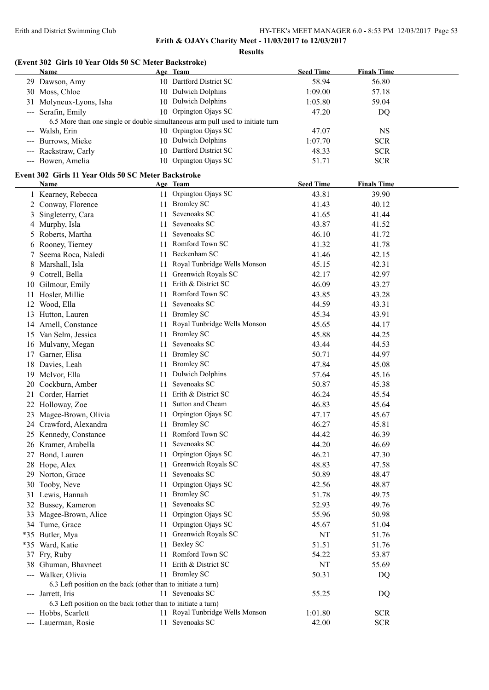**Results**

# **(Event 302 Girls 10 Year Olds 50 SC Meter Backstroke)**

|    | Name                                                          |     | Age Team                                                                       | <b>Seed Time</b> | <b>Finals Time</b> |  |
|----|---------------------------------------------------------------|-----|--------------------------------------------------------------------------------|------------------|--------------------|--|
|    | 29 Dawson, Amy                                                |     | 10 Dartford District SC                                                        | 58.94            | 56.80              |  |
|    | 30 Moss, Chloe                                                |     | 10 Dulwich Dolphins                                                            | 1:09.00          | 57.18              |  |
|    | 31 Molyneux-Lyons, Isha                                       |     | 10 Dulwich Dolphins                                                            | 1:05.80          | 59.04              |  |
|    | --- Serafin, Emily                                            |     | 10 Orpington Ojays SC                                                          | 47.20            | DQ                 |  |
|    |                                                               |     | 6.5 More than one single or double simultaneous arm pull used to initiate turn |                  |                    |  |
|    | --- Walsh, Erin                                               |     | 10 Orpington Ojays SC                                                          | 47.07            | <b>NS</b>          |  |
|    | --- Burrows, Mieke                                            |     | 10 Dulwich Dolphins                                                            | 1:07.70          | <b>SCR</b>         |  |
|    | --- Rackstraw, Carly                                          |     | 10 Dartford District SC                                                        | 48.33            | <b>SCR</b>         |  |
|    | --- Bowen, Amelia                                             |     | 10 Orpington Ojays SC                                                          | 51.71            | <b>SCR</b>         |  |
|    |                                                               |     |                                                                                |                  |                    |  |
|    | Event 302 Girls 11 Year Olds 50 SC Meter Backstroke<br>Name   |     | Age Team                                                                       | <b>Seed Time</b> | <b>Finals Time</b> |  |
|    | 1 Kearney, Rebecca                                            |     | 11 Orpington Ojays SC                                                          | 43.81            | 39.90              |  |
|    | 2 Conway, Florence                                            |     | 11 Bromley SC                                                                  | 41.43            | 40.12              |  |
| 3  | Singleterry, Cara                                             |     | 11 Sevenoaks SC                                                                | 41.65            | 41.44              |  |
|    | 4 Murphy, Isla                                                |     | 11 Sevenoaks SC                                                                | 43.87            | 41.52              |  |
|    | 5 Roberts, Martha                                             |     | 11 Sevenoaks SC                                                                | 46.10            | 41.72              |  |
|    | 6 Rooney, Tierney                                             |     | 11 Romford Town SC                                                             | 41.32            | 41.78              |  |
|    | Seema Roca, Naledi                                            |     | 11 Beckenham SC                                                                | 41.46            | 42.15              |  |
|    |                                                               |     | Royal Tunbridge Wells Monson                                                   |                  |                    |  |
|    | 8 Marshall, Isla                                              | 11. | 11 Greenwich Royals SC                                                         | 45.15            | 42.31              |  |
|    | 9 Cotrell, Bella                                              |     | Erith & District SC                                                            | 42.17            | 42.97              |  |
|    | 10 Gilmour, Emily                                             | 11  | Romford Town SC                                                                | 46.09            | 43.27              |  |
|    | 11 Hosler, Millie                                             | 11. | Sevenoaks SC                                                                   | 43.85            | 43.28              |  |
|    | 12 Wood, Ella                                                 | 11  |                                                                                | 44.59            | 43.31              |  |
|    | 13 Hutton, Lauren                                             |     | 11 Bromley SC                                                                  | 45.34            | 43.91              |  |
|    | 14 Arnell, Constance                                          | 11  | Royal Tunbridge Wells Monson                                                   | 45.65            | 44.17              |  |
|    | 15 Van Selm, Jessica                                          | 11  | <b>Bromley SC</b>                                                              | 45.88            | 44.25              |  |
|    | 16 Mulvany, Megan                                             | 11  | Sevenoaks SC                                                                   | 43.44            | 44.53              |  |
|    | 17 Garner, Elisa                                              | 11  | <b>Bromley SC</b>                                                              | 50.71            | 44.97              |  |
|    | 18 Davies, Leah                                               | 11  | <b>Bromley SC</b>                                                              | 47.84            | 45.08              |  |
|    | 19 McIvor, Ella                                               | 11  | <b>Dulwich Dolphins</b>                                                        | 57.64            | 45.16              |  |
|    | 20 Cockburn, Amber                                            | 11  | Sevenoaks SC                                                                   | 50.87            | 45.38              |  |
|    | 21 Corder, Harriet                                            | 11  | Erith & District SC                                                            | 46.24            | 45.54              |  |
|    | 22 Holloway, Zoe                                              |     | 11 Sutton and Cheam                                                            | 46.83            | 45.64              |  |
|    | 23 Magee-Brown, Olivia                                        |     | 11 Orpington Ojays SC                                                          | 47.17            | 45.67              |  |
|    | 24 Crawford, Alexandra                                        |     | 11 Bromley SC                                                                  | 46.27            | 45.81              |  |
|    | 25 Kennedy, Constance                                         |     | 11 Romford Town SC                                                             | 44.42            | 46.39              |  |
|    | 26 Kramer, Arabella                                           |     | 11 Sevenoaks SC                                                                | 44.20            | 46.69              |  |
|    | 27 Bond, Lauren                                               |     | 11 Orpington Ojays SC                                                          | 46.21            | 47.30              |  |
|    | 28 Hope, Alex                                                 |     | 11 Greenwich Royals SC                                                         | 48.83            | 47.58              |  |
|    | 29 Norton, Grace                                              |     | 11 Sevenoaks SC                                                                | 50.89            | 48.47              |  |
|    | 30 Tooby, Neve                                                |     | 11 Orpington Ojays SC                                                          | 42.56            | 48.87              |  |
|    | 31 Lewis, Hannah                                              |     | 11 Bromley SC                                                                  | 51.78            | 49.75              |  |
|    | 32 Bussey, Kameron                                            | 11  | Sevenoaks SC                                                                   | 52.93            | 49.76              |  |
| 33 | Magee-Brown, Alice                                            | 11  | Orpington Ojays SC                                                             | 55.96            | 50.98              |  |
|    | 34 Tume, Grace                                                | 11  | Orpington Ojays SC                                                             | 45.67            | 51.04              |  |
|    | *35 Butler, Mya                                               |     | 11 Greenwich Royals SC                                                         | NT               | 51.76              |  |
|    | *35 Ward, Katie                                               | 11  | <b>Bexley SC</b>                                                               | 51.51            | 51.76              |  |
|    | 37 Fry, Ruby                                                  |     | 11 Romford Town SC                                                             | 54.22            | 53.87              |  |
|    | 38 Ghuman, Bhavneet                                           | 11  | Erith & District SC                                                            | NT               | 55.69              |  |
|    | --- Walker, Olivia                                            |     | 11 Bromley SC                                                                  | 50.31            | DQ                 |  |
|    | 6.3 Left position on the back (other than to initiate a turn) |     |                                                                                |                  |                    |  |
|    | --- Jarrett, Iris                                             |     | 11 Sevenoaks SC                                                                | 55.25            | DQ                 |  |
|    | 6.3 Left position on the back (other than to initiate a turn) |     |                                                                                |                  |                    |  |
|    | --- Hobbs, Scarlett                                           |     | 11 Royal Tunbridge Wells Monson                                                | 1:01.80          | <b>SCR</b>         |  |
|    | --- Lauerman, Rosie                                           | 11  | Sevenoaks SC                                                                   | 42.00            | <b>SCR</b>         |  |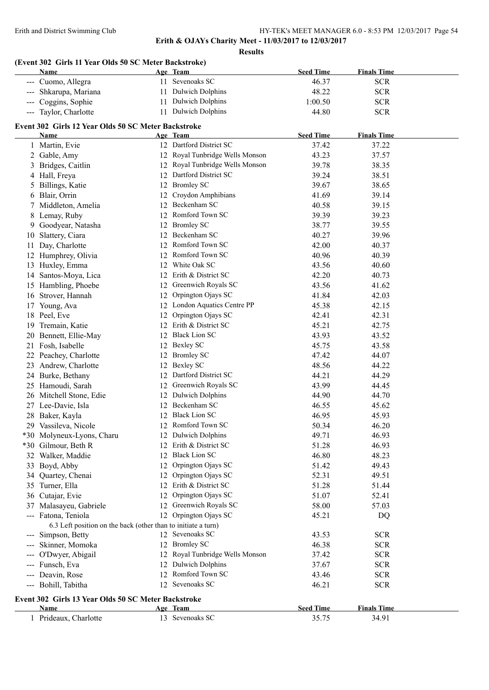**Results**

# **(Event 302 Girls 11 Year Olds 50 SC Meter Backstroke)**

|                     | Name                                                                                 |    | Age Team                                       | <b>Seed Time</b> | <b>Finals Time</b> |  |
|---------------------|--------------------------------------------------------------------------------------|----|------------------------------------------------|------------------|--------------------|--|
|                     | --- Cuomo, Allegra                                                                   |    | 11 Sevenoaks SC                                | 46.37            | <b>SCR</b>         |  |
| $\qquad \qquad - -$ | Shkarupa, Mariana                                                                    |    | 11 Dulwich Dolphins                            | 48.22            | <b>SCR</b>         |  |
| $\qquad \qquad - -$ | Coggins, Sophie                                                                      |    | 11 Dulwich Dolphins                            | 1:00.50          | <b>SCR</b>         |  |
|                     | --- Taylor, Charlotte                                                                |    | 11 Dulwich Dolphins                            | 44.80            | <b>SCR</b>         |  |
|                     |                                                                                      |    |                                                |                  |                    |  |
|                     | Event 302 Girls 12 Year Olds 50 SC Meter Backstroke<br>Name                          |    | Age Team                                       | <b>Seed Time</b> | <b>Finals Time</b> |  |
|                     | 1 Martin, Evie                                                                       |    | 12 Dartford District SC                        | 37.42            | 37.22              |  |
|                     | 2 Gable, Amy                                                                         |    | 12 Royal Tunbridge Wells Monson                | 43.23            | 37.57              |  |
|                     | Bridges, Caitlin                                                                     |    | 12 Royal Tunbridge Wells Monson                | 39.78            | 38.35              |  |
|                     | 4 Hall, Freya                                                                        |    | 12 Dartford District SC                        | 39.24            | 38.51              |  |
| 5                   | Billings, Katie                                                                      |    | 12 Bromley SC                                  | 39.67            | 38.65              |  |
| 6                   | Blair, Orrin                                                                         |    | 12 Croydon Amphibians                          | 41.69            | 39.14              |  |
| 7                   | Middleton, Amelia                                                                    |    | 12 Beckenham SC                                | 40.58            | 39.15              |  |
| 8                   | Lemay, Ruby                                                                          |    | 12 Romford Town SC                             | 39.39            | 39.23              |  |
| 9                   | Goodyear, Natasha                                                                    |    | 12 Bromley SC                                  | 38.77            | 39.55              |  |
| 10                  | Slattery, Ciara                                                                      |    | 12 Beckenham SC                                | 40.27            | 39.96              |  |
| 11                  | Day, Charlotte                                                                       |    | 12 Romford Town SC                             | 42.00            | 40.37              |  |
|                     |                                                                                      |    | 12 Romford Town SC                             | 40.96            | 40.39              |  |
| 12                  | Humphrey, Olivia                                                                     |    | White Oak SC                                   | 43.56            |                    |  |
| 13                  | Huxley, Emma                                                                         | 12 | 12 Erith & District SC                         | 42.20            | 40.60              |  |
| 14                  | Santos-Moya, Lica                                                                    |    | 12 Greenwich Royals SC                         |                  | 40.73              |  |
| 15                  | Hambling, Phoebe                                                                     |    | 12 Orpington Ojays SC                          | 43.56<br>41.84   | 41.62<br>42.03     |  |
| 16                  | Strover, Hannah                                                                      |    |                                                |                  |                    |  |
|                     | 17 Young, Ava                                                                        |    | 12 London Aquatics Centre PP                   | 45.38            | 42.15              |  |
| 18                  | Peel, Eve                                                                            |    | 12 Orpington Ojays SC                          | 42.41            | 42.31              |  |
| 19                  | Tremain, Katie                                                                       |    | 12 Erith & District SC<br>12 Black Lion SC     | 45.21            | 42.75              |  |
| 20                  | Bennett, Ellie-May                                                                   |    |                                                | 43.93            | 43.52              |  |
| 21                  | Fosh, Isabelle                                                                       |    | 12 Bexley SC<br>12 Bromley SC                  | 45.75            | 43.58              |  |
| 22                  | Peachey, Charlotte                                                                   |    |                                                | 47.42            | 44.07              |  |
| 23                  | Andrew, Charlotte                                                                    |    | 12 Bexley SC<br>Dartford District SC           | 48.56            | 44.22              |  |
| 24                  | Burke, Bethany                                                                       | 12 | Greenwich Royals SC                            | 44.21            | 44.29              |  |
| 25                  | Hamoudi, Sarah                                                                       | 12 | <b>Dulwich Dolphins</b>                        | 43.99            | 44.45              |  |
| 26                  | Mitchell Stone, Edie                                                                 | 12 | Beckenham SC                                   | 44.90            | 44.70              |  |
| 27                  | Lee-Davie, Isla                                                                      | 12 | 12 Black Lion SC                               | 46.55            | 45.62              |  |
| 28                  | Baker, Kayla                                                                         |    | 12 Romford Town SC                             | 46.95            | 45.93              |  |
|                     | 29 Vassileva, Nicole                                                                 |    |                                                | 50.34            | 46.20              |  |
|                     | *30 Molyneux-Lyons, Charu                                                            |    | 12 Dulwich Dolphins                            | 49.71            | 46.93              |  |
|                     | *30 Gilmour, Beth R                                                                  |    | 12 Erith & District SC<br>12 Black Lion SC     | 51.28            | 46.93              |  |
|                     | 32 Walker, Maddie                                                                    |    |                                                | 46.80            | 48.23              |  |
|                     | 33 Boyd, Abby                                                                        |    | 12 Orpington Ojays SC<br>12 Orpington Ojays SC | 51.42            | 49.43              |  |
|                     | 34 Quartey, Chenai                                                                   |    |                                                | 52.31            | 49.51              |  |
|                     | 35 Turner, Ella                                                                      |    | 12 Erith & District SC                         | 51.28            | 51.44              |  |
| 36                  | Cutajar, Evie                                                                        |    | 12 Orpington Ojays SC                          | 51.07            | 52.41              |  |
|                     | 37 Malasayeu, Gabriele                                                               |    | 12 Greenwich Royals SC                         | 58.00            | 57.03              |  |
|                     | --- Fatona, Teniola<br>6.3 Left position on the back (other than to initiate a turn) |    | 12 Orpington Ojays SC                          | 45.21            | DQ                 |  |
|                     | Simpson, Betty                                                                       |    | 12 Sevenoaks SC                                | 43.53            | <b>SCR</b>         |  |
|                     | Skinner, Momoka                                                                      |    | 12 Bromley SC                                  | 46.38            | <b>SCR</b>         |  |
| ---                 | O'Dwyer, Abigail                                                                     |    | 12 Royal Tunbridge Wells Monson                | 37.42            | <b>SCR</b>         |  |
| ---                 | Funsch, Eva                                                                          |    | 12 Dulwich Dolphins                            | 37.67            | <b>SCR</b>         |  |
| $\qquad \qquad - -$ | Deavin, Rose                                                                         |    | 12 Romford Town SC                             | 43.46            | <b>SCR</b>         |  |
|                     | --- Bohill, Tabitha                                                                  |    | 12 Sevenoaks SC                                | 46.21            | <b>SCR</b>         |  |
|                     | Event 302 Girls 13 Year Olds 50 SC Meter Backstroke                                  |    |                                                |                  |                    |  |
|                     | Name                                                                                 |    | Age Team                                       | <b>Seed Time</b> | <b>Finals Time</b> |  |
|                     | 1 Prideaux, Charlotte                                                                |    | 13 Sevenoaks SC                                | 35.75            | 34.91              |  |
|                     |                                                                                      |    |                                                |                  |                    |  |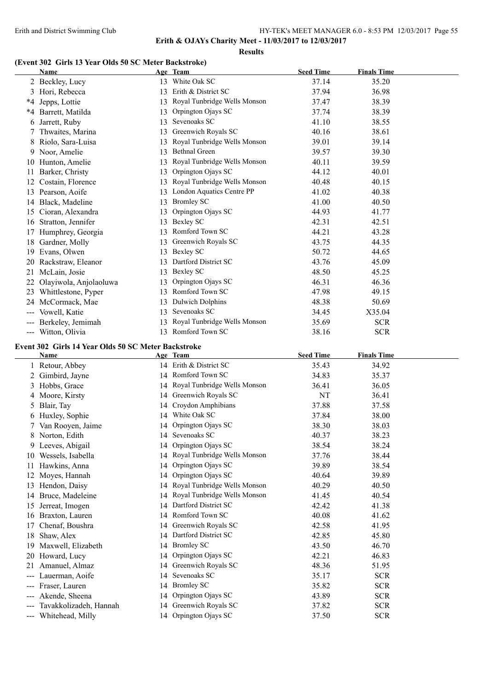#### **Results**

## **(Event 302 Girls 13 Year Olds 50 SC Meter Backstroke)**

|               | <b>Name</b>            |    | Age Team                     | <b>Seed Time</b> | <b>Finals Time</b> |  |
|---------------|------------------------|----|------------------------------|------------------|--------------------|--|
|               | 2 Beckley, Lucy        | 13 | White Oak SC                 | 37.14            | 35.20              |  |
| 3             | Hori, Rebecca          | 13 | Erith & District SC          | 37.94            | 36.98              |  |
| *4            | Jepps, Lottie          | 13 | Royal Tunbridge Wells Monson | 37.47            | 38.39              |  |
| *4            | Barrett, Matilda       | 13 | Orpington Ojays SC           | 37.74            | 38.39              |  |
| 6             | Jarrett, Ruby          | 13 | Sevenoaks SC                 | 41.10            | 38.55              |  |
|               | Thwaites, Marina       | 13 | Greenwich Royals SC          | 40.16            | 38.61              |  |
| 8             | Riolo, Sara-Luisa      | 13 | Royal Tunbridge Wells Monson | 39.01            | 39.14              |  |
|               | 9 Noor, Amelie         | 13 | <b>Bethnal Green</b>         | 39.57            | 39.30              |  |
| 10            | Hunton, Amelie         | 13 | Royal Tunbridge Wells Monson | 40.11            | 39.59              |  |
| 11            | Barker, Christy        | 13 | Orpington Ojays SC           | 44.12            | 40.01              |  |
| 12            | Costain, Florence      | 13 | Royal Tunbridge Wells Monson | 40.48            | 40.15              |  |
| 13            | Pearson, Aoife         | 13 | London Aquatics Centre PP    | 41.02            | 40.38              |  |
| 14            | Black, Madeline        | 13 | <b>Bromley SC</b>            | 41.00            | 40.50              |  |
| 15            | Cioran, Alexandra      | 13 | Orpington Ojays SC           | 44.93            | 41.77              |  |
| 16            | Stratton, Jennifer     | 13 | Bexley SC                    | 42.31            | 42.51              |  |
|               | Humphrey, Georgia      | 13 | Romford Town SC              | 44.21            | 43.28              |  |
| 18            | Gardner, Molly         | 13 | Greenwich Royals SC          | 43.75            | 44.35              |  |
| 19            | Evans, Olwen           | 13 | Bexley SC                    | 50.72            | 44.65              |  |
| 20            | Rackstraw, Eleanor     | 13 | Dartford District SC         | 43.76            | 45.09              |  |
| 21            | McLain, Josie          | 13 | Bexley SC                    | 48.50            | 45.25              |  |
| 22            | Olayiwola, Anjolaoluwa | 13 | Orpington Ojays SC           | 46.31            | 46.36              |  |
| 23            | Whittlestone, Pyper    | 13 | Romford Town SC              | 47.98            | 49.15              |  |
| 24            | McCormack, Mae         | 13 | Dulwich Dolphins             | 48.38            | 50.69              |  |
| ---           | Vowell, Katie          | 13 | Sevenoaks SC                 | 34.45            | X35.04             |  |
|               | Berkeley, Jemimah      |    | Royal Tunbridge Wells Monson | 35.69            | <b>SCR</b>         |  |
| $\frac{1}{2}$ | Witton, Olivia         | 13 | Romford Town SC              | 38.16            | <b>SCR</b>         |  |

# **Event 302 Girls 14 Year Olds 50 SC Meter Backstroke**

|                           | <b>Name</b>            |    | Age Team                        | <b>Seed Time</b> | <b>Finals Time</b> |
|---------------------------|------------------------|----|---------------------------------|------------------|--------------------|
|                           | 1 Retour, Abbey        |    | 14 Erith & District SC          | 35.43            | 34.92              |
|                           | Gimbird, Jayne         |    | 14 Romford Town SC              | 34.83            | 35.37              |
|                           | Hobbs, Grace           |    | 14 Royal Tunbridge Wells Monson | 36.41            | 36.05              |
|                           | 4 Moore, Kirsty        |    | 14 Greenwich Royals SC          | NT               | 36.41              |
|                           | Blair, Tay             |    | 14 Croydon Amphibians           | 37.88            | 37.58              |
| 6                         | Huxley, Sophie         |    | 14 White Oak SC                 | 37.84            | 38.00              |
|                           | Van Rooyen, Jaime      |    | 14 Orpington Ojays SC           | 38.30            | 38.03              |
| 8                         | Norton, Edith          |    | 14 Sevenoaks SC                 | 40.37            | 38.23              |
| 9                         | Leeves, Abigail        |    | 14 Orpington Ojays SC           | 38.54            | 38.24              |
| 10                        | Wessels, Isabella      |    | 14 Royal Tunbridge Wells Monson | 37.76            | 38.44              |
| 11                        | Hawkins, Anna          |    | 14 Orpington Ojays SC           | 39.89            | 38.54              |
| 12                        | Moyes, Hannah          |    | 14 Orpington Ojays SC           | 40.64            | 39.89              |
| 13                        | Hendon, Daisy          |    | 14 Royal Tunbridge Wells Monson | 40.29            | 40.50              |
| 14                        | Bruce, Madeleine       |    | 14 Royal Tunbridge Wells Monson | 41.45            | 40.54              |
| 15                        | Jerreat, Imogen        | 14 | Dartford District SC            | 42.42            | 41.38              |
| 16                        | Braxton, Lauren        |    | 14 Romford Town SC              | 40.08            | 41.62              |
| 17                        | Chenaf, Boushra        |    | 14 Greenwich Royals SC          | 42.58            | 41.95              |
| 18                        | Shaw, Alex             |    | 14 Dartford District SC         | 42.85            | 45.80              |
| 19                        | Maxwell, Elizabeth     |    | 14 Bromley SC                   | 43.50            | 46.70              |
| 20                        | Howard, Lucy           |    | 14 Orpington Ojays SC           | 42.21            | 46.83              |
| 21                        | Amanuel, Almaz         |    | 14 Greenwich Royals SC          | 48.36            | 51.95              |
| $\qquad \qquad -\qquad -$ | Lauerman, Aoife        |    | 14 Sevenoaks SC                 | 35.17            | <b>SCR</b>         |
| $---$                     | Fraser, Lauren         |    | 14 Bromley SC                   | 35.82            | <b>SCR</b>         |
|                           | Akende, Sheena         |    | 14 Orpington Ojays SC           | 43.89            | <b>SCR</b>         |
|                           | Tavakkolizadeh, Hannah |    | 14 Greenwich Royals SC          | 37.82            | <b>SCR</b>         |
|                           | Whitehead, Milly       |    | 14 Orpington Ojays SC           | 37.50            | <b>SCR</b>         |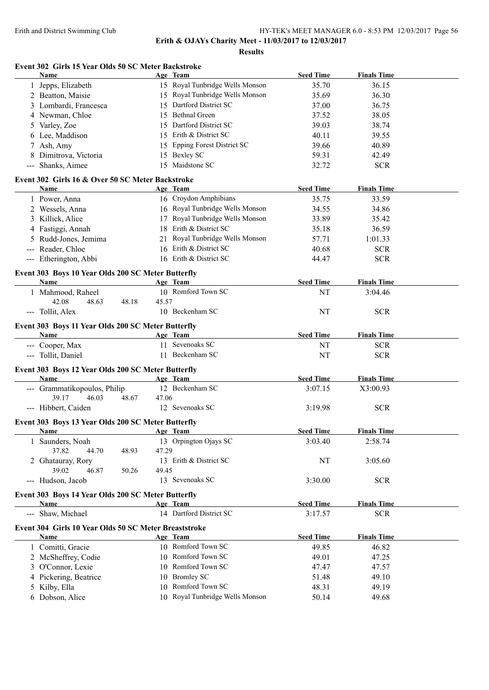**Results**

# **Event 302 Girls 15 Year Olds 50 SC Meter Backstroke**

|   | <b>Name</b>                                                       |       | Age Team                         | <b>Seed Time</b> | <b>Finals Time</b> |  |
|---|-------------------------------------------------------------------|-------|----------------------------------|------------------|--------------------|--|
|   | 1 Jepps, Elizabeth                                                |       | 15 Royal Tunbridge Wells Monson  | 35.70            | 36.15              |  |
|   | 2 Beatton, Maisie                                                 |       | 15 Royal Tunbridge Wells Monson  | 35.69            | 36.30              |  |
|   | 3 Lombardi, Francesca                                             | 15    | Dartford District SC             | 37.00            | 36.75              |  |
|   | 4 Newman, Chloe                                                   | 15    | <b>Bethnal Green</b>             | 37.52            | 38.05              |  |
|   | 5 Varley, Zoe                                                     | 15    | Dartford District SC             | 39.03            | 38.74              |  |
|   | 6 Lee, Maddison                                                   | 15    | Erith & District SC              | 40.11            | 39.55              |  |
|   | 7 Ash, Amy                                                        | 15    | <b>Epping Forest District SC</b> | 39.66            | 40.89              |  |
| 8 | Dimitrova, Victoria                                               | 15    | <b>Bexley SC</b>                 | 59.31            | 42.49              |  |
|   | --- Shanks, Aimee                                                 |       | 15 Maidstone SC                  | 32.72            | <b>SCR</b>         |  |
|   |                                                                   |       |                                  |                  |                    |  |
|   | Event 302 Girls 16 & Over 50 SC Meter Backstroke                  |       |                                  |                  |                    |  |
|   | <b>Name</b>                                                       |       | Age Team                         | <b>Seed Time</b> | <b>Finals Time</b> |  |
|   | 1 Power, Anna                                                     |       | 16 Croydon Amphibians            | 35.75            | 33.59              |  |
|   | 2 Wessels, Anna                                                   |       | 16 Royal Tunbridge Wells Monson  | 34.55            | 34.86              |  |
|   | 3 Killick, Alice                                                  |       | 17 Royal Tunbridge Wells Monson  | 33.89            | 35.42              |  |
|   | 4 Fastiggi, Annah                                                 |       | 18 Erith & District SC           | 35.18            | 36.59              |  |
|   | 5 Rudd-Jones, Jemima                                              |       | 21 Royal Tunbridge Wells Monson  | 57.71            | 1:01.33            |  |
|   | --- Reader, Chloe                                                 |       | 16 Erith & District SC           | 40.68            | <b>SCR</b>         |  |
|   | --- Etherington, Abbi                                             |       | 16 Erith & District SC           | 44.47            | <b>SCR</b>         |  |
|   | Event 303 Boys 10 Year Olds 200 SC Meter Butterfly                |       |                                  |                  |                    |  |
|   | Name                                                              |       | Age Team                         | <b>Seed Time</b> | <b>Finals Time</b> |  |
|   | 1 Mahmood, Raheel                                                 |       | 10 Romford Town SC               | NT               | 3:04.46            |  |
|   | 42.08<br>48.63<br>48.18                                           | 45.57 |                                  |                  |                    |  |
|   | --- Tollit, Alex                                                  |       | 10 Beckenham SC                  | NT               | <b>SCR</b>         |  |
|   |                                                                   |       |                                  |                  |                    |  |
|   | Event 303 Boys 11 Year Olds 200 SC Meter Butterfly                |       |                                  |                  |                    |  |
|   | Name                                                              |       | Age Team                         | <b>Seed Time</b> | <b>Finals Time</b> |  |
|   | --- Cooper, Max                                                   |       | 11 Sevenoaks SC                  | NT               | <b>SCR</b>         |  |
|   | --- Tollit, Daniel                                                |       | 11 Beckenham SC                  | NT               | <b>SCR</b>         |  |
|   | Event 303 Boys 12 Year Olds 200 SC Meter Butterfly                |       |                                  |                  |                    |  |
|   | Name                                                              |       | Age Team                         | <b>Seed Time</b> | <b>Finals Time</b> |  |
|   | --- Grammatikopoulos, Philip                                      |       | 12 Beckenham SC                  | 3:07.15          | X3:00.93           |  |
|   | 46.03<br>39.17<br>48.67                                           | 47.06 |                                  |                  |                    |  |
|   | --- Hibbert, Caiden                                               |       | 12 Sevenoaks SC                  | 3:19.98          | <b>SCR</b>         |  |
|   |                                                                   |       |                                  |                  |                    |  |
|   | Event 303 Boys 13 Year Olds 200 SC Meter Butterfly<br><b>Name</b> |       | Age Team                         | <b>Seed Time</b> | <b>Finals Time</b> |  |
|   | 1 Saunders, Noah                                                  |       | 13 Orpington Ojays SC            | 3:03.40          | 2:58.74            |  |
|   | 37.82<br>48.93<br>44.70                                           | 47.29 |                                  |                  |                    |  |
|   | 2 Ghatauray, Rory                                                 |       | 13 Erith & District SC           | NT               | 3:05.60            |  |
|   | 39.02<br>46.87<br>50.26                                           | 49.45 |                                  |                  |                    |  |
|   | --- Hudson, Jacob                                                 |       | 13 Sevenoaks SC                  | 3:30.00          | <b>SCR</b>         |  |
|   |                                                                   |       |                                  |                  |                    |  |
|   | Event 303 Boys 14 Year Olds 200 SC Meter Butterfly                |       |                                  |                  |                    |  |
|   | Name                                                              |       | Age Team                         | <b>Seed Time</b> | <b>Finals Time</b> |  |
|   | --- Shaw, Michael                                                 |       | 14 Dartford District SC          | 3:17.57          | <b>SCR</b>         |  |
|   | Event 304 Girls 10 Year Olds 50 SC Meter Breaststroke             |       |                                  |                  |                    |  |
|   | Name                                                              |       | Age Team                         | <b>Seed Time</b> | <b>Finals Time</b> |  |
|   | 1 Comitti, Gracie                                                 |       | 10 Romford Town SC               | 49.85            | 46.82              |  |
|   | 2 McSheffrey, Codie                                               |       | 10 Romford Town SC               | 49.01            | 47.25              |  |
|   | 3 O'Connor, Lexie                                                 |       | 10 Romford Town SC               | 47.47            | 47.57              |  |
|   | 4 Pickering, Beatrice                                             |       | 10 Bromley SC                    | 51.48            | 49.10              |  |
|   | 5 Kilby, Ella                                                     |       | 10 Romford Town SC               | 48.31            | 49.19              |  |
|   | 6 Dobson, Alice                                                   |       | 10 Royal Tunbridge Wells Monson  | 50.14            | 49.68              |  |
|   |                                                                   |       |                                  |                  |                    |  |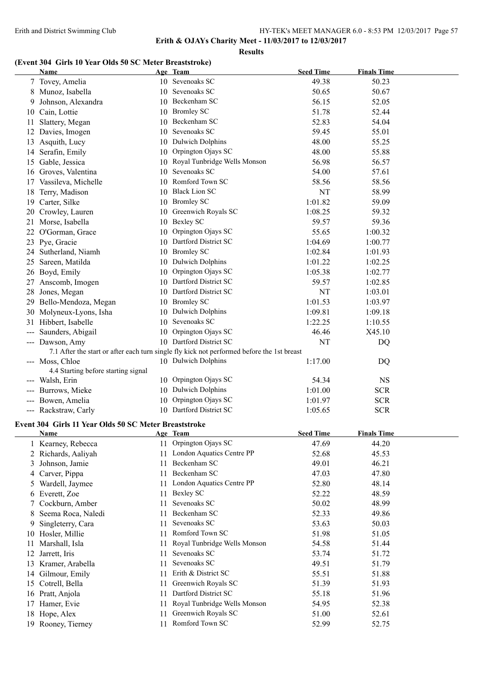**Erith & OJAYs Charity Meet - 11/03/2017 to 12/03/2017**

#### **Results**

# **(Event 304 Girls 10 Year Olds 50 SC Meter Breaststroke)**

|               | Name                                                  |     | Age Team                                                                                   | <b>Seed Time</b> | <b>Finals Time</b> |
|---------------|-------------------------------------------------------|-----|--------------------------------------------------------------------------------------------|------------------|--------------------|
|               | 7 Tovey, Amelia                                       |     | 10 Sevenoaks SC                                                                            | 49.38            | 50.23              |
|               | 8 Munoz, Isabella                                     |     | 10 Sevenoaks SC                                                                            | 50.65            | 50.67              |
| 9             | Johnson, Alexandra                                    |     | 10 Beckenham SC                                                                            | 56.15            | 52.05              |
| 10            | Cain, Lottie                                          | 10  | <b>Bromley SC</b>                                                                          | 51.78            | 52.44              |
| 11            | Slattery, Megan                                       | 10  | Beckenham SC                                                                               | 52.83            | 54.04              |
| 12            | Davies, Imogen                                        | 10  | Sevenoaks SC                                                                               | 59.45            | 55.01              |
|               | 13 Asquith, Lucy                                      |     | 10 Dulwich Dolphins                                                                        | 48.00            | 55.25              |
| 14            | Serafin, Emily                                        | 10  | Orpington Ojays SC                                                                         | 48.00            | 55.88              |
|               | 15 Gable, Jessica                                     |     | 10 Royal Tunbridge Wells Monson                                                            | 56.98            | 56.57              |
| 16            | Groves, Valentina                                     |     | 10 Sevenoaks SC                                                                            | 54.00            | 57.61              |
| 17            | Vassileva, Michelle                                   |     | 10 Romford Town SC                                                                         | 58.56            | 58.56              |
| 18            | Terry, Madison                                        |     | 10 Black Lion SC                                                                           | NT               | 58.99              |
| 19            | Carter, Silke                                         |     | 10 Bromley SC                                                                              | 1:01.82          | 59.09              |
| 20            | Crowley, Lauren                                       | 10  | Greenwich Royals SC                                                                        | 1:08.25          | 59.32              |
| 21            | Morse, Isabella                                       |     | 10 Bexley SC                                                                               | 59.57            | 59.36              |
| 22            | O'Gorman, Grace                                       | 10  | Orpington Ojays SC                                                                         | 55.65            | 1:00.32            |
| 23            | Pye, Gracie                                           |     | 10 Dartford District SC                                                                    | 1:04.69          | 1:00.77            |
|               | 24 Sutherland, Niamh                                  |     | 10 Bromley SC                                                                              | 1:02.84          | 1:01.93            |
| 25            | Sareen, Matilda                                       | 10  | <b>Dulwich Dolphins</b>                                                                    | 1:01.22          | 1:02.25            |
|               | 26 Boyd, Emily                                        | 10  | Orpington Ojays SC                                                                         | 1:05.38          | 1:02.77            |
| 27            | Anscomb, Imogen                                       |     | 10 Dartford District SC                                                                    | 59.57            | 1:02.85            |
| 28            | Jones, Megan                                          |     | 10 Dartford District SC                                                                    | NT               | 1:03.01            |
| 29            | Bello-Mendoza, Megan                                  |     | 10 Bromley SC                                                                              | 1:01.53          | 1:03.97            |
| 30            | Molyneux-Lyons, Isha                                  |     | 10 Dulwich Dolphins                                                                        | 1:09.81          | 1:09.18            |
|               | 31 Hibbert, Isabelle                                  |     | 10 Sevenoaks SC                                                                            | 1:22.25          | 1:10.55            |
|               | Saunders, Abigail                                     | 10  | Orpington Ojays SC                                                                         | 46.46            | X45.10             |
|               | --- Dawson, Amy                                       |     | 10 Dartford District SC                                                                    | NT               | DQ                 |
|               |                                                       |     | 7.1 After the start or after each turn single fly kick not performed before the 1st breast |                  |                    |
|               | --- Moss, Chloe                                       |     | 10 Dulwich Dolphins                                                                        | 1:17.00          | DQ                 |
|               | 4.4 Starting before starting signal                   |     |                                                                                            |                  |                    |
|               | --- Walsh, Erin                                       |     | 10 Orpington Ojays SC                                                                      | 54.34            | <b>NS</b>          |
|               | Burrows, Mieke                                        | 10  | <b>Dulwich Dolphins</b>                                                                    | 1:01.00          | <b>SCR</b>         |
|               | --- Bowen, Amelia                                     | 10  | Orpington Ojays SC                                                                         | 1:01.97          | <b>SCR</b>         |
|               | --- Rackstraw, Carly                                  |     | 10 Dartford District SC                                                                    | 1:05.65          | <b>SCR</b>         |
|               | Event 304 Girls 11 Year Olds 50 SC Meter Breaststroke |     |                                                                                            |                  |                    |
|               | Name                                                  |     | <u>Age Team</u>                                                                            | <b>Seed Time</b> | <b>Finals Time</b> |
|               | 1 Kearney, Rebecca                                    | 11  | Orpington Ojays SC                                                                         | 47.69            | 44.20              |
| 2             | Richards, Aaliyah                                     | 11  | London Aquatics Centre PP                                                                  | 52.68            | 45.53              |
| 3             | Johnson, Jamie                                        | 11  | Beckenham SC                                                                               | 49.01            | 46.21              |
| 4             | Carver, Pippa                                         | 11  | Beckenham SC                                                                               | 47.03            | 47.80              |
| $\mathcal{L}$ | Wardell, Jaymee                                       | 11. | London Aquatics Centre PP                                                                  | 52.80            | 48.14              |
| 6             | Everett, Zoe                                          | 11  | <b>Bexley SC</b>                                                                           | 52.22            | 48.59              |
| 7             | Cockburn, Amber                                       | 11. | Sevenoaks SC                                                                               | 50.02            | 48.99              |
| 8             | Seema Roca, Naledi                                    | 11  | Beckenham SC                                                                               | 52.33            | 49.86              |
| 9             | Singleterry, Cara                                     | 11  | Sevenoaks SC                                                                               | 53.63            | 50.03              |
| 10            | Hosler, Millie                                        | 11  | Romford Town SC                                                                            | 51.98            | 51.05              |
| 11            | Marshall, Isla                                        | 11  | Royal Tunbridge Wells Monson                                                               | 54.58            | 51.44              |
| 12            | Jarrett, Iris                                         | 11  | Sevenoaks SC                                                                               | 53.74            | 51.72              |
| 13            | Kramer, Arabella                                      | 11  | Sevenoaks SC                                                                               | 49.51            | 51.79              |
|               | 14 Gilmour, Emily                                     | 11  | Erith & District SC                                                                        | 55.51            | 51.88              |
|               | 15 Cotrell, Bella                                     | 11  | Greenwich Royals SC                                                                        | 51.39            | 51.93              |
|               | 16 Pratt, Anjola                                      | 11  | Dartford District SC                                                                       | 55.18            | 51.96              |
|               | 17 Hamer, Evie                                        | 11  | Royal Tunbridge Wells Monson                                                               | 54.95            | 52.38              |
|               | 18 Hope, Alex                                         | 11  | Greenwich Royals SC                                                                        | 51.00            | 52.61              |
|               | 19 Rooney, Tierney                                    | 11  | Romford Town SC                                                                            | 52.99            | 52.75              |
|               |                                                       |     |                                                                                            |                  |                    |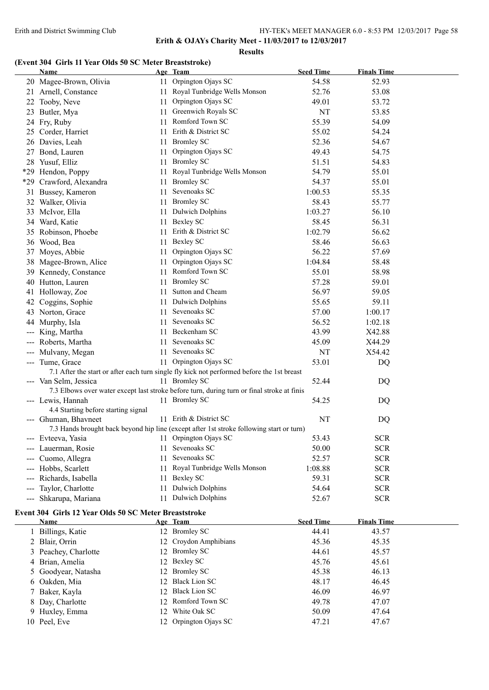**Results**

# **(Event 304 Girls 11 Year Olds 50 SC Meter Breaststroke)**

|                     | <b>Name</b>                                           |     | Age Team                                                                                   | <b>Seed Time</b> | <b>Finals Time</b> |  |
|---------------------|-------------------------------------------------------|-----|--------------------------------------------------------------------------------------------|------------------|--------------------|--|
|                     | 20 Magee-Brown, Olivia                                |     | 11 Orpington Ojays SC                                                                      | 54.58            | 52.93              |  |
|                     | 21 Arnell, Constance                                  |     | 11 Royal Tunbridge Wells Monson                                                            | 52.76            | 53.08              |  |
|                     | 22 Tooby, Neve                                        | 11  | Orpington Ojays SC                                                                         | 49.01            | 53.72              |  |
|                     | 23 Butler, Mya                                        | 11  | Greenwich Royals SC                                                                        | NT               | 53.85              |  |
|                     | 24 Fry, Ruby                                          | 11  | Romford Town SC                                                                            | 55.39            | 54.09              |  |
|                     | 25 Corder, Harriet                                    | 11  | Erith & District SC                                                                        | 55.02            | 54.24              |  |
|                     | 26 Davies, Leah                                       | 11  | <b>Bromley SC</b>                                                                          | 52.36            | 54.67              |  |
|                     | 27 Bond, Lauren                                       | 11  | Orpington Ojays SC                                                                         | 49.43            | 54.75              |  |
|                     | 28 Yusuf, Elliz                                       |     | 11 Bromley SC                                                                              | 51.51            | 54.83              |  |
|                     | *29 Hendon, Poppy                                     | 11  | Royal Tunbridge Wells Monson                                                               | 54.79            | 55.01              |  |
|                     | *29 Crawford, Alexandra                               | 11  | <b>Bromley SC</b>                                                                          | 54.37            | 55.01              |  |
|                     | 31 Bussey, Kameron                                    | 11  | Sevenoaks SC                                                                               | 1:00.53          | 55.35              |  |
|                     | 32 Walker, Olivia                                     | 11  | <b>Bromley SC</b>                                                                          | 58.43            | 55.77              |  |
|                     | 33 McIvor, Ella                                       | 11  | Dulwich Dolphins                                                                           | 1:03.27          | 56.10              |  |
|                     | 34 Ward, Katie                                        | 11  | <b>Bexley SC</b>                                                                           | 58.45            | 56.31              |  |
|                     | 35 Robinson, Phoebe                                   | 11  | Erith & District SC                                                                        | 1:02.79          | 56.62              |  |
|                     | 36 Wood, Bea                                          | 11  | <b>Bexley SC</b>                                                                           | 58.46            | 56.63              |  |
|                     | 37 Moyes, Abbie                                       | 11  | Orpington Ojays SC                                                                         | 56.22            | 57.69              |  |
| 38                  | Magee-Brown, Alice                                    | 11  | Orpington Ojays SC                                                                         | 1:04.84          | 58.48              |  |
|                     | 39 Kennedy, Constance                                 | 11  | Romford Town SC                                                                            | 55.01            | 58.98              |  |
|                     | 40 Hutton, Lauren                                     | 11  | <b>Bromley SC</b>                                                                          | 57.28            | 59.01              |  |
|                     | 41 Holloway, Zoe                                      | 11  | Sutton and Cheam                                                                           | 56.97            | 59.05              |  |
| 42                  | Coggins, Sophie                                       | 11  | <b>Dulwich Dolphins</b>                                                                    | 55.65            | 59.11              |  |
|                     | 43 Norton, Grace                                      | 11  | Sevenoaks SC                                                                               | 57.00            | 1:00.17            |  |
|                     | 44 Murphy, Isla                                       |     | 11 Sevenoaks SC                                                                            | 56.52            | 1:02.18            |  |
| ---                 | King, Martha                                          |     | 11 Beckenham SC                                                                            | 43.99            | X42.88             |  |
| ---                 | Roberts, Martha                                       |     | 11 Sevenoaks SC                                                                            | 45.09            | X44.29             |  |
| ---                 | Mulvany, Megan                                        |     | 11 Sevenoaks SC                                                                            | NT               | X54.42             |  |
|                     | --- Tume, Grace                                       |     | 11 Orpington Ojays SC                                                                      | 53.01            | DQ                 |  |
|                     |                                                       |     | 7.1 After the start or after each turn single fly kick not performed before the 1st breast |                  |                    |  |
|                     | --- Van Selm, Jessica                                 |     | 11 Bromley SC                                                                              | 52.44            | DQ                 |  |
|                     |                                                       |     | 7.3 Elbows over water except last stroke before turn, during turn or final stroke at finis |                  |                    |  |
|                     | --- Lewis, Hannah                                     |     | 11 Bromley SC                                                                              | 54.25            | DQ                 |  |
|                     | 4.4 Starting before starting signal                   |     |                                                                                            |                  |                    |  |
|                     | --- Ghuman, Bhavneet                                  |     | 11 Erith & District SC                                                                     | NT               | DQ                 |  |
|                     |                                                       |     | 7.3 Hands brought back beyond hip line (except after 1st stroke following start or turn)   |                  |                    |  |
|                     | Evteeva, Yasia                                        |     | Orpington Ojays SC                                                                         | 53.43            | <b>SCR</b>         |  |
|                     | Lauerman, Rosie                                       | 11- | Sevenoaks SC                                                                               | 50.00            | <b>SCR</b>         |  |
|                     | Cuomo, Allegra                                        | 11  | Sevenoaks SC                                                                               | 52.57            | <b>SCR</b>         |  |
|                     | Hobbs, Scarlett                                       | 11  | Royal Tunbridge Wells Monson                                                               | 1:08.88          | <b>SCR</b>         |  |
|                     | Richards, Isabella                                    | 11  | <b>Bexley SC</b>                                                                           | 59.31            | <b>SCR</b>         |  |
|                     | Taylor, Charlotte                                     | 11  | <b>Dulwich Dolphins</b>                                                                    | 54.64            | <b>SCR</b>         |  |
| $\qquad \qquad - -$ | Shkarupa, Mariana                                     | 11  | <b>Dulwich Dolphins</b>                                                                    | 52.67            | <b>SCR</b>         |  |
|                     |                                                       |     |                                                                                            |                  |                    |  |
|                     | Event 304 Girls 12 Year Olds 50 SC Meter Breaststroke |     |                                                                                            |                  |                    |  |
|                     | Name                                                  |     | Age Team                                                                                   | <b>Seed Time</b> | <b>Finals Time</b> |  |
|                     | 1 Billings, Katie                                     |     | 12 Bromley SC                                                                              | 44.41            | 43.57              |  |
|                     | 2 Blair, Orrin                                        | 12  | Croydon Amphibians                                                                         | 45.36            | 45.35              |  |
|                     | 3 Peachey, Charlotte                                  |     | 12 Bromley SC                                                                              | 44.61            | 45.57              |  |
|                     | 4 Brian, Amelia                                       |     | 12 Bexley SC                                                                               | 45.76            | 45.61              |  |
| $\mathcal{L}$       | Goodyear, Natasha                                     | 12  | <b>Bromley SC</b>                                                                          | 45.38            | 46.13              |  |
| 6                   | Oakden, Mia                                           | 12  | <b>Black Lion SC</b>                                                                       | 48.17            | 46.45              |  |
|                     | 7 Baker, Kayla                                        |     | 12 Black Lion SC                                                                           | 46.09            | 46.97              |  |
|                     | 8 Day, Charlotte                                      |     | 12 Romford Town SC                                                                         | 49.78            | 47.07              |  |
|                     | 9 Huxley, Emma                                        |     | 12 White Oak SC                                                                            | 50.09            | 47.64              |  |
|                     | 10 Peel, Eve                                          |     | 12 Orpington Ojays SC                                                                      | 47.21            | 47.67              |  |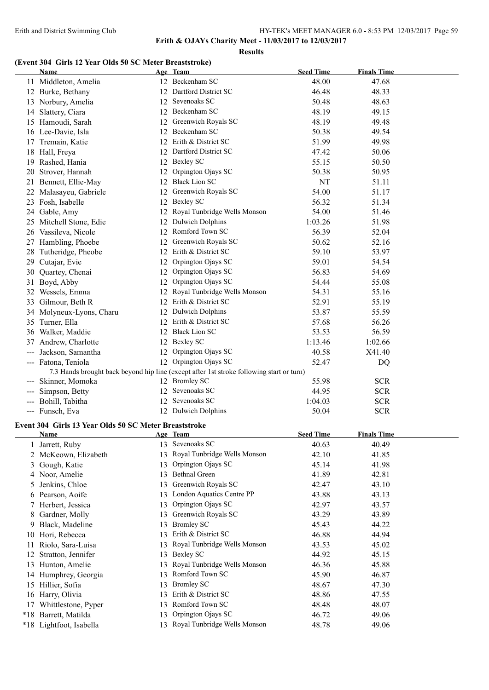**Erith & OJAYs Charity Meet - 11/03/2017 to 12/03/2017**

#### **Results**

# **(Event 304 Girls 12 Year Olds 50 SC Meter Breaststroke)**

|               | Name                                                  |            | Age Team                                                                                 | <b>Seed Time</b> | <b>Finals Time</b> |
|---------------|-------------------------------------------------------|------------|------------------------------------------------------------------------------------------|------------------|--------------------|
|               | 11 Middleton, Amelia                                  |            | 12 Beckenham SC                                                                          | 48.00            | 47.68              |
|               | 12 Burke, Bethany                                     |            | 12 Dartford District SC                                                                  | 46.48            | 48.33              |
|               | 13 Norbury, Amelia                                    |            | 12 Sevenoaks SC                                                                          | 50.48            | 48.63              |
|               | 14 Slattery, Ciara                                    |            | 12 Beckenham SC                                                                          | 48.19            | 49.15              |
|               | 15 Hamoudi, Sarah                                     |            | 12 Greenwich Royals SC                                                                   | 48.19            | 49.48              |
|               | 16 Lee-Davie, Isla                                    |            | 12 Beckenham SC                                                                          | 50.38            | 49.54              |
|               | 17 Tremain, Katie                                     |            | 12 Erith & District SC                                                                   | 51.99            | 49.98              |
|               | 18 Hall, Freya                                        |            | 12 Dartford District SC                                                                  | 47.42            | 50.06              |
|               | 19 Rashed, Hania                                      |            | 12 Bexley SC                                                                             | 55.15            | 50.50              |
|               | 20 Strover, Hannah                                    |            | 12 Orpington Ojays SC                                                                    | 50.38            | 50.95              |
|               | 21 Bennett, Ellie-May                                 |            | 12 Black Lion SC                                                                         | NT               | 51.11              |
|               | 22 Malasayeu, Gabriele                                |            | 12 Greenwich Royals SC                                                                   | 54.00            | 51.17              |
|               | 23 Fosh, Isabelle                                     |            | 12 Bexley SC                                                                             | 56.32            | 51.34              |
|               | 24 Gable, Amy                                         |            | 12 Royal Tunbridge Wells Monson                                                          | 54.00            | 51.46              |
|               |                                                       |            | 12 Dulwich Dolphins                                                                      | 1:03.26          | 51.98              |
|               | 25 Mitchell Stone, Edie<br>26 Vassileva, Nicole       |            | 12 Romford Town SC                                                                       | 56.39            |                    |
|               |                                                       |            |                                                                                          |                  | 52.04              |
|               | 27 Hambling, Phoebe                                   |            | 12 Greenwich Royals SC                                                                   | 50.62            | 52.16              |
|               | 28 Tutheridge, Pheobe                                 |            | 12 Erith & District SC                                                                   | 59.10            | 53.97              |
|               | 29 Cutajar, Evie                                      |            | 12 Orpington Ojays SC                                                                    | 59.01            | 54.54              |
| 30            | Quartey, Chenai                                       |            | 12 Orpington Ojays SC                                                                    | 56.83            | 54.69              |
|               | 31 Boyd, Abby                                         |            | 12 Orpington Ojays SC                                                                    | 54.44            | 55.08              |
|               | 32 Wessels, Emma                                      |            | 12 Royal Tunbridge Wells Monson                                                          | 54.31            | 55.16              |
|               | 33 Gilmour, Beth R                                    |            | 12 Erith & District SC                                                                   | 52.91            | 55.19              |
|               | 34 Molyneux-Lyons, Charu                              |            | 12 Dulwich Dolphins                                                                      | 53.87            | 55.59              |
|               | 35 Turner, Ella                                       |            | 12 Erith & District SC                                                                   | 57.68            | 56.26              |
|               | 36 Walker, Maddie                                     |            | 12 Black Lion SC                                                                         | 53.53            | 56.59              |
|               | 37 Andrew, Charlotte                                  |            | 12 Bexley SC                                                                             | 1:13.46          | 1:02.66            |
|               | --- Jackson, Samantha                                 |            | 12 Orpington Ojays SC                                                                    | 40.58            | X41.40             |
|               | --- Fatona, Teniola                                   |            | 12 Orpington Ojays SC                                                                    | 52.47            | DQ                 |
|               |                                                       |            | 7.3 Hands brought back beyond hip line (except after 1st stroke following start or turn) |                  |                    |
|               | --- Skinner, Momoka                                   |            | 12 Bromley SC                                                                            | 55.98            | <b>SCR</b>         |
|               | --- Simpson, Betty                                    |            | 12 Sevenoaks SC                                                                          | 44.95            | <b>SCR</b>         |
|               | --- Bohill, Tabitha                                   |            | 12 Sevenoaks SC                                                                          | 1:04.03          | <b>SCR</b>         |
|               | --- Funsch, Eva                                       |            | 12 Dulwich Dolphins                                                                      | 50.04            | <b>SCR</b>         |
|               | Event 304 Girls 13 Year Olds 50 SC Meter Breaststroke |            |                                                                                          |                  |                    |
|               | Name                                                  | <u>Age</u> | <u>Team</u>                                                                              | <b>Seed Time</b> | <b>Finals Time</b> |
|               | 1 Jarrett, Ruby                                       |            | 13 Sevenoaks SC                                                                          | 40.63            | 40.49              |
| 2             | McKeown, Elizabeth                                    | 13         | Royal Tunbridge Wells Monson                                                             | 42.10            | 41.85              |
| 3             | Gough, Katie                                          | 13         | Orpington Ojays SC                                                                       | 45.14            | 41.98              |
|               | 4 Noor, Amelie                                        | 13         | <b>Bethnal Green</b>                                                                     | 41.89            | 42.81              |
| $\mathcal{L}$ | Jenkins, Chloe                                        | 13         | Greenwich Royals SC                                                                      | 42.47            | 43.10              |
|               | 6 Pearson, Aoife                                      |            | 13 London Aquatics Centre PP                                                             | 43.88            | 43.13              |
|               | 7 Herbert, Jessica                                    | 13         | Orpington Ojays SC                                                                       | 42.97            | 43.57              |
| 8             | Gardner, Molly                                        | 13         | Greenwich Royals SC                                                                      | 43.29            | 43.89              |
| 9             | Black, Madeline                                       | 13         | <b>Bromley SC</b>                                                                        | 45.43            | 44.22              |
| 10            | Hori, Rebecca                                         | 13         | Erith & District SC                                                                      | 46.88            | 44.94              |
| 11            | Riolo, Sara-Luisa                                     | 13         | Royal Tunbridge Wells Monson                                                             | 43.53            | 45.02              |
| 12            | Stratton, Jennifer                                    | 13         | <b>Bexley SC</b>                                                                         | 44.92            | 45.15              |
|               | 13 Hunton, Amelie                                     | 13         | Royal Tunbridge Wells Monson                                                             | 46.36            | 45.88              |
|               | 14 Humphrey, Georgia                                  | 13         | Romford Town SC                                                                          | 45.90            | 46.87              |
|               | 15 Hillier, Sofia                                     | 13         | <b>Bromley SC</b>                                                                        | 48.67            | 47.30              |
|               | 16 Harry, Olivia                                      | 13         | Erith & District SC                                                                      | 48.86            | 47.55              |
|               | 17 Whittlestone, Pyper                                | 13         | Romford Town SC                                                                          | 48.48            | 48.07              |
|               | *18 Barrett, Matilda                                  | 13         | Orpington Ojays SC                                                                       | 46.72            | 49.06              |
|               | *18 Lightfoot, Isabella                               |            | 13 Royal Tunbridge Wells Monson                                                          | 48.78            | 49.06              |
|               |                                                       |            |                                                                                          |                  |                    |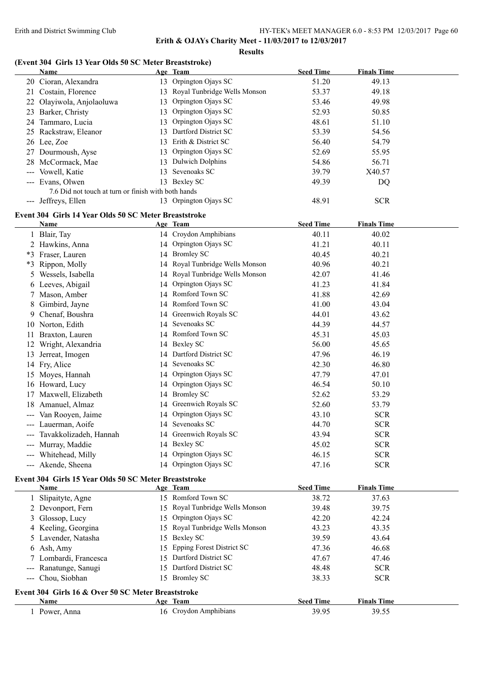#### **Results**

# **(Event 304 Girls 13 Year Olds 50 SC Meter Breaststroke)**

|    | Name                                                          |    | Age Team                        | <b>Seed Time</b> | <b>Finals Time</b> |  |
|----|---------------------------------------------------------------|----|---------------------------------|------------------|--------------------|--|
|    | 20 Cioran, Alexandra                                          |    | 13 Orpington Ojays SC           | 51.20            | 49.13              |  |
|    | 21 Costain, Florence                                          |    | 13 Royal Tunbridge Wells Monson | 53.37            | 49.18              |  |
|    | 22 Olayiwola, Anjolaoluwa                                     | 13 | Orpington Ojays SC              | 53.46            | 49.98              |  |
|    | 23 Barker, Christy                                            | 13 | Orpington Ojays SC              | 52.93            | 50.85              |  |
|    | 24 Tammaro, Lucia                                             | 13 | Orpington Ojays SC              | 48.61            | 51.10              |  |
|    | 25 Rackstraw, Eleanor                                         |    | 13 Dartford District SC         | 53.39            | 54.56              |  |
|    | 26 Lee, Zoe                                                   |    | 13 Erith & District SC          | 56.40            | 54.79              |  |
|    | 27 Dourmoush, Ayse                                            |    | 13 Orpington Ojays SC           | 52.69            | 55.95              |  |
|    | 28 McCormack, Mae                                             | 13 | <b>Dulwich Dolphins</b>         | 54.86            | 56.71              |  |
|    | --- Vowell, Katie                                             | 13 | Sevenoaks SC                    | 39.79            | X40.57             |  |
|    | --- Evans, Olwen                                              |    | 13 Bexley SC                    | 49.39            | DQ                 |  |
|    | 7.6 Did not touch at turn or finish with both hands           |    |                                 |                  |                    |  |
|    | --- Jeffreys, Ellen                                           |    | 13 Orpington Ojays SC           | 48.91            | <b>SCR</b>         |  |
|    |                                                               |    |                                 |                  |                    |  |
|    | Event 304 Girls 14 Year Olds 50 SC Meter Breaststroke<br>Name |    | Age Team                        | <b>Seed Time</b> | <b>Finals Time</b> |  |
|    | 1 Blair, Tay                                                  |    | 14 Croydon Amphibians           | 40.11            | 40.02              |  |
|    | 2 Hawkins, Anna                                               |    | 14 Orpington Ojays SC           | 41.21            | 40.11              |  |
|    |                                                               |    | 14 Bromley SC                   |                  | 40.21              |  |
|    | *3 Fraser, Lauren                                             |    | 14 Royal Tunbridge Wells Monson | 40.45            |                    |  |
|    | *3 Rippon, Molly                                              |    |                                 | 40.96            | 40.21              |  |
|    | 5 Wessels, Isabella                                           |    | 14 Royal Tunbridge Wells Monson | 42.07            | 41.46              |  |
|    | 6 Leeves, Abigail                                             |    | 14 Orpington Ojays SC           | 41.23            | 41.84              |  |
|    | 7 Mason, Amber                                                |    | 14 Romford Town SC              | 41.88            | 42.69              |  |
|    | 8 Gimbird, Jayne                                              |    | 14 Romford Town SC              | 41.00            | 43.04              |  |
|    | 9 Chenaf, Boushra                                             |    | 14 Greenwich Royals SC          | 44.01            | 43.62              |  |
|    | 10 Norton, Edith                                              |    | 14 Sevenoaks SC                 | 44.39            | 44.57              |  |
|    | 11 Braxton, Lauren                                            |    | 14 Romford Town SC              | 45.31            | 45.03              |  |
|    | 12 Wright, Alexandria                                         |    | 14 Bexley SC                    | 56.00            | 45.65              |  |
|    | 13 Jerreat, Imogen                                            |    | 14 Dartford District SC         | 47.96            | 46.19              |  |
|    | 14 Fry, Alice                                                 |    | 14 Sevenoaks SC                 | 42.30            | 46.80              |  |
|    | 15 Moyes, Hannah                                              |    | 14 Orpington Ojays SC           | 47.79            | 47.01              |  |
|    | 16 Howard, Lucy                                               |    | 14 Orpington Ojays SC           | 46.54            | 50.10              |  |
|    | 17 Maxwell, Elizabeth                                         |    | 14 Bromley SC                   | 52.62            | 53.29              |  |
| 18 | Amanuel, Almaz                                                |    | 14 Greenwich Royals SC          | 52.60            | 53.79              |  |
|    | Van Rooyen, Jaime                                             |    | 14 Orpington Ojays SC           | 43.10            | <b>SCR</b>         |  |
|    | --- Lauerman, Aoife                                           |    | 14 Sevenoaks SC                 | 44.70            | <b>SCR</b>         |  |
|    | --- Tavakkolizadeh, Hannah                                    |    | 14 Greenwich Royals SC          | 43.94            | <b>SCR</b>         |  |
|    | --- Murray, Maddie                                            |    | 14 Bexley SC                    | 45.02            | <b>SCR</b>         |  |
|    | Whitehead, Milly                                              |    | 14 Orpington Ojays SC           | 46.15            | <b>SCR</b>         |  |
|    | --- Akende, Sheena                                            |    | 14 Orpington Ojays SC           | 47.16            | <b>SCR</b>         |  |
|    | Event 304 Girls 15 Year Olds 50 SC Meter Breaststroke         |    |                                 |                  |                    |  |
|    | Name                                                          |    | Age Team                        | <b>Seed Time</b> | <b>Finals Time</b> |  |
|    | 1 Slipaityte, Agne                                            |    | 15 Romford Town SC              | 38.72            | 37.63              |  |
|    | 2 Devonport, Fern                                             |    | 15 Royal Tunbridge Wells Monson | 39.48            | 39.75              |  |
|    | 3 Glossop, Lucy                                               |    | 15 Orpington Ojays SC           | 42.20            | 42.24              |  |
|    | 4 Keeling, Georgina                                           |    | 15 Royal Tunbridge Wells Monson | 43.23            | 43.35              |  |
|    | 5 Lavender, Natasha                                           |    | 15 Bexley SC                    | 39.59            | 43.64              |  |
|    | 6 Ash, Amy                                                    |    | 15 Epping Forest District SC    | 47.36            | 46.68              |  |
|    | 7 Lombardi, Francesca                                         |    | 15 Dartford District SC         | 47.67            | 47.46              |  |
|    | --- Ranatunge, Sanugi                                         |    | 15 Dartford District SC         | 48.48            | <b>SCR</b>         |  |
|    | --- Chou, Siobhan                                             |    | 15 Bromley SC                   | 38.33            | <b>SCR</b>         |  |
|    |                                                               |    |                                 |                  |                    |  |
|    | Event 304 Girls 16 & Over 50 SC Meter Breaststroke            |    |                                 |                  |                    |  |
|    | Name                                                          |    | Age Team                        | <b>Seed Time</b> | <b>Finals Time</b> |  |
|    | 1 Power, Anna                                                 |    | 16 Croydon Amphibians           | 39.95            | 39.55              |  |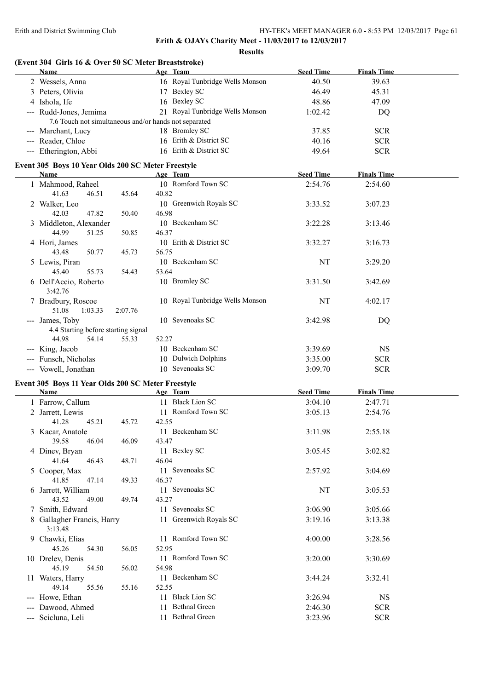| (Event 304 Girls 16 & Over 50 SC Meter Breaststroke)<br>Name |                | Age Team                        | <b>Seed Time</b> | <b>Finals Time</b> |  |
|--------------------------------------------------------------|----------------|---------------------------------|------------------|--------------------|--|
| 2 Wessels, Anna                                              |                | 16 Royal Tunbridge Wells Monson | 40.50            | 39.63              |  |
| 3 Peters, Olivia                                             |                | 17 Bexley SC                    | 46.49            | 45.31              |  |
| 4 Ishola, Ife                                                |                | 16 Bexley SC                    | 48.86            | 47.09              |  |
| --- Rudd-Jones, Jemima                                       |                | 21 Royal Tunbridge Wells Monson | 1:02.42          | DQ                 |  |
| 7.6 Touch not simultaneous and/or hands not separated        |                |                                 |                  |                    |  |
| --- Marchant, Lucy                                           |                | 18 Bromley SC                   | 37.85            | <b>SCR</b>         |  |
|                                                              |                | 16 Erith & District SC          |                  |                    |  |
| --- Reader, Chloe                                            |                |                                 | 40.16            | <b>SCR</b>         |  |
| --- Etherington, Abbi                                        |                | 16 Erith & District SC          | 49.64            | <b>SCR</b>         |  |
| Event 305 Boys 10 Year Olds 200 SC Meter Freestyle           |                |                                 |                  |                    |  |
| Name                                                         |                | Age Team                        | <b>Seed Time</b> | <b>Finals Time</b> |  |
| 1 Mahmood, Raheel                                            |                | 10 Romford Town SC              | 2:54.76          | 2:54.60            |  |
| 41.63<br>46.51<br>45.64                                      | 40.82          |                                 |                  |                    |  |
| 2 Walker, Leo                                                |                | 10 Greenwich Royals SC          | 3:33.52          | 3:07.23            |  |
| 42.03<br>47.82                                               | 46.98<br>50.40 |                                 |                  |                    |  |
| 3 Middleton, Alexander                                       |                | 10 Beckenham SC                 | 3:22.28          | 3:13.46            |  |
| 44.99<br>51.25                                               | 50.85<br>46.37 |                                 |                  |                    |  |
|                                                              |                | 10 Erith & District SC          |                  | 3:16.73            |  |
| 4 Hori, James<br>43.48                                       |                |                                 | 3:32.27          |                    |  |
| 50.77<br>45.73                                               | 56.75          |                                 |                  |                    |  |
| 5 Lewis, Piran                                               |                | 10 Beckenham SC                 | NT               | 3:29.20            |  |
| 45.40<br>55.73<br>54.43                                      | 53.64          |                                 |                  |                    |  |
| 6 Dell'Accio, Roberto                                        |                | 10 Bromley SC                   | 3:31.50          | 3:42.69            |  |
| 3:42.76                                                      |                |                                 |                  |                    |  |
| 7 Bradbury, Roscoe                                           |                | 10 Royal Tunbridge Wells Monson | NT               | 4:02.17            |  |
| 51.08<br>1:03.33<br>2:07.76                                  |                |                                 |                  |                    |  |
| --- James, Toby                                              |                | 10 Sevenoaks SC                 | 3:42.98          | DQ                 |  |
| 4.4 Starting before starting signal                          |                |                                 |                  |                    |  |
| 44.98<br>54.14<br>55.33                                      | 52.27          |                                 |                  |                    |  |
| --- King, Jacob                                              |                | 10 Beckenham SC                 | 3:39.69          | <b>NS</b>          |  |
| --- Funsch, Nicholas                                         |                | 10 Dulwich Dolphins             | 3:35.00          | <b>SCR</b>         |  |
| --- Vowell, Jonathan                                         |                | 10 Sevenoaks SC                 | 3:09.70          | <b>SCR</b>         |  |
|                                                              |                |                                 |                  |                    |  |
| Event 305 Boys 11 Year Olds 200 SC Meter Freestyle           |                |                                 |                  |                    |  |
| Name                                                         |                | Age Team                        | <b>Seed Time</b> | <b>Finals Time</b> |  |
| 1 Farrow, Callum                                             |                | 11 Black Lion SC                | 3:04.10          | 2:47.71            |  |
| 2 Jarrett, Lewis                                             |                | 11 Romford Town SC              | 3:05.13          | 2:54.76            |  |
| 41.28<br>45.21<br>45.72                                      | 42.55          |                                 |                  |                    |  |
| 3 Kacar, Anatole                                             |                | 11 Beckenham SC                 | 3:11.98          | 2:55.18            |  |
| 39.58<br>46.04                                               | 43.47<br>46.09 |                                 |                  |                    |  |
| 4 Dinev, Bryan                                               |                | 11 Bexley SC                    | 3:05.45          | 3:02.82            |  |
| 41.64<br>46.43<br>48.71                                      | 46.04          |                                 |                  |                    |  |
| 5 Cooper, Max                                                |                | 11 Sevenoaks SC                 | 2:57.92          | 3:04.69            |  |
| 41.85<br>47.14                                               | 46.37<br>49.33 |                                 |                  |                    |  |
| 6 Jarrett, William                                           |                | 11 Sevenoaks SC                 | NT               | 3:05.53            |  |
| 43.52<br>49.00                                               | 43.27<br>49.74 |                                 |                  |                    |  |
| 7 Smith, Edward                                              |                | 11 Sevenoaks SC                 | 3:06.90          | 3:05.66            |  |
|                                                              |                |                                 |                  |                    |  |
| 8 Gallagher Francis, Harry                                   |                | 11 Greenwich Royals SC          | 3:19.16          | 3:13.38            |  |
| 3:13.48                                                      |                |                                 |                  |                    |  |
| 9 Chawki, Elias                                              |                | 11 Romford Town SC              | 4:00.00          | 3:28.56            |  |
| 45.26<br>54.30                                               | 52.95<br>56.05 |                                 |                  |                    |  |
| 10 Drelev, Denis                                             |                | 11 Romford Town SC              | 3:20.00          | 3:30.69            |  |
| 45.19<br>54.50                                               | 54.98<br>56.02 |                                 |                  |                    |  |
| 11 Waters, Harry                                             |                | 11 Beckenham SC                 | 3:44.24          | 3:32.41            |  |
| 49.14<br>55.56                                               | 52.55<br>55.16 |                                 |                  |                    |  |
| --- Howe, Ethan                                              |                | 11 Black Lion SC                | 3:26.94          | <b>NS</b>          |  |
| --- Dawood, Ahmed                                            |                | 11 Bethnal Green                | 2:46.30          | <b>SCR</b>         |  |
| --- Scicluna, Leli                                           |                | 11 Bethnal Green                | 3:23.96          | <b>SCR</b>         |  |
|                                                              |                |                                 |                  |                    |  |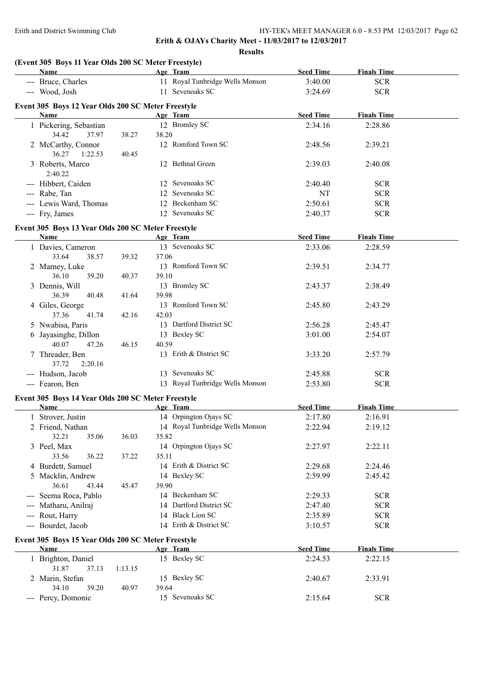**Results**

|                                        | (Event 305 Boys 11 Year Olds 200 SC Meter Freestyle)<br>Name |         |       | Age Team                        | <b>Seed Time</b> | <b>Finals Time</b> |  |
|----------------------------------------|--------------------------------------------------------------|---------|-------|---------------------------------|------------------|--------------------|--|
|                                        | --- Bruce, Charles                                           |         |       | 11 Royal Tunbridge Wells Monson | 3:40.00          | <b>SCR</b>         |  |
|                                        | --- Wood, Josh                                               |         |       | 11 Sevenoaks SC                 | 3:24.69          | <b>SCR</b>         |  |
|                                        |                                                              |         |       |                                 |                  |                    |  |
|                                        | Event 305 Boys 12 Year Olds 200 SC Meter Freestyle<br>Name   |         |       | Age Team                        | <b>Seed Time</b> | <b>Finals Time</b> |  |
|                                        |                                                              |         |       | 12 Bromley SC                   |                  |                    |  |
|                                        | 1 Pickering, Sebastian<br>34.42<br>37.97                     | 38.27   |       |                                 | 2:34.16          | 2:28.86            |  |
|                                        |                                                              |         | 38.20 | 12 Romford Town SC              |                  |                    |  |
|                                        | 2 McCarthy, Connor                                           |         |       |                                 | 2:48.56          | 2:39.21            |  |
|                                        | 36.27<br>1:22.53                                             | 40.45   |       | 12 Bethnal Green                |                  |                    |  |
|                                        | 3 Roberts, Marco                                             |         |       |                                 | 2:39.03          | 2:40.08            |  |
|                                        | 2:40.22                                                      |         |       |                                 |                  |                    |  |
|                                        | --- Hibbert, Caiden                                          |         |       | 12 Sevenoaks SC                 | 2:40.40          | <b>SCR</b>         |  |
|                                        | --- Rabe, Tan                                                |         |       | 12 Sevenoaks SC                 | NT               | <b>SCR</b>         |  |
|                                        | --- Lewis Ward, Thomas                                       |         |       | 12 Beckenham SC                 | 2:50.61          | <b>SCR</b>         |  |
|                                        | --- Fry, James                                               |         |       | 12 Sevenoaks SC                 | 2:40.37          | <b>SCR</b>         |  |
|                                        | Event 305 Boys 13 Year Olds 200 SC Meter Freestyle           |         |       |                                 |                  |                    |  |
|                                        | Name                                                         |         |       | Age Team                        | <b>Seed Time</b> | <b>Finals Time</b> |  |
|                                        | 1 Davies, Cameron                                            |         |       | 13 Sevenoaks SC                 | 2:33.06          | 2:28.59            |  |
|                                        | 33.64<br>38.57                                               | 39.32   | 37.06 |                                 |                  |                    |  |
|                                        | 2 Marney, Luke                                               |         |       | 13 Romford Town SC              | 2:39.51          | 2:34.77            |  |
|                                        | 36.10<br>39.20                                               | 40.37   | 39.10 |                                 |                  |                    |  |
|                                        | 3 Dennis, Will                                               |         |       | 13 Bromley SC                   | 2:43.37          | 2:38.49            |  |
|                                        | 36.39<br>40.48                                               | 41.64   | 39.98 |                                 |                  |                    |  |
|                                        | 4 Giles, George                                              |         |       | 13 Romford Town SC              | 2:45.80          | 2:43.29            |  |
|                                        | 37.36<br>41.74                                               | 42.16   | 42.03 |                                 |                  |                    |  |
|                                        | 5 Nwabisa, Paris                                             |         |       | 13 Dartford District SC         | 2:56.28          | 2:45.47            |  |
|                                        |                                                              |         |       | 13 Bexley SC                    | 3:01.00          |                    |  |
|                                        | 6 Jayasinghe, Dillon                                         |         |       |                                 |                  | 2:54.07            |  |
|                                        | 40.07<br>47.26                                               | 46.15   | 40.59 |                                 |                  |                    |  |
|                                        | 7 Threader, Ben                                              |         |       | 13 Erith & District SC          | 3:33.20          | 2:57.79            |  |
|                                        | 2:20.16<br>37.72                                             |         |       |                                 |                  |                    |  |
|                                        | --- Hudson, Jacob                                            |         |       | 13 Sevenoaks SC                 | 2:45.88          | <b>SCR</b>         |  |
|                                        | --- Fearon, Ben                                              |         |       | 13 Royal Tunbridge Wells Monson | 2:53.80          | <b>SCR</b>         |  |
|                                        | Event 305 Boys 14 Year Olds 200 SC Meter Freestyle           |         |       |                                 |                  |                    |  |
|                                        | Name                                                         |         |       | Age Team                        | <b>Seed Time</b> | <b>Finals Time</b> |  |
|                                        | 1 Strover, Justin                                            |         |       | 14 Orpington Ojays SC           | 2:17.80          | 2:16.91            |  |
|                                        | 2 Friend, Nathan                                             |         |       | 14 Royal Tunbridge Wells Monson | 2:22.94          | 2:19.12            |  |
|                                        | 32.21<br>35.06                                               | 36.03   | 35.82 |                                 |                  |                    |  |
|                                        | 3 Peel, Max                                                  |         |       | 14 Orpington Ojays SC           | 2:27.97          | 2:22.11            |  |
|                                        | 33.56<br>36.22                                               | 37.22   | 35.11 |                                 |                  |                    |  |
|                                        | 4 Burdett, Samuel                                            |         |       | 14 Erith & District SC          | 2:29.68          | 2:24.46            |  |
|                                        | 5 Macklin, Andrew                                            |         |       | 14 Bexley SC                    | 2:59.99          | 2:45.42            |  |
|                                        | 36.61<br>43.44                                               | 45.47   | 39.90 |                                 |                  |                    |  |
|                                        | --- Seema Roca, Pablo                                        |         |       | 14 Beckenham SC                 | 2:29.33          | <b>SCR</b>         |  |
| $\sim$ $\sim$ $\sim$                   | Matharu, Anilraj                                             |         |       | 14 Dartford District SC         | 2:47.40          | <b>SCR</b>         |  |
| $\scriptstyle\cdots\scriptstyle\cdots$ | Rout, Harry                                                  |         |       | 14 Black Lion SC                | 2:35.89          | <b>SCR</b>         |  |
|                                        | --- Bourdet, Jacob                                           |         |       | 14 Erith & District SC          | 3:10.57          | <b>SCR</b>         |  |
|                                        |                                                              |         |       |                                 |                  |                    |  |
|                                        | Event 305 Boys 15 Year Olds 200 SC Meter Freestyle           |         |       |                                 |                  |                    |  |
|                                        | <b>Name</b>                                                  |         |       | Age Team                        | <b>Seed Time</b> | <b>Finals Time</b> |  |
|                                        | 1 Brighton, Daniel                                           |         |       | 15 Bexley SC                    | 2:24.53          | 2:22.15            |  |
|                                        | 31.87<br>37.13                                               | 1:13.15 |       |                                 |                  |                    |  |
|                                        | 2 Marin, Stefan                                              |         |       | 15 Bexley SC                    | 2:40.67          | 2:33.91            |  |
|                                        | 34.10<br>39.20                                               | 40.97   | 39.64 |                                 |                  |                    |  |
|                                        | --- Percy, Domonic                                           |         |       | 15 Sevenoaks SC                 | 2:15.64          | <b>SCR</b>         |  |
|                                        |                                                              |         |       |                                 |                  |                    |  |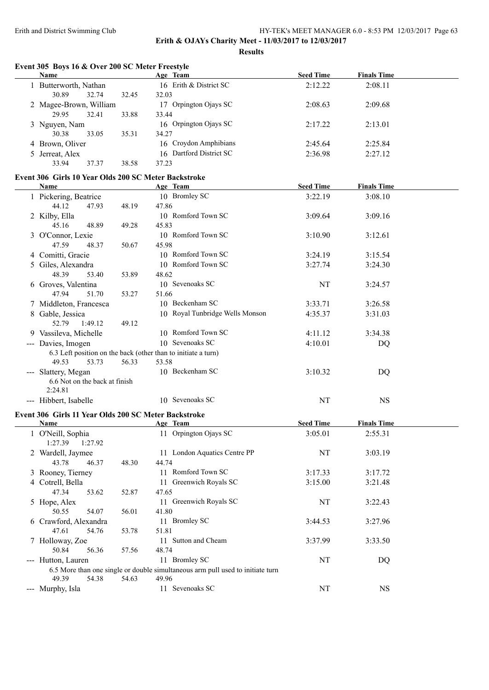**Results**

|   | Name                                                 |       | Age Team                                                                       | <b>Seed Time</b> | <b>Finals Time</b> |  |
|---|------------------------------------------------------|-------|--------------------------------------------------------------------------------|------------------|--------------------|--|
|   | 1 Butterworth, Nathan                                |       | 16 Erith & District SC                                                         | 2:12.22          | 2:08.11            |  |
|   | 30.89<br>32.74                                       | 32.45 | 32.03                                                                          |                  |                    |  |
|   | 2 Magee-Brown, William                               |       | 17 Orpington Ojays SC                                                          | 2:08.63          | 2:09.68            |  |
|   | 29.95<br>32.41                                       | 33.88 | 33.44                                                                          |                  |                    |  |
|   | 3 Nguyen, Nam                                        |       | 16 Orpington Ojays SC                                                          | 2:17.22          | 2:13.01            |  |
|   | 30.38<br>33.05                                       | 35.31 | 34.27                                                                          |                  |                    |  |
|   | 4 Brown, Oliver                                      |       | 16 Croydon Amphibians                                                          | 2:45.64          | 2:25.84            |  |
| 5 | Jerreat, Alex                                        |       | 16 Dartford District SC                                                        | 2:36.98          | 2:27.12            |  |
|   | 33.94<br>37.37                                       | 38.58 | 37.23                                                                          |                  |                    |  |
|   | Event 306 Girls 10 Year Olds 200 SC Meter Backstroke |       |                                                                                |                  |                    |  |
|   | <b>Name</b>                                          |       | Age Team                                                                       | <b>Seed Time</b> | <b>Finals Time</b> |  |
|   | 1 Pickering, Beatrice                                |       | 10 Bromley SC                                                                  | 3:22.19          | 3:08.10            |  |
|   | 44.12<br>47.93                                       | 48.19 | 47.86                                                                          |                  |                    |  |
|   | 2 Kilby, Ella                                        |       | 10 Romford Town SC                                                             | 3:09.64          | 3:09.16            |  |
|   | 45.16<br>48.89                                       | 49.28 | 45.83                                                                          |                  |                    |  |
| 3 | O'Connor, Lexie                                      |       | 10 Romford Town SC                                                             | 3:10.90          | 3:12.61            |  |
|   | 47.59<br>48.37                                       | 50.67 | 45.98                                                                          |                  |                    |  |
|   | 4 Comitti, Gracie                                    |       | 10 Romford Town SC                                                             | 3:24.19          | 3:15.54            |  |
|   | 5 Giles, Alexandra                                   |       | 10 Romford Town SC                                                             | 3:27.74          | 3:24.30            |  |
|   | 48.39<br>53.40                                       | 53.89 | 48.62                                                                          |                  |                    |  |
|   | 6 Groves, Valentina                                  |       | 10 Sevenoaks SC                                                                | NT               | 3:24.57            |  |
|   | 47.94<br>51.70                                       | 53.27 | 51.66                                                                          |                  |                    |  |
|   | 7 Middleton, Francesca                               |       | 10 Beckenham SC                                                                | 3:33.71          | 3:26.58            |  |
|   | Gable, Jessica                                       |       | 10 Royal Tunbridge Wells Monson                                                | 4:35.37          | 3:31.03            |  |
|   | 52.79<br>1:49.12                                     | 49.12 |                                                                                |                  |                    |  |
|   | 9 Vassileva, Michelle                                |       | 10 Romford Town SC                                                             | 4:11.12          | 3:34.38            |  |
|   | --- Davies, Imogen                                   |       | 10 Sevenoaks SC                                                                | 4:10.01          | DQ                 |  |
|   |                                                      |       | 6.3 Left position on the back (other than to initiate a turn)                  |                  |                    |  |
|   | 49.53<br>53.73                                       | 56.33 | 53.58                                                                          |                  |                    |  |
|   | --- Slattery, Megan                                  |       | 10 Beckenham SC                                                                | 3:10.32          | DQ                 |  |
|   | 6.6 Not on the back at finish                        |       |                                                                                |                  |                    |  |
|   | 2:24.81                                              |       |                                                                                |                  |                    |  |
|   | --- Hibbert, Isabelle                                |       | 10 Sevenoaks SC                                                                | NT               | <b>NS</b>          |  |
|   |                                                      |       |                                                                                |                  |                    |  |
|   | Event 306 Girls 11 Year Olds 200 SC Meter Backstroke |       |                                                                                |                  |                    |  |
|   | <b>Name</b>                                          |       | Age Team                                                                       | <b>Seed Time</b> | <b>Finals Time</b> |  |
|   | 1 O'Neill, Sophia                                    |       | 11 Orpington Ojays SC                                                          | 3:05.01          | 2:55.31            |  |
|   | 1:27.92<br>1:27.39                                   |       |                                                                                |                  |                    |  |
|   | 2 Wardell, Jaymee                                    |       | 11 London Aquatics Centre PP                                                   | $\rm{NT}$        | 3:03.19            |  |
|   | 46.37<br>43.78                                       | 48.30 | 44.74                                                                          |                  |                    |  |
|   | 3 Rooney, Tierney                                    |       | 11 Romford Town SC                                                             | 3:17.33          | 3:17.72            |  |
|   | 4 Cotrell, Bella                                     |       | 11 Greenwich Royals SC                                                         | 3:15.00          | 3:21.48            |  |
|   | 47.34<br>53.62                                       | 52.87 | 47.65                                                                          |                  |                    |  |
|   | 5 Hope, Alex                                         |       | 11 Greenwich Royals SC                                                         | NT               | 3:22.43            |  |
|   | 54.07<br>50.55                                       | 56.01 | 41.80                                                                          |                  |                    |  |
|   | 6 Crawford, Alexandra                                |       | 11 Bromley SC                                                                  | 3:44.53          | 3:27.96            |  |
|   | 54.76<br>47.61                                       | 53.78 | 51.81                                                                          |                  |                    |  |
|   | 7 Holloway, Zoe                                      |       | 11 Sutton and Cheam                                                            | 3:37.99          | 3:33.50            |  |
|   | 50.84<br>56.36                                       | 57.56 | 48.74                                                                          |                  |                    |  |
|   | --- Hutton, Lauren                                   |       | 11 Bromley SC                                                                  | NT               | DQ                 |  |
|   |                                                      |       | 6.5 More than one single or double simultaneous arm pull used to initiate turn |                  |                    |  |
|   | 49.39<br>54.38                                       | 54.63 | 49.96                                                                          |                  |                    |  |
|   | --- Murphy, Isla                                     |       | 11 Sevenoaks SC                                                                | $\rm{NT}$        | <b>NS</b>          |  |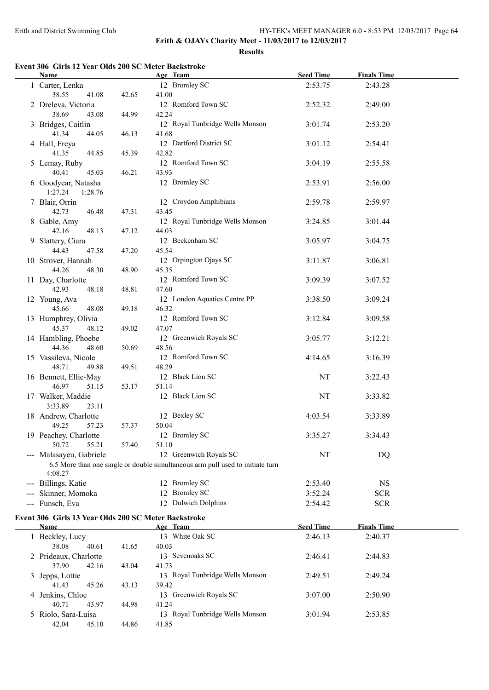**Results**

# **Event 306 Girls 12 Year Olds 200 SC Meter Backstroke**

| <b>Name</b>                                          |       | Age Team                                                                                                 | <b>Seed Time</b> | <b>Finals Time</b> |  |
|------------------------------------------------------|-------|----------------------------------------------------------------------------------------------------------|------------------|--------------------|--|
| 1 Carter, Lenka<br>38.55<br>41.08                    | 42.65 | 12 Bromley SC<br>41.00                                                                                   | 2:53.75          | 2:43.28            |  |
| 2 Dreleva, Victoria<br>38.69<br>43.08                | 44.99 | 12 Romford Town SC<br>42.24                                                                              | 2:52.32          | 2:49.00            |  |
| 3 Bridges, Caitlin<br>41.34<br>44.05                 | 46.13 | 12 Royal Tunbridge Wells Monson<br>41.68                                                                 | 3:01.74          | 2:53.20            |  |
| 4 Hall, Freya<br>41.35<br>44.85                      | 45.39 | 12 Dartford District SC<br>42.82                                                                         | 3:01.12          | 2:54.41            |  |
| 5 Lemay, Ruby<br>40.41<br>45.03                      | 46.21 | 12 Romford Town SC<br>43.93                                                                              | 3:04.19          | 2:55.58            |  |
| 6 Goodyear, Natasha<br>1:27.24<br>1:28.76            |       | 12 Bromley SC                                                                                            | 2:53.91          | 2:56.00            |  |
| 7 Blair, Orrin<br>42.73<br>46.48                     | 47.31 | 12 Croydon Amphibians<br>43.45                                                                           | 2:59.78          | 2:59.97            |  |
| 8 Gable, Amy<br>48.13<br>42.16                       | 47.12 | 12 Royal Tunbridge Wells Monson<br>44.03                                                                 | 3:24.85          | 3:01.44            |  |
| 9 Slattery, Ciara<br>44.43<br>47.58                  | 47.20 | 12 Beckenham SC<br>45.54                                                                                 | 3:05.97          | 3:04.75            |  |
| 10 Strover, Hannah<br>44.26<br>48.30                 | 48.90 | 12 Orpington Ojays SC<br>45.35                                                                           | 3:11.87          | 3:06.81            |  |
| 11 Day, Charlotte<br>42.93<br>48.18                  | 48.81 | 12 Romford Town SC<br>47.60                                                                              | 3:09.39          | 3:07.52            |  |
| 12 Young, Ava<br>45.66<br>48.08                      | 49.18 | 12 London Aquatics Centre PP<br>46.32                                                                    | 3:38.50          | 3:09.24            |  |
| 13 Humphrey, Olivia<br>45.37<br>48.12                | 49.02 | 12 Romford Town SC<br>47.07                                                                              | 3:12.84          | 3:09.58            |  |
| 14 Hambling, Phoebe<br>44.36<br>48.60                | 50.69 | 12 Greenwich Royals SC<br>48.56                                                                          | 3:05.77          | 3:12.21            |  |
| 15 Vassileva, Nicole<br>48.71<br>49.88               | 49.51 | 12 Romford Town SC<br>48.29                                                                              | 4:14.65          | 3:16.39            |  |
| 16 Bennett, Ellie-May<br>46.97<br>51.15              | 53.17 | 12 Black Lion SC<br>51.14                                                                                | NT               | 3:22.43            |  |
| 17 Walker, Maddie<br>3:33.89<br>23.11                |       | 12 Black Lion SC                                                                                         | NT               | 3:33.82            |  |
| 18 Andrew, Charlotte<br>49.25<br>57.23               | 57.37 | 12 Bexley SC<br>50.04                                                                                    | 4:03.54          | 3:33.89            |  |
| 19 Peachey, Charlotte<br>50.72<br>55.21              | 57.40 | 12 Bromley SC<br>51.10                                                                                   | 3:35.27          | 3:34.43            |  |
| --- Malasayeu, Gabriele<br>4:08.27                   |       | 12 Greenwich Royals SC<br>6.5 More than one single or double simultaneous arm pull used to initiate turn | NT               | DQ                 |  |
| --- Billings, Katie                                  |       | 12 Bromley SC                                                                                            | 2:53.40          | <b>NS</b>          |  |
| Skinner, Momoka                                      |       | 12 Bromley SC                                                                                            | 3:52.24          | <b>SCR</b>         |  |
| --- Funsch, Eva                                      |       | 12 Dulwich Dolphins                                                                                      | 2:54.42          | <b>SCR</b>         |  |
| Event 306 Girls 13 Year Olds 200 SC Meter Backstroke |       |                                                                                                          |                  |                    |  |
| Name                                                 |       | Age Team                                                                                                 | <b>Seed Time</b> | <b>Finals Time</b> |  |
| 1 Beckley, Lucy<br>38.08<br>40.61                    | 41.65 | 13 White Oak SC<br>40.03                                                                                 | 2:46.13          | 2:40.37            |  |
| 2 Prideaux, Charlotte<br>37.90<br>42.16              | 43.04 | 13 Sevenoaks SC<br>41.73                                                                                 | 2:46.41          | 2:44.83            |  |
| 3 Jepps, Lottie<br>41.43<br>45.26                    | 43.13 | 13 Royal Tunbridge Wells Monson<br>39.42                                                                 | 2:49.51          | 2:49.24            |  |
| 4 Jenkins, Chloe<br>40.71<br>43.97                   | 44.98 | 13 Greenwich Royals SC<br>41.24                                                                          | 3:07.00          | 2:50.90            |  |
| 5 Riolo, Sara-Luisa<br>42.04<br>45.10                | 44.86 | 13 Royal Tunbridge Wells Monson<br>41.85                                                                 | 3:01.94          | 2:53.85            |  |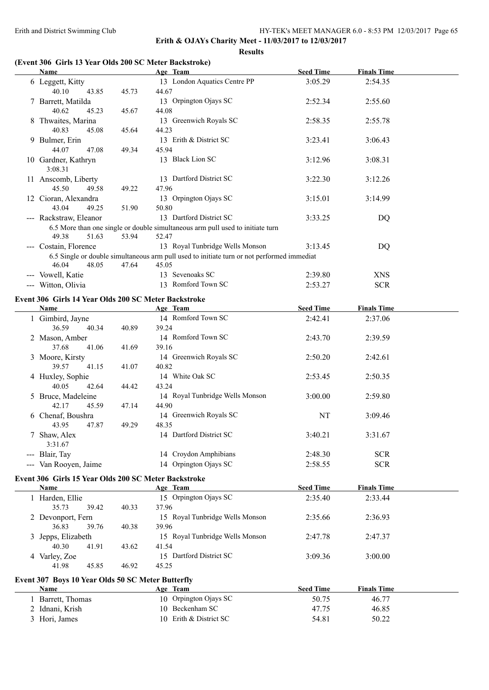**Results**

# **(Event 306 Girls 13 Year Olds 200 SC Meter Backstroke)**

| <b>Name</b>                                                                |       | Age Team                                                                                            | <b>Seed Time</b> | <b>Finals Time</b> |  |
|----------------------------------------------------------------------------|-------|-----------------------------------------------------------------------------------------------------|------------------|--------------------|--|
| 6 Leggett, Kitty<br>40.10<br>43.85                                         | 45.73 | 13 London Aquatics Centre PP<br>44.67                                                               | 3:05.29          | 2:54.35            |  |
| 7 Barrett, Matilda<br>40.62<br>45.23                                       | 45.67 | 13 Orpington Ojays SC<br>44.08                                                                      | 2:52.34          | 2:55.60            |  |
| 8 Thwaites, Marina<br>40.83<br>45.08                                       | 45.64 | 13 Greenwich Royals SC<br>44.23                                                                     | 2:58.35          | 2:55.78            |  |
| 9 Bulmer, Erin<br>44.07<br>47.08                                           | 49.34 | 13 Erith & District SC<br>45.94                                                                     | 3:23.41          | 3:06.43            |  |
| 10 Gardner, Kathryn<br>3:08.31                                             |       | 13 Black Lion SC                                                                                    | 3:12.96          | 3:08.31            |  |
| 11 Anscomb, Liberty<br>45.50<br>49.58                                      | 49.22 | 13 Dartford District SC<br>47.96                                                                    | 3:22.30          | 3:12.26            |  |
| 12 Cioran, Alexandra<br>43.04<br>49.25                                     | 51.90 | 13 Orpington Ojays SC<br>50.80                                                                      | 3:15.01          | 3:14.99            |  |
| --- Rackstraw, Eleanor                                                     |       | 13 Dartford District SC                                                                             | 3:33.25          | DQ                 |  |
| 49.38<br>51.63                                                             | 53.94 | 6.5 More than one single or double simultaneous arm pull used to initiate turn<br>52.47             |                  |                    |  |
| --- Costain, Florence                                                      |       | 13 Royal Tunbridge Wells Monson                                                                     | 3:13.45          | DQ                 |  |
| 46.04<br>48.05                                                             | 47.64 | 6.5 Single or double simultaneous arm pull used to initiate turn or not performed immediat<br>45.05 |                  |                    |  |
|                                                                            |       | 13 Sevenoaks SC                                                                                     |                  |                    |  |
| --- Vowell, Katie                                                          |       |                                                                                                     | 2:39.80          | <b>XNS</b>         |  |
| --- Witton, Olivia<br>Event 306 Girls 14 Year Olds 200 SC Meter Backstroke |       | 13 Romford Town SC                                                                                  | 2:53.27          | <b>SCR</b>         |  |
| Name                                                                       |       | Age Team                                                                                            | <b>Seed Time</b> | <b>Finals Time</b> |  |
| 1 Gimbird, Jayne                                                           |       | 14 Romford Town SC                                                                                  | 2:42.41          | 2:37.06            |  |
| 36.59<br>40.34                                                             | 40.89 | 39.24                                                                                               |                  |                    |  |
| 2 Mason, Amber<br>37.68<br>41.06                                           | 41.69 | 14 Romford Town SC<br>39.16                                                                         | 2:43.70          | 2:39.59            |  |
| 3 Moore, Kirsty<br>39.57<br>41.15                                          | 41.07 | 14 Greenwich Royals SC<br>40.82                                                                     | 2:50.20          | 2:42.61            |  |
| 4 Huxley, Sophie<br>40.05<br>42.64                                         | 44.42 | 14 White Oak SC<br>43.24                                                                            | 2:53.45          | 2:50.35            |  |
| 5 Bruce, Madeleine<br>42.17<br>45.59                                       | 47.14 | 14 Royal Tunbridge Wells Monson<br>44.90                                                            | 3:00.00          | 2:59.80            |  |
| 6 Chenaf, Boushra<br>43.95<br>47.87                                        | 49.29 | 14 Greenwich Royals SC<br>48.35                                                                     | NT               | 3:09.46            |  |
| 7 Shaw, Alex<br>3:31.67                                                    |       | 14 Dartford District SC                                                                             | 3:40.21          | 3:31.67            |  |
| --- Blair, Tay                                                             |       | 14 Croydon Amphibians                                                                               | 2:48.30          | <b>SCR</b>         |  |
| --- Van Rooyen, Jaime                                                      |       | 14 Orpington Ojays SC                                                                               | 2:58.55          | <b>SCR</b>         |  |
| Event 306 Girls 15 Year Olds 200 SC Meter Backstroke                       |       |                                                                                                     |                  |                    |  |
| <b>Name</b>                                                                |       | Age Team                                                                                            | <b>Seed Time</b> | <b>Finals Time</b> |  |
| 1 Harden, Ellie<br>35.73<br>39.42                                          | 40.33 | 15 Orpington Ojays SC<br>37.96                                                                      | 2:35.40          | 2:33.44            |  |
| 2 Devonport, Fern<br>36.83<br>39.76                                        | 40.38 | 15 Royal Tunbridge Wells Monson<br>39.96                                                            | 2:35.66          | 2:36.93            |  |
| 3 Jepps, Elizabeth<br>40.30<br>41.91                                       | 43.62 | 15 Royal Tunbridge Wells Monson<br>41.54                                                            | 2:47.78          | 2:47.37            |  |
| 4 Varley, Zoe<br>41.98<br>45.85                                            | 46.92 | 15 Dartford District SC<br>45.25                                                                    | 3:09.36          | 3:00.00            |  |
| Event 307 Boys 10 Year Olds 50 SC Meter Butterfly                          |       |                                                                                                     |                  |                    |  |
| Name                                                                       |       | Age Team                                                                                            | <b>Seed Time</b> | <b>Finals Time</b> |  |
| 1 Barrett, Thomas                                                          |       | 10 Orpington Ojays SC                                                                               | 50.75            | 46.77              |  |
| 2 Idnani, Krish                                                            |       | 10 Beckenham SC                                                                                     | 47.75            | 46.85              |  |
| 3 Hori, James                                                              |       | 10 Erith & District SC                                                                              | 54.81            | 50.22              |  |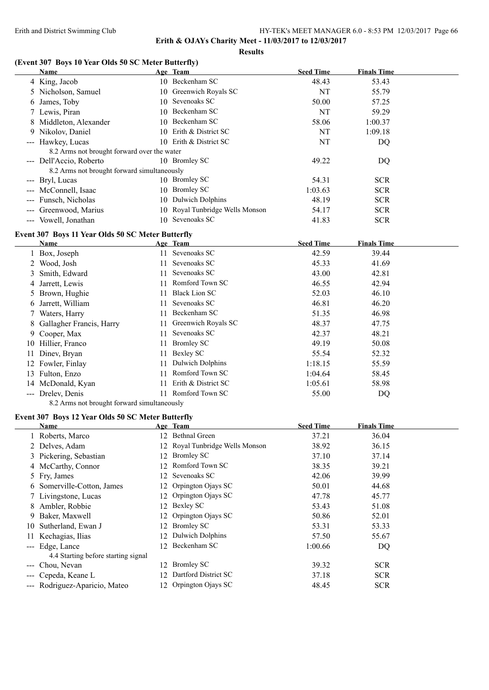#### **Results**

# **(Event 307 Boys 10 Year Olds 50 SC Meter Butterfly)**

| <b>Name</b>                                 | Age Team                        | <b>Seed Time</b> | <b>Finals Time</b> |
|---------------------------------------------|---------------------------------|------------------|--------------------|
| 4 King, Jacob                               | 10 Beckenham SC                 | 48.43            | 53.43              |
| 5 Nicholson, Samuel                         | 10 Greenwich Royals SC          | NT               | 55.79              |
| 6 James, Toby                               | 10 Sevenoaks SC                 | 50.00            | 57.25              |
| 7 Lewis, Piran                              | 10 Beckenham SC                 | NT               | 59.29              |
| 8 Middleton, Alexander                      | 10 Beckenham SC                 | 58.06            | 1:00.37            |
| 9 Nikolov, Daniel                           | 10 Erith & District SC          | NT               | 1:09.18            |
| --- Hawkey, Lucas                           | 10 Erith & District SC          | NT               | DQ                 |
| 8.2 Arms not brought forward over the water |                                 |                  |                    |
| --- Dell'Accio, Roberto                     | 10 Bromley SC                   | 49.22            | DQ                 |
| 8.2 Arms not brought forward simultaneously |                                 |                  |                    |
| --- Bryl, Lucas                             | 10 Bromley SC                   | 54.31            | <b>SCR</b>         |
| --- McConnell, Isaac                        | 10 Bromley SC                   | 1:03.63          | <b>SCR</b>         |
| --- Funsch, Nicholas                        | 10 Dulwich Dolphins             | 48.19            | <b>SCR</b>         |
| --- Greenwood, Marius                       | 10 Royal Tunbridge Wells Monson | 54.17            | <b>SCR</b>         |
| --- Vowell, Jonathan                        | 10 Sevenoaks SC                 | 41.83            | <b>SCR</b>         |

## **Event 307 Boys 11 Year Olds 50 SC Meter Butterfly**

| Name                       |     | Age Team            | <b>Seed Time</b> | <b>Finals Time</b> |  |
|----------------------------|-----|---------------------|------------------|--------------------|--|
| 1 Box, Joseph              | 11  | Sevenoaks SC        | 42.59            | 39.44              |  |
| 2 Wood, Josh               | 11. | Sevenoaks SC        | 45.33            | 41.69              |  |
| 3 Smith, Edward            | 11. | Sevenoaks SC        | 43.00            | 42.81              |  |
| 4 Jarrett, Lewis           | 11  | Romford Town SC     | 46.55            | 42.94              |  |
| 5 Brown, Hughie            | 11. | Black Lion SC       | 52.03            | 46.10              |  |
| 6 Jarrett, William         | 11. | Sevenoaks SC        | 46.81            | 46.20              |  |
| 7 Waters, Harry            | 11. | Beckenham SC        | 51.35            | 46.98              |  |
| 8 Gallagher Francis, Harry | 11. | Greenwich Royals SC | 48.37            | 47.75              |  |
| 9 Cooper, Max              | 11  | Sevenoaks SC        | 42.37            | 48.21              |  |
| 10 Hillier, Franco         | 11  | <b>Bromley SC</b>   | 49.19            | 50.08              |  |
| 11 Dinev, Bryan            | 11  | Bexley SC           | 55.54            | 52.32              |  |
| 12 Fowler, Finlay          | 11  | Dulwich Dolphins    | 1:18.15          | 55.59              |  |
| 13 Fulton, Enzo            | 11  | Romford Town SC     | 1:04.64          | 58.45              |  |
| 14 McDonald, Kyan          | 11. | Erith & District SC | 1:05.61          | 58.98              |  |
| --- Drelev, Denis          |     | Romford Town SC     | 55.00            | DQ                 |  |

8.2 Arms not brought forward simultaneously

# **Event 307 Boys 12 Year Olds 50 SC Meter Butterfly**

|     | Name                                |    | Age Team                        | <b>Seed Time</b> | <b>Finals Time</b> |
|-----|-------------------------------------|----|---------------------------------|------------------|--------------------|
|     | 1 Roberts, Marco                    |    | 12 Bethnal Green                | 37.21            | 36.04              |
|     | 2 Delves, Adam                      |    | 12 Royal Tunbridge Wells Monson | 38.92            | 36.15              |
|     | 3 Pickering, Sebastian              |    | 12 Bromley SC                   | 37.10            | 37.14              |
|     | 4 McCarthy, Connor                  |    | 12 Romford Town SC              | 38.35            | 39.21              |
|     | 5 Fry, James                        |    | 12 Sevenoaks SC                 | 42.06            | 39.99              |
|     | 6 Somerville-Cotton, James          |    | 12 Orpington Ojays SC           | 50.01            | 44.68              |
|     | 7 Livingstone, Lucas                |    | 12 Orpington Ojays SC           | 47.78            | 45.77              |
|     | 8 Ambler, Robbie                    |    | 12 Bexley SC                    | 53.43            | 51.08              |
|     | 9 Baker, Maxwell                    |    | 12 Orpington Ojays SC           | 50.86            | 52.01              |
|     | 10 Sutherland, Ewan J               |    | 12 Bromley SC                   | 53.31            | 53.33              |
|     | 11 Kechagias, Ilias                 |    | 12 Dulwich Dolphins             | 57.50            | 55.67              |
|     | --- Edge, Lance                     |    | 12 Beckenham SC                 | 1:00.66          | DQ                 |
|     | 4.4 Starting before starting signal |    |                                 |                  |                    |
| --- | Chou, Nevan                         |    | 12 Bromley SC                   | 39.32            | <b>SCR</b>         |
|     | Cepeda, Keane L                     | 12 | Dartford District SC            | 37.18            | <b>SCR</b>         |
|     | --- Rodriguez-Aparicio, Mateo       |    | 12 Orpington Ojays SC           | 48.45            | <b>SCR</b>         |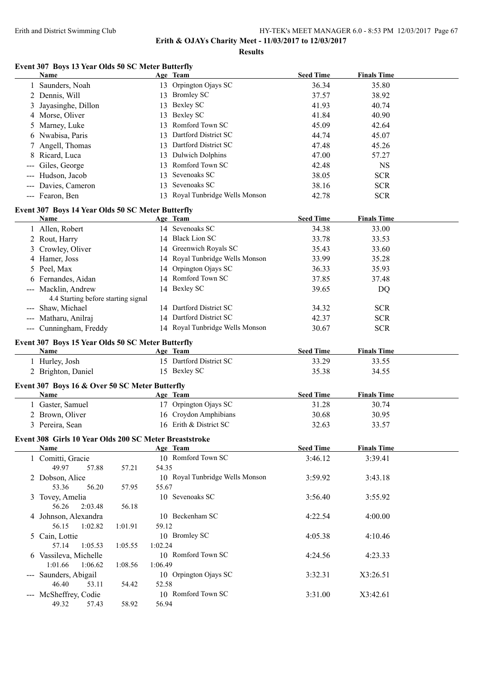**Erith & OJAYs Charity Meet - 11/03/2017 to 12/03/2017**

**Results**

# **Event 307 Boys 13 Year Olds 50 SC Meter Butterfly**

|   | <b>Name</b>                                                      |         |         | Age Team                        | <b>Seed Time</b> | <b>Finals Time</b> |  |
|---|------------------------------------------------------------------|---------|---------|---------------------------------|------------------|--------------------|--|
|   | 1 Saunders, Noah                                                 |         |         | 13 Orpington Ojays SC           | 36.34            | 35.80              |  |
|   | 2 Dennis, Will                                                   |         |         | 13 Bromley SC                   | 37.57            | 38.92              |  |
|   | Jayasinghe, Dillon                                               |         |         | 13 Bexley SC                    | 41.93            | 40.74              |  |
|   | 4 Morse, Oliver                                                  |         |         | 13 Bexley SC                    | 41.84            | 40.90              |  |
|   | 5 Marney, Luke                                                   |         | 13      | Romford Town SC                 | 45.09            | 42.64              |  |
|   | 6 Nwabisa, Paris                                                 |         |         | 13 Dartford District SC         | 44.74            | 45.07              |  |
| 7 | Angell, Thomas                                                   |         |         | 13 Dartford District SC         | 47.48            | 45.26              |  |
| 8 | Ricard, Luca                                                     |         |         | 13 Dulwich Dolphins             | 47.00            | 57.27              |  |
|   | --- Giles, George                                                |         |         | 13 Romford Town SC              | 42.48            | <b>NS</b>          |  |
|   | --- Hudson, Jacob                                                |         | 13      | Sevenoaks SC                    | 38.05            | <b>SCR</b>         |  |
|   | --- Davies, Cameron                                              |         | 13      | Sevenoaks SC                    | 38.16            | <b>SCR</b>         |  |
|   | --- Fearon, Ben                                                  |         |         | 13 Royal Tunbridge Wells Monson | 42.78            | <b>SCR</b>         |  |
|   |                                                                  |         |         |                                 |                  |                    |  |
|   | Event 307 Boys 14 Year Olds 50 SC Meter Butterfly                |         |         |                                 |                  |                    |  |
|   | Name                                                             |         |         | Age Team                        | <b>Seed Time</b> | <b>Finals Time</b> |  |
|   | 1 Allen, Robert                                                  |         |         | 14 Sevenoaks SC                 | 34.38            | 33.00              |  |
|   | 2 Rout, Harry                                                    |         |         | 14 Black Lion SC                | 33.78            | 33.53              |  |
|   | 3 Crowley, Oliver                                                |         |         | 14 Greenwich Royals SC          | 35.43            | 33.60              |  |
|   | 4 Hamer, Joss                                                    |         |         | 14 Royal Tunbridge Wells Monson | 33.99            | 35.28              |  |
|   | 5 Peel, Max                                                      |         |         | 14 Orpington Ojays SC           | 36.33            | 35.93              |  |
|   | 6 Fernandes, Aidan                                               |         |         | 14 Romford Town SC              | 37.85            | 37.48              |  |
|   | --- Macklin, Andrew                                              |         |         | 14 Bexley SC                    | 39.65            | DQ                 |  |
|   | 4.4 Starting before starting signal                              |         |         |                                 |                  |                    |  |
|   | --- Shaw, Michael                                                |         |         | 14 Dartford District SC         | 34.32            | <b>SCR</b>         |  |
|   | --- Matharu, Anilraj                                             |         |         | 14 Dartford District SC         | 42.37            | <b>SCR</b>         |  |
|   | --- Cunningham, Freddy                                           |         |         | 14 Royal Tunbridge Wells Monson | 30.67            | <b>SCR</b>         |  |
|   |                                                                  |         |         |                                 |                  |                    |  |
|   | Event 307 Boys 15 Year Olds 50 SC Meter Butterfly<br><b>Name</b> |         |         | Age Team                        | <b>Seed Time</b> | <b>Finals Time</b> |  |
|   | 1 Hurley, Josh                                                   |         |         | 15 Dartford District SC         | 33.29            | 33.55              |  |
|   |                                                                  |         |         | 15 Bexley SC                    | 35.38            | 34.55              |  |
|   | 2 Brighton, Daniel                                               |         |         |                                 |                  |                    |  |
|   | Event 307 Boys 16 & Over 50 SC Meter Butterfly                   |         |         |                                 |                  |                    |  |
|   | Name                                                             |         |         | Age Team                        | <b>Seed Time</b> | <b>Finals Time</b> |  |
|   | 1 Gaster, Samuel                                                 |         |         | 17 Orpington Ojays SC           | 31.28            | 30.74              |  |
|   | 2 Brown, Oliver                                                  |         |         | 16 Croydon Amphibians           | 30.68            | 30.95              |  |
|   | 3 Pereira, Sean                                                  |         |         | 16 Erith & District SC          | 32.63            | 33.57              |  |
|   | Event 308 Girls 10 Year Olds 200 SC Meter Breaststroke           |         |         |                                 |                  |                    |  |
|   | <b>Name</b>                                                      |         |         | Age Team                        | <b>Seed Time</b> | <b>Finals Time</b> |  |
|   | 1 Comitti, Gracie                                                |         |         | 10 Romford Town SC              | 3:46.12          | 3:39.41            |  |
|   | 49.97<br>57.88                                                   | 57.21   | 54.35   |                                 |                  |                    |  |
|   | 2 Dobson, Alice                                                  |         |         | 10 Royal Tunbridge Wells Monson | 3:59.92          | 3:43.18            |  |
|   | 53.36<br>56.20                                                   | 57.95   | 55.67   |                                 |                  |                    |  |
|   | 3 Tovey, Amelia                                                  |         |         | 10 Sevenoaks SC                 | 3:56.40          | 3:55.92            |  |
|   | 56.26<br>2:03.48                                                 | 56.18   |         |                                 |                  |                    |  |
|   | 4 Johnson, Alexandra                                             |         |         | 10 Beckenham SC                 | 4:22.54          | 4:00.00            |  |
|   | 56.15<br>1:02.82                                                 | 1:01.91 | 59.12   |                                 |                  |                    |  |
|   | 5 Cain, Lottie                                                   |         |         | 10 Bromley SC                   | 4:05.38          | 4:10.46            |  |
|   | 57.14<br>1:05.53                                                 | 1:05.55 | 1:02.24 |                                 |                  |                    |  |
|   | 6 Vassileva, Michelle                                            |         |         | 10 Romford Town SC              | 4:24.56          | 4:23.33            |  |
|   | 1:01.66<br>1:06.62                                               | 1:08.56 | 1:06.49 |                                 |                  |                    |  |
|   | --- Saunders, Abigail                                            |         |         | 10 Orpington Ojays SC           | 3:32.31          | X3:26.51           |  |
|   | 46.40<br>53.11                                                   | 54.42   | 52.58   |                                 |                  |                    |  |
|   | --- McSheffrey, Codie                                            |         |         | 10 Romford Town SC              | 3:31.00          | X3:42.61           |  |
|   | 49.32<br>57.43                                                   | 58.92   | 56.94   |                                 |                  |                    |  |
|   |                                                                  |         |         |                                 |                  |                    |  |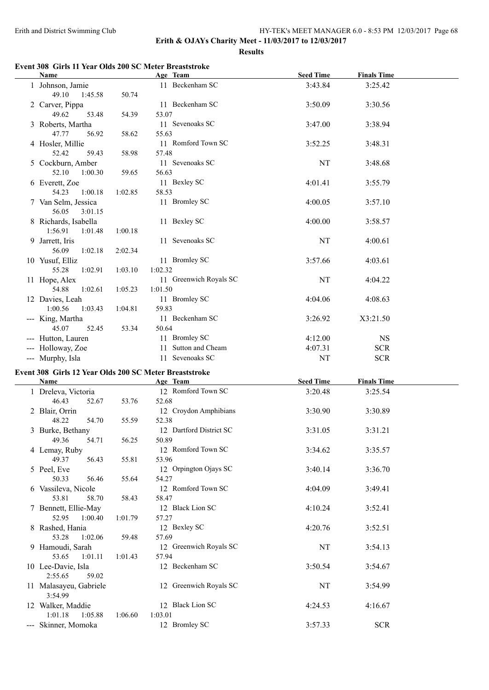**Erith & OJAYs Charity Meet - 11/03/2017 to 12/03/2017**

**Results**

# **Name Age Team Seed Time Finals Time**<br> **Age Team Seed Time Finals Time**<br> **Age Team SC S**:43.84 **3**:25.42 1 Johnson, Jamie 11 Beckenham SC 3:43.84 3:25.42 49.10 1:45.58 50.74

**Event 308 Girls 11 Year Olds 200 SC Meter Breaststroke**

| 49.10<br>1:45.58                                       | 50.74   |                                |                  |                    |  |
|--------------------------------------------------------|---------|--------------------------------|------------------|--------------------|--|
| 2 Carver, Pippa                                        |         | 11 Beckenham SC                | 3:50.09          | 3:30.56            |  |
| 49.62<br>53.48                                         | 54.39   | 53.07                          |                  |                    |  |
| 3 Roberts, Martha<br>47.77<br>56.92                    |         | 11 Sevenoaks SC                | 3:47.00          | 3:38.94            |  |
| 4 Hosler, Millie                                       | 58.62   | 55.63<br>11 Romford Town SC    | 3:52.25          | 3:48.31            |  |
| 52.42<br>59.43                                         | 58.98   | 57.48                          |                  |                    |  |
| 5 Cockburn, Amber                                      |         | 11 Sevenoaks SC                | NT               | 3:48.68            |  |
| 52.10<br>1:00.30                                       | 59.65   | 56.63                          |                  |                    |  |
| 6 Everett, Zoe                                         |         | 11 Bexley SC                   | 4:01.41          | 3:55.79            |  |
| 54.23<br>1:00.18                                       | 1:02.85 | 58.53                          |                  |                    |  |
| 7 Van Selm, Jessica                                    |         | 11 Bromley SC                  | 4:00.05          | 3:57.10            |  |
| 56.05<br>3:01.15                                       |         |                                |                  |                    |  |
| 8 Richards, Isabella                                   |         | 11 Bexley SC                   | 4:00.00          | 3:58.57            |  |
| 1:56.91<br>1:01.48                                     | 1:00.18 |                                |                  |                    |  |
| 9 Jarrett, Iris                                        |         | 11 Sevenoaks SC                | NT               | 4:00.61            |  |
| 56.09<br>1:02.18<br>10 Yusuf, Elliz                    | 2:02.34 | 11 Bromley SC                  | 3:57.66          | 4:03.61            |  |
| 55.28<br>1:02.91                                       | 1:03.10 | 1:02.32                        |                  |                    |  |
| 11 Hope, Alex                                          |         | 11 Greenwich Royals SC         | NT               | 4:04.22            |  |
| 54.88<br>1:02.61                                       | 1:05.23 | 1:01.50                        |                  |                    |  |
| 12 Davies, Leah                                        |         | 11 Bromley SC                  | 4:04.06          | 4:08.63            |  |
| 1:00.56<br>1:03.43                                     | 1:04.81 | 59.83                          |                  |                    |  |
| --- King, Martha                                       |         | 11 Beckenham SC                | 3:26.92          | X3:21.50           |  |
| 45.07<br>52.45                                         | 53.34   | 50.64                          |                  |                    |  |
| --- Hutton, Lauren                                     |         | 11 Bromley SC                  | 4:12.00          | <b>NS</b>          |  |
| --- Holloway, Zoe                                      |         | 11 Sutton and Cheam            | 4:07.31          | <b>SCR</b>         |  |
| --- Murphy, Isla                                       |         | 11 Sevenoaks SC                | NT               | <b>SCR</b>         |  |
|                                                        |         |                                |                  |                    |  |
| Event 308 Girls 12 Year Olds 200 SC Meter Breaststroke |         |                                |                  |                    |  |
| <b>Name</b>                                            |         | Age Team                       | <b>Seed Time</b> | <b>Finals Time</b> |  |
| 1 Dreleva, Victoria                                    |         | 12 Romford Town SC             | 3:20.48          | 3:25.54            |  |
| 46.43<br>52.67                                         | 53.76   | 52.68                          |                  |                    |  |
| 2 Blair, Orrin                                         |         | 12 Croydon Amphibians          | 3:30.90          | 3:30.89            |  |
| 48.22<br>54.70                                         | 55.59   | 52.38                          |                  |                    |  |
| 3 Burke, Bethany                                       |         | 12 Dartford District SC        | 3:31.05          | 3:31.21            |  |
| 49.36<br>54.71                                         | 56.25   | 50.89                          |                  |                    |  |
| 4 Lemay, Ruby                                          |         | 12 Romford Town SC             | 3:34.62          | 3:35.57            |  |
| 49.37<br>56.43                                         | 55.81   | 53.96<br>12 Orpington Ojays SC |                  |                    |  |
| 5 Peel, Eve<br>50.33<br>56.46                          | 55.64   | 54.27                          | 3:40.14          | 3:36.70            |  |
| 6 Vassileva, Nicole                                    |         | 12 Romford Town SC             | 4:04.09          | 3:49.41            |  |
| 53.81<br>58.70                                         | 58.43   | 58.47                          |                  |                    |  |
| 7 Bennett, Ellie-May                                   |         | 12 Black Lion SC               | 4:10.24          | 3:52.41            |  |
| 52.95<br>1:00.40                                       | 1:01.79 | 57.27                          |                  |                    |  |
| 8 Rashed, Hania                                        |         | 12 Bexley SC                   | 4:20.76          | 3:52.51            |  |
| 53.28<br>1:02.06                                       | 59.48   | 57.69                          |                  |                    |  |
| 9 Hamoudi, Sarah                                       |         | 12 Greenwich Royals SC         | NT               | 3:54.13            |  |
| 53.65<br>1:01.11                                       | 1:01.43 | 57.94                          |                  |                    |  |
| 10 Lee-Davie, Isla                                     |         | 12 Beckenham SC                | 3:50.54          | 3:54.67            |  |
| 2:55.65<br>59.02                                       |         |                                |                  |                    |  |
| 11 Malasayeu, Gabriele<br>3:54.99                      |         | 12 Greenwich Royals SC         | NT               | 3:54.99            |  |
| 12 Walker, Maddie                                      |         | 12 Black Lion SC               | 4:24.53          | 4:16.67            |  |
| 1:01.18<br>1:05.88                                     | 1:06.60 | 1:03.01<br>12 Bromley SC       |                  |                    |  |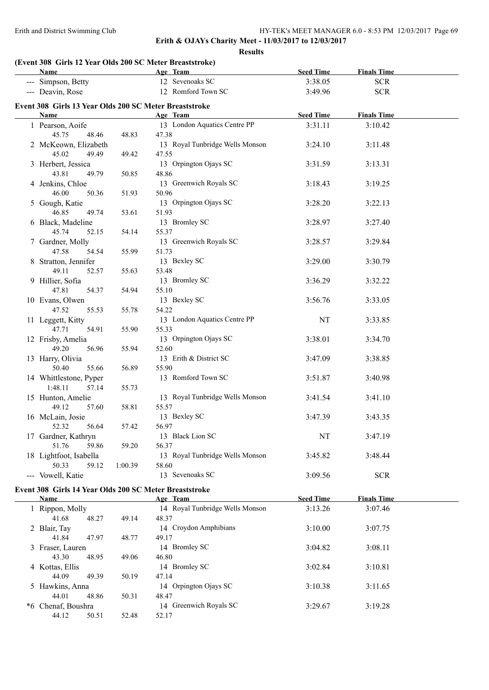**Erith & OJAYs Charity Meet - 11/03/2017 to 12/03/2017**

**Results**

# **(Event 308 Girls 12 Year Olds 200 SC Meter Breaststroke)**

44.12 50.51 52.48 52.17

| Name                                                   |         | Age Team                        | <b>Seed Time</b> | <b>Finals Time</b> |  |
|--------------------------------------------------------|---------|---------------------------------|------------------|--------------------|--|
| --- Simpson, Betty                                     |         | 12 Sevenoaks SC                 | 3:38.05          | <b>SCR</b>         |  |
| --- Deavin, Rose                                       |         | 12 Romford Town SC              | 3:49.96          | <b>SCR</b>         |  |
|                                                        |         |                                 |                  |                    |  |
| Event 308 Girls 13 Year Olds 200 SC Meter Breaststroke |         |                                 |                  |                    |  |
| Name                                                   |         | Age Team                        | <b>Seed Time</b> | <b>Finals Time</b> |  |
| 1 Pearson, Aoife                                       |         | 13 London Aquatics Centre PP    | 3:31.11          | 3:10.42            |  |
| 45.75<br>48.46                                         | 48.83   | 47.38                           |                  |                    |  |
| 2 McKeown, Elizabeth                                   |         | 13 Royal Tunbridge Wells Monson | 3:24.10          | 3:11.48            |  |
| 45.02<br>49.49                                         | 49.42   | 47.55                           |                  |                    |  |
| 3 Herbert, Jessica                                     |         | 13 Orpington Ojays SC           | 3:31.59          | 3:13.31            |  |
| 43.81<br>49.79                                         | 50.85   | 48.86                           |                  |                    |  |
| 4 Jenkins, Chloe                                       |         | 13 Greenwich Royals SC          | 3:18.43          | 3:19.25            |  |
| 46.00<br>50.36                                         | 51.93   | 50.96                           |                  |                    |  |
| 5 Gough, Katie                                         |         | 13 Orpington Ojays SC           | 3:28.20          | 3:22.13            |  |
| 46.85<br>49.74                                         | 53.61   | 51.93                           |                  |                    |  |
| 6 Black, Madeline                                      |         | 13 Bromley SC                   |                  |                    |  |
|                                                        |         |                                 | 3:28.97          | 3:27.40            |  |
| 45.74<br>52.15                                         | 54.14   | 55.37                           |                  |                    |  |
| 7 Gardner, Molly                                       |         | 13 Greenwich Royals SC          | 3:28.57          | 3:29.84            |  |
| 47.58<br>54.54                                         | 55.99   | 51.73                           |                  |                    |  |
| 8 Stratton, Jennifer                                   |         | 13 Bexley SC                    | 3:29.00          | 3:30.79            |  |
| 49.11<br>52.57                                         | 55.63   | 53.48                           |                  |                    |  |
| 9 Hillier, Sofia                                       |         | 13 Bromley SC                   | 3:36.29          | 3:32.22            |  |
| 47.81<br>54.37                                         | 54.94   | 55.10                           |                  |                    |  |
| 10 Evans, Olwen                                        |         | 13 Bexley SC                    | 3:56.76          | 3:33.05            |  |
| 47.52<br>55.53                                         | 55.78   | 54.22                           |                  |                    |  |
| 11 Leggett, Kitty                                      |         | 13 London Aquatics Centre PP    | NT               | 3:33.85            |  |
| 47.71<br>54.91                                         | 55.90   | 55.33                           |                  |                    |  |
| 12 Frisby, Amelia                                      |         | 13 Orpington Ojays SC           | 3:38.01          | 3:34.70            |  |
| 49.20<br>56.96                                         | 55.94   | 52.60                           |                  |                    |  |
| 13 Harry, Olivia                                       |         | 13 Erith & District SC          | 3:47.09          | 3:38.85            |  |
| 50.40<br>55.66                                         | 56.89   | 55.90                           |                  |                    |  |
| 14 Whittlestone, Pyper                                 |         | 13 Romford Town SC              | 3:51.87          | 3:40.98            |  |
| 1:48.11<br>57.14                                       | 55.73   |                                 |                  |                    |  |
|                                                        |         |                                 |                  |                    |  |
| 15 Hunton, Amelie                                      |         | 13 Royal Tunbridge Wells Monson | 3:41.54          | 3:41.10            |  |
| 49.12<br>57.60                                         | 58.81   | 55.57                           |                  |                    |  |
| 16 McLain, Josie                                       |         | 13 Bexley SC                    | 3:47.39          | 3:43.35            |  |
| 52.32<br>56.64                                         | 57.42   | 56.97                           |                  |                    |  |
| 17 Gardner, Kathryn                                    |         | 13 Black Lion SC                | NT               | 3:47.19            |  |
| 51.76<br>59.86                                         | 59.20   | 56.37                           |                  |                    |  |
| 18 Lightfoot, Isabella                                 |         | 13 Royal Tunbridge Wells Monson | 3:45.82          | 3:48.44            |  |
| 50.33<br>59.12                                         | 1:00.39 | 58.60                           |                  |                    |  |
| --- Vowell, Katie                                      |         | 13 Sevenoaks SC                 | 3:09.56          | <b>SCR</b>         |  |
|                                                        |         |                                 |                  |                    |  |
| Event 308 Girls 14 Year Olds 200 SC Meter Breaststroke |         |                                 |                  |                    |  |
| <b>Name</b>                                            |         | Age Team                        | <b>Seed Time</b> | <b>Finals Time</b> |  |
| 1 Rippon, Molly                                        |         | 14 Royal Tunbridge Wells Monson | 3:13.26          | 3:07.46            |  |
| 41.68<br>48.27                                         | 49.14   | 48.37                           |                  |                    |  |
| 2 Blair, Tay                                           |         | 14 Croydon Amphibians           | 3:10.00          | 3:07.75            |  |
| 41.84<br>47.97                                         | 48.77   | 49.17                           |                  |                    |  |
| 3 Fraser, Lauren                                       |         | 14 Bromley SC                   | 3:04.82          | 3:08.11            |  |
| 43.30<br>48.95                                         | 49.06   | 46.80                           |                  |                    |  |
| 4 Kottas, Ellis                                        |         | 14 Bromley SC                   | 3:02.84          | 3:10.81            |  |
| 44.09<br>49.39                                         | 50.19   | 47.14                           |                  |                    |  |
| 5 Hawkins, Anna                                        |         | 14 Orpington Ojays SC           | 3:10.38          | 3:11.65            |  |
| 44.01<br>48.86                                         | 50.31   | 48.47                           |                  |                    |  |
| *6 Chenaf, Boushra                                     |         | 14 Greenwich Royals SC          | 3:29.67          | 3:19.28            |  |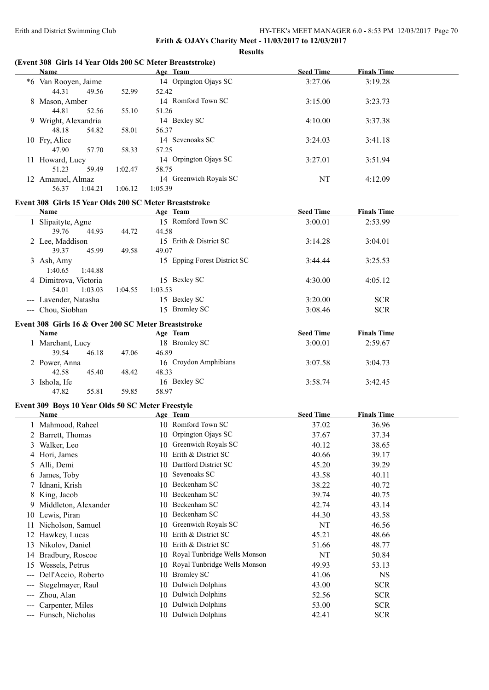**Erith & OJAYs Charity Meet - 11/03/2017 to 12/03/2017**

**Results**

## **(Event 308 Girls 14 Year Olds 200 SC Meter Breaststroke)**

|     | Name                                                        |         | Age Team                          | <b>Seed Time</b> | <b>Finals Time</b> |  |
|-----|-------------------------------------------------------------|---------|-----------------------------------|------------------|--------------------|--|
|     | *6 Van Rooyen, Jaime<br>44.31<br>49.56                      | 52.99   | 14 Orpington Ojays SC<br>52.42    | 3:27.06          | 3:19.28            |  |
|     | 8 Mason, Amber<br>44.81<br>52.56                            | 55.10   | 14 Romford Town SC<br>51.26       | 3:15.00          | 3:23.73            |  |
|     | 9 Wright, Alexandria<br>48.18<br>54.82                      | 58.01   | 14 Bexley SC<br>56.37             | 4:10.00          | 3:37.38            |  |
|     | 10 Fry, Alice<br>47.90<br>57.70                             | 58.33   | 14 Sevenoaks SC<br>57.25          | 3:24.03          | 3:41.18            |  |
|     | 11 Howard, Lucy<br>51.23<br>59.49                           | 1:02.47 | 14 Orpington Ojays SC<br>58.75    | 3:27.01          | 3:51.94            |  |
|     | 12 Amanuel, Almaz<br>56.37<br>1:04.21                       | 1:06.12 | 14 Greenwich Royals SC<br>1:05.39 | NT               | 4:12.09            |  |
|     | Event 308 Girls 15 Year Olds 200 SC Meter Breaststroke      |         |                                   |                  |                    |  |
|     | Name                                                        |         | Age Team                          | <b>Seed Time</b> | <b>Finals Time</b> |  |
|     | 1 Slipaityte, Agne                                          |         | 15 Romford Town SC                | 3:00.01          | 2:53.99            |  |
|     | 39.76<br>44.93                                              | 44.72   | 44.58                             |                  |                    |  |
|     | 2 Lee, Maddison<br>39.37<br>45.99                           | 49.58   | 15 Erith & District SC<br>49.07   | 3:14.28          | 3:04.01            |  |
|     | 3 Ash, Amy<br>1:40.65<br>1:44.88                            |         | 15 Epping Forest District SC      | 3:44.44          | 3:25.53            |  |
|     | 4 Dimitrova, Victoria<br>54.01<br>1:03.03                   | 1:04.55 | 15 Bexley SC<br>1:03.53           | 4:30.00          | 4:05.12            |  |
|     | --- Lavender, Natasha                                       |         | 15 Bexley SC                      | 3:20.00          | <b>SCR</b>         |  |
|     | --- Chou, Siobhan                                           |         | 15 Bromley SC                     | 3:08.46          | <b>SCR</b>         |  |
|     |                                                             |         |                                   |                  |                    |  |
|     | Event 308 Girls 16 & Over 200 SC Meter Breaststroke<br>Name |         | Age Team                          | <b>Seed Time</b> | <b>Finals Time</b> |  |
|     | 1 Marchant, Lucy                                            |         | 18 Bromley SC                     | 3:00.01          | 2:59.67            |  |
|     | 39.54<br>46.18                                              | 47.06   | 46.89                             |                  |                    |  |
|     | 2 Power, Anna                                               |         | 16 Croydon Amphibians             | 3:07.58          | 3:04.73            |  |
|     | 42.58<br>45.40                                              | 48.42   | 48.33                             |                  |                    |  |
|     | 3 Ishola, Ife                                               |         | 16 Bexley SC                      | 3:58.74          | 3:42.45            |  |
|     | 55.81<br>47.82                                              | 59.85   | 58.97                             |                  |                    |  |
|     | Event 309 Boys 10 Year Olds 50 SC Meter Freestyle           |         |                                   |                  |                    |  |
|     | Name                                                        |         | Age Team                          | <b>Seed Time</b> | <b>Finals Time</b> |  |
|     | 1 Mahmood, Raheel                                           |         | 10 Romford Town SC                | 37.02            | 36.96              |  |
|     | 2 Barrett, Thomas                                           |         | 10 Orpington Ojays SC             | 37.67            | 37.34              |  |
|     | 3 Walker, Leo                                               |         | 10 Greenwich Royals SC            | 40.12            | 38.65              |  |
|     | 4 Hori, James                                               |         | 10 Erith & District SC            | 40.66            | 39.17              |  |
|     | 5 Alli, Demi                                                |         | 10 Dartford District SC           | 45.20            | 39.29              |  |
|     | 6 James, Toby                                               |         | 10 Sevenoaks SC                   | 43.58            | 40.11              |  |
|     | 7 Idnani, Krish                                             |         | 10 Beckenham SC                   | 38.22            | 40.72              |  |
|     | 8 King, Jacob                                               |         | 10 Beckenham SC                   | 39.74            | 40.75              |  |
|     | 9 Middleton, Alexander                                      |         | 10 Beckenham SC                   | 42.74            | 43.14              |  |
|     | 10 Lewis, Piran                                             |         | 10 Beckenham SC                   | 44.30            | 43.58              |  |
|     | 11 Nicholson, Samuel                                        |         | 10 Greenwich Royals SC            | NT               | 46.56              |  |
|     | 12 Hawkey, Lucas                                            |         | 10 Erith & District SC            | 45.21            | 48.66              |  |
|     | 13 Nikolov, Daniel                                          |         | 10 Erith & District SC            | 51.66            | 48.77              |  |
|     | 14 Bradbury, Roscoe                                         |         | 10 Royal Tunbridge Wells Monson   | NT               | 50.84              |  |
| 15  | Wessels, Petrus                                             |         | 10 Royal Tunbridge Wells Monson   | 49.93            | 53.13              |  |
| --- | Dell'Accio, Roberto                                         |         | 10 Bromley SC                     | 41.06            | <b>NS</b>          |  |
|     | Stegelmayer, Raul                                           |         | 10 Dulwich Dolphins               | 43.00            | <b>SCR</b>         |  |
|     | Zhou, Alan                                                  |         | 10 Dulwich Dolphins               | 52.56            | <b>SCR</b>         |  |
|     | Carpenter, Miles                                            |         | 10 Dulwich Dolphins               | 53.00            | <b>SCR</b>         |  |
|     | --- Funsch, Nicholas                                        |         | 10 Dulwich Dolphins               | 42.41            | <b>SCR</b>         |  |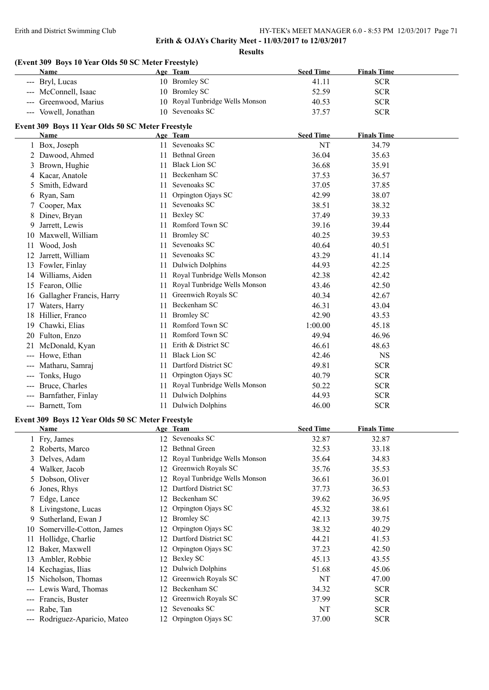**Results**

## **(Event 309 Boys 10 Year Olds 50 SC Meter Freestyle)**

|                     | Name                                                      |    | Age Team                        | <b>Seed Time</b> | <b>Finals Time</b> |
|---------------------|-----------------------------------------------------------|----|---------------------------------|------------------|--------------------|
|                     | --- Bryl, Lucas                                           |    | 10 Bromley SC                   | 41.11            | <b>SCR</b>         |
|                     | McConnell, Isaac                                          |    | 10 Bromley SC                   | 52.59            | <b>SCR</b>         |
|                     | Greenwood, Marius                                         |    | 10 Royal Tunbridge Wells Monson | 40.53            | <b>SCR</b>         |
|                     | --- Vowell, Jonathan                                      |    | 10 Sevenoaks SC                 | 37.57            | <b>SCR</b>         |
|                     |                                                           |    |                                 |                  |                    |
|                     | Event 309 Boys 11 Year Olds 50 SC Meter Freestyle<br>Name |    |                                 | <b>Seed Time</b> | <b>Finals Time</b> |
|                     |                                                           |    | Age Team<br>11 Sevenoaks SC     | NT               | 34.79              |
|                     | 1 Box, Joseph<br>Dawood, Ahmed                            |    | <b>Bethnal Green</b>            | 36.04            |                    |
| 2                   | Brown, Hughie                                             | 11 | <b>Black Lion SC</b>            |                  | 35.63              |
| 3                   |                                                           | 11 |                                 | 36.68            | 35.91              |
| 4                   | Kacar, Anatole                                            | 11 | Beckenham SC<br>Sevenoaks SC    | 37.53            | 36.57              |
| 5                   | Smith, Edward                                             | 11 |                                 | 37.05            | 37.85              |
| 6                   | Ryan, Sam                                                 | 11 | Orpington Ojays SC              | 42.99            | 38.07              |
|                     | Cooper, Max                                               | 11 | Sevenoaks SC                    | 38.51            | 38.32              |
| 8                   | Dinev, Bryan                                              |    | 11 Bexley SC                    | 37.49            | 39.33              |
| 9                   | Jarrett, Lewis                                            | 11 | Romford Town SC                 | 39.16            | 39.44              |
|                     | 10 Maxwell, William                                       |    | 11 Bromley SC                   | 40.25            | 39.53              |
| 11                  | Wood, Josh                                                | 11 | Sevenoaks SC                    | 40.64            | 40.51              |
|                     | 12 Jarrett, William                                       |    | 11 Sevenoaks SC                 | 43.29            | 41.14              |
|                     | 13 Fowler, Finlay                                         |    | 11 Dulwich Dolphins             | 44.93            | 42.25              |
|                     | 14 Williams, Aiden                                        |    | 11 Royal Tunbridge Wells Monson | 42.38            | 42.42              |
|                     | 15 Fearon, Ollie                                          |    | 11 Royal Tunbridge Wells Monson | 43.46            | 42.50              |
|                     | 16 Gallagher Francis, Harry                               |    | 11 Greenwich Royals SC          | 40.34            | 42.67              |
| 17                  | Waters, Harry                                             | 11 | Beckenham SC                    | 46.31            | 43.04              |
|                     | 18 Hillier, Franco                                        |    | 11 Bromley SC                   | 42.90            | 43.53              |
|                     | 19 Chawki, Elias                                          | 11 | Romford Town SC                 | 1:00.00          | 45.18              |
|                     | 20 Fulton, Enzo                                           | 11 | Romford Town SC                 | 49.94            | 46.96              |
| 21                  | McDonald, Kyan                                            | 11 | Erith & District SC             | 46.61            | 48.63              |
| $---$               | Howe, Ethan                                               | 11 | <b>Black Lion SC</b>            | 42.46            | <b>NS</b>          |
| ---                 | Matharu, Samraj                                           | 11 | Dartford District SC            | 49.81            | <b>SCR</b>         |
| $-$                 | Tonks, Hugo                                               | 11 | Orpington Ojays SC              | 40.79            | <b>SCR</b>         |
| $-$                 | Bruce, Charles                                            |    | 11 Royal Tunbridge Wells Monson | 50.22            | <b>SCR</b>         |
| $\qquad \qquad - -$ | Barnfather, Finlay                                        | 11 | <b>Dulwich Dolphins</b>         | 44.93            | <b>SCR</b>         |
|                     | --- Barnett, Tom                                          |    | 11 Dulwich Dolphins             | 46.00            | <b>SCR</b>         |
|                     |                                                           |    |                                 |                  |                    |
|                     | Event 309 Boys 12 Year Olds 50 SC Meter Freestyle         |    |                                 |                  |                    |
|                     | <b>Name</b>                                               |    | Age Team                        | <b>Seed Time</b> | <b>Finals Time</b> |
| 1                   | Fry, James                                                |    | 12 Sevenoaks SC                 | 32.87            | 32.87              |
| 2                   | Roberts, Marco                                            | 12 | <b>Bethnal Green</b>            | 32.53            | 33.18              |
| 3                   | Delves, Adam                                              | 12 | Royal Tunbridge Wells Monson    | 35.64            | 34.83              |
| 4                   | Walker, Jacob                                             | 12 | Greenwich Royals SC             | 35.76            | 35.53              |
| 5                   | Dobson, Oliver                                            | 12 | Royal Tunbridge Wells Monson    | 36.61            | 36.01              |
| 6                   | Jones, Rhys                                               | 12 | Dartford District SC            | 37.73            | 36.53              |
| 7                   | Edge, Lance                                               | 12 | Beckenham SC                    | 39.62            | 36.95              |
|                     | Livingstone, Lucas                                        | 12 | Orpington Ojays SC              | 45.32            | 38.61              |
| 9                   | Sutherland, Ewan J                                        | 12 | <b>Bromley SC</b>               | 42.13            | 39.75              |
| 10                  | Somerville-Cotton, James                                  | 12 | Orpington Ojays SC              | 38.32            | 40.29              |
| 11                  | Hollidge, Charlie                                         | 12 | Dartford District SC            | 44.21            | 41.53              |
| 12                  | Baker, Maxwell                                            | 12 | Orpington Ojays SC              | 37.23            | 42.50              |
| 13                  | Ambler, Robbie                                            | 12 | <b>Bexley SC</b>                | 45.13            | 43.55              |
| 14                  | Kechagias, Ilias                                          | 12 | <b>Dulwich Dolphins</b>         | 51.68            | 45.06              |
| 15                  | Nicholson, Thomas                                         | 12 | Greenwich Royals SC             | NT               | 47.00              |
|                     | Lewis Ward, Thomas                                        | 12 | Beckenham SC                    | 34.32            | <b>SCR</b>         |
|                     | Francis, Buster                                           | 12 | Greenwich Royals SC             | 37.99            | <b>SCR</b>         |
| ---                 | Rabe, Tan                                                 | 12 | Sevenoaks SC                    | NT               | <b>SCR</b>         |
|                     | --- Rodriguez-Aparicio, Mateo                             |    | 12 Orpington Ojays SC           | 37.00            | <b>SCR</b>         |
|                     |                                                           |    |                                 |                  |                    |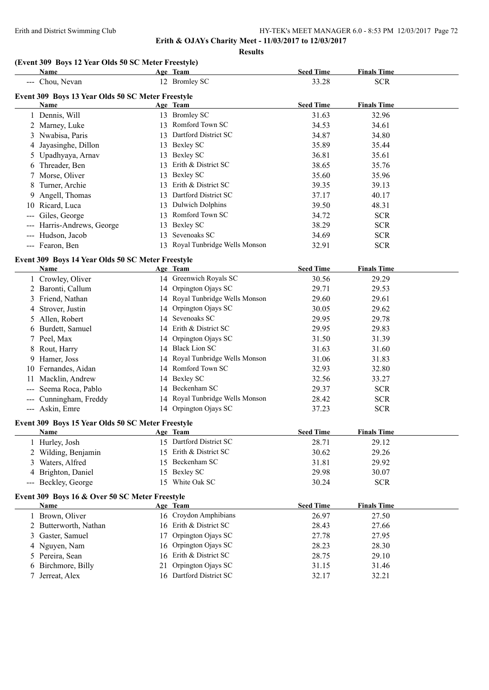**Erith & OJAYs Charity Meet - 11/03/2017 to 12/03/2017**

**Results**

## **(Event 309 Boys 12 Year Olds 50 SC Meter Freestyle)**

|                                                                                                                                                                                                                                                                                                                                                                                                                                                                            | Name                                                      |    | Age Team                        | <b>Seed Time</b> | <b>Finals Time</b> |  |
|----------------------------------------------------------------------------------------------------------------------------------------------------------------------------------------------------------------------------------------------------------------------------------------------------------------------------------------------------------------------------------------------------------------------------------------------------------------------------|-----------------------------------------------------------|----|---------------------------------|------------------|--------------------|--|
|                                                                                                                                                                                                                                                                                                                                                                                                                                                                            | --- Chou, Nevan                                           |    | 12 Bromley SC                   | 33.28            | <b>SCR</b>         |  |
|                                                                                                                                                                                                                                                                                                                                                                                                                                                                            |                                                           |    |                                 |                  |                    |  |
|                                                                                                                                                                                                                                                                                                                                                                                                                                                                            | Event 309 Boys 13 Year Olds 50 SC Meter Freestyle<br>Name |    | Age Team                        | <b>Seed Time</b> | <b>Finals Time</b> |  |
|                                                                                                                                                                                                                                                                                                                                                                                                                                                                            | 1 Dennis, Will                                            |    | 13 Bromley SC                   | 31.63            | 32.96              |  |
|                                                                                                                                                                                                                                                                                                                                                                                                                                                                            | 2 Marney, Luke                                            |    | 13 Romford Town SC              | 34.53            | 34.61              |  |
|                                                                                                                                                                                                                                                                                                                                                                                                                                                                            | 3 Nwabisa, Paris                                          |    | 13 Dartford District SC         | 34.87            | 34.80              |  |
|                                                                                                                                                                                                                                                                                                                                                                                                                                                                            | 4 Jayasinghe, Dillon                                      |    | 13 Bexley SC                    | 35.89            | 35.44              |  |
| 5.                                                                                                                                                                                                                                                                                                                                                                                                                                                                         | Upadhyaya, Arnav                                          |    | 13 Bexley SC                    | 36.81            | 35.61              |  |
|                                                                                                                                                                                                                                                                                                                                                                                                                                                                            | 6 Threader, Ben                                           |    | 13 Erith & District SC          | 38.65            | 35.76              |  |
|                                                                                                                                                                                                                                                                                                                                                                                                                                                                            | Morse, Oliver                                             |    | 13 Bexley SC                    | 35.60            | 35.96              |  |
| 8                                                                                                                                                                                                                                                                                                                                                                                                                                                                          | Turner, Archie                                            |    | 13 Erith & District SC          | 39.35            | 39.13              |  |
| 9.                                                                                                                                                                                                                                                                                                                                                                                                                                                                         | Angell, Thomas                                            |    | 13 Dartford District SC         | 37.17            | 40.17              |  |
|                                                                                                                                                                                                                                                                                                                                                                                                                                                                            | 10 Ricard, Luca                                           |    | 13 Dulwich Dolphins             | 39.50            | 48.31              |  |
| $\frac{1}{2} \left( \frac{1}{2} \right) \left( \frac{1}{2} \right) \left( \frac{1}{2} \right) \left( \frac{1}{2} \right) \left( \frac{1}{2} \right) \left( \frac{1}{2} \right) \left( \frac{1}{2} \right) \left( \frac{1}{2} \right) \left( \frac{1}{2} \right) \left( \frac{1}{2} \right) \left( \frac{1}{2} \right) \left( \frac{1}{2} \right) \left( \frac{1}{2} \right) \left( \frac{1}{2} \right) \left( \frac{1}{2} \right) \left( \frac{1}{2} \right) \left( \frac$ | Giles, George                                             |    | 13 Romford Town SC              | 34.72            | <b>SCR</b>         |  |
|                                                                                                                                                                                                                                                                                                                                                                                                                                                                            | Harris-Andrews, George                                    |    | 13 Bexley SC                    | 38.29            | <b>SCR</b>         |  |
| $\frac{1}{2} \frac{1}{2} \frac{1}{2} \frac{1}{2} \frac{1}{2} \frac{1}{2} \frac{1}{2} \frac{1}{2} \frac{1}{2} \frac{1}{2} \frac{1}{2} \frac{1}{2} \frac{1}{2} \frac{1}{2} \frac{1}{2} \frac{1}{2} \frac{1}{2} \frac{1}{2} \frac{1}{2} \frac{1}{2} \frac{1}{2} \frac{1}{2} \frac{1}{2} \frac{1}{2} \frac{1}{2} \frac{1}{2} \frac{1}{2} \frac{1}{2} \frac{1}{2} \frac{1}{2} \frac{1}{2} \frac{$                                                                               | Hudson, Jacob                                             | 13 | Sevenoaks SC                    | 34.69            | <b>SCR</b>         |  |
|                                                                                                                                                                                                                                                                                                                                                                                                                                                                            | --- Fearon, Ben                                           |    | 13 Royal Tunbridge Wells Monson | 32.91            | <b>SCR</b>         |  |
|                                                                                                                                                                                                                                                                                                                                                                                                                                                                            |                                                           |    |                                 |                  |                    |  |
|                                                                                                                                                                                                                                                                                                                                                                                                                                                                            | Event 309 Boys 14 Year Olds 50 SC Meter Freestyle         |    |                                 |                  |                    |  |
|                                                                                                                                                                                                                                                                                                                                                                                                                                                                            | <b>Name</b>                                               |    | Age Team                        | <b>Seed Time</b> | <b>Finals Time</b> |  |
|                                                                                                                                                                                                                                                                                                                                                                                                                                                                            | 1 Crowley, Oliver                                         |    | 14 Greenwich Royals SC          | 30.56            | 29.29              |  |
|                                                                                                                                                                                                                                                                                                                                                                                                                                                                            | 2 Baronti, Callum                                         |    | 14 Orpington Ojays SC           | 29.71            | 29.53              |  |
|                                                                                                                                                                                                                                                                                                                                                                                                                                                                            | 3 Friend, Nathan                                          |    | 14 Royal Tunbridge Wells Monson | 29.60            | 29.61              |  |
|                                                                                                                                                                                                                                                                                                                                                                                                                                                                            | 4 Strover, Justin                                         |    | 14 Orpington Ojays SC           | 30.05            | 29.62              |  |
|                                                                                                                                                                                                                                                                                                                                                                                                                                                                            | 5 Allen, Robert                                           |    | 14 Sevenoaks SC                 | 29.95            | 29.78              |  |
|                                                                                                                                                                                                                                                                                                                                                                                                                                                                            | 6 Burdett, Samuel                                         |    | 14 Erith & District SC          | 29.95            | 29.83              |  |
|                                                                                                                                                                                                                                                                                                                                                                                                                                                                            | 7 Peel, Max                                               |    | 14 Orpington Ojays SC           | 31.50            | 31.39              |  |
|                                                                                                                                                                                                                                                                                                                                                                                                                                                                            | 8 Rout, Harry                                             |    | 14 Black Lion SC                | 31.63            | 31.60              |  |
| 9.                                                                                                                                                                                                                                                                                                                                                                                                                                                                         | Hamer, Joss                                               |    | 14 Royal Tunbridge Wells Monson | 31.06            | 31.83              |  |
|                                                                                                                                                                                                                                                                                                                                                                                                                                                                            | 10 Fernandes, Aidan                                       |    | 14 Romford Town SC              | 32.93            | 32.80              |  |
| 11                                                                                                                                                                                                                                                                                                                                                                                                                                                                         | Macklin, Andrew                                           |    | 14 Bexley SC                    | 32.56            | 33.27              |  |
| $\qquad \qquad - -$                                                                                                                                                                                                                                                                                                                                                                                                                                                        | Seema Roca, Pablo                                         |    | 14 Beckenham SC                 | 29.37            | <b>SCR</b>         |  |
|                                                                                                                                                                                                                                                                                                                                                                                                                                                                            | --- Cunningham, Freddy                                    |    | 14 Royal Tunbridge Wells Monson | 28.42            | <b>SCR</b>         |  |
|                                                                                                                                                                                                                                                                                                                                                                                                                                                                            | --- Askin, Emre                                           |    | 14 Orpington Ojays SC           | 37.23            | <b>SCR</b>         |  |
|                                                                                                                                                                                                                                                                                                                                                                                                                                                                            | Event 309 Boys 15 Year Olds 50 SC Meter Freestyle         |    |                                 |                  |                    |  |
|                                                                                                                                                                                                                                                                                                                                                                                                                                                                            | <b>Name</b>                                               |    | Age Team                        | <b>Seed Time</b> | <b>Finals Time</b> |  |
|                                                                                                                                                                                                                                                                                                                                                                                                                                                                            | 1 Hurley, Josh                                            |    | 15 Dartford District SC         | 28.71            | 29.12              |  |
|                                                                                                                                                                                                                                                                                                                                                                                                                                                                            | 2 Wilding, Benjamin                                       |    | 15 Erith & District SC          | 30.62            | 29.26              |  |
| 3                                                                                                                                                                                                                                                                                                                                                                                                                                                                          | Waters, Alfred                                            |    | 15 Beckenham SC                 | 31.81            | 29.92              |  |
|                                                                                                                                                                                                                                                                                                                                                                                                                                                                            | 4 Brighton, Daniel                                        |    | 15 Bexley SC                    | 29.98            | 30.07              |  |
|                                                                                                                                                                                                                                                                                                                                                                                                                                                                            | --- Beckley, George                                       |    | 15 White Oak SC                 | 30.24            | <b>SCR</b>         |  |
|                                                                                                                                                                                                                                                                                                                                                                                                                                                                            | Event 309 Boys 16 & Over 50 SC Meter Freestyle            |    |                                 |                  |                    |  |
|                                                                                                                                                                                                                                                                                                                                                                                                                                                                            | <u>Name</u>                                               |    | Age Team                        | <b>Seed Time</b> | <b>Finals Time</b> |  |
|                                                                                                                                                                                                                                                                                                                                                                                                                                                                            | 1 Brown, Oliver                                           |    | 16 Croydon Amphibians           | 26.97            | 27.50              |  |
|                                                                                                                                                                                                                                                                                                                                                                                                                                                                            | 2 Butterworth, Nathan                                     |    | 16 Erith & District SC          | 28.43            | 27.66              |  |
| 3                                                                                                                                                                                                                                                                                                                                                                                                                                                                          | Gaster, Samuel                                            | 17 | Orpington Ojays SC              | 27.78            | 27.95              |  |
| 4                                                                                                                                                                                                                                                                                                                                                                                                                                                                          | Nguyen, Nam                                               | 16 | Orpington Ojays SC              | 28.23            | 28.30              |  |
|                                                                                                                                                                                                                                                                                                                                                                                                                                                                            | 5 Pereira, Sean                                           |    | 16 Erith & District SC          | 28.75            | 29.10              |  |
| 6                                                                                                                                                                                                                                                                                                                                                                                                                                                                          | Birchmore, Billy                                          | 21 | Orpington Ojays SC              | 31.15            | 31.46              |  |
|                                                                                                                                                                                                                                                                                                                                                                                                                                                                            | Jerreat, Alex                                             |    | 16 Dartford District SC         | 32.17            | 32.21              |  |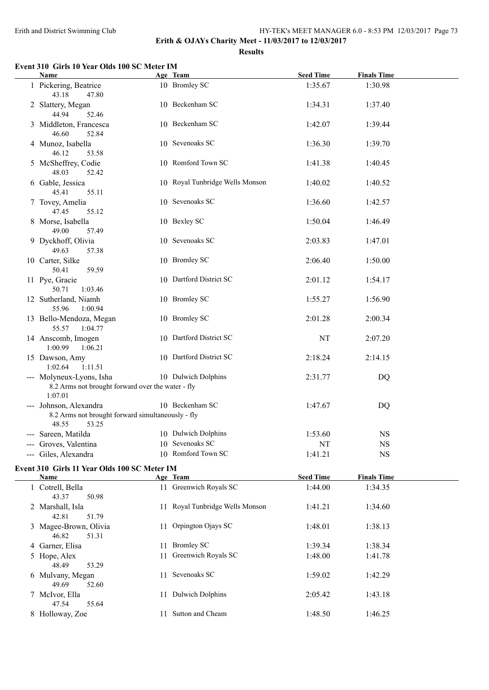#### Erith and District Swimming Club HY-TEK's MEET MANAGER 6.0 - 8:53 PM 12/03/2017 Page 73

**Erith & OJAYs Charity Meet - 11/03/2017 to 12/03/2017**

**Results**

### **Event 310 Girls 10 Year Olds 100 SC Meter IM**

| Name                                                                                          | Age Team                        | <b>Seed Time</b> | <b>Finals Time</b> |  |
|-----------------------------------------------------------------------------------------------|---------------------------------|------------------|--------------------|--|
| 1 Pickering, Beatrice<br>43.18<br>47.80                                                       | 10 Bromley SC                   | 1:35.67          | 1:30.98            |  |
| 2 Slattery, Megan<br>44.94<br>52.46                                                           | 10 Beckenham SC                 | 1:34.31          | 1:37.40            |  |
| 3 Middleton, Francesca<br>46.60<br>52.84                                                      | 10 Beckenham SC                 | 1:42.07          | 1:39.44            |  |
| 4 Munoz, Isabella<br>46.12<br>53.58                                                           | 10 Sevenoaks SC                 | 1:36.30          | 1:39.70            |  |
| 5 McSheffrey, Codie<br>48.03<br>52.42                                                         | 10 Romford Town SC              | 1:41.38          | 1:40.45            |  |
| 6 Gable, Jessica<br>45.41<br>55.11                                                            | 10 Royal Tunbridge Wells Monson | 1:40.02          | 1:40.52            |  |
| 7 Tovey, Amelia<br>47.45<br>55.12                                                             | 10 Sevenoaks SC                 | 1:36.60          | 1:42.57            |  |
| 8 Morse, Isabella<br>49.00<br>57.49                                                           | 10 Bexley SC                    | 1:50.04          | 1:46.49            |  |
| 9 Dyckhoff, Olivia<br>49.63<br>57.38                                                          | 10 Sevenoaks SC                 | 2:03.83          | 1:47.01            |  |
| 10 Carter, Silke<br>59.59<br>50.41                                                            | 10 Bromley SC                   | 2:06.40          | 1:50.00            |  |
| 11 Pye, Gracie<br>50.71<br>1:03.46                                                            | 10 Dartford District SC         | 2:01.12          | 1:54.17            |  |
| 12 Sutherland, Niamh<br>55.96<br>1:00.94                                                      | 10 Bromley SC                   | 1:55.27          | 1:56.90            |  |
| 13 Bello-Mendoza, Megan<br>1:04.77<br>55.57                                                   | 10 Bromley SC                   | 2:01.28          | 2:00.34            |  |
| 14 Anscomb, Imogen<br>1:00.99<br>1:06.21                                                      | 10 Dartford District SC         | NT               | 2:07.20            |  |
| 15 Dawson, Amy<br>1:02.64<br>1:11.51                                                          | 10 Dartford District SC         | 2:18.24          | 2:14.15            |  |
| --- Molyneux-Lyons, Isha<br>8.2 Arms not brought forward over the water - fly<br>1:07.01      | 10 Dulwich Dolphins             | 2:31.77          | DQ                 |  |
| --- Johnson, Alexandra<br>8.2 Arms not brought forward simultaneously - fly<br>48.55<br>53.25 | 10 Beckenham SC                 | 1:47.67          | DQ                 |  |
| Sareen, Matilda                                                                               | 10 Dulwich Dolphins             | 1:53.60          | <b>NS</b>          |  |
| Groves, Valentina                                                                             | 10 Sevenoaks SC                 | NT               | $_{\rm NS}$        |  |
| --- Giles, Alexandra                                                                          | 10 Romford Town SC              | 1:41.21          | <b>NS</b>          |  |

## **Event 310 Girls 11 Year Olds 100 SC Meter IM**

| <b>Name</b>           |     | Age Team                        | <b>Seed Time</b> | <b>Finals Time</b> |
|-----------------------|-----|---------------------------------|------------------|--------------------|
| 1 Cotrell, Bella      |     | 11 Greenwich Royals SC          | 1:44.00          | 1:34.35            |
| 43.37<br>50.98        |     |                                 |                  |                    |
| 2 Marshall, Isla      |     | 11 Royal Tunbridge Wells Monson | 1:41.21          | 1:34.60            |
| 51.79<br>42.81        |     |                                 |                  |                    |
| 3 Magee-Brown, Olivia | 11  | Orpington Ojays SC              | 1:48.01          | 1:38.13            |
| 46.82<br>51.31        |     |                                 |                  |                    |
| 4 Garner, Elisa       | 11. | <b>Bromley SC</b>               | 1:39.34          | 1:38.34            |
| 5 Hope, Alex          | 11  | Greenwich Royals SC             | 1:48.00          | 1:41.78            |
| 48.49<br>53.29        |     |                                 |                  |                    |
| 6 Mulvany, Megan      | 11  | Sevenoaks SC                    | 1:59.02          | 1:42.29            |
| 49.69<br>52.60        |     |                                 |                  |                    |
| 7 McIvor, Ella        |     | 11 Dulwich Dolphins             | 2:05.42          | 1:43.18            |
| 55.64<br>47.54        |     |                                 |                  |                    |
| 8 Holloway, Zoe       |     | Sutton and Cheam                | 1:48.50          | 1:46.25            |
|                       |     |                                 |                  |                    |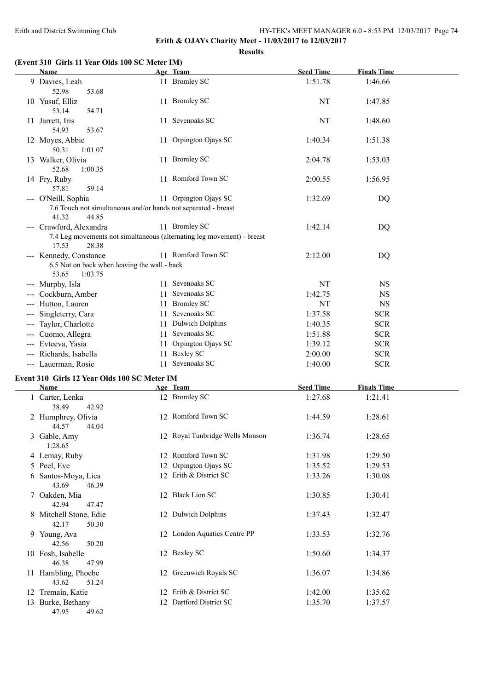# **Erith & OJAYs Charity Meet - 11/03/2017 to 12/03/2017 Results**

# **(Event 310 Girls 11 Year Olds 100 SC Meter IM)**

| (EVEIN 210 ANIS II ICAI ONS 100 SC METER IMP                                             |    |                                 |                  | <b>Finals Time</b> |
|------------------------------------------------------------------------------------------|----|---------------------------------|------------------|--------------------|
| Name                                                                                     |    | Age Team                        | <b>Seed Time</b> |                    |
| 9 Davies, Leah<br>52.98<br>53.68                                                         |    | 11 Bromley SC                   | 1:51.78          | 1:46.66            |
| 10 Yusuf, Elliz<br>53.14<br>54.71                                                        |    | 11 Bromley SC                   | NT               | 1:47.85            |
| 11 Jarrett, Iris<br>54.93<br>53.67                                                       |    | 11 Sevenoaks SC                 | NT               | 1:48.60            |
| 12 Moyes, Abbie<br>50.31<br>1:01.07                                                      |    | 11 Orpington Ojays SC           | 1:40.34          | 1:51.38            |
| 13 Walker, Olivia<br>52.68<br>1:00.35                                                    |    | 11 Bromley SC                   | 2:04.78          | 1:53.03            |
| 14 Fry, Ruby<br>57.81<br>59.14                                                           |    | 11 Romford Town SC              | 2:00.55          | 1:56.95            |
| --- O'Neill, Sophia                                                                      |    | 11 Orpington Ojays SC           | 1:32.69          | DQ                 |
| 7.6 Touch not simultaneous and/or hands not separated - breast<br>41.32<br>44.85         |    |                                 |                  |                    |
| --- Crawford, Alexandra                                                                  |    | 11 Bromley SC                   | 1:42.14          |                    |
| 7.4 Leg movements not simultaneous (alternating leg movement) - breast<br>17.53<br>28.38 |    |                                 |                  | DQ                 |
| --- Kennedy, Constance                                                                   |    | 11 Romford Town SC              | 2:12.00          | DQ                 |
| 6.5 Not on back when leaving the wall - back<br>53.65<br>1:03.75                         |    |                                 |                  |                    |
| --- Murphy, Isla                                                                         |    | 11 Sevenoaks SC                 | NT               | <b>NS</b>          |
| --- Cockburn, Amber                                                                      |    | 11 Sevenoaks SC                 | 1:42.75          | <b>NS</b>          |
| --- Hutton, Lauren                                                                       |    | 11 Bromley SC                   | NT               | $_{\rm NS}$        |
| --- Singleterry, Cara                                                                    |    | 11 Sevenoaks SC                 | 1:37.58          | <b>SCR</b>         |
| --- Taylor, Charlotte                                                                    |    | 11 Dulwich Dolphins             | 1:40.35          | <b>SCR</b>         |
| --- Cuomo, Allegra                                                                       |    | 11 Sevenoaks SC                 | 1:51.88          | <b>SCR</b>         |
| --- Evteeva, Yasia                                                                       |    | 11 Orpington Ojays SC           | 1:39.12          | <b>SCR</b>         |
| --- Richards, Isabella                                                                   |    | 11 Bexley SC                    | 2:00.00          | <b>SCR</b>         |
| --- Lauerman, Rosie                                                                      |    | 11 Sevenoaks SC                 | 1:40.00          | <b>SCR</b>         |
| Event 310 Girls 12 Year Olds 100 SC Meter IM                                             |    |                                 |                  |                    |
| Name                                                                                     |    | Age Team                        | <b>Seed Time</b> | <b>Finals Time</b> |
| 1 Carter, Lenka                                                                          |    | 12 Bromley SC                   | 1:27.68          | 1:21.41            |
| 38.49<br>42.92                                                                           |    |                                 |                  |                    |
| 2 Humphrey, Olivia<br>44.57<br>44.04                                                     |    | 12 Romford Town SC              | 1:44.59          | 1:28.61            |
| 3 Gable, Amy<br>1:28.65                                                                  |    | 12 Royal Tunbridge Wells Monson | 1:36.74          | 1:28.65            |
| 4 Lemay, Ruby                                                                            |    | 12 Romford Town SC              | 1:31.98          | 1:29.50            |
| 5 Peel, Eve                                                                              | 12 | Orpington Ojays SC              | 1:35.52          | 1:29.53            |
| 6 Santos-Moya, Lica<br>43.69<br>46.39                                                    |    | 12 Erith & District SC          | 1:33.26          | 1:30.08            |
| 7 Oakden, Mia<br>42.94<br>47.47                                                          |    | 12 Black Lion SC                | 1:30.85          | 1:30.41            |
| 8 Mitchell Stone, Edie<br>42.17<br>50.30                                                 |    | 12 Dulwich Dolphins             | 1:37.43          | 1:32.47            |
| 9 Young, Ava<br>42.56<br>50.20                                                           |    | 12 London Aquatics Centre PP    | 1:33.53          | 1:32.76            |
| 10 Fosh, Isabelle<br>46.38<br>47.99                                                      |    | 12 Bexley SC                    | 1:50.60          | 1:34.37            |
| 11 Hambling, Phoebe<br>43.62<br>51.24                                                    |    | 12 Greenwich Royals SC          | 1:36.07          | 1:34.86            |
| 12 Tremain, Katie                                                                        |    | 12 Erith & District SC          | 1:42.00          | 1:35.62            |
| 13 Burke, Bethany                                                                        |    | 12 Dartford District SC         | 1:35.70          | 1:37.57            |
| 47.95<br>49.62                                                                           |    |                                 |                  |                    |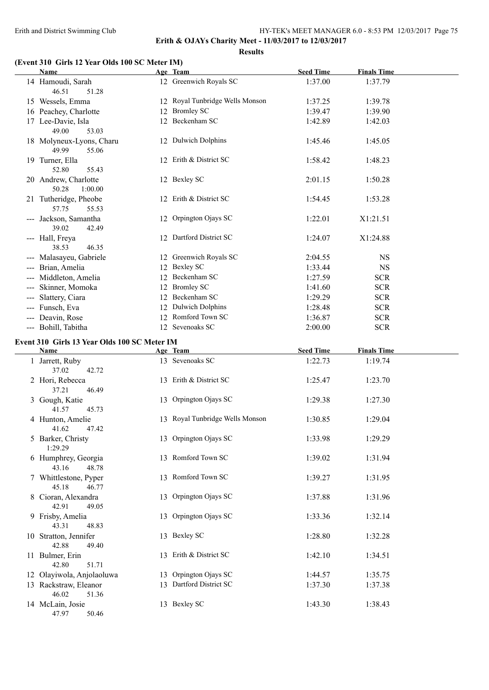**Erith & OJAYs Charity Meet - 11/03/2017 to 12/03/2017**

**Results**

# **(Event 310 Girls 12 Year Olds 100 SC Meter IM)**

| Name                                         | Age Team                        | <b>Seed Time</b> | <b>Finals Time</b> |  |
|----------------------------------------------|---------------------------------|------------------|--------------------|--|
| 14 Hamoudi, Sarah<br>46.51<br>51.28          | 12 Greenwich Royals SC          | 1:37.00          | 1:37.79            |  |
| 15 Wessels, Emma                             | 12 Royal Tunbridge Wells Monson | 1:37.25          | 1:39.78            |  |
| 16 Peachey, Charlotte                        | 12 Bromley SC                   | 1:39.47          | 1:39.90            |  |
| 17 Lee-Davie, Isla<br>49.00<br>53.03         | 12 Beckenham SC                 | 1:42.89          | 1:42.03            |  |
| 18 Molyneux-Lyons, Charu<br>49.99<br>55.06   | 12 Dulwich Dolphins             | 1:45.46          | 1:45.05            |  |
| 19 Turner, Ella<br>52.80<br>55.43            | 12 Erith & District SC          | 1:58.42          | 1:48.23            |  |
| 20 Andrew, Charlotte<br>50.28<br>1:00.00     | 12 Bexley SC                    | 2:01.15          | 1:50.28            |  |
| 21 Tutheridge, Pheobe<br>57.75<br>55.53      | 12 Erith & District SC          | 1:54.45          | 1:53.28            |  |
| --- Jackson, Samantha<br>39.02<br>42.49      | 12 Orpington Ojays SC           | 1:22.01          | X1:21.51           |  |
| --- Hall, Freya<br>38.53<br>46.35            | 12 Dartford District SC         | 1:24.07          | X1:24.88           |  |
| --- Malasayeu, Gabriele                      | 12 Greenwich Royals SC          | 2:04.55          | <b>NS</b>          |  |
| --- Brian, Amelia                            | 12 Bexley SC                    | 1:33.44          | $_{\rm NS}$        |  |
| --- Middleton, Amelia                        | 12 Beckenham SC                 | 1:27.59          | <b>SCR</b>         |  |
| Skinner, Momoka                              | 12 Bromley SC                   | 1:41.60          | <b>SCR</b>         |  |
| Slattery, Ciara                              | 12 Beckenham SC                 | 1:29.29          | <b>SCR</b>         |  |
| --- Funsch, Eva                              | 12 Dulwich Dolphins             | 1:28.48          | <b>SCR</b>         |  |
| --- Deavin, Rose                             | 12 Romford Town SC              | 1:36.87          | <b>SCR</b>         |  |
| --- Bohill, Tabitha                          | 12 Sevenoaks SC                 | 2:00.00          | <b>SCR</b>         |  |
|                                              |                                 |                  |                    |  |
| Event 310 Girls 13 Year Olds 100 SC Meter IM |                                 |                  |                    |  |
|                                              |                                 |                  |                    |  |
| Name                                         | Age Team                        | <b>Seed Time</b> | <b>Finals Time</b> |  |
| 1 Jarrett, Ruby<br>37.02<br>42.72            | 13 Sevenoaks SC                 | 1:22.73          | 1:19.74            |  |
| 2 Hori, Rebecca<br>37.21<br>46.49            | 13 Erith & District SC          | 1:25.47          | 1:23.70            |  |
| 3 Gough, Katie<br>41.57<br>45.73             | 13 Orpington Ojays SC           | 1:29.38          | 1:27.30            |  |
| 4 Hunton, Amelie<br>41.62<br>47.42           | 13 Royal Tunbridge Wells Monson | 1:30.85          | 1:29.04            |  |
| 5 Barker, Christy<br>1:29.29                 | 13 Orpington Ojays SC           | 1:33.98          | 1:29.29            |  |
| 6 Humphrey, Georgia<br>43.16<br>48.78        | 13 Romford Town SC              | 1:39.02          | 1:31.94            |  |
| 7 Whittlestone, Pyper<br>45.18<br>46.77      | 13 Romford Town SC              | 1:39.27          | 1:31.95            |  |
| 8 Cioran, Alexandra<br>42.91<br>49.05        | 13 Orpington Ojays SC           | 1:37.88          | 1:31.96            |  |
| 9 Frisby, Amelia<br>43.31<br>48.83           | 13 Orpington Ojays SC           | 1:33.36          | 1:32.14            |  |
| 10 Stratton, Jennifer<br>42.88<br>49.40      | 13 Bexley SC                    | 1:28.80          | 1:32.28            |  |
| 11 Bulmer, Erin<br>42.80<br>51.71            | 13 Erith & District SC          | 1:42.10          | 1:34.51            |  |
| 12 Olayiwola, Anjolaoluwa                    | 13 Orpington Ojays SC           | 1:44.57          | 1:35.75            |  |
| 13 Rackstraw, Eleanor<br>46.02<br>51.36      | 13 Dartford District SC         | 1:37.30          | 1:37.38            |  |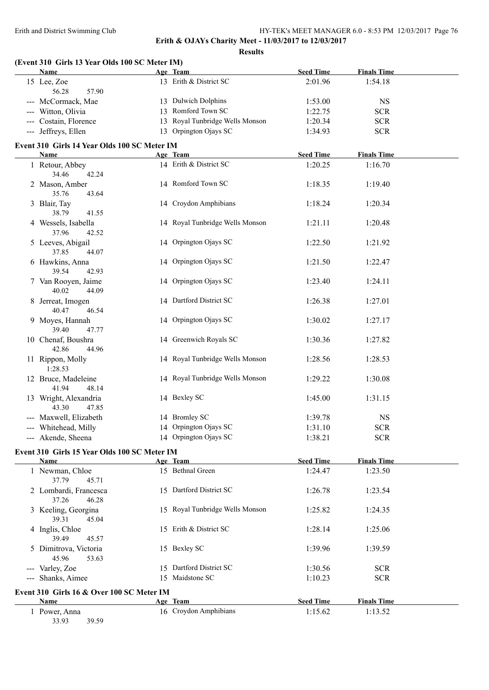#### Erith and District Swimming Club HY-TEK's MEET MANAGER 6.0 - 8:53 PM 12/03/2017 Page 76

**Erith & OJAYs Charity Meet - 11/03/2017 to 12/03/2017**

**Results**

|       | Name                                                 | (Event 310 Girls 13 Year Olds 100 SC Meter IM)<br>Age Team | <b>Seed Time</b> | <b>Finals Time</b> |  |
|-------|------------------------------------------------------|------------------------------------------------------------|------------------|--------------------|--|
|       | 15 Lee, Zoe                                          | 13 Erith & District SC                                     | 2:01.96          | 1:54.18            |  |
|       | 56.28<br>57.90                                       |                                                            |                  |                    |  |
|       | --- McCormack, Mae                                   | 13 Dulwich Dolphins                                        | 1:53.00          | <b>NS</b>          |  |
|       | --- Witton, Olivia                                   | 13 Romford Town SC                                         | 1:22.75          | <b>SCR</b>         |  |
|       | --- Costain, Florence                                | 13 Royal Tunbridge Wells Monson                            | 1:20.34          | <b>SCR</b>         |  |
|       | --- Jeffreys, Ellen                                  | 13 Orpington Ojays SC                                      | 1:34.93          | <b>SCR</b>         |  |
|       | Event 310 Girls 14 Year Olds 100 SC Meter IM         |                                                            |                  |                    |  |
|       | Name                                                 | Age Team                                                   | <b>Seed Time</b> | <b>Finals Time</b> |  |
|       | 1 Retour, Abbey                                      | 14 Erith & District SC                                     | 1:20.25          | 1:16.70            |  |
|       | 34.46<br>42.24                                       |                                                            |                  |                    |  |
|       | 2 Mason, Amber                                       | 14 Romford Town SC                                         | 1:18.35          | 1:19.40            |  |
|       | 35.76<br>43.64                                       |                                                            |                  |                    |  |
|       | 3 Blair, Tay                                         | 14 Croydon Amphibians                                      | 1:18.24          | 1:20.34            |  |
|       | 38.79<br>41.55                                       |                                                            |                  |                    |  |
|       | 4 Wessels, Isabella                                  | 14 Royal Tunbridge Wells Monson                            | 1:21.11          | 1:20.48            |  |
|       | 37.96<br>42.52                                       |                                                            |                  |                    |  |
|       | 5 Leeves, Abigail                                    | 14 Orpington Ojays SC                                      | 1:22.50          | 1:21.92            |  |
|       | 37.85<br>44.07                                       |                                                            |                  |                    |  |
|       | 6 Hawkins, Anna                                      | 14 Orpington Ojays SC                                      | 1:21.50          | 1:22.47            |  |
|       | 39.54<br>42.93                                       |                                                            |                  |                    |  |
|       | 7 Van Rooyen, Jaime                                  | 14 Orpington Ojays SC                                      | 1:23.40          | 1:24.11            |  |
|       | 40.02<br>44.09                                       |                                                            |                  |                    |  |
|       | 8 Jerreat, Imogen                                    | 14 Dartford District SC                                    | 1:26.38          | 1:27.01            |  |
|       | 40.47<br>46.54                                       |                                                            |                  |                    |  |
|       | 9 Moyes, Hannah                                      | 14 Orpington Ojays SC                                      | 1:30.02          | 1:27.17            |  |
|       | 39.40<br>47.77                                       |                                                            |                  |                    |  |
|       | 10 Chenaf, Boushra                                   | 14 Greenwich Royals SC                                     | 1:30.36          | 1:27.82            |  |
|       | 42.86<br>44.96                                       |                                                            |                  |                    |  |
|       | 11 Rippon, Molly                                     | 14 Royal Tunbridge Wells Monson                            | 1:28.56          | 1:28.53            |  |
|       | 1:28.53                                              |                                                            |                  |                    |  |
|       | 12 Bruce, Madeleine                                  | 14 Royal Tunbridge Wells Monson                            | 1:29.22          | 1:30.08            |  |
|       | 41.94<br>48.14                                       |                                                            |                  |                    |  |
|       | 13 Wright, Alexandria                                | 14 Bexley SC                                               | 1:45.00          | 1:31.15            |  |
|       | 43.30<br>47.85                                       |                                                            |                  |                    |  |
|       | --- Maxwell, Elizabeth                               | 14 Bromley SC                                              | 1:39.78          | <b>NS</b>          |  |
|       | --- Whitehead, Milly                                 | 14 Orpington Ojays SC                                      | 1:31.10          | <b>SCR</b>         |  |
|       | --- Akende, Sheena                                   | 14 Orpington Ojays SC                                      | 1:38.21          | <b>SCR</b>         |  |
|       |                                                      |                                                            |                  |                    |  |
|       | Event 310 Girls 15 Year Olds 100 SC Meter IM<br>Name | Age Team                                                   | <b>Seed Time</b> | <b>Finals Time</b> |  |
|       | 1 Newman, Chloe                                      | 15 Bethnal Green                                           | 1:24.47          | 1:23.50            |  |
|       | 37.79<br>45.71                                       |                                                            |                  |                    |  |
|       | 2 Lombardi, Francesca                                | 15 Dartford District SC                                    | 1:26.78          |                    |  |
|       | 37.26<br>46.28                                       |                                                            |                  | 1:23.54            |  |
|       |                                                      | 15 Royal Tunbridge Wells Monson                            |                  |                    |  |
|       | 3 Keeling, Georgina<br>39.31<br>45.04                |                                                            | 1:25.82          | 1:24.35            |  |
|       |                                                      | 15 Erith & District SC                                     | 1:28.14          |                    |  |
|       | 4 Inglis, Chloe                                      |                                                            |                  | 1:25.06            |  |
|       | 39.49<br>45.57                                       |                                                            |                  |                    |  |
|       | 5 Dimitrova, Victoria                                | 15 Bexley SC                                               | 1:39.96          | 1:39.59            |  |
|       | 45.96<br>53.63                                       |                                                            |                  |                    |  |
|       | --- Varley, Zoe                                      | 15 Dartford District SC                                    | 1:30.56          | <b>SCR</b>         |  |
| $  -$ | Shanks, Aimee                                        | 15 Maidstone SC                                            | 1:10.23          | <b>SCR</b>         |  |
|       | Event 310 Girls 16 & Over 100 SC Meter IM            |                                                            |                  |                    |  |
|       |                                                      | Age Team                                                   | <b>Seed Time</b> | <b>Finals Time</b> |  |
|       | Name                                                 |                                                            |                  |                    |  |